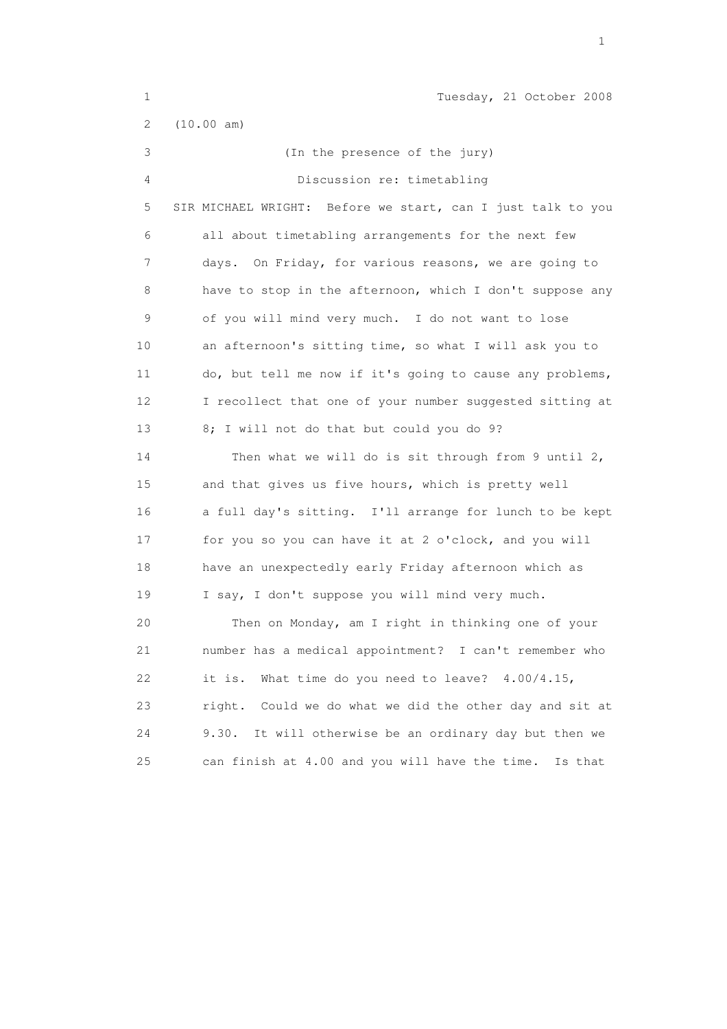| $\mathbf 1$ | Tuesday, 21 October 2008                                    |
|-------------|-------------------------------------------------------------|
| 2           | (10.00 am)                                                  |
| 3           | (In the presence of the jury)                               |
| 4           | Discussion re: timetabling                                  |
| 5           | SIR MICHAEL WRIGHT: Before we start, can I just talk to you |
| 6           | all about timetabling arrangements for the next few         |
| 7           | On Friday, for various reasons, we are going to<br>days.    |
| 8           | have to stop in the afternoon, which I don't suppose any    |
| 9           | of you will mind very much. I do not want to lose           |
| 10          | an afternoon's sitting time, so what I will ask you to      |
| 11          | do, but tell me now if it's going to cause any problems,    |
| 12          | I recollect that one of your number suggested sitting at    |
| 13          | 8; I will not do that but could you do 9?                   |
| 14          | Then what we will do is sit through from 9 until 2,         |
| 15          | and that gives us five hours, which is pretty well          |
| 16          | a full day's sitting. I'll arrange for lunch to be kept     |
| 17          | for you so you can have it at 2 o'clock, and you will       |
| 18          | have an unexpectedly early Friday afternoon which as        |
| 19          | I say, I don't suppose you will mind very much.             |
| 20          | Then on Monday, am I right in thinking one of your          |
| 21          | number has a medical appointment? I can't remember who      |
| 22          | What time do you need to leave? $4.00/4.15$ ,<br>it is.     |
| 23          | Could we do what we did the other day and sit at<br>right.  |
| 24          | It will otherwise be an ordinary day but then we<br>9.30.   |
| 25          | can finish at 4.00 and you will have the time.<br>Is that   |

the contract of the contract of the contract of the contract of the contract of the contract of the contract of the contract of the contract of the contract of the contract of the contract of the contract of the contract o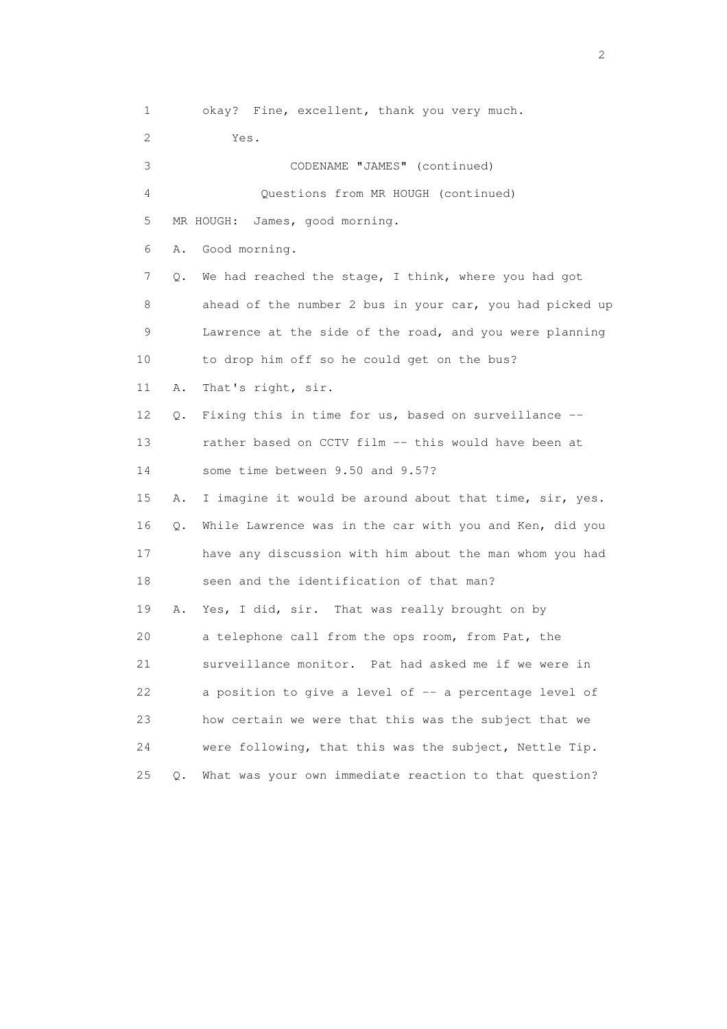1 okay? Fine, excellent, thank you very much. 2 Yes. 3 CODENAME "JAMES" (continued) 4 Questions from MR HOUGH (continued) 5 MR HOUGH: James, good morning. 6 A. Good morning. 7 Q. We had reached the stage, I think, where you had got 8 ahead of the number 2 bus in your car, you had picked up 9 Lawrence at the side of the road, and you were planning 10 to drop him off so he could get on the bus? 11 A. That's right, sir. 12 Q. Fixing this in time for us, based on surveillance -- 13 rather based on CCTV film -- this would have been at 14 some time between 9.50 and 9.57? 15 A. I imagine it would be around about that time, sir, yes. 16 Q. While Lawrence was in the car with you and Ken, did you 17 have any discussion with him about the man whom you had 18 seen and the identification of that man? 19 A. Yes, I did, sir. That was really brought on by 20 a telephone call from the ops room, from Pat, the 21 surveillance monitor. Pat had asked me if we were in 22 a position to give a level of -- a percentage level of 23 how certain we were that this was the subject that we 24 were following, that this was the subject, Nettle Tip. 25 Q. What was your own immediate reaction to that question?

 $\overline{2}$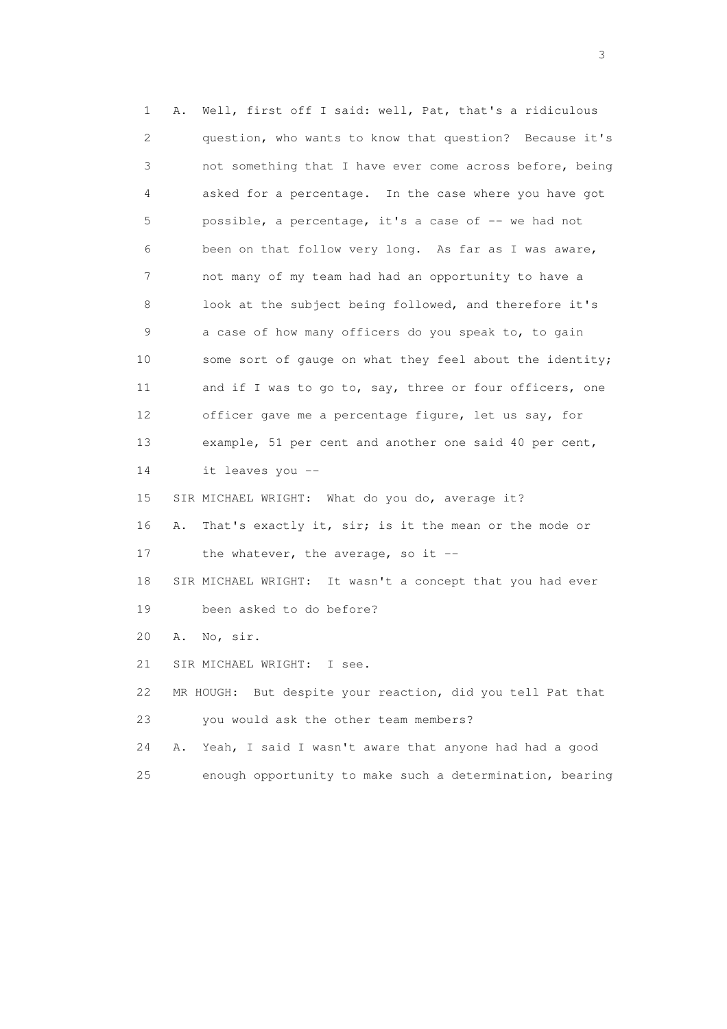1 A. Well, first off I said: well, Pat, that's a ridiculous 2 question, who wants to know that question? Because it's 3 not something that I have ever come across before, being 4 asked for a percentage. In the case where you have got 5 possible, a percentage, it's a case of -- we had not 6 been on that follow very long. As far as I was aware, 7 not many of my team had had an opportunity to have a 8 look at the subject being followed, and therefore it's 9 a case of how many officers do you speak to, to gain 10 some sort of gauge on what they feel about the identity; 11 and if I was to go to, say, three or four officers, one 12 officer gave me a percentage figure, let us say, for 13 example, 51 per cent and another one said 40 per cent, 14 it leaves you -- 15 SIR MICHAEL WRIGHT: What do you do, average it? 16 A. That's exactly it, sir; is it the mean or the mode or 17 the whatever, the average, so it -- 18 SIR MICHAEL WRIGHT: It wasn't a concept that you had ever 19 been asked to do before? 20 A. No, sir. 21 SIR MICHAEL WRIGHT: I see. 22 MR HOUGH: But despite your reaction, did you tell Pat that 23 you would ask the other team members? 24 A. Yeah, I said I wasn't aware that anyone had had a good 25 enough opportunity to make such a determination, bearing

 $\sim$  3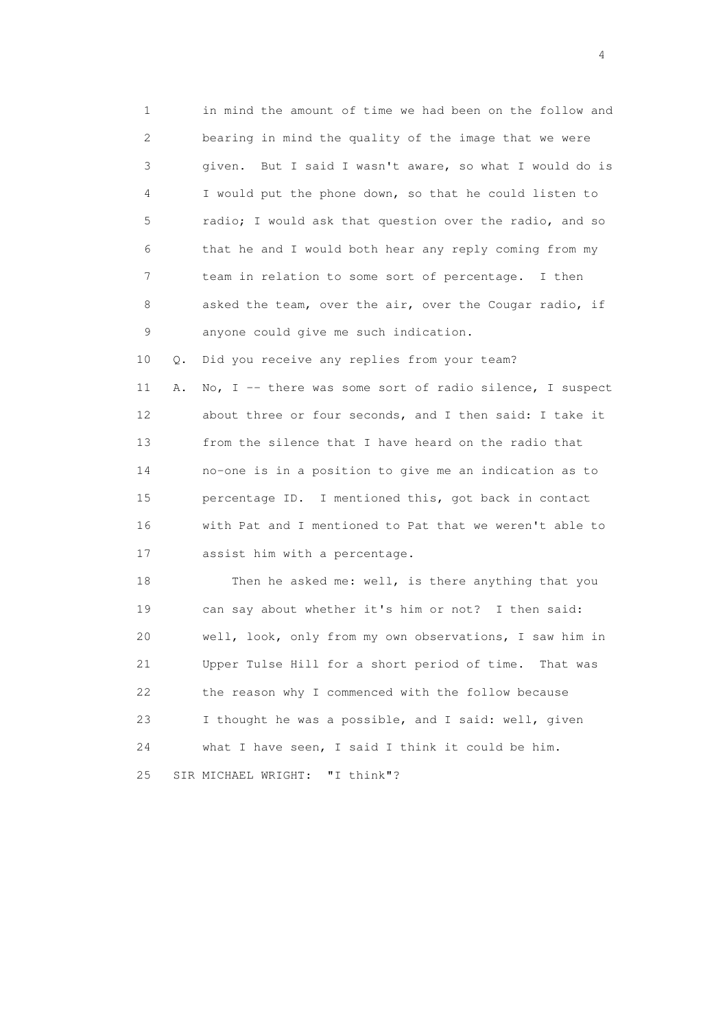1 in mind the amount of time we had been on the follow and 2 bearing in mind the quality of the image that we were 3 given. But I said I wasn't aware, so what I would do is 4 I would put the phone down, so that he could listen to 5 radio; I would ask that question over the radio, and so 6 that he and I would both hear any reply coming from my 7 team in relation to some sort of percentage. I then 8 asked the team, over the air, over the Cougar radio, if 9 anyone could give me such indication.

10 Q. Did you receive any replies from your team?

11 A. No, I -- there was some sort of radio silence, I suspect 12 about three or four seconds, and I then said: I take it 13 from the silence that I have heard on the radio that 14 no-one is in a position to give me an indication as to 15 percentage ID. I mentioned this, got back in contact 16 with Pat and I mentioned to Pat that we weren't able to 17 assist him with a percentage.

 18 Then he asked me: well, is there anything that you 19 can say about whether it's him or not? I then said: 20 well, look, only from my own observations, I saw him in 21 Upper Tulse Hill for a short period of time. That was 22 the reason why I commenced with the follow because 23 I thought he was a possible, and I said: well, given 24 what I have seen, I said I think it could be him. 25 SIR MICHAEL WRIGHT: "I think"?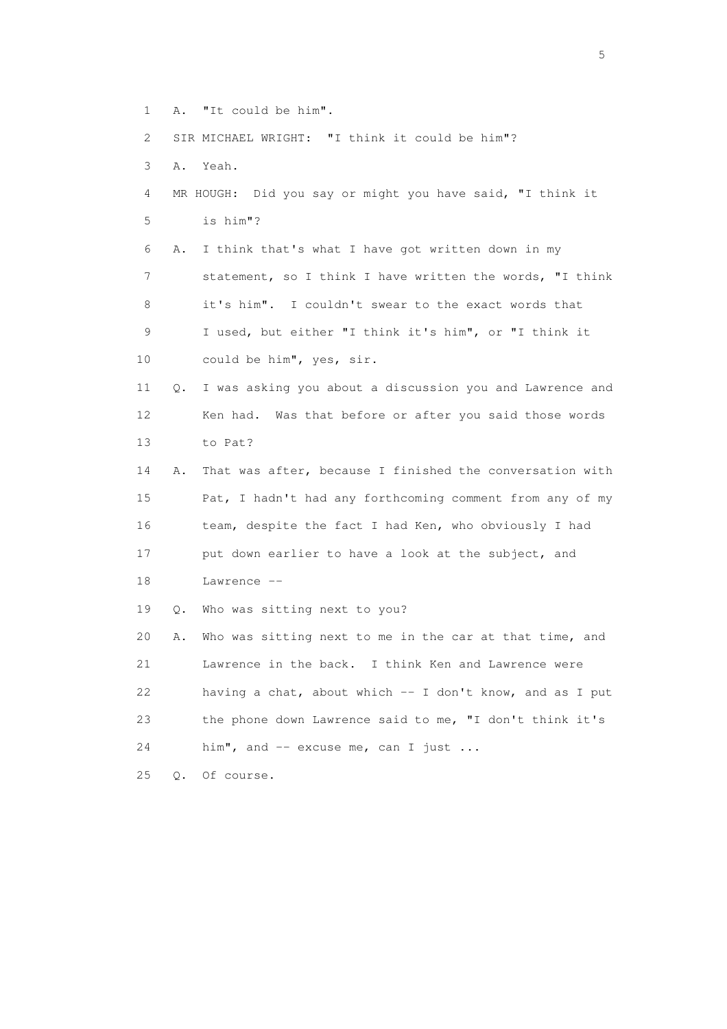- 1 A. "It could be him".
- 2 SIR MICHAEL WRIGHT: "I think it could be him"?
- 3 A. Yeah.
- 4 MR HOUGH: Did you say or might you have said, "I think it 5 is him"?

 6 A. I think that's what I have got written down in my 7 statement, so I think I have written the words, "I think 8 it's him". I couldn't swear to the exact words that 9 I used, but either "I think it's him", or "I think it

- 10 could be him", yes, sir.
- 11 Q. I was asking you about a discussion you and Lawrence and 12 Ken had. Was that before or after you said those words 13 to Pat?

 14 A. That was after, because I finished the conversation with 15 Pat, I hadn't had any forthcoming comment from any of my 16 team, despite the fact I had Ken, who obviously I had 17 put down earlier to have a look at the subject, and

18 Lawrence --

19 Q. Who was sitting next to you?

 20 A. Who was sitting next to me in the car at that time, and 21 Lawrence in the back. I think Ken and Lawrence were 22 having a chat, about which -- I don't know, and as I put 23 the phone down Lawrence said to me, "I don't think it's 24 him", and -- excuse me, can I just ...

25 Q. Of course.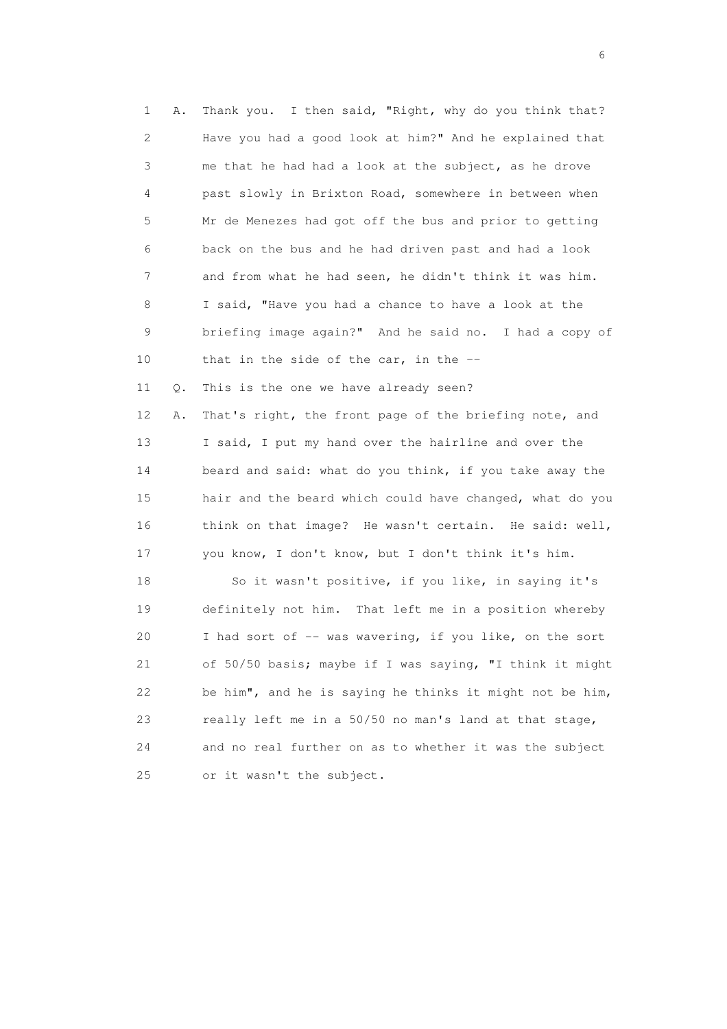1 A. Thank you. I then said, "Right, why do you think that? 2 Have you had a good look at him?" And he explained that 3 me that he had had a look at the subject, as he drove 4 past slowly in Brixton Road, somewhere in between when 5 Mr de Menezes had got off the bus and prior to getting 6 back on the bus and he had driven past and had a look 7 and from what he had seen, he didn't think it was him. 8 I said, "Have you had a chance to have a look at the 9 briefing image again?" And he said no. I had a copy of 10 that in the side of the car, in the -- 11 Q. This is the one we have already seen? 12 A. That's right, the front page of the briefing note, and 13 I said, I put my hand over the hairline and over the 14 beard and said: what do you think, if you take away the 15 hair and the beard which could have changed, what do you 16 think on that image? He wasn't certain. He said: well, 17 you know, I don't know, but I don't think it's him. 18 So it wasn't positive, if you like, in saying it's 19 definitely not him. That left me in a position whereby 20 I had sort of -- was wavering, if you like, on the sort

21 of 50/50 basis; maybe if I was saying, "I think it might

22 be him", and he is saying he thinks it might not be him,

23 really left me in a 50/50 no man's land at that stage,

24 and no real further on as to whether it was the subject

25 or it wasn't the subject.

 $\sim$  6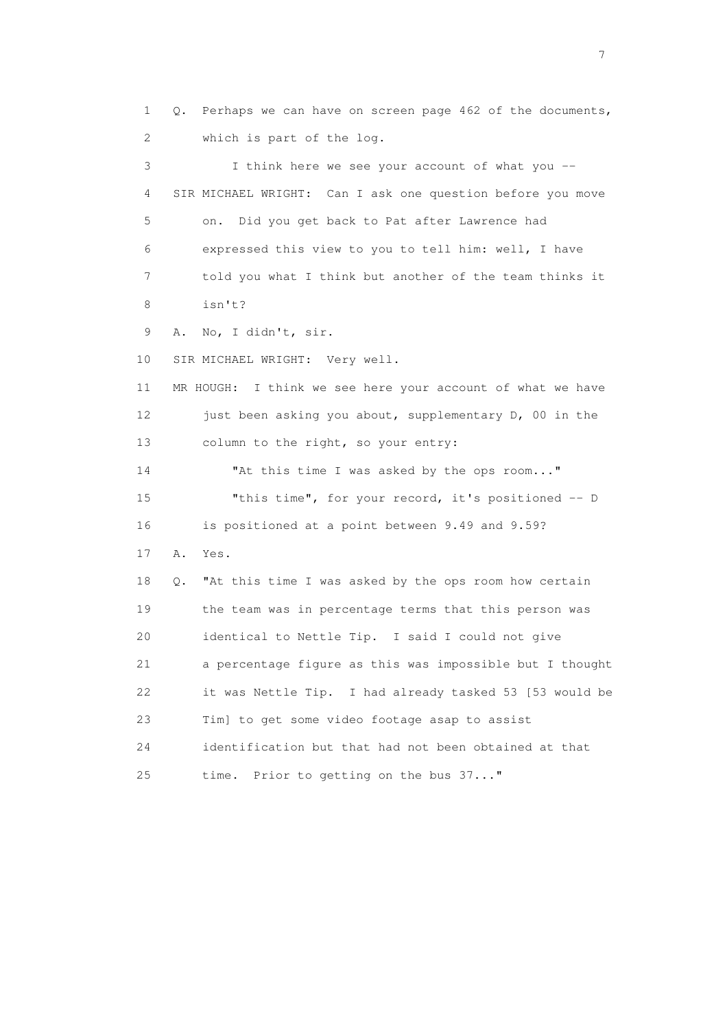1 Q. Perhaps we can have on screen page 462 of the documents, 2 which is part of the log. 3 I think here we see your account of what you -- 4 SIR MICHAEL WRIGHT: Can I ask one question before you move 5 on. Did you get back to Pat after Lawrence had 6 expressed this view to you to tell him: well, I have 7 told you what I think but another of the team thinks it 8 isn't? 9 A. No, I didn't, sir. 10 SIR MICHAEL WRIGHT: Very well. 11 MR HOUGH: I think we see here your account of what we have 12 just been asking you about, supplementary D, 00 in the 13 column to the right, so your entry: 14 "At this time I was asked by the ops room..." 15 "this time", for your record, it's positioned -- D 16 is positioned at a point between 9.49 and 9.59? 17 A. Yes. 18 Q. "At this time I was asked by the ops room how certain 19 the team was in percentage terms that this person was 20 identical to Nettle Tip. I said I could not give 21 a percentage figure as this was impossible but I thought 22 it was Nettle Tip. I had already tasked 53 [53 would be 23 Tim] to get some video footage asap to assist 24 identification but that had not been obtained at that 25 time. Prior to getting on the bus 37..."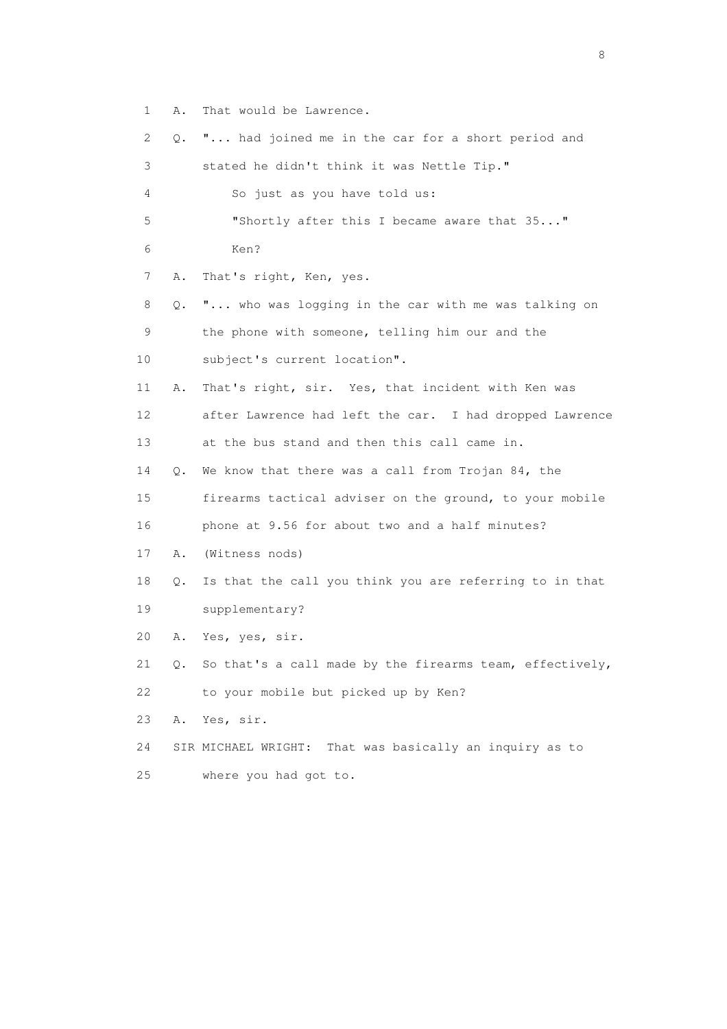1 A. That would be Lawrence.

| 2  | Q. | " had joined me in the car for a short period and          |
|----|----|------------------------------------------------------------|
| 3  |    | stated he didn't think it was Nettle Tip."                 |
| 4  |    | So just as you have told us:                               |
| 5  |    | "Shortly after this I became aware that 35"                |
| 6  |    | Ken?                                                       |
| 7  | Α. | That's right, Ken, yes.                                    |
| 8  | Q. | " who was logging in the car with me was talking on        |
| 9  |    | the phone with someone, telling him our and the            |
| 10 |    | subject's current location".                               |
| 11 | Α. | That's right, sir. Yes, that incident with Ken was         |
| 12 |    | after Lawrence had left the car. I had dropped Lawrence    |
| 13 |    | at the bus stand and then this call came in.               |
| 14 | Q. | We know that there was a call from Trojan 84, the          |
| 15 |    | firearms tactical adviser on the ground, to your mobile    |
| 16 |    | phone at 9.56 for about two and a half minutes?            |
| 17 | Α. | (Witness nods)                                             |
| 18 | Q. | Is that the call you think you are referring to in that    |
| 19 |    | supplementary?                                             |
| 20 | Α. | Yes, yes, sir.                                             |
| 21 | О. | So that's a call made by the firearms team, effectively,   |
| 22 |    | to your mobile but picked up by Ken?                       |
| 23 | Α. | Yes, sir.                                                  |
| 24 |    | That was basically an inquiry as to<br>SIR MICHAEL WRIGHT: |
| 25 |    | where you had got to.                                      |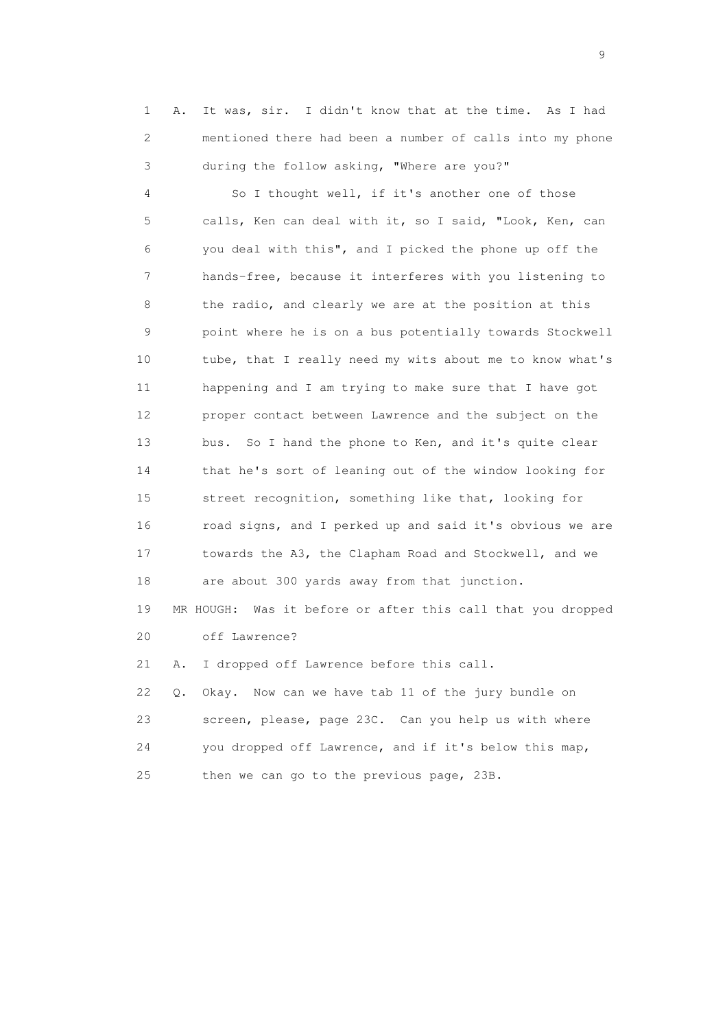1 A. It was, sir. I didn't know that at the time. As I had 2 mentioned there had been a number of calls into my phone 3 during the follow asking, "Where are you?"

 4 So I thought well, if it's another one of those 5 calls, Ken can deal with it, so I said, "Look, Ken, can 6 you deal with this", and I picked the phone up off the 7 hands-free, because it interferes with you listening to 8 the radio, and clearly we are at the position at this 9 point where he is on a bus potentially towards Stockwell 10 tube, that I really need my wits about me to know what's 11 happening and I am trying to make sure that I have got 12 proper contact between Lawrence and the subject on the 13 bus. So I hand the phone to Ken, and it's quite clear 14 that he's sort of leaning out of the window looking for 15 street recognition, something like that, looking for 16 road signs, and I perked up and said it's obvious we are 17 towards the A3, the Clapham Road and Stockwell, and we 18 are about 300 yards away from that junction.

 19 MR HOUGH: Was it before or after this call that you dropped 20 off Lawrence?

21 A. I dropped off Lawrence before this call.

 22 Q. Okay. Now can we have tab 11 of the jury bundle on 23 screen, please, page 23C. Can you help us with where 24 you dropped off Lawrence, and if it's below this map, 25 then we can go to the previous page, 23B.

en de la construction de la construction de la construction de la construction de la construction de la constr<br>1911 : la construction de la construction de la construction de la construction de la construction de la const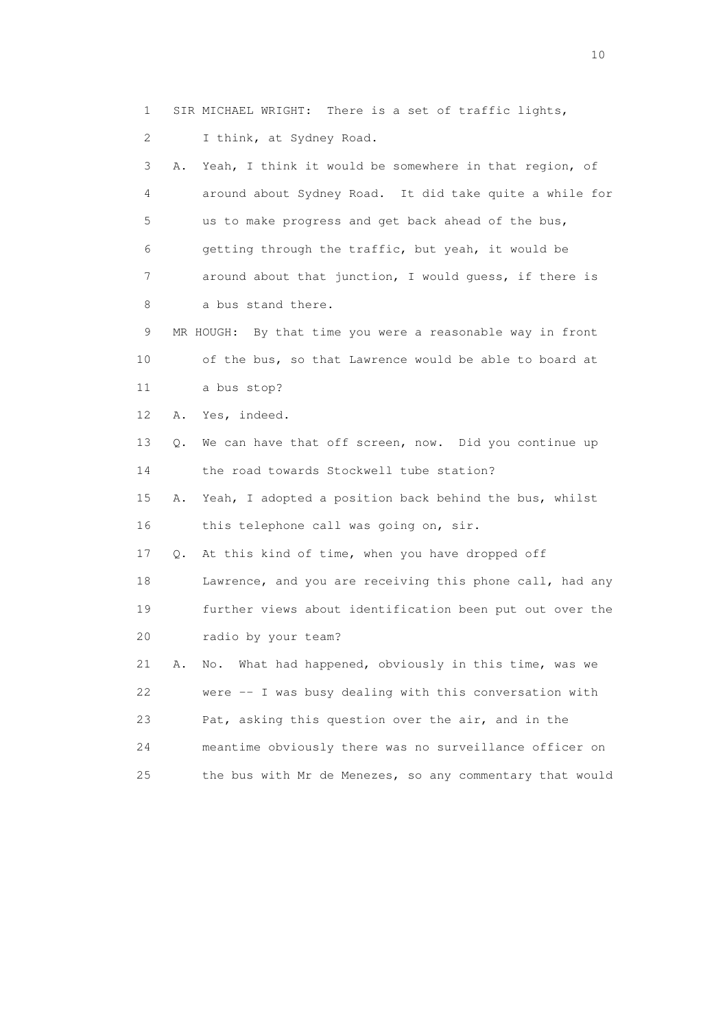1 SIR MICHAEL WRIGHT: There is a set of traffic lights,

2 I think, at Sydney Road.

 3 A. Yeah, I think it would be somewhere in that region, of 4 around about Sydney Road. It did take quite a while for 5 us to make progress and get back ahead of the bus, 6 getting through the traffic, but yeah, it would be 7 around about that junction, I would guess, if there is 8 a bus stand there.

 9 MR HOUGH: By that time you were a reasonable way in front 10 of the bus, so that Lawrence would be able to board at 11 a bus stop?

12 A. Yes, indeed.

 13 Q. We can have that off screen, now. Did you continue up 14 the road towards Stockwell tube station?

 15 A. Yeah, I adopted a position back behind the bus, whilst 16 this telephone call was going on, sir.

17 Q. At this kind of time, when you have dropped off

 18 Lawrence, and you are receiving this phone call, had any 19 further views about identification been put out over the 20 radio by your team?

 21 A. No. What had happened, obviously in this time, was we 22 were -- I was busy dealing with this conversation with 23 Pat, asking this question over the air, and in the 24 meantime obviously there was no surveillance officer on 25 the bus with Mr de Menezes, so any commentary that would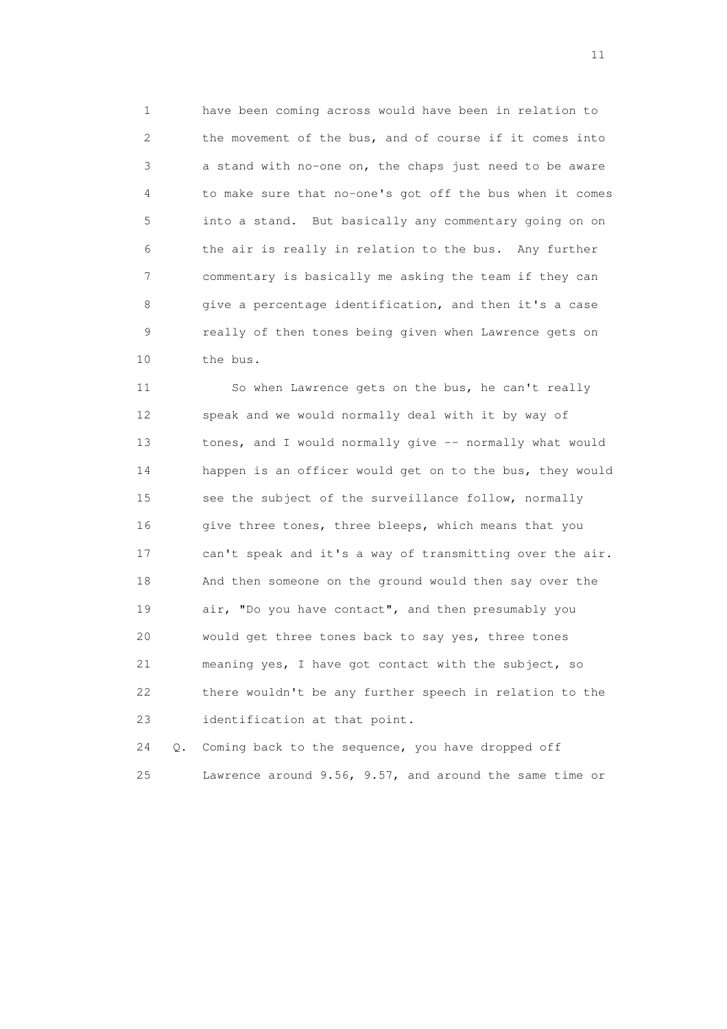1 have been coming across would have been in relation to 2 the movement of the bus, and of course if it comes into 3 a stand with no-one on, the chaps just need to be aware 4 to make sure that no-one's got off the bus when it comes 5 into a stand. But basically any commentary going on on 6 the air is really in relation to the bus. Any further 7 commentary is basically me asking the team if they can 8 give a percentage identification, and then it's a case 9 really of then tones being given when Lawrence gets on 10 the bus.

 11 So when Lawrence gets on the bus, he can't really 12 speak and we would normally deal with it by way of 13 tones, and I would normally give -- normally what would 14 happen is an officer would get on to the bus, they would 15 see the subject of the surveillance follow, normally 16 give three tones, three bleeps, which means that you 17 can't speak and it's a way of transmitting over the air. 18 And then someone on the ground would then say over the 19 air, "Do you have contact", and then presumably you 20 would get three tones back to say yes, three tones 21 meaning yes, I have got contact with the subject, so 22 there wouldn't be any further speech in relation to the 23 identification at that point.

 24 Q. Coming back to the sequence, you have dropped off 25 Lawrence around 9.56, 9.57, and around the same time or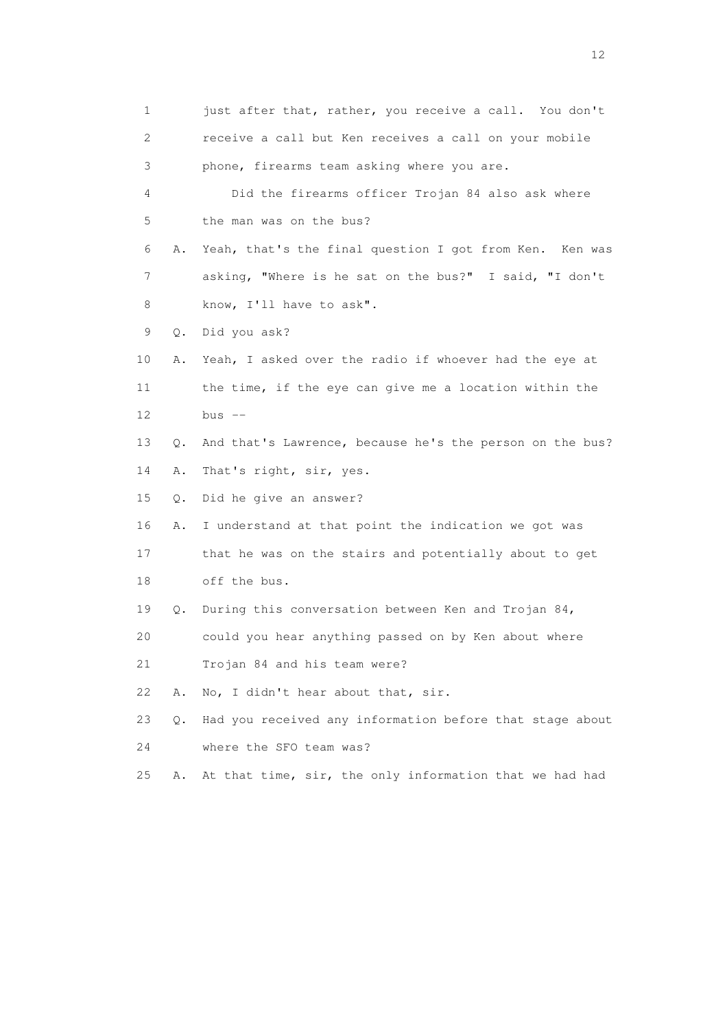1 just after that, rather, you receive a call. You don't 2 receive a call but Ken receives a call on your mobile 3 phone, firearms team asking where you are. 4 Did the firearms officer Trojan 84 also ask where 5 the man was on the bus? 6 A. Yeah, that's the final question I got from Ken. Ken was 7 asking, "Where is he sat on the bus?" I said, "I don't 8 know, I'll have to ask". 9 Q. Did you ask? 10 A. Yeah, I asked over the radio if whoever had the eye at 11 the time, if the eye can give me a location within the 12 bus -- 13 Q. And that's Lawrence, because he's the person on the bus? 14 A. That's right, sir, yes. 15 Q. Did he give an answer? 16 A. I understand at that point the indication we got was 17 that he was on the stairs and potentially about to get 18 off the bus. 19 Q. During this conversation between Ken and Trojan 84, 20 could you hear anything passed on by Ken about where 21 Trojan 84 and his team were? 22 A. No, I didn't hear about that, sir. 23 Q. Had you received any information before that stage about 24 where the SFO team was? 25 A. At that time, sir, the only information that we had had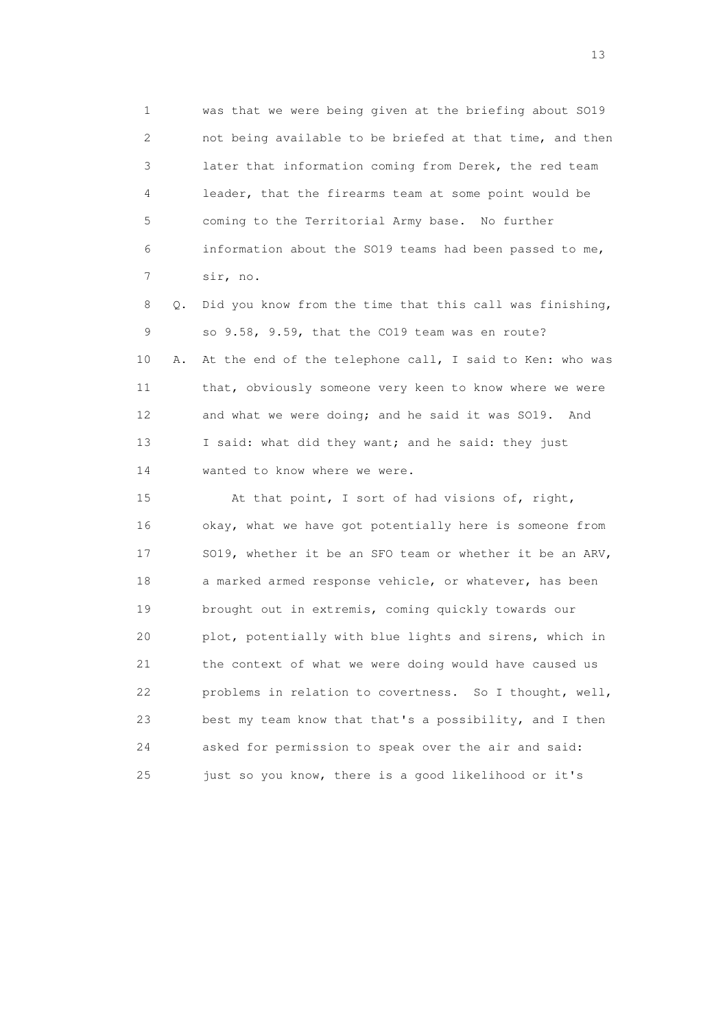1 was that we were being given at the briefing about SO19 2 not being available to be briefed at that time, and then 3 later that information coming from Derek, the red team 4 leader, that the firearms team at some point would be 5 coming to the Territorial Army base. No further 6 information about the SO19 teams had been passed to me, 7 sir, no.

 8 Q. Did you know from the time that this call was finishing, 9 so 9.58, 9.59, that the CO19 team was en route? 10 A. At the end of the telephone call, I said to Ken: who was 11 that, obviously someone very keen to know where we were 12 and what we were doing; and he said it was SO19. And 13 I said: what did they want; and he said: they just 14 wanted to know where we were.

 15 At that point, I sort of had visions of, right, 16 okay, what we have got potentially here is someone from 17 SO19, whether it be an SFO team or whether it be an ARV, 18 a marked armed response vehicle, or whatever, has been 19 brought out in extremis, coming quickly towards our 20 plot, potentially with blue lights and sirens, which in 21 the context of what we were doing would have caused us 22 problems in relation to covertness. So I thought, well, 23 best my team know that that's a possibility, and I then 24 asked for permission to speak over the air and said: 25 just so you know, there is a good likelihood or it's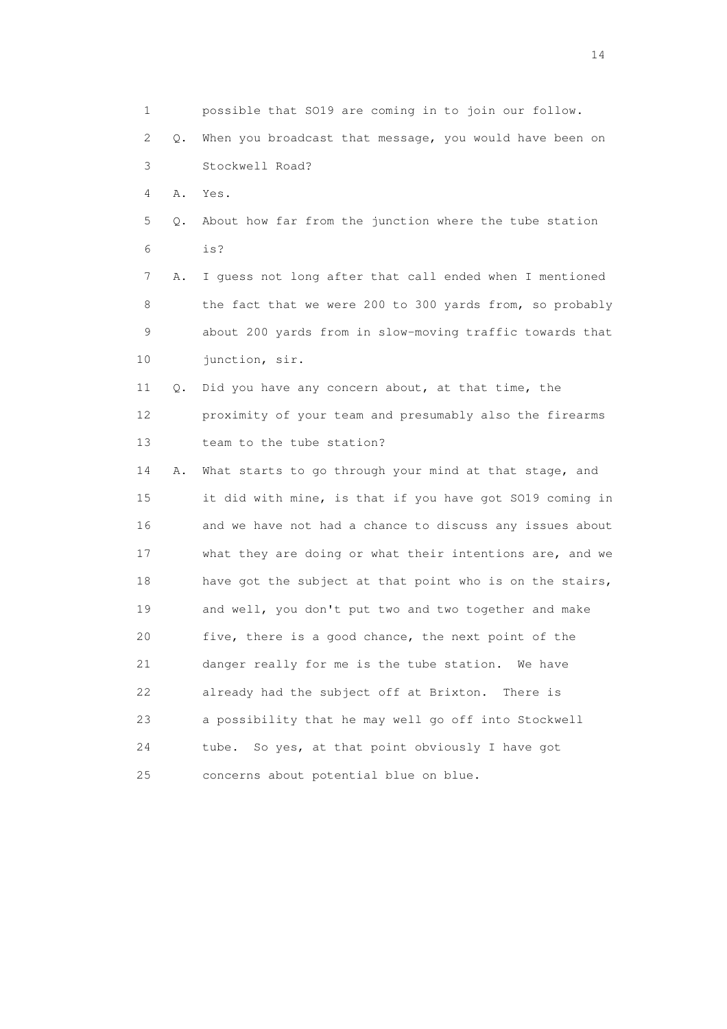1 possible that SO19 are coming in to join our follow. 2 Q. When you broadcast that message, you would have been on 3 Stockwell Road? 4 A. Yes. 5 Q. About how far from the junction where the tube station 6 is? 7 A. I guess not long after that call ended when I mentioned 8 the fact that we were 200 to 300 yards from, so probably 9 about 200 yards from in slow-moving traffic towards that 10 junction, sir. 11 Q. Did you have any concern about, at that time, the 12 proximity of your team and presumably also the firearms 13 team to the tube station? 14 A. What starts to go through your mind at that stage, and 15 it did with mine, is that if you have got SO19 coming in 16 and we have not had a chance to discuss any issues about 17 what they are doing or what their intentions are, and we 18 have got the subject at that point who is on the stairs, 19 and well, you don't put two and two together and make 20 five, there is a good chance, the next point of the 21 danger really for me is the tube station. We have 22 already had the subject off at Brixton. There is 23 a possibility that he may well go off into Stockwell 24 tube. So yes, at that point obviously I have got 25 concerns about potential blue on blue.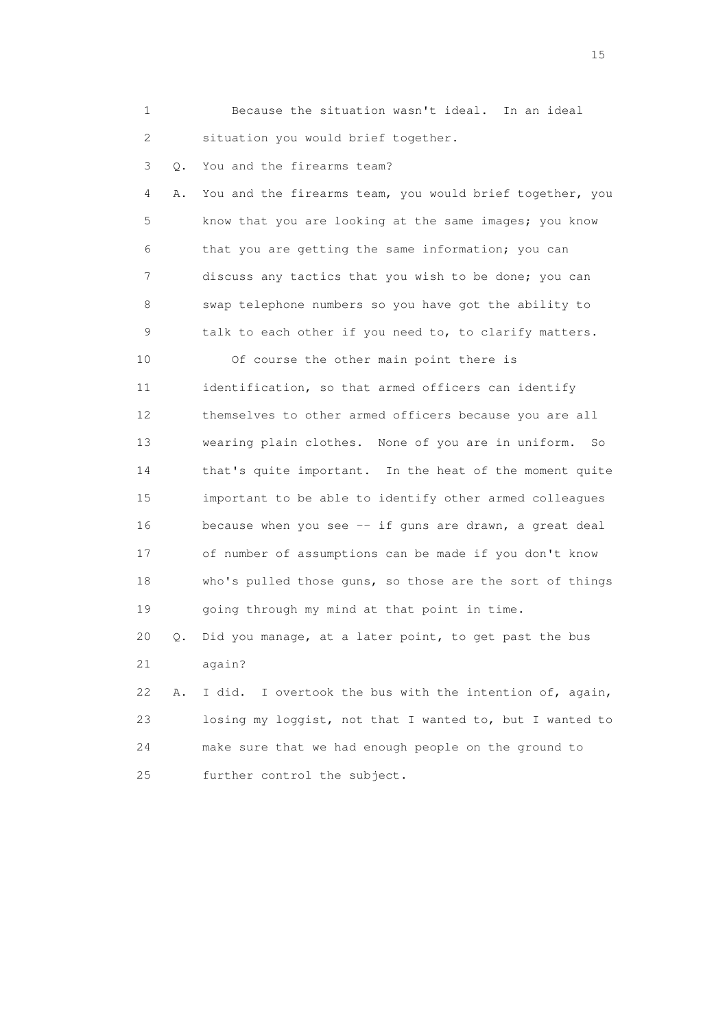| 1               |               | Because the situation wasn't ideal. In an ideal            |
|-----------------|---------------|------------------------------------------------------------|
| 2               |               | situation you would brief together.                        |
| 3               | Q.            | You and the firearms team?                                 |
| 4               | Α.            | You and the firearms team, you would brief together, you   |
| 5               |               | know that you are looking at the same images; you know     |
| 6               |               | that you are getting the same information; you can         |
| 7               |               | discuss any tactics that you wish to be done; you can      |
| 8               |               | swap telephone numbers so you have got the ability to      |
| 9               |               | talk to each other if you need to, to clarify matters.     |
| 10              |               | Of course the other main point there is                    |
| 11              |               | identification, so that armed officers can identify        |
| 12 <sup>°</sup> |               | themselves to other armed officers because you are all     |
| 13              |               | wearing plain clothes. None of you are in uniform.<br>So   |
| 14              |               | that's quite important. In the heat of the moment quite    |
| 15              |               | important to be able to identify other armed colleagues    |
| 16              |               | because when you see -- if guns are drawn, a great deal    |
| 17              |               | of number of assumptions can be made if you don't know     |
| 18              |               | who's pulled those guns, so those are the sort of things   |
| 19              |               | going through my mind at that point in time.               |
| 20              | $\mathbb Q$ . | Did you manage, at a later point, to get past the bus      |
| 21              |               | again?                                                     |
| 22              | Α.            | I overtook the bus with the intention of, again,<br>I did. |
| 23              |               | losing my loggist, not that I wanted to, but I wanted to   |
| 24              |               | make sure that we had enough people on the ground to       |
| 25              |               | further control the subject.                               |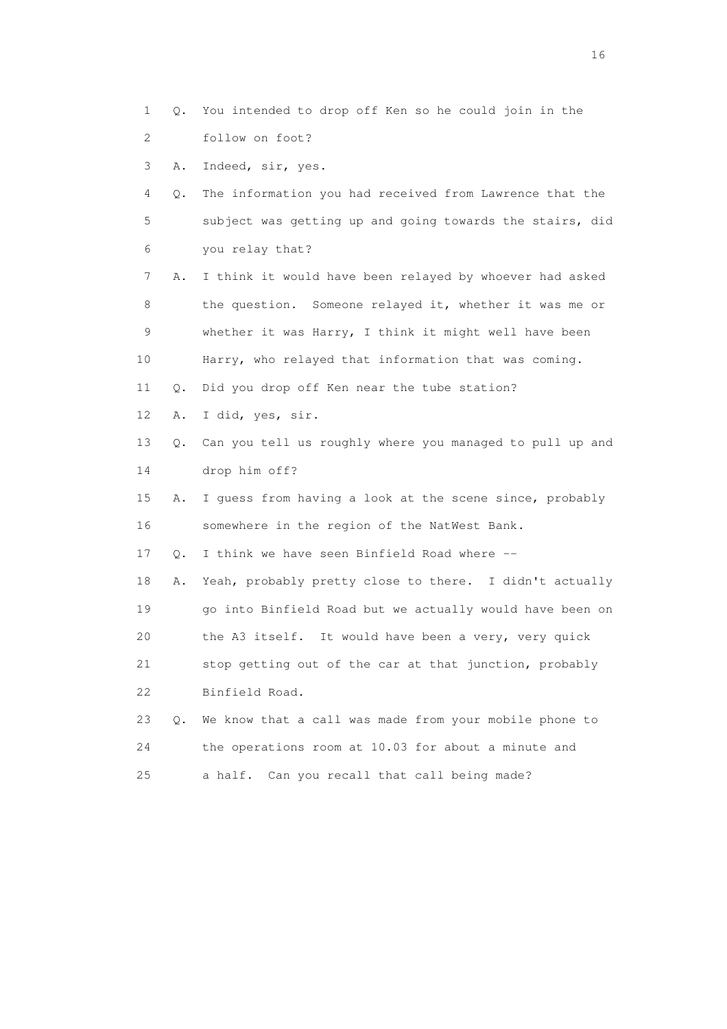1 Q. You intended to drop off Ken so he could join in the 2 follow on foot?

3 A. Indeed, sir, yes.

 4 Q. The information you had received from Lawrence that the 5 subject was getting up and going towards the stairs, did 6 you relay that?

 7 A. I think it would have been relayed by whoever had asked 8 the question. Someone relayed it, whether it was me or 9 whether it was Harry, I think it might well have been 10 Harry, who relayed that information that was coming. 11 Q. Did you drop off Ken near the tube station?

12 A. I did, yes, sir.

 13 Q. Can you tell us roughly where you managed to pull up and 14 drop him off?

 15 A. I guess from having a look at the scene since, probably 16 somewhere in the region of the NatWest Bank.

17 Q. I think we have seen Binfield Road where --

 18 A. Yeah, probably pretty close to there. I didn't actually 19 go into Binfield Road but we actually would have been on 20 the A3 itself. It would have been a very, very quick 21 stop getting out of the car at that junction, probably 22 Binfield Road.

 23 Q. We know that a call was made from your mobile phone to 24 the operations room at 10.03 for about a minute and 25 a half. Can you recall that call being made?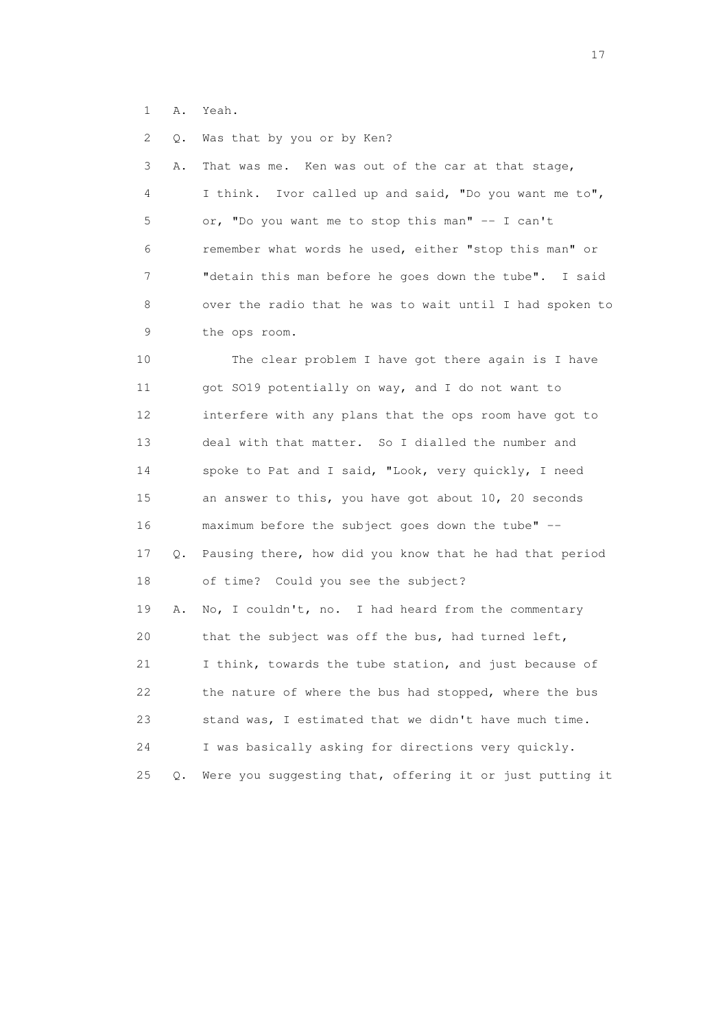1 A. Yeah.

2 Q. Was that by you or by Ken?

 3 A. That was me. Ken was out of the car at that stage, 4 I think. Ivor called up and said, "Do you want me to", 5 or, "Do you want me to stop this man" -- I can't 6 remember what words he used, either "stop this man" or 7 "detain this man before he goes down the tube". I said 8 over the radio that he was to wait until I had spoken to 9 the ops room.

 10 The clear problem I have got there again is I have 11 got SO19 potentially on way, and I do not want to 12 interfere with any plans that the ops room have got to 13 deal with that matter. So I dialled the number and 14 spoke to Pat and I said, "Look, very quickly, I need 15 an answer to this, you have got about 10, 20 seconds 16 maximum before the subject goes down the tube" -- 17 Q. Pausing there, how did you know that he had that period 18 of time? Could you see the subject? 19 A. No, I couldn't, no. I had heard from the commentary 20 that the subject was off the bus, had turned left, 21 I think, towards the tube station, and just because of 22 the nature of where the bus had stopped, where the bus 23 stand was, I estimated that we didn't have much time. 24 I was basically asking for directions very quickly. 25 Q. Were you suggesting that, offering it or just putting it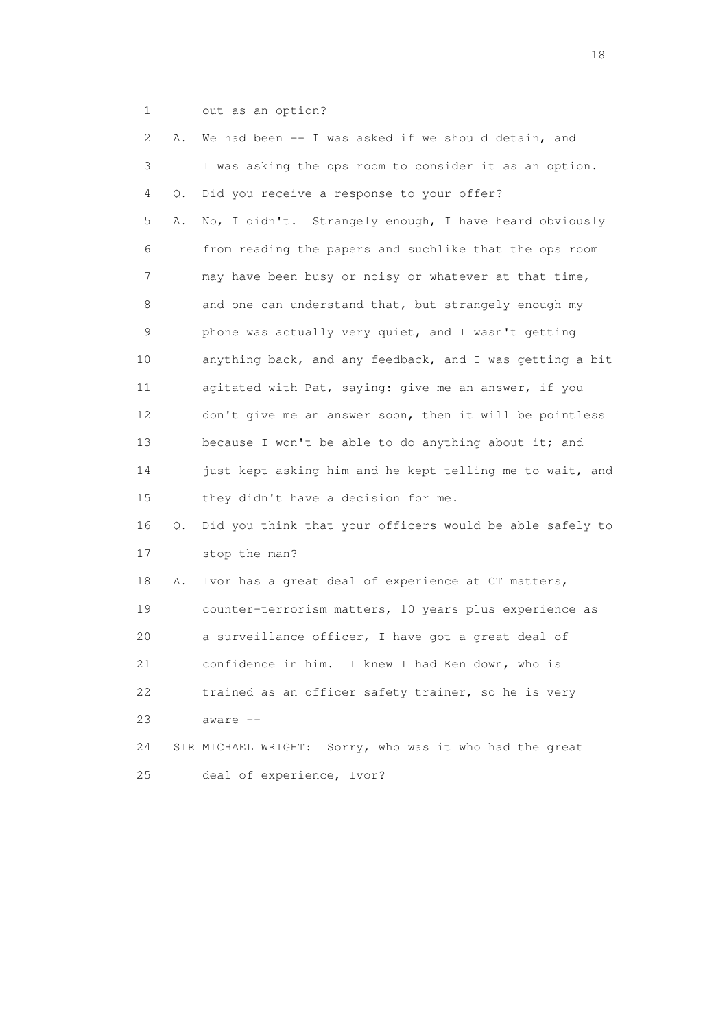1 out as an option?

| $\mathbf{2}^{\mathsf{I}}$ | Α. | We had been -- I was asked if we should detain, and      |
|---------------------------|----|----------------------------------------------------------|
| 3                         |    | I was asking the ops room to consider it as an option.   |
| 4                         | Q. | Did you receive a response to your offer?                |
| 5                         | Α. | No, I didn't. Strangely enough, I have heard obviously   |
| 6                         |    | from reading the papers and suchlike that the ops room   |
| 7                         |    | may have been busy or noisy or whatever at that time,    |
| 8                         |    | and one can understand that, but strangely enough my     |
| 9                         |    | phone was actually very quiet, and I wasn't getting      |
| 10                        |    | anything back, and any feedback, and I was getting a bit |
| 11                        |    | agitated with Pat, saying: give me an answer, if you     |
| 12                        |    | don't give me an answer soon, then it will be pointless  |
| 13                        |    | because I won't be able to do anything about it; and     |
| 14                        |    | just kept asking him and he kept telling me to wait, and |
| 15                        |    | they didn't have a decision for me.                      |
| 16                        | Q. | Did you think that your officers would be able safely to |
| 17                        |    | stop the man?                                            |
| 18                        | Α. | Ivor has a great deal of experience at CT matters,       |
| 19                        |    | counter-terrorism matters, 10 years plus experience as   |
| 20                        |    | a surveillance officer, I have got a great deal of       |
| 21                        |    | confidence in him. I knew I had Ken down, who is         |
| 22                        |    | trained as an officer safety trainer, so he is very      |
| 23                        |    | aware --                                                 |
| 24                        |    | SIR MICHAEL WRIGHT: Sorry, who was it who had the great  |
| 25                        |    | deal of experience, Ivor?                                |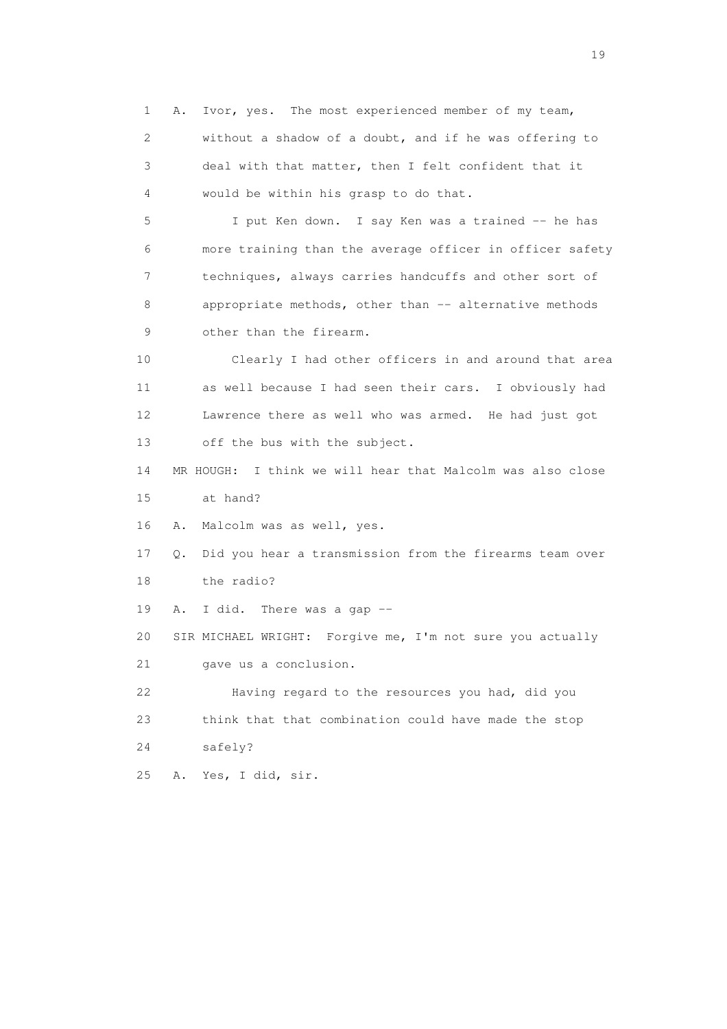1 A. Ivor, yes. The most experienced member of my team, 2 without a shadow of a doubt, and if he was offering to 3 deal with that matter, then I felt confident that it 4 would be within his grasp to do that. 5 I put Ken down. I say Ken was a trained -- he has 6 more training than the average officer in officer safety 7 techniques, always carries handcuffs and other sort of 8 appropriate methods, other than -- alternative methods 9 other than the firearm. 10 Clearly I had other officers in and around that area 11 as well because I had seen their cars. I obviously had 12 Lawrence there as well who was armed. He had just got 13 off the bus with the subject. 14 MR HOUGH: I think we will hear that Malcolm was also close 15 at hand? 16 A. Malcolm was as well, yes. 17 Q. Did you hear a transmission from the firearms team over 18 the radio? 19 A. I did. There was a gap -- 20 SIR MICHAEL WRIGHT: Forgive me, I'm not sure you actually 21 gave us a conclusion. 22 Having regard to the resources you had, did you 23 think that that combination could have made the stop 24 safely? 25 A. Yes, I did, sir.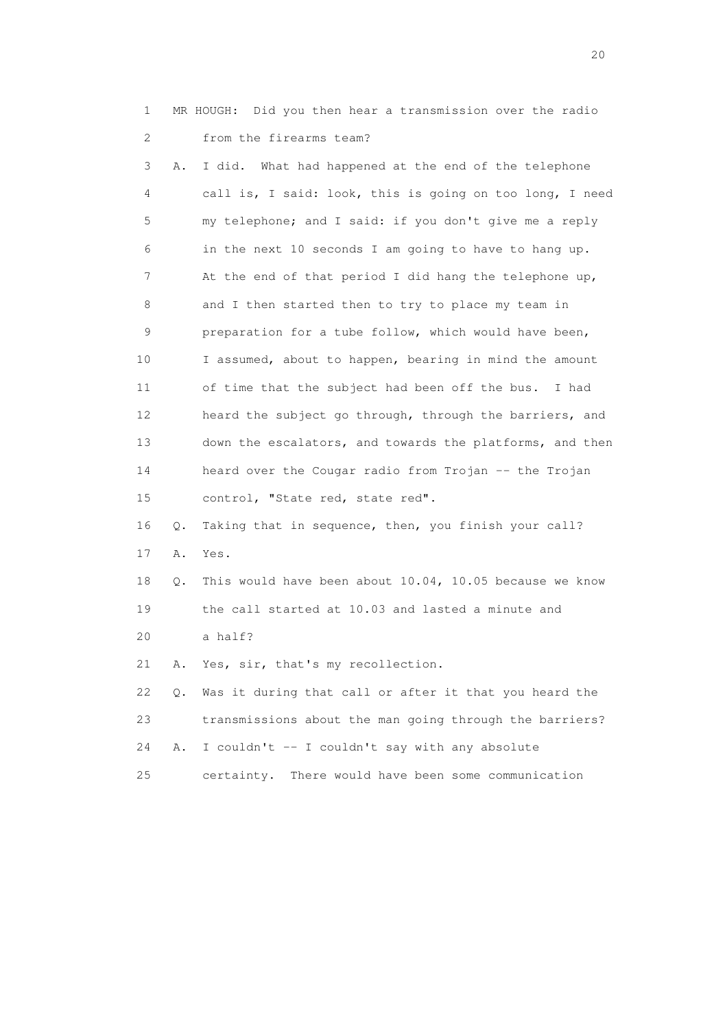1 MR HOUGH: Did you then hear a transmission over the radio 2 from the firearms team?

 3 A. I did. What had happened at the end of the telephone 4 call is, I said: look, this is going on too long, I need 5 my telephone; and I said: if you don't give me a reply 6 in the next 10 seconds I am going to have to hang up. 7 At the end of that period I did hang the telephone up, 8 and I then started then to try to place my team in 9 preparation for a tube follow, which would have been, 10 I assumed, about to happen, bearing in mind the amount 11 of time that the subject had been off the bus. I had 12 heard the subject go through, through the barriers, and 13 down the escalators, and towards the platforms, and then 14 heard over the Cougar radio from Trojan -- the Trojan 15 control, "State red, state red". 16 Q. Taking that in sequence, then, you finish your call? 17 A. Yes. 18 Q. This would have been about 10.04, 10.05 because we know 19 the call started at 10.03 and lasted a minute and

20 a half?

21 A. Yes, sir, that's my recollection.

 22 Q. Was it during that call or after it that you heard the 23 transmissions about the man going through the barriers? 24 A. I couldn't -- I couldn't say with any absolute 25 certainty. There would have been some communication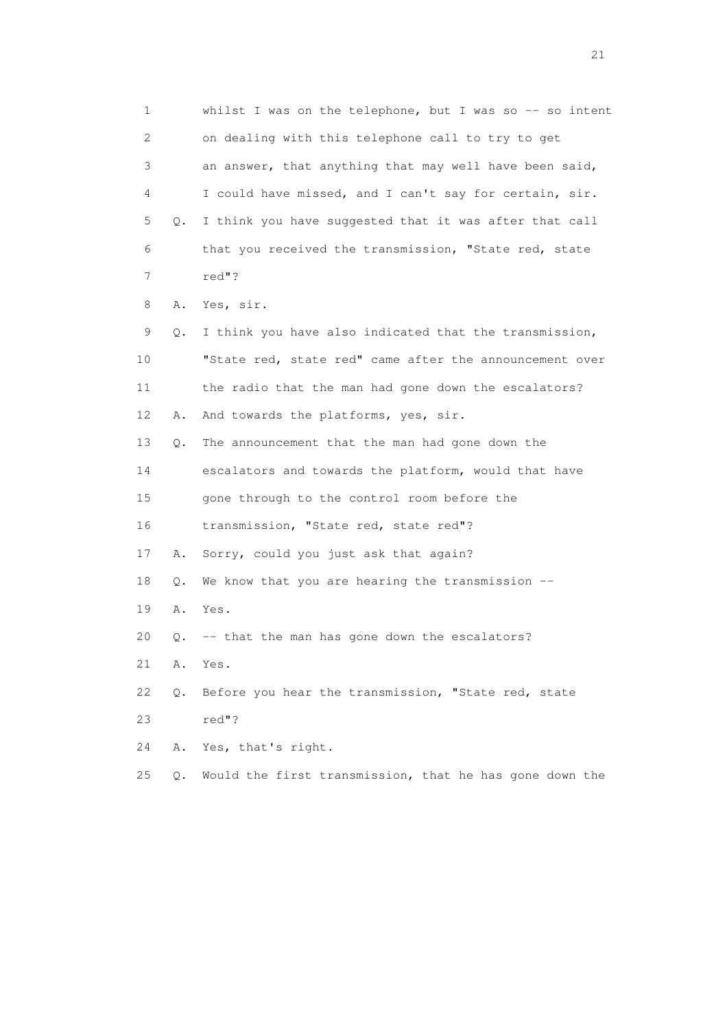1 whilst I was on the telephone, but I was so -- so intent 2 on dealing with this telephone call to try to get 3 an answer, that anything that may well have been said, 4 I could have missed, and I can't say for certain, sir. 5 Q. I think you have suggested that it was after that call 6 that you received the transmission, "State red, state 7 red"? 8 A. Yes, sir. 9 Q. I think you have also indicated that the transmission, 10 "State red, state red" came after the announcement over 11 the radio that the man had gone down the escalators? 12 A. And towards the platforms, yes, sir. 13 Q. The announcement that the man had gone down the 14 escalators and towards the platform, would that have 15 gone through to the control room before the 16 transmission, "State red, state red"? 17 A. Sorry, could you just ask that again? 18 Q. We know that you are hearing the transmission -- 19 A. Yes. 20 Q. -- that the man has gone down the escalators? 21 A. Yes. 22 Q. Before you hear the transmission, "State red, state 23 red"? 24 A. Yes, that's right. 25 Q. Would the first transmission, that he has gone down the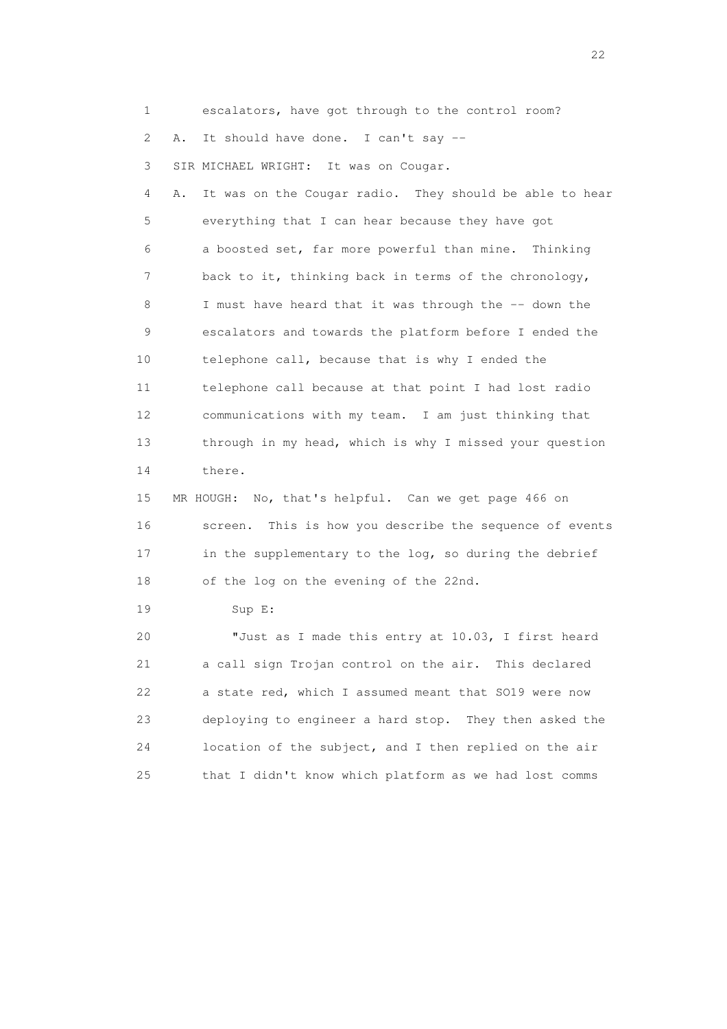1 escalators, have got through to the control room?

2 A. It should have done. I can't say --

3 SIR MICHAEL WRIGHT: It was on Cougar.

 4 A. It was on the Cougar radio. They should be able to hear 5 everything that I can hear because they have got 6 a boosted set, far more powerful than mine. Thinking 7 back to it, thinking back in terms of the chronology, 8 I must have heard that it was through the -- down the 9 escalators and towards the platform before I ended the 10 telephone call, because that is why I ended the 11 telephone call because at that point I had lost radio 12 communications with my team. I am just thinking that 13 through in my head, which is why I missed your question 14 there.

 15 MR HOUGH: No, that's helpful. Can we get page 466 on 16 screen. This is how you describe the sequence of events 17 in the supplementary to the log, so during the debrief 18 of the log on the evening of the 22nd.

19 Sup E:

 20 "Just as I made this entry at 10.03, I first heard 21 a call sign Trojan control on the air. This declared 22 a state red, which I assumed meant that SO19 were now 23 deploying to engineer a hard stop. They then asked the 24 location of the subject, and I then replied on the air 25 that I didn't know which platform as we had lost comms

22 and 22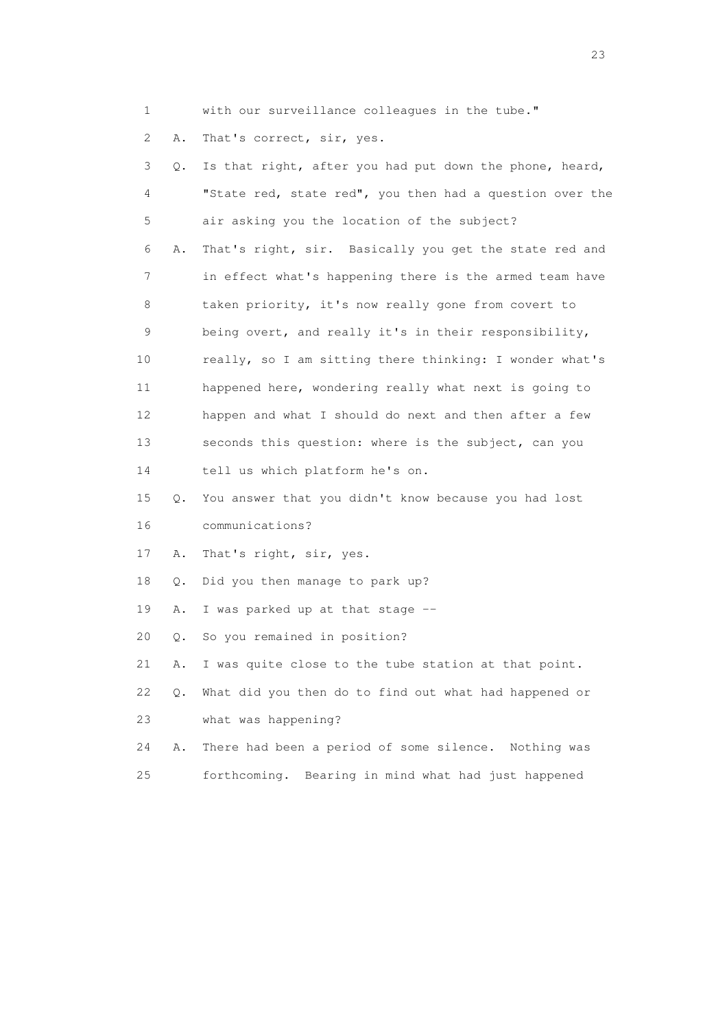1 with our surveillance colleagues in the tube."

2 A. That's correct, sir, yes.

| 3  | Q. | Is that right, after you had put down the phone, heard,  |
|----|----|----------------------------------------------------------|
| 4  |    | "State red, state red", you then had a question over the |
| 5  |    | air asking you the location of the subject?              |
| 6  | Α. | That's right, sir. Basically you get the state red and   |
| 7  |    | in effect what's happening there is the armed team have  |
| 8  |    | taken priority, it's now really gone from covert to      |
| 9  |    | being overt, and really it's in their responsibility,    |
| 10 |    | really, so I am sitting there thinking: I wonder what's  |
| 11 |    | happened here, wondering really what next is going to    |
| 12 |    | happen and what I should do next and then after a few    |
| 13 |    | seconds this question: where is the subject, can you     |
| 14 |    | tell us which platform he's on.                          |
| 15 | Q. | You answer that you didn't know because you had lost     |
| 16 |    | communications?                                          |
| 17 | Α. | That's right, sir, yes.                                  |
| 18 | Q. | Did you then manage to park up?                          |
| 19 | Α. | I was parked up at that stage --                         |
| 20 | Q. | So you remained in position?                             |
| 21 | Α. | I was quite close to the tube station at that point.     |
| 22 | Q. | What did you then do to find out what had happened or    |
| 23 |    | what was happening?                                      |
| 24 | Α. | There had been a period of some silence. Nothing was     |
| 25 |    | Bearing in mind what had just happened<br>forthcoming.   |

23 and 23 and 23 and 23 and 23 and 23 and 23 and 23 and 23 and 23 and 23 and 23 and 23 and 23 and 23 and 23 and 24 and 25 and 25 and 25 and 26 and 26 and 26 and 26 and 26 and 26 and 26 and 26 and 26 and 26 and 26 and 26 an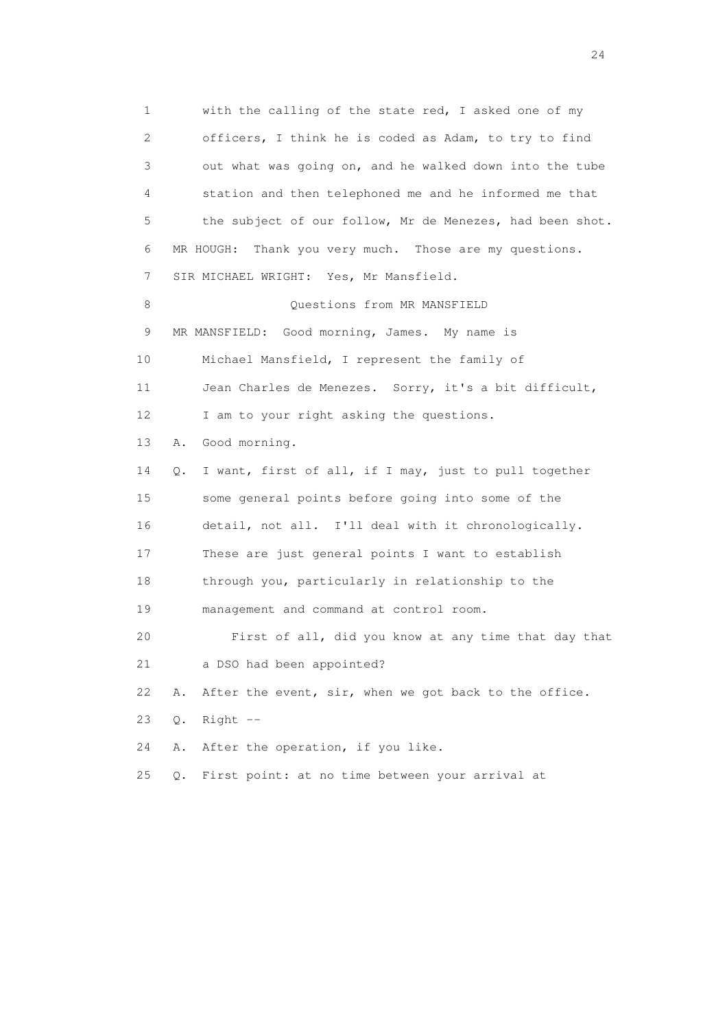1 with the calling of the state red, I asked one of my 2 officers, I think he is coded as Adam, to try to find 3 out what was going on, and he walked down into the tube 4 station and then telephoned me and he informed me that 5 the subject of our follow, Mr de Menezes, had been shot. 6 MR HOUGH: Thank you very much. Those are my questions. 7 SIR MICHAEL WRIGHT: Yes, Mr Mansfield. 8 Ouestions from MR MANSFIELD 9 MR MANSFIELD: Good morning, James. My name is 10 Michael Mansfield, I represent the family of 11 Jean Charles de Menezes. Sorry, it's a bit difficult, 12 I am to your right asking the questions. 13 A. Good morning. 14 Q. I want, first of all, if I may, just to pull together 15 some general points before going into some of the 16 detail, not all. I'll deal with it chronologically. 17 These are just general points I want to establish 18 through you, particularly in relationship to the 19 management and command at control room. 20 First of all, did you know at any time that day that 21 a DSO had been appointed? 22 A. After the event, sir, when we got back to the office. 23 Q. Right -- 24 A. After the operation, if you like. 25 Q. First point: at no time between your arrival at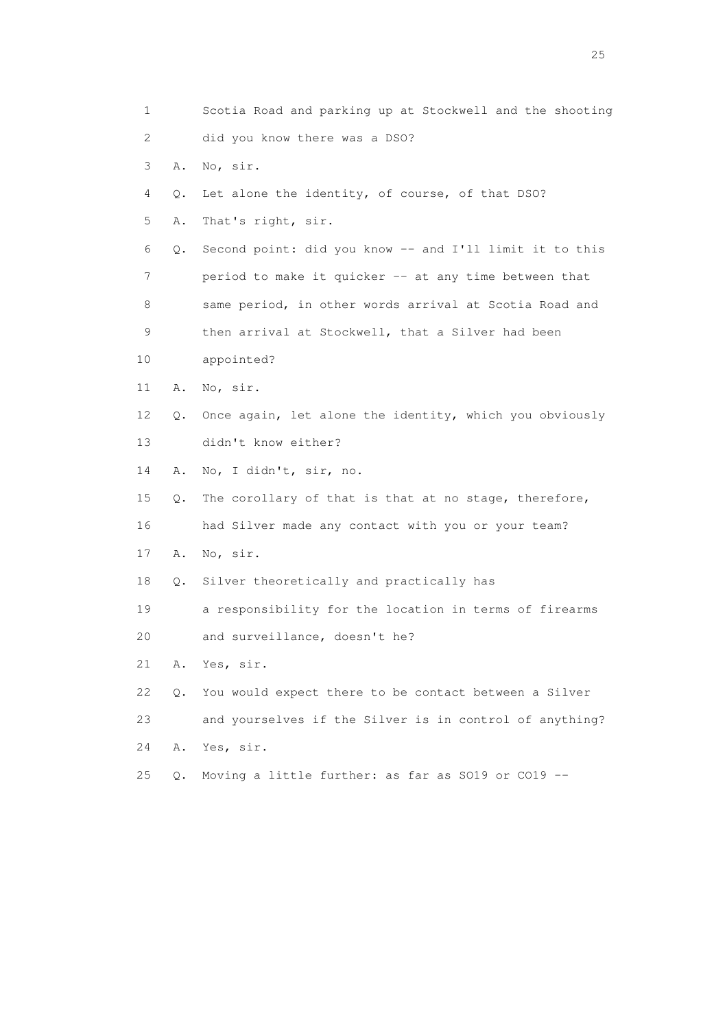| 1                         |       | Scotia Road and parking up at Stockwell and the shooting |
|---------------------------|-------|----------------------------------------------------------|
| $\mathbf{2}^{\mathsf{I}}$ |       | did you know there was a DSO?                            |
| 3                         | Α.    | No, sir.                                                 |
| 4                         | Q.    | Let alone the identity, of course, of that DSO?          |
| 5                         | Α.    | That's right, sir.                                       |
| 6                         | Q.    | Second point: did you know -- and I'll limit it to this  |
| 7                         |       | period to make it quicker -- at any time between that    |
| 8                         |       | same period, in other words arrival at Scotia Road and   |
| 9                         |       | then arrival at Stockwell, that a Silver had been        |
| 10                        |       | appointed?                                               |
| 11                        | Α.    | No, sir.                                                 |
| 12                        | Q.    | Once again, let alone the identity, which you obviously  |
| 13                        |       | didn't know either?                                      |
| 14                        | Α.    | No, I didn't, sir, no.                                   |
| 15                        | Q.    | The corollary of that is that at no stage, therefore,    |
| 16                        |       | had Silver made any contact with you or your team?       |
| 17                        | Α.    | No, sir.                                                 |
| 18                        | Q.    | Silver theoretically and practically has                 |
| 19                        |       | a responsibility for the location in terms of firearms   |
| 20                        |       | and surveillance, doesn't he?                            |
| 21                        | Α.    | Yes, sir.                                                |
| 22                        | Q.    | You would expect there to be contact between a Silver    |
| 23                        |       | and yourselves if the Silver is in control of anything?  |
| 24                        | Α.    | Yes, sir.                                                |
| 25                        | $Q$ . | Moving a little further: as far as SO19 or CO19 --       |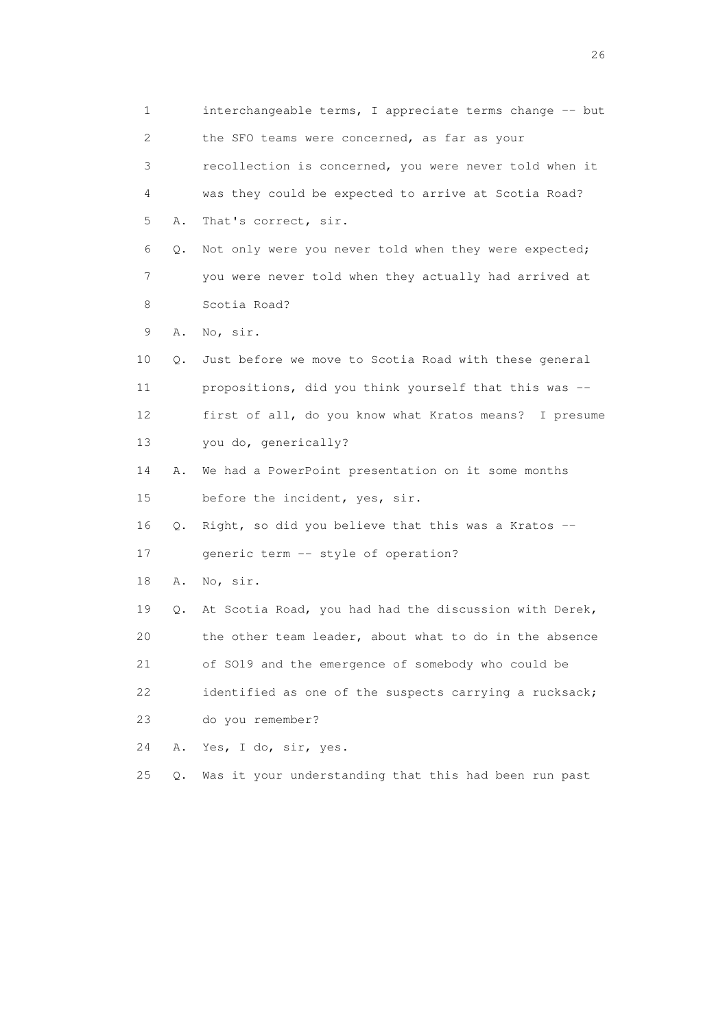1 interchangeable terms, I appreciate terms change -- but 2 the SFO teams were concerned, as far as your 3 recollection is concerned, you were never told when it 4 was they could be expected to arrive at Scotia Road? 5 A. That's correct, sir. 6 Q. Not only were you never told when they were expected; 7 you were never told when they actually had arrived at 8 Scotia Road? 9 A. No, sir. 10 Q. Just before we move to Scotia Road with these general 11 propositions, did you think yourself that this was -- 12 first of all, do you know what Kratos means? I presume 13 you do, generically? 14 A. We had a PowerPoint presentation on it some months 15 before the incident, yes, sir. 16 Q. Right, so did you believe that this was a Kratos -- 17 generic term -- style of operation? 18 A. No, sir. 19 Q. At Scotia Road, you had had the discussion with Derek, 20 the other team leader, about what to do in the absence 21 of SO19 and the emergence of somebody who could be 22 identified as one of the suspects carrying a rucksack; 23 do you remember? 24 A. Yes, I do, sir, yes. 25 Q. Was it your understanding that this had been run past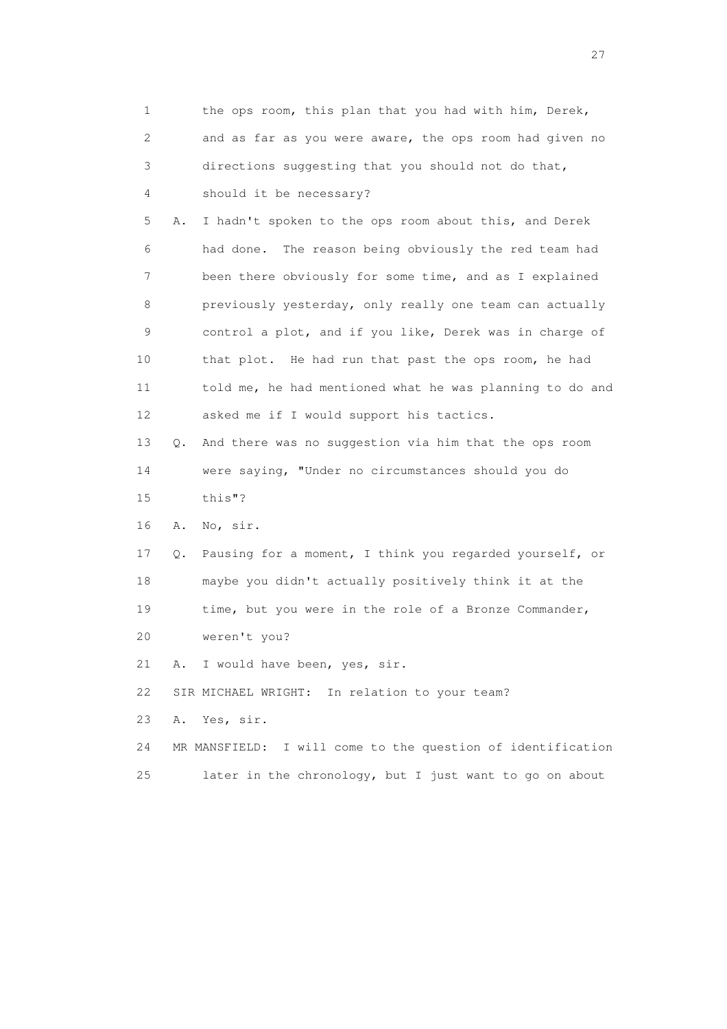|    | 1                         |    | the ops room, this plan that you had with him, Derek,       |
|----|---------------------------|----|-------------------------------------------------------------|
|    | $\mathbf{2}^{\mathsf{I}}$ |    | and as far as you were aware, the ops room had given no     |
|    | 3                         |    | directions suggesting that you should not do that,          |
|    | 4                         |    | should it be necessary?                                     |
|    | 5                         | Α. | I hadn't spoken to the ops room about this, and Derek       |
|    | 6                         |    | had done. The reason being obviously the red team had       |
|    | 7                         |    | been there obviously for some time, and as I explained      |
|    | 8                         |    | previously yesterday, only really one team can actually     |
|    | 9                         |    | control a plot, and if you like, Derek was in charge of     |
| 10 |                           |    | that plot. He had run that past the ops room, he had        |
| 11 |                           |    | told me, he had mentioned what he was planning to do and    |
| 12 |                           |    | asked me if I would support his tactics.                    |
| 13 |                           | Q. | And there was no suggestion via him that the ops room       |
| 14 |                           |    | were saying, "Under no circumstances should you do          |
| 15 |                           |    | this"?                                                      |
| 16 |                           | Α. | No, sir.                                                    |
| 17 |                           | Q. | Pausing for a moment, I think you regarded yourself, or     |
| 18 |                           |    | maybe you didn't actually positively think it at the        |
| 19 |                           |    | time, but you were in the role of a Bronze Commander,       |
| 20 |                           |    | weren't you?                                                |
| 21 |                           | Α. | I would have been, yes, sir.                                |
| 22 |                           |    | SIR MICHAEL WRIGHT: In relation to your team?               |
| 23 |                           | Α. | Yes, sir.                                                   |
| 24 |                           |    | MR MANSFIELD: I will come to the question of identification |
| 25 |                           |    | later in the chronology, but I just want to go on about     |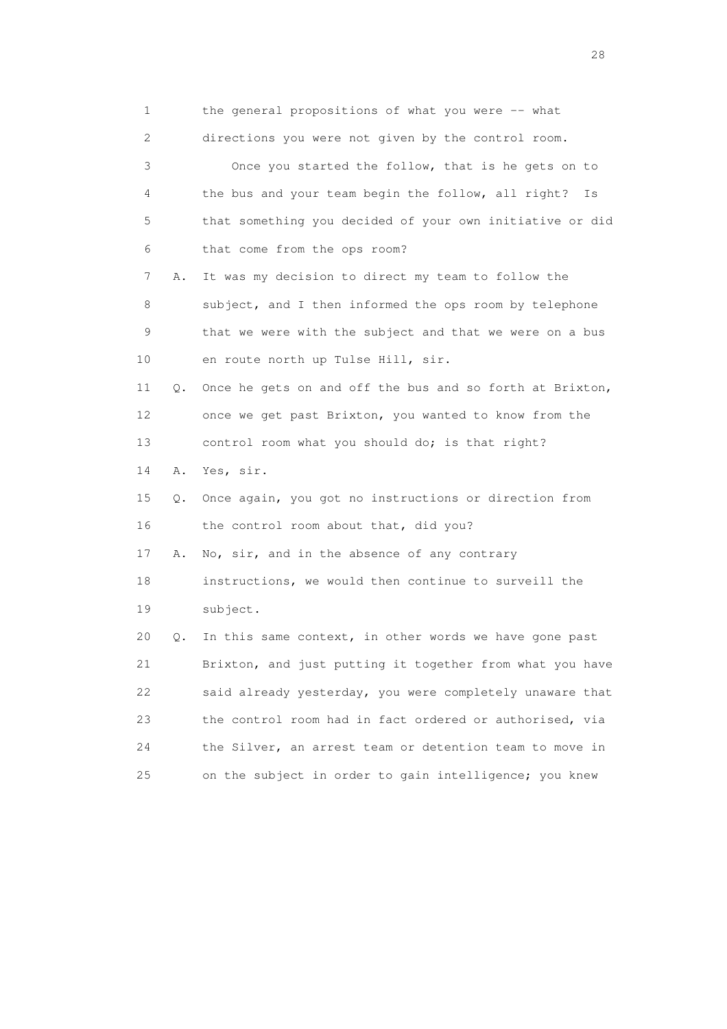| 1  |    | the general propositions of what you were -- what        |
|----|----|----------------------------------------------------------|
| 2  |    | directions you were not given by the control room.       |
| 3  |    | Once you started the follow, that is he gets on to       |
| 4  |    | the bus and your team begin the follow, all right?<br>Is |
| 5  |    | that something you decided of your own initiative or did |
| 6  |    | that come from the ops room?                             |
| 7  | Α. | It was my decision to direct my team to follow the       |
| 8  |    | subject, and I then informed the ops room by telephone   |
| 9  |    | that we were with the subject and that we were on a bus  |
| 10 |    | en route north up Tulse Hill, sir.                       |
| 11 | Q. | Once he gets on and off the bus and so forth at Brixton, |
| 12 |    | once we get past Brixton, you wanted to know from the    |
| 13 |    | control room what you should do; is that right?          |
| 14 | Α. | Yes, sir.                                                |
| 15 | Q. | Once again, you got no instructions or direction from    |
| 16 |    | the control room about that, did you?                    |
| 17 | Α. | No, sir, and in the absence of any contrary              |
| 18 |    | instructions, we would then continue to surveill the     |
| 19 |    | subject.                                                 |
| 20 | Q. | In this same context, in other words we have gone past   |
| 21 |    | Brixton, and just putting it together from what you have |
| 22 |    | said already yesterday, you were completely unaware that |
| 23 |    | the control room had in fact ordered or authorised, via  |
| 24 |    | the Silver, an arrest team or detention team to move in  |
| 25 |    | on the subject in order to gain intelligence; you knew   |

28 and 28 and 28 and 28 and 28 and 28 and 28 and 28 and 28 and 28 and 28 and 28 and 28 and 28 and 28 and 28 and 28 and 28 and 28 and 28 and 28 and 28 and 28 and 28 and 28 and 28 and 28 and 28 and 28 and 28 and 28 and 28 an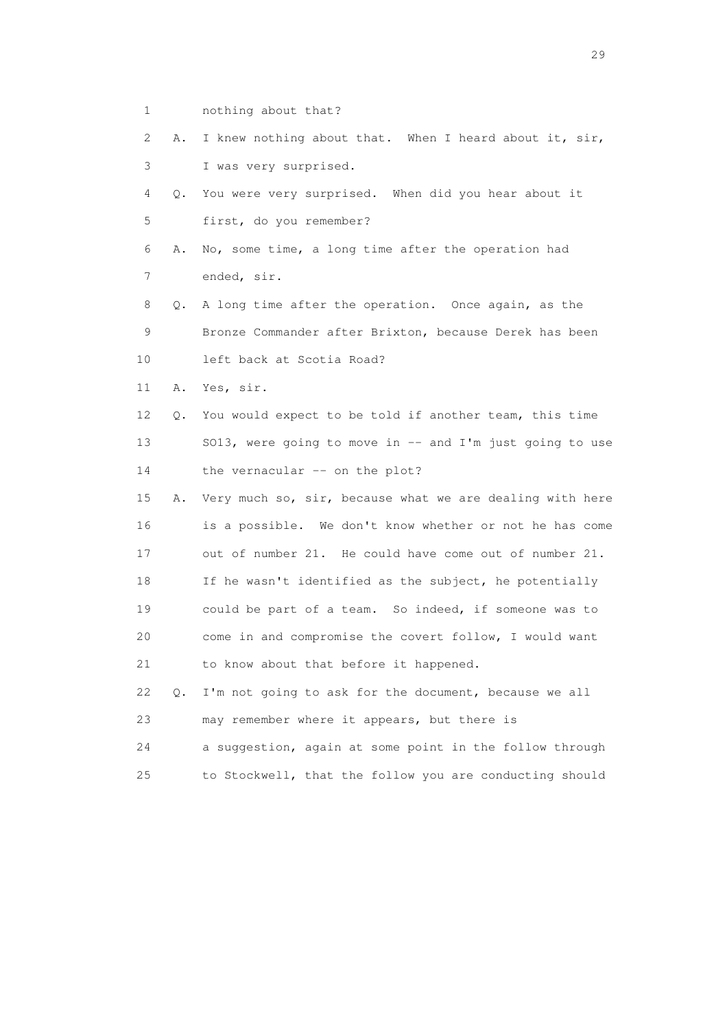- 1 nothing about that?
- 2 A. I knew nothing about that. When I heard about it, sir, 3 I was very surprised.
- 4 Q. You were very surprised. When did you hear about it 5 first, do you remember?
- 6 A. No, some time, a long time after the operation had 7 ended, sir.
- 8 Q. A long time after the operation. Once again, as the 9 Bronze Commander after Brixton, because Derek has been 10 left back at Scotia Road?
- 11 A. Yes, sir.
- 12 Q. You would expect to be told if another team, this time 13 SO13, were going to move in -- and I'm just going to use 14 the vernacular -- on the plot?
- 15 A. Very much so, sir, because what we are dealing with here 16 is a possible. We don't know whether or not he has come 17 out of number 21. He could have come out of number 21. 18 If he wasn't identified as the subject, he potentially 19 could be part of a team. So indeed, if someone was to 20 come in and compromise the covert follow, I would want 21 to know about that before it happened.
- 22 Q. I'm not going to ask for the document, because we all 23 may remember where it appears, but there is
- 24 a suggestion, again at some point in the follow through 25 to Stockwell, that the follow you are conducting should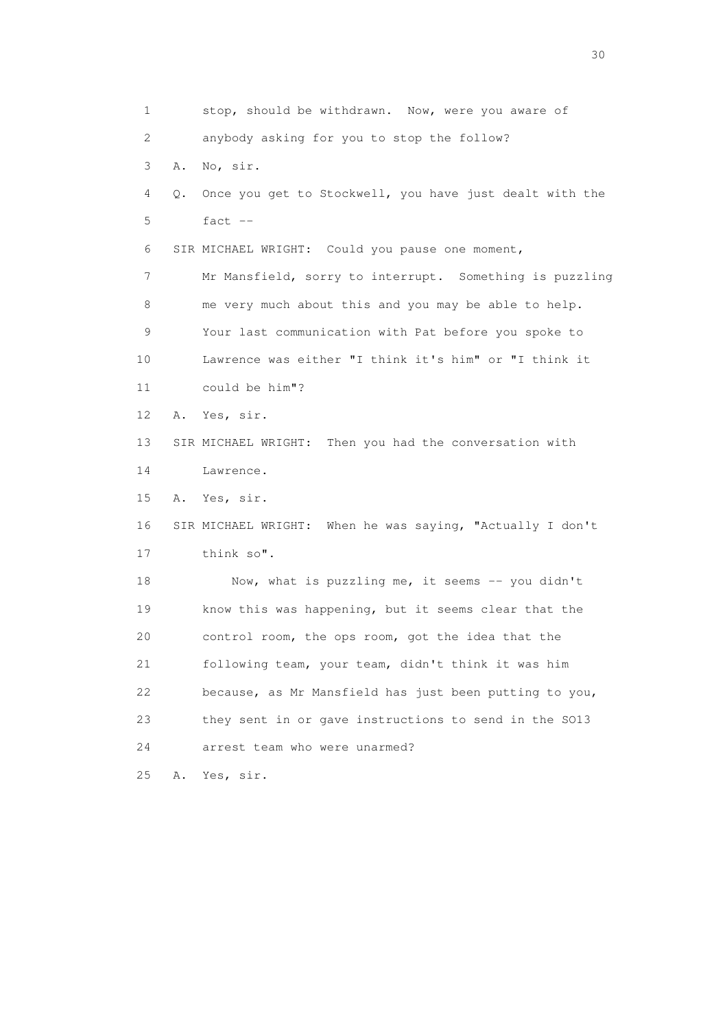1 stop, should be withdrawn. Now, were you aware of 2 anybody asking for you to stop the follow? 3 A. No, sir. 4 Q. Once you get to Stockwell, you have just dealt with the 5 fact -- 6 SIR MICHAEL WRIGHT: Could you pause one moment, 7 Mr Mansfield, sorry to interrupt. Something is puzzling 8 me very much about this and you may be able to help. 9 Your last communication with Pat before you spoke to 10 Lawrence was either "I think it's him" or "I think it 11 could be him"? 12 A. Yes, sir. 13 SIR MICHAEL WRIGHT: Then you had the conversation with 14 Lawrence. 15 A. Yes, sir. 16 SIR MICHAEL WRIGHT: When he was saying, "Actually I don't 17 think so". 18 Now, what is puzzling me, it seems -- you didn't 19 know this was happening, but it seems clear that the 20 control room, the ops room, got the idea that the 21 following team, your team, didn't think it was him 22 because, as Mr Mansfield has just been putting to you, 23 they sent in or gave instructions to send in the SO13 24 arrest team who were unarmed? 25 A. Yes, sir.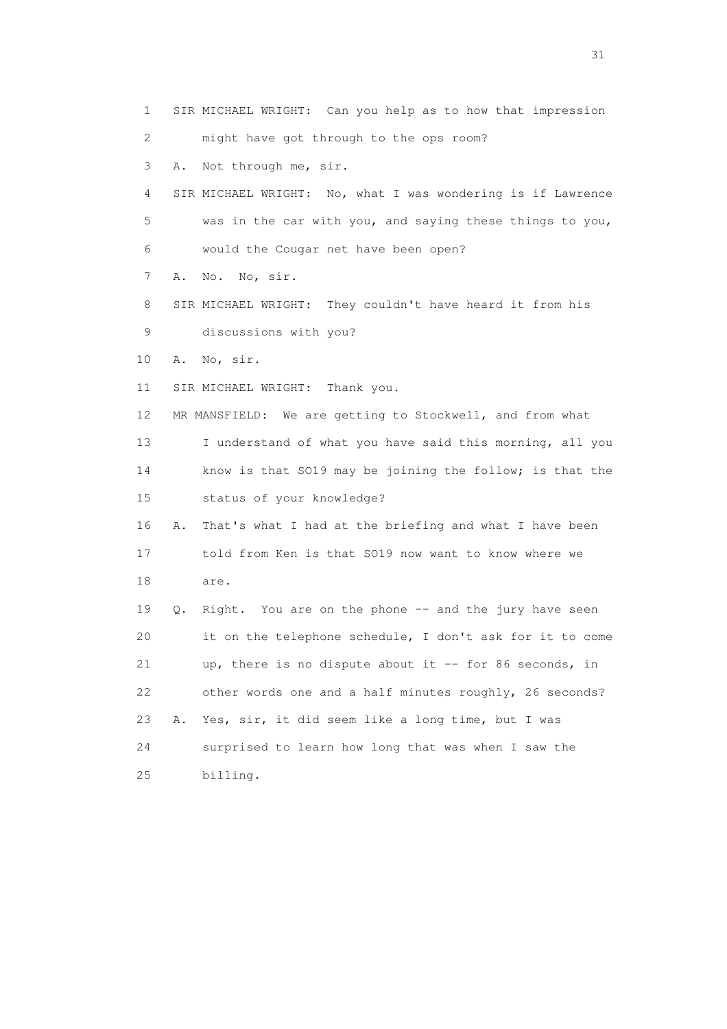1 SIR MICHAEL WRIGHT: Can you help as to how that impression 2 might have got through to the ops room? 3 A. Not through me, sir. 4 SIR MICHAEL WRIGHT: No, what I was wondering is if Lawrence 5 was in the car with you, and saying these things to you, 6 would the Cougar net have been open? 7 A. No. No, sir. 8 SIR MICHAEL WRIGHT: They couldn't have heard it from his 9 discussions with you? 10 A. No, sir. 11 SIR MICHAEL WRIGHT: Thank you. 12 MR MANSFIELD: We are getting to Stockwell, and from what 13 I understand of what you have said this morning, all you 14 know is that SO19 may be joining the follow; is that the 15 status of your knowledge? 16 A. That's what I had at the briefing and what I have been 17 told from Ken is that SO19 now want to know where we 18 are. 19 Q. Right. You are on the phone -- and the jury have seen 20 it on the telephone schedule, I don't ask for it to come 21 up, there is no dispute about it -- for 86 seconds, in 22 other words one and a half minutes roughly, 26 seconds? 23 A. Yes, sir, it did seem like a long time, but I was 24 surprised to learn how long that was when I saw the 25 billing.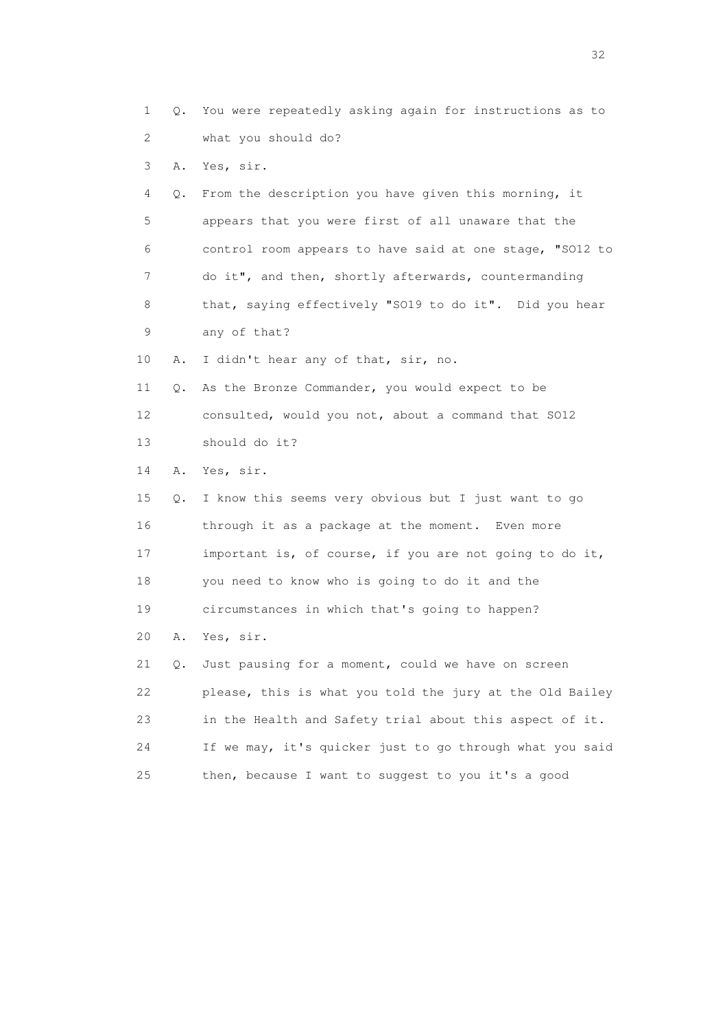2 what you should do? 3 A. Yes, sir. 4 Q. From the description you have given this morning, it 5 appears that you were first of all unaware that the 6 control room appears to have said at one stage, "SO12 to 7 do it", and then, shortly afterwards, countermanding 8 that, saying effectively "SO19 to do it". Did you hear 9 any of that? 10 A. I didn't hear any of that, sir, no. 11 Q. As the Bronze Commander, you would expect to be 12 consulted, would you not, about a command that SO12 13 should do it? 14 A. Yes, sir. 15 Q. I know this seems very obvious but I just want to go 16 through it as a package at the moment. Even more 17 important is, of course, if you are not going to do it, 18 you need to know who is going to do it and the 19 circumstances in which that's going to happen? 20 A. Yes, sir. 21 Q. Just pausing for a moment, could we have on screen 22 please, this is what you told the jury at the Old Bailey 23 in the Health and Safety trial about this aspect of it. 24 If we may, it's quicker just to go through what you said

1 Q. You were repeatedly asking again for instructions as to

25 then, because I want to suggest to you it's a good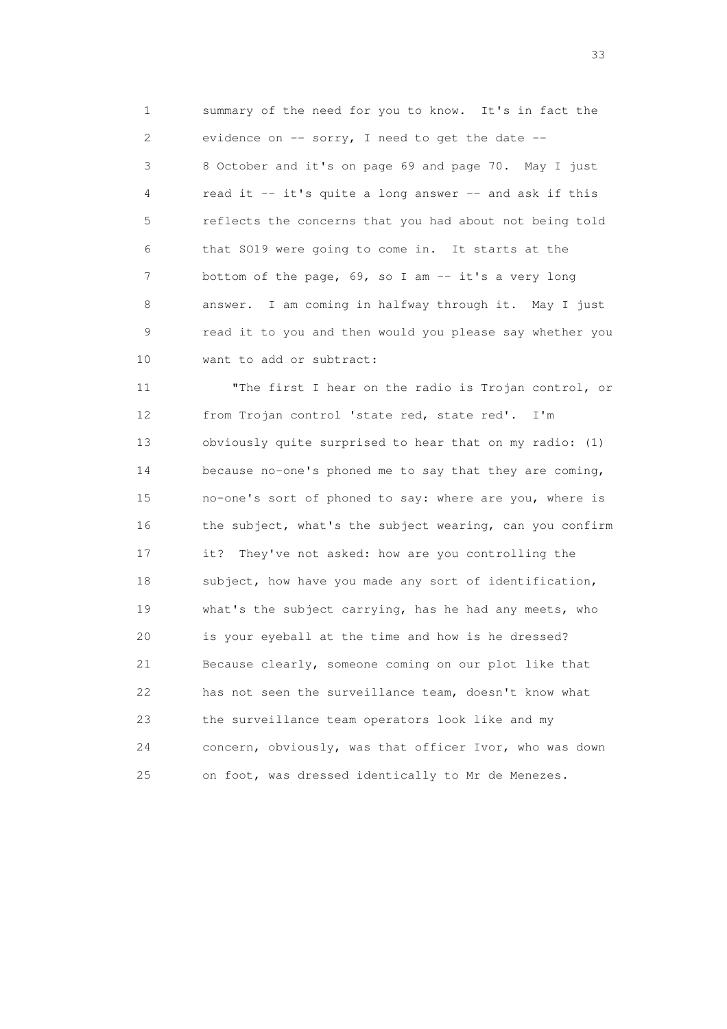1 summary of the need for you to know. It's in fact the 2 evidence on -- sorry, I need to get the date -- 3 8 October and it's on page 69 and page 70. May I just 4 read it -- it's quite a long answer -- and ask if this 5 reflects the concerns that you had about not being told 6 that SO19 were going to come in. It starts at the 7 bottom of the page, 69, so I am -- it's a very long 8 answer. I am coming in halfway through it. May I just 9 read it to you and then would you please say whether you 10 want to add or subtract:

 11 "The first I hear on the radio is Trojan control, or 12 from Trojan control 'state red, state red'. I'm 13 obviously quite surprised to hear that on my radio: (1) 14 because no-one's phoned me to say that they are coming, 15 no-one's sort of phoned to say: where are you, where is 16 the subject, what's the subject wearing, can you confirm 17 it? They've not asked: how are you controlling the 18 subject, how have you made any sort of identification, 19 what's the subject carrying, has he had any meets, who 20 is your eyeball at the time and how is he dressed? 21 Because clearly, someone coming on our plot like that 22 has not seen the surveillance team, doesn't know what 23 the surveillance team operators look like and my 24 concern, obviously, was that officer Ivor, who was down 25 on foot, was dressed identically to Mr de Menezes.

<u>33</u> and the state of the state of the state of the state of the state of the state of the state of the state of the state of the state of the state of the state of the state of the state of the state of the state of the s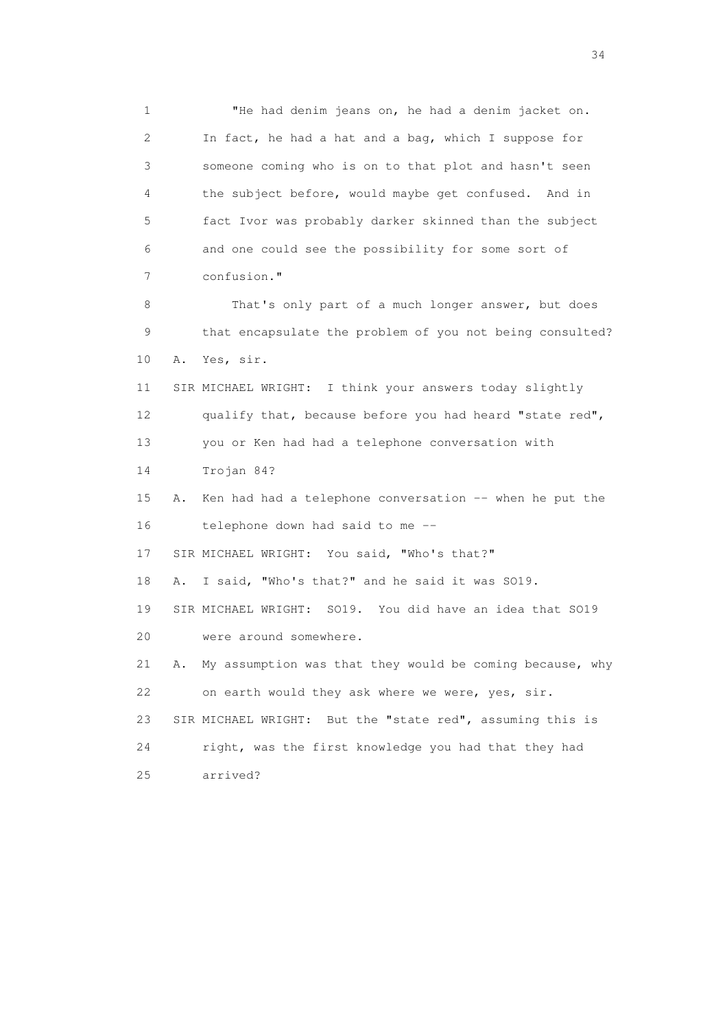1 "He had denim jeans on, he had a denim jacket on. 2 In fact, he had a hat and a bag, which I suppose for 3 someone coming who is on to that plot and hasn't seen 4 the subject before, would maybe get confused. And in 5 fact Ivor was probably darker skinned than the subject 6 and one could see the possibility for some sort of 7 confusion." 8 That's only part of a much longer answer, but does 9 that encapsulate the problem of you not being consulted? 10 A. Yes, sir. 11 SIR MICHAEL WRIGHT: I think your answers today slightly 12 qualify that, because before you had heard "state red", 13 you or Ken had had a telephone conversation with 14 Trojan 84? 15 A. Ken had had a telephone conversation -- when he put the 16 telephone down had said to me -- 17 SIR MICHAEL WRIGHT: You said, "Who's that?" 18 A. I said, "Who's that?" and he said it was SO19. 19 SIR MICHAEL WRIGHT: SO19. You did have an idea that SO19 20 were around somewhere. 21 A. My assumption was that they would be coming because, why 22 on earth would they ask where we were, yes, sir. 23 SIR MICHAEL WRIGHT: But the "state red", assuming this is 24 right, was the first knowledge you had that they had 25 arrived?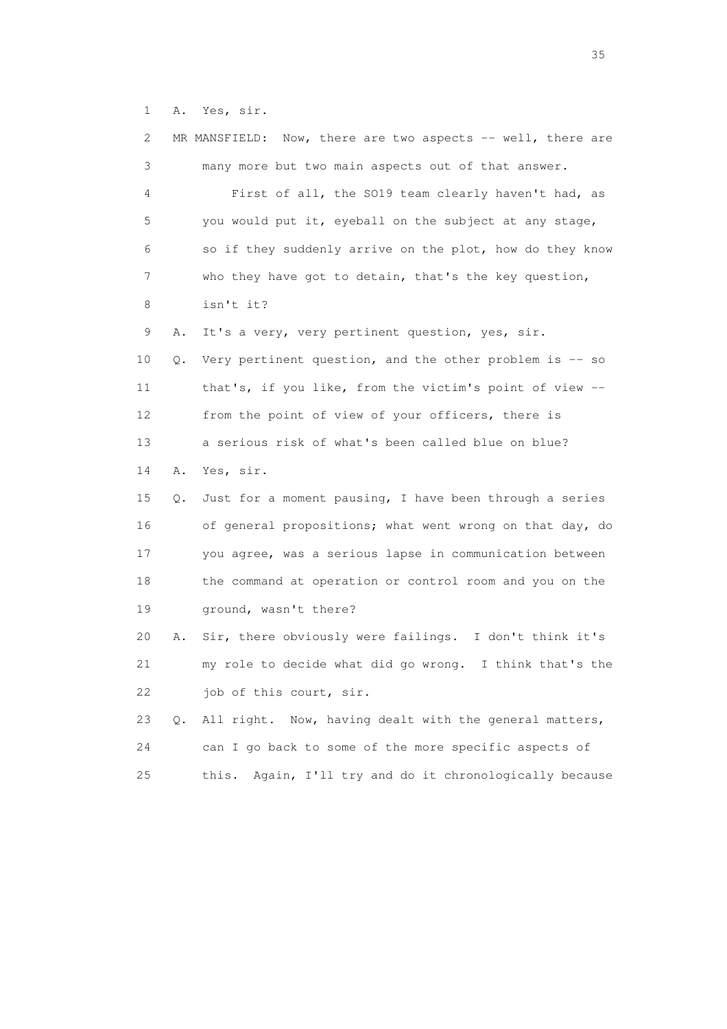1 A. Yes, sir.

| 2  |    | MR MANSFIELD: Now, there are two aspects -- well, there are |
|----|----|-------------------------------------------------------------|
| 3  |    | many more but two main aspects out of that answer.          |
| 4  |    | First of all, the SO19 team clearly haven't had, as         |
| 5  |    | you would put it, eyeball on the subject at any stage,      |
| 6  |    | so if they suddenly arrive on the plot, how do they know    |
| 7  |    | who they have got to detain, that's the key question,       |
| 8  |    | isn't it?                                                   |
| 9  | Α. | It's a very, very pertinent question, yes, sir.             |
| 10 | Q. | Very pertinent question, and the other problem is -- so     |
| 11 |    | that's, if you like, from the victim's point of view --     |
| 12 |    | from the point of view of your officers, there is           |
| 13 |    | a serious risk of what's been called blue on blue?          |
| 14 | Α. | Yes, sir.                                                   |
| 15 | Q. | Just for a moment pausing, I have been through a series     |
| 16 |    | of general propositions; what went wrong on that day, do    |
| 17 |    | you agree, was a serious lapse in communication between     |
| 18 |    | the command at operation or control room and you on the     |
| 19 |    | ground, wasn't there?                                       |
| 20 | Α. | Sir, there obviously were failings. I don't think it's      |
| 21 |    | my role to decide what did go wrong. I think that's the     |
| 22 |    | job of this court, sir.                                     |
| 23 | Q. | Now, having dealt with the general matters,<br>All right.   |
| 24 |    | can I go back to some of the more specific aspects of       |
| 25 |    | this. Again, I'll try and do it chronologically because     |

<u>35</u> and the state of the state of the state of the state of the state of the state of the state of the state of the state of the state of the state of the state of the state of the state of the state of the state of the s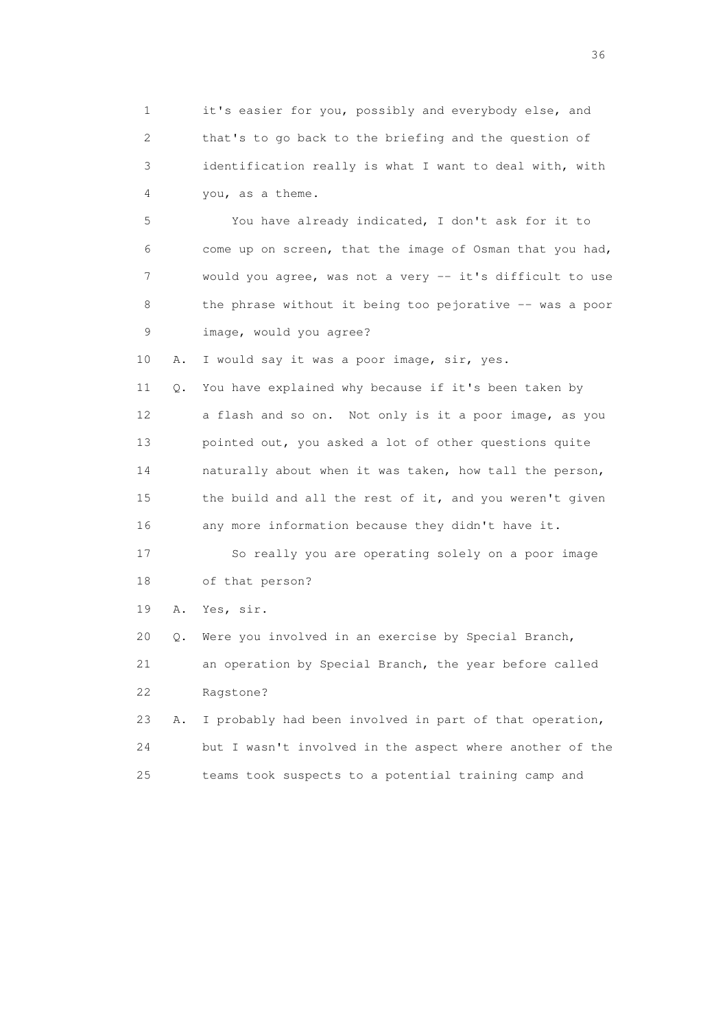1 it's easier for you, possibly and everybody else, and 2 that's to go back to the briefing and the question of 3 identification really is what I want to deal with, with 4 you, as a theme.

 5 You have already indicated, I don't ask for it to 6 come up on screen, that the image of Osman that you had, 7 would you agree, was not a very -- it's difficult to use 8 the phrase without it being too pejorative -- was a poor 9 image, would you agree?

10 A. I would say it was a poor image, sir, yes.

 11 Q. You have explained why because if it's been taken by 12 a flash and so on. Not only is it a poor image, as you 13 pointed out, you asked a lot of other questions quite 14 naturally about when it was taken, how tall the person, 15 the build and all the rest of it, and you weren't given 16 any more information because they didn't have it. 17 So really you are operating solely on a poor image

18 of that person?

19 A. Yes, sir.

20 Q. Were you involved in an exercise by Special Branch,

 21 an operation by Special Branch, the year before called 22 Ragstone?

 23 A. I probably had been involved in part of that operation, 24 but I wasn't involved in the aspect where another of the 25 teams took suspects to a potential training camp and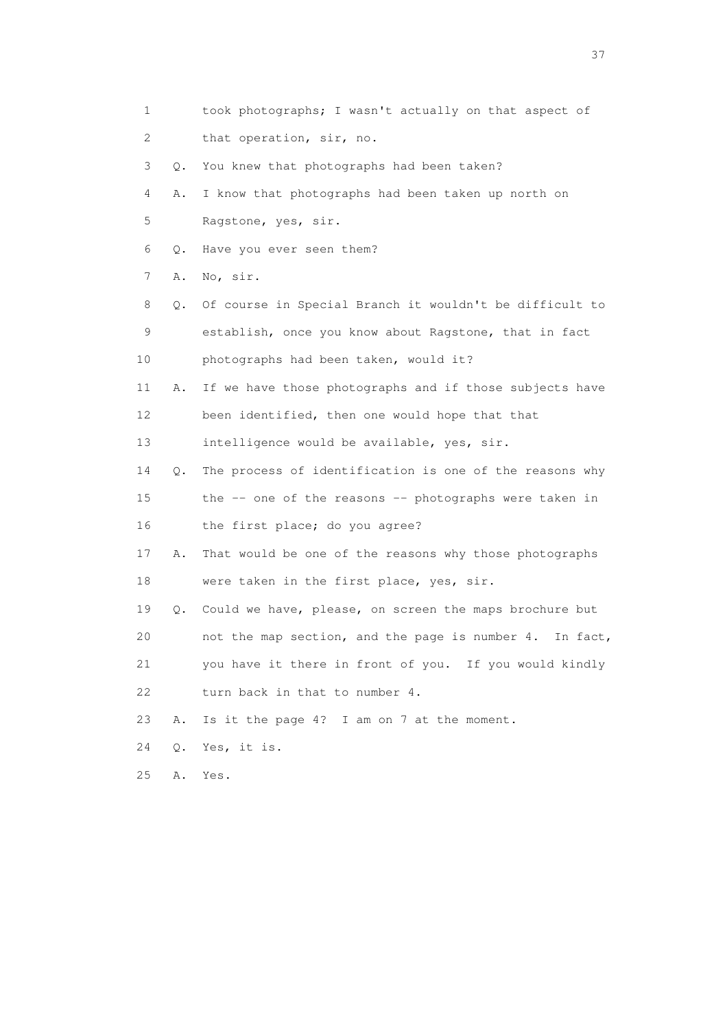1 took photographs; I wasn't actually on that aspect of 2 that operation, sir, no. 3 Q. You knew that photographs had been taken? 4 A. I know that photographs had been taken up north on 5 Ragstone, yes, sir. 6 Q. Have you ever seen them? 7 A. No, sir. 8 Q. Of course in Special Branch it wouldn't be difficult to 9 establish, once you know about Ragstone, that in fact 10 photographs had been taken, would it? 11 A. If we have those photographs and if those subjects have 12 been identified, then one would hope that that 13 intelligence would be available, yes, sir. 14 Q. The process of identification is one of the reasons why 15 the -- one of the reasons -- photographs were taken in 16 the first place; do you agree? 17 A. That would be one of the reasons why those photographs 18 were taken in the first place, yes, sir. 19 Q. Could we have, please, on screen the maps brochure but 20 not the map section, and the page is number 4. In fact, 21 you have it there in front of you. If you would kindly 22 turn back in that to number 4. 23 A. Is it the page 4? I am on 7 at the moment. 24 Q. Yes, it is. 25 A. Yes.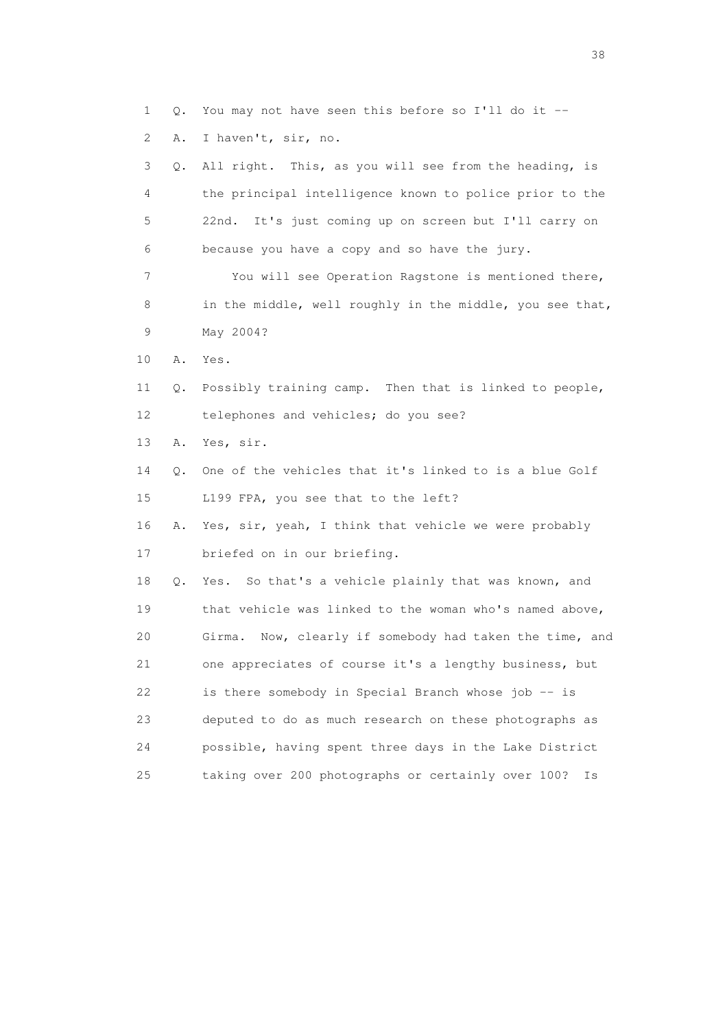1 Q. You may not have seen this before so I'll do it --

2 A. I haven't, sir, no.

 3 Q. All right. This, as you will see from the heading, is 4 the principal intelligence known to police prior to the 5 22nd. It's just coming up on screen but I'll carry on 6 because you have a copy and so have the jury. 7 You will see Operation Ragstone is mentioned there, 8 in the middle, well roughly in the middle, you see that, 9 May 2004? 10 A. Yes. 11 Q. Possibly training camp. Then that is linked to people, 12 telephones and vehicles; do you see? 13 A. Yes, sir. 14 Q. One of the vehicles that it's linked to is a blue Golf 15 L199 FPA, you see that to the left? 16 A. Yes, sir, yeah, I think that vehicle we were probably 17 briefed on in our briefing. 18 Q. Yes. So that's a vehicle plainly that was known, and 19 that vehicle was linked to the woman who's named above, 20 Girma. Now, clearly if somebody had taken the time, and 21 one appreciates of course it's a lengthy business, but 22 is there somebody in Special Branch whose job -- is 23 deputed to do as much research on these photographs as 24 possible, having spent three days in the Lake District 25 taking over 200 photographs or certainly over 100? Is

and the state of the state of the state of the state of the state of the state of the state of the state of the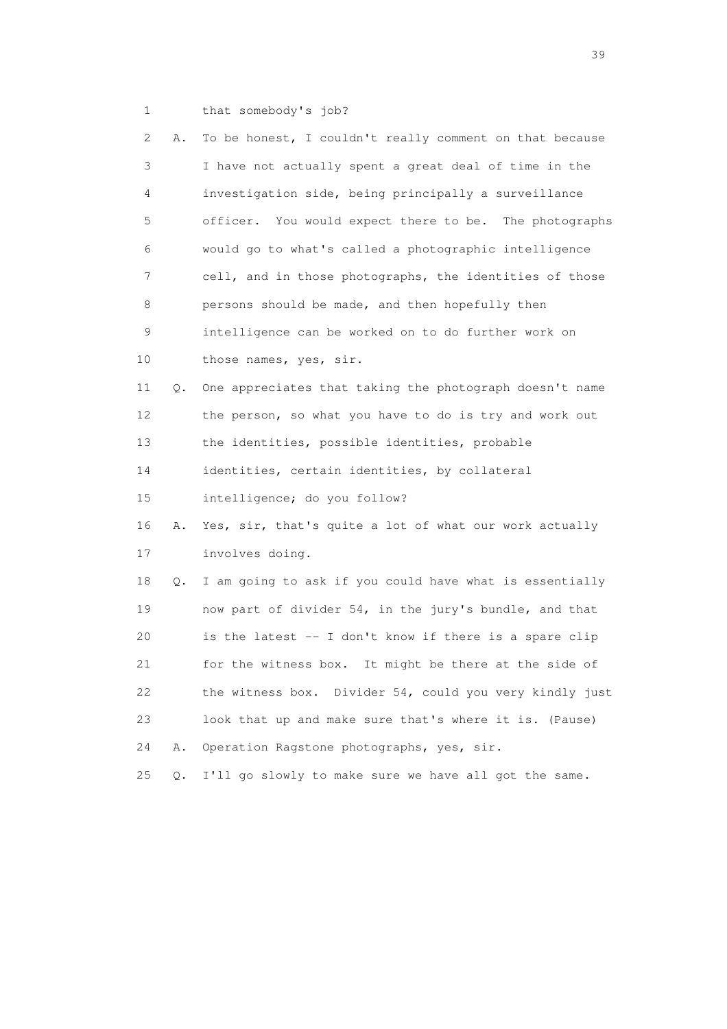1 that somebody's job?

| 2           | Α.    | To be honest, I couldn't really comment on that because  |
|-------------|-------|----------------------------------------------------------|
| 3           |       | I have not actually spent a great deal of time in the    |
| 4           |       | investigation side, being principally a surveillance     |
| 5           |       | officer. You would expect there to be. The photographs   |
| 6           |       | would go to what's called a photographic intelligence    |
| 7           |       | cell, and in those photographs, the identities of those  |
| 8           |       | persons should be made, and then hopefully then          |
| $\mathsf 9$ |       | intelligence can be worked on to do further work on      |
| 10          |       | those names, yes, sir.                                   |
| 11          | Q.    | One appreciates that taking the photograph doesn't name  |
| 12          |       | the person, so what you have to do is try and work out   |
| 13          |       | the identities, possible identities, probable            |
| 14          |       | identities, certain identities, by collateral            |
| 15          |       | intelligence; do you follow?                             |
| 16          | Α.    | Yes, sir, that's quite a lot of what our work actually   |
| 17          |       | involves doing.                                          |
| 18          | Q.    | I am going to ask if you could have what is essentially  |
| 19          |       | now part of divider 54, in the jury's bundle, and that   |
| 20          |       | is the latest -- I don't know if there is a spare clip   |
| 21          |       | It might be there at the side of<br>for the witness box. |
| 22          |       | the witness box. Divider 54, could you very kindly just  |
| 23          |       | look that up and make sure that's where it is. (Pause)   |
| 24          | Α.    | Operation Ragstone photographs, yes, sir.                |
| 25          | $Q$ . | I'll go slowly to make sure we have all got the same.    |

 $39<sup>2</sup>$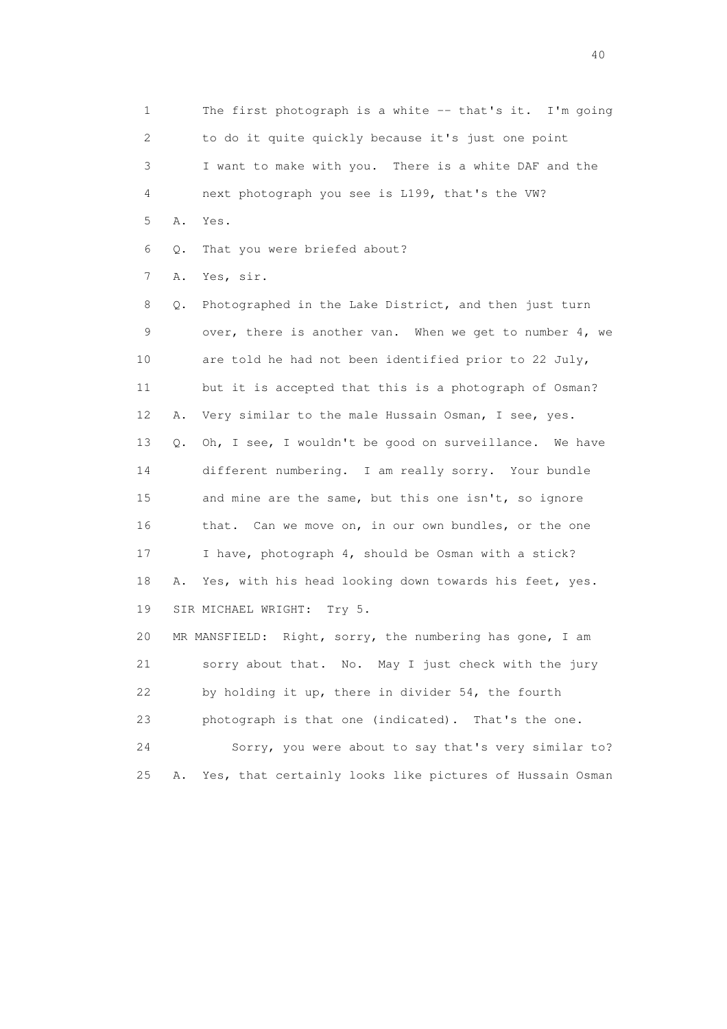1 The first photograph is a white -- that's it. I'm going 2 to do it quite quickly because it's just one point 3 I want to make with you. There is a white DAF and the 4 next photograph you see is L199, that's the VW? 5 A. Yes.

6 Q. That you were briefed about?

7 A. Yes, sir.

 8 Q. Photographed in the Lake District, and then just turn 9 over, there is another van. When we get to number 4, we 10 are told he had not been identified prior to 22 July, 11 but it is accepted that this is a photograph of Osman? 12 A. Very similar to the male Hussain Osman, I see, yes. 13 Q. Oh, I see, I wouldn't be good on surveillance. We have 14 different numbering. I am really sorry. Your bundle 15 and mine are the same, but this one isn't, so ignore 16 that. Can we move on, in our own bundles, or the one 17 I have, photograph 4, should be Osman with a stick? 18 A. Yes, with his head looking down towards his feet, yes. 19 SIR MICHAEL WRIGHT: Try 5. 20 MR MANSFIELD: Right, sorry, the numbering has gone, I am 21 sorry about that. No. May I just check with the jury 22 by holding it up, there in divider 54, the fourth 23 photograph is that one (indicated). That's the one.

 24 Sorry, you were about to say that's very similar to? 25 A. Yes, that certainly looks like pictures of Hussain Osman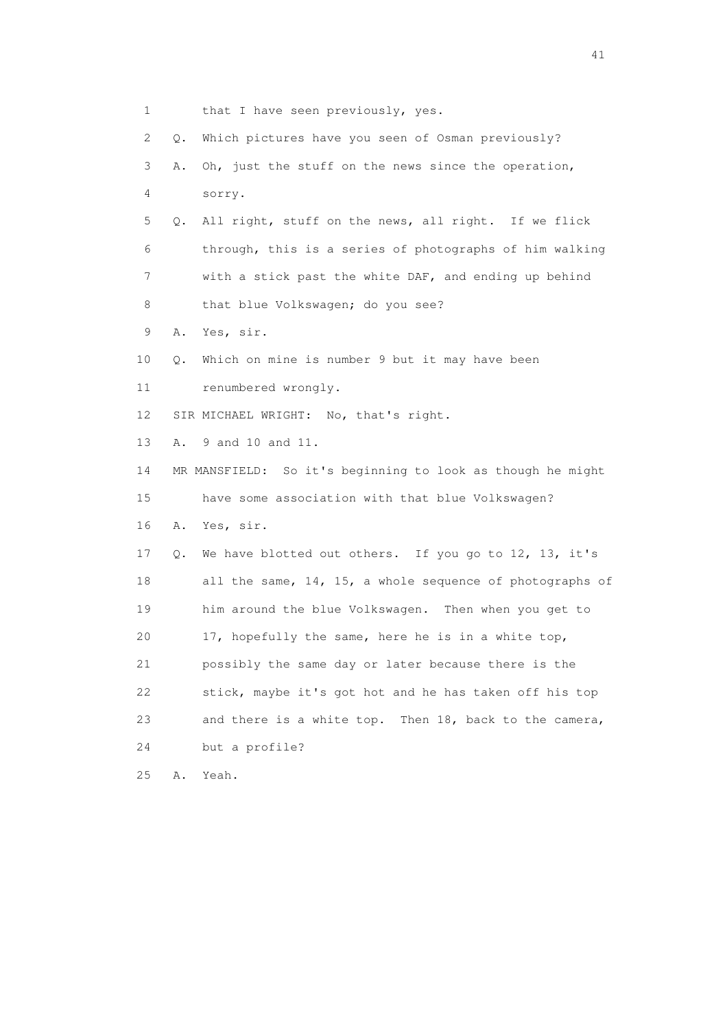| 1               |    | that I have seen previously, yes.                              |
|-----------------|----|----------------------------------------------------------------|
| 2               | Q. | Which pictures have you seen of Osman previously?              |
| 3               | Α. | Oh, just the stuff on the news since the operation,            |
| 4               |    | sorry.                                                         |
| 5               | Q. | All right, stuff on the news, all right. If we flick           |
| 6               |    | through, this is a series of photographs of him walking        |
| 7               |    | with a stick past the white DAF, and ending up behind          |
| 8               |    | that blue Volkswagen; do you see?                              |
| 9               | Α. | Yes, sir.                                                      |
| 10              | Q. | Which on mine is number 9 but it may have been                 |
| 11              |    | renumbered wrongly.                                            |
| 12 <sup>°</sup> |    | SIR MICHAEL WRIGHT: No, that's right.                          |
| 13              | Α. | 9 and 10 and 11.                                               |
| 14              |    | MR MANSFIELD: So it's beginning to look as though he might     |
| 15              |    | have some association with that blue Volkswagen?               |
| 16              | Α. | Yes, sir.                                                      |
| 17              | Q. | We have blotted out others. If you go to 12, 13, it's          |
| 18              |    | all the same, $14$ , $15$ , a whole sequence of photographs of |
| 19              |    | him around the blue Volkswagen. Then when you get to           |
| 20              |    | 17, hopefully the same, here he is in a white top,             |
| 21              |    | possibly the same day or later because there is the            |
| 22              |    | stick, maybe it's got hot and he has taken off his top         |
| 23              |    | and there is a white top. Then 18, back to the camera,         |
| 24              |    | but a profile?                                                 |
| 25              | Α. | Yeah.                                                          |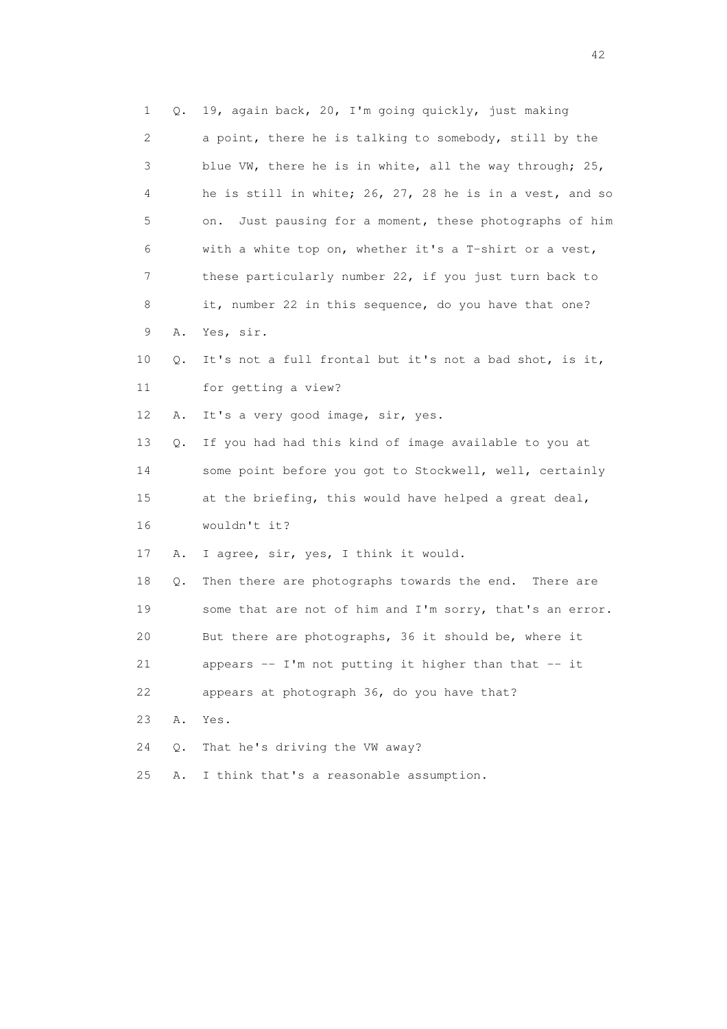1 Q. 19, again back, 20, I'm going quickly, just making 2 a point, there he is talking to somebody, still by the 3 blue VW, there he is in white, all the way through; 25, 4 he is still in white; 26, 27, 28 he is in a vest, and so 5 on. Just pausing for a moment, these photographs of him 6 with a white top on, whether it's a T-shirt or a vest, 7 these particularly number 22, if you just turn back to 8 it, number 22 in this sequence, do you have that one? 9 A. Yes, sir. 10 Q. It's not a full frontal but it's not a bad shot, is it, 11 for getting a view? 12 A. It's a very good image, sir, yes. 13 Q. If you had had this kind of image available to you at 14 some point before you got to Stockwell, well, certainly 15 at the briefing, this would have helped a great deal, 16 wouldn't it? 17 A. I agree, sir, yes, I think it would. 18 Q. Then there are photographs towards the end. There are 19 some that are not of him and I'm sorry, that's an error. 20 But there are photographs, 36 it should be, where it 21 appears -- I'm not putting it higher than that -- it 22 appears at photograph 36, do you have that? 23 A. Yes. 24 Q. That he's driving the VW away? 25 A. I think that's a reasonable assumption.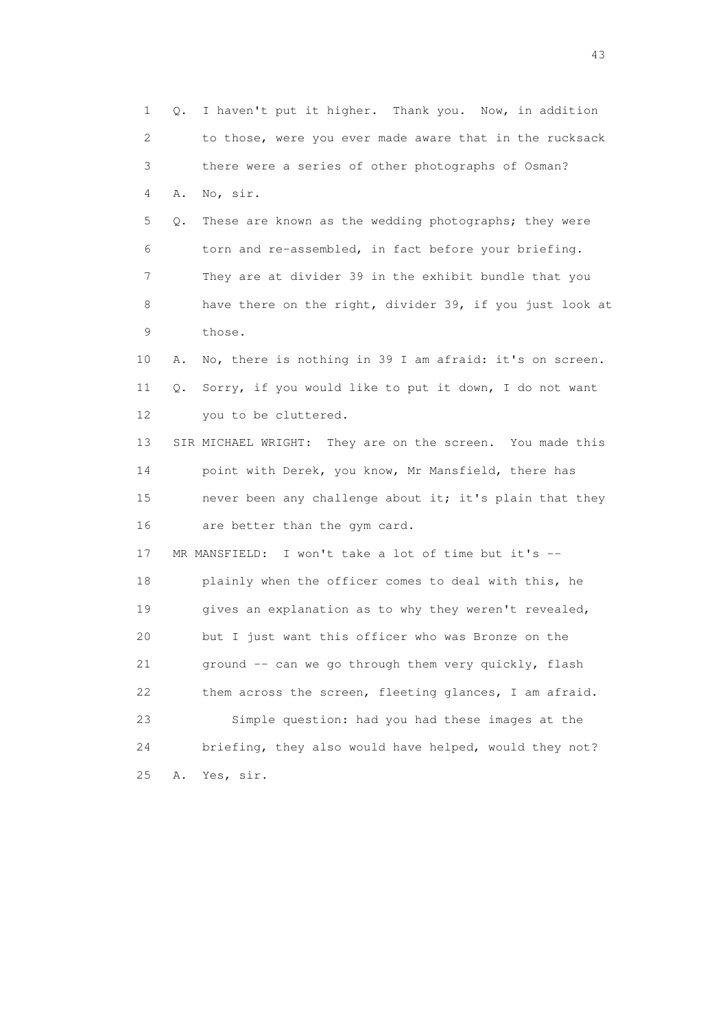1 Q. I haven't put it higher. Thank you. Now, in addition 2 to those, were you ever made aware that in the rucksack 3 there were a series of other photographs of Osman? 4 A. No, sir. 5 Q. These are known as the wedding photographs; they were 6 torn and re-assembled, in fact before your briefing. 7 They are at divider 39 in the exhibit bundle that you 8 have there on the right, divider 39, if you just look at 9 those. 10 A. No, there is nothing in 39 I am afraid: it's on screen. 11 Q. Sorry, if you would like to put it down, I do not want 12 you to be cluttered. 13 SIR MICHAEL WRIGHT: They are on the screen. You made this 14 point with Derek, you know, Mr Mansfield, there has 15 never been any challenge about it; it's plain that they 16 are better than the gym card. 17 MR MANSFIELD: I won't take a lot of time but it's -- 18 plainly when the officer comes to deal with this, he 19 gives an explanation as to why they weren't revealed, 20 but I just want this officer who was Bronze on the 21 ground -- can we go through them very quickly, flash 22 them across the screen, fleeting glances, I am afraid. 23 Simple question: had you had these images at the 24 briefing, they also would have helped, would they not? 25 A. Yes, sir.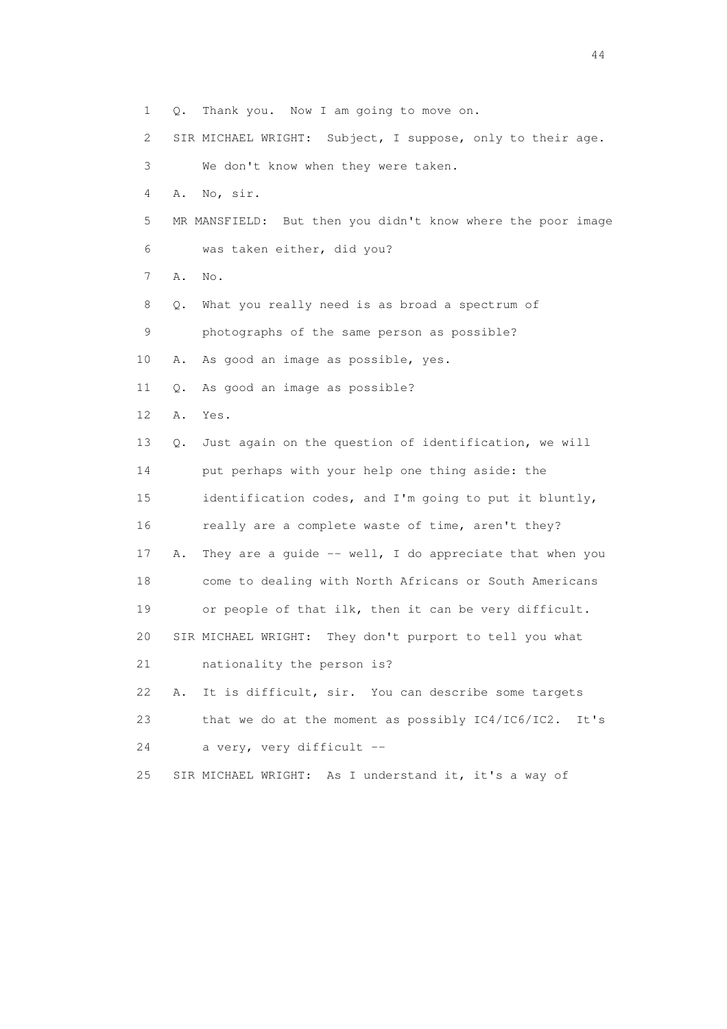1 Q. Thank you. Now I am going to move on.

2 SIR MICHAEL WRIGHT: Subject, I suppose, only to their age.

3 We don't know when they were taken.

4 A. No, sir.

 5 MR MANSFIELD: But then you didn't know where the poor image 6 was taken either, did you?

7 A. No.

8 Q. What you really need is as broad a spectrum of

9 photographs of the same person as possible?

10 A. As good an image as possible, yes.

11 Q. As good an image as possible?

12 A. Yes.

 13 Q. Just again on the question of identification, we will 14 put perhaps with your help one thing aside: the 15 identification codes, and I'm going to put it bluntly, 16 really are a complete waste of time, aren't they? 17 A. They are a guide -- well, I do appreciate that when you 18 come to dealing with North Africans or South Americans 19 or people of that ilk, then it can be very difficult.

20 SIR MICHAEL WRIGHT: They don't purport to tell you what

21 nationality the person is?

 22 A. It is difficult, sir. You can describe some targets 23 that we do at the moment as possibly IC4/IC6/IC2. It's 24 a very, very difficult --

25 SIR MICHAEL WRIGHT: As I understand it, it's a way of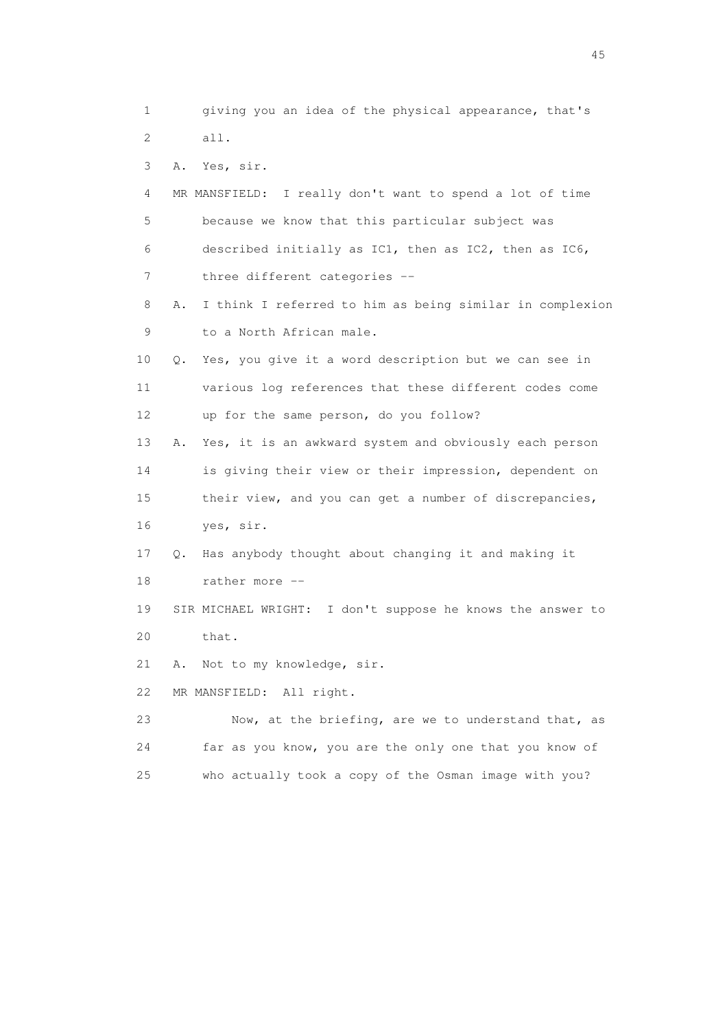1 giving you an idea of the physical appearance, that's 2 all. 3 A. Yes, sir. 4 MR MANSFIELD: I really don't want to spend a lot of time 5 because we know that this particular subject was 6 described initially as IC1, then as IC2, then as IC6, 7 three different categories -- 8 A. I think I referred to him as being similar in complexion 9 to a North African male. 10 Q. Yes, you give it a word description but we can see in 11 various log references that these different codes come 12 up for the same person, do you follow? 13 A. Yes, it is an awkward system and obviously each person 14 is giving their view or their impression, dependent on 15 their view, and you can get a number of discrepancies, 16 yes, sir. 17 Q. Has anybody thought about changing it and making it 18 rather more -- 19 SIR MICHAEL WRIGHT: I don't suppose he knows the answer to 20 that. 21 A. Not to my knowledge, sir. 22 MR MANSFIELD: All right. 23 Now, at the briefing, are we to understand that, as 24 far as you know, you are the only one that you know of

25 who actually took a copy of the Osman image with you?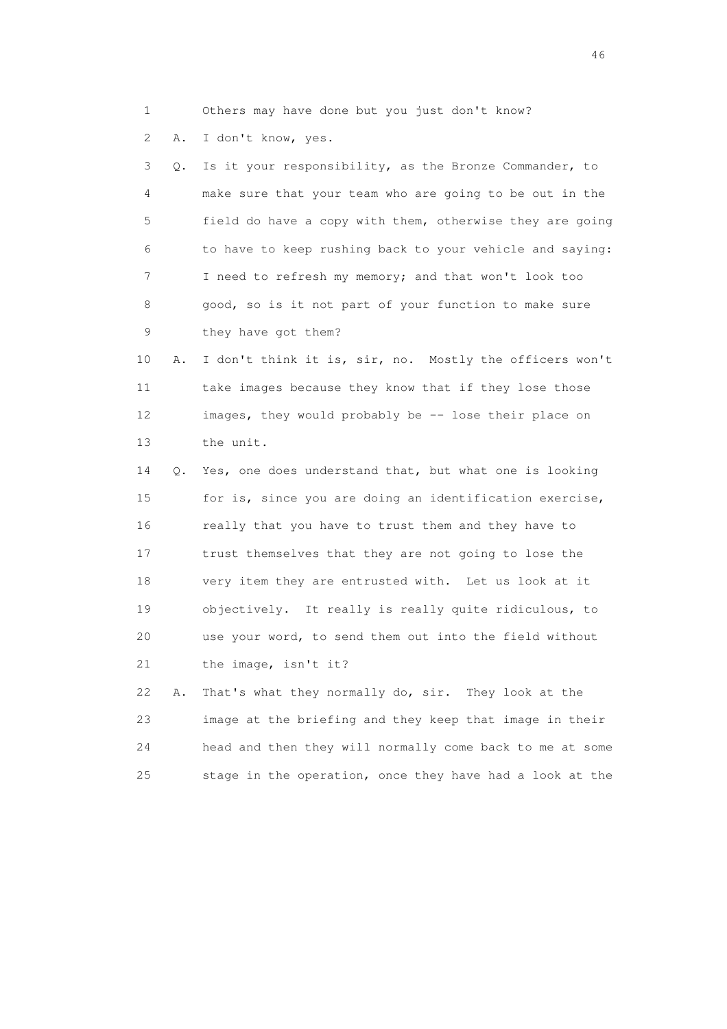1 Others may have done but you just don't know?

2 A. I don't know, yes.

 3 Q. Is it your responsibility, as the Bronze Commander, to 4 make sure that your team who are going to be out in the 5 field do have a copy with them, otherwise they are going 6 to have to keep rushing back to your vehicle and saying: 7 I need to refresh my memory; and that won't look too 8 good, so is it not part of your function to make sure 9 they have got them?

 10 A. I don't think it is, sir, no. Mostly the officers won't 11 take images because they know that if they lose those 12 images, they would probably be -- lose their place on 13 the unit.

 14 Q. Yes, one does understand that, but what one is looking 15 for is, since you are doing an identification exercise, 16 really that you have to trust them and they have to 17 trust themselves that they are not going to lose the 18 very item they are entrusted with. Let us look at it 19 objectively. It really is really quite ridiculous, to 20 use your word, to send them out into the field without 21 the image, isn't it?

 22 A. That's what they normally do, sir. They look at the 23 image at the briefing and they keep that image in their 24 head and then they will normally come back to me at some 25 stage in the operation, once they have had a look at the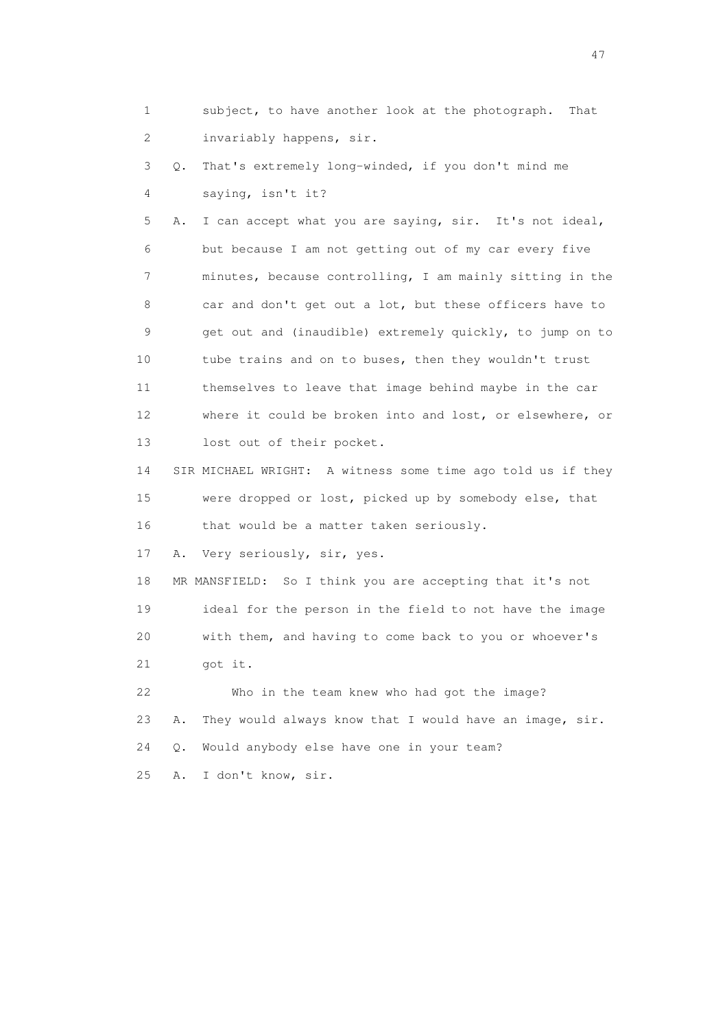1 subject, to have another look at the photograph. That 2 invariably happens, sir.

 3 Q. That's extremely long-winded, if you don't mind me 4 saying, isn't it?

 5 A. I can accept what you are saying, sir. It's not ideal, 6 but because I am not getting out of my car every five 7 minutes, because controlling, I am mainly sitting in the 8 car and don't get out a lot, but these officers have to 9 get out and (inaudible) extremely quickly, to jump on to 10 tube trains and on to buses, then they wouldn't trust 11 themselves to leave that image behind maybe in the car 12 where it could be broken into and lost, or elsewhere, or 13 lost out of their pocket.

 14 SIR MICHAEL WRIGHT: A witness some time ago told us if they 15 were dropped or lost, picked up by somebody else, that 16 that would be a matter taken seriously.

17 A. Very seriously, sir, yes.

 18 MR MANSFIELD: So I think you are accepting that it's not 19 ideal for the person in the field to not have the image 20 with them, and having to come back to you or whoever's 21 got it.

 22 Who in the team knew who had got the image? 23 A. They would always know that I would have an image, sir. 24 Q. Would anybody else have one in your team?

25 A. I don't know, sir.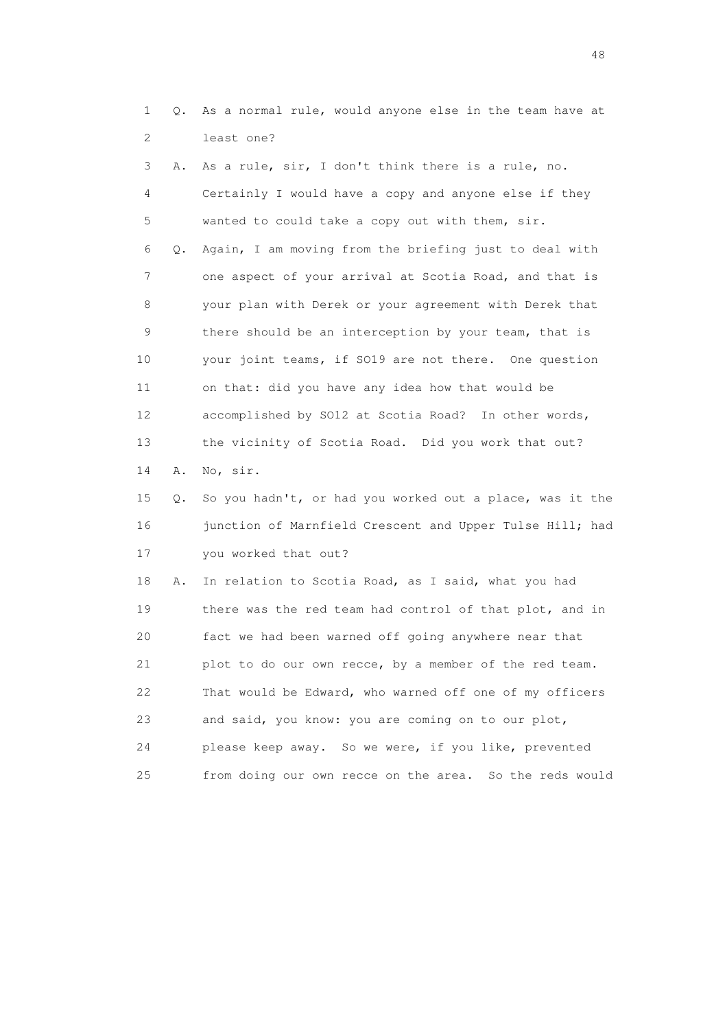1 Q. As a normal rule, would anyone else in the team have at 2 least one?

 3 A. As a rule, sir, I don't think there is a rule, no. 4 Certainly I would have a copy and anyone else if they 5 wanted to could take a copy out with them, sir. 6 Q. Again, I am moving from the briefing just to deal with 7 one aspect of your arrival at Scotia Road, and that is 8 your plan with Derek or your agreement with Derek that 9 there should be an interception by your team, that is 10 your joint teams, if SO19 are not there. One question 11 on that: did you have any idea how that would be 12 accomplished by SO12 at Scotia Road? In other words, 13 the vicinity of Scotia Road. Did you work that out? 14 A. No, sir. 15 Q. So you hadn't, or had you worked out a place, was it the 16 junction of Marnfield Crescent and Upper Tulse Hill; had 17 you worked that out? 18 A. In relation to Scotia Road, as I said, what you had

 19 there was the red team had control of that plot, and in 20 fact we had been warned off going anywhere near that 21 plot to do our own recce, by a member of the red team. 22 That would be Edward, who warned off one of my officers 23 and said, you know: you are coming on to our plot, 24 please keep away. So we were, if you like, prevented 25 from doing our own recce on the area. So the reds would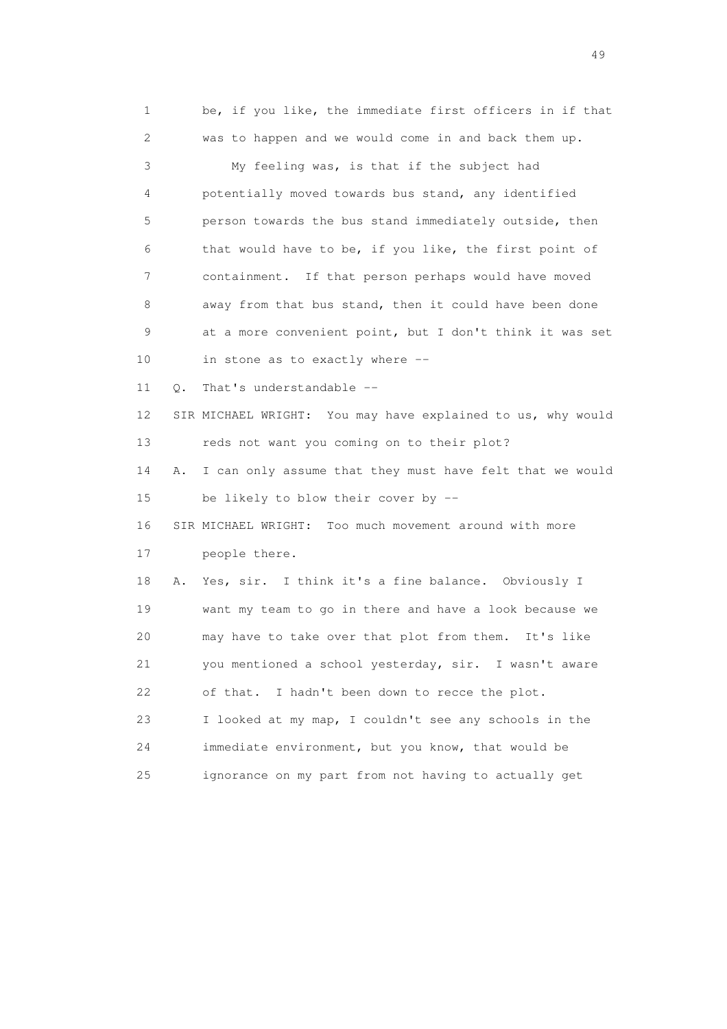1 be, if you like, the immediate first officers in if that 2 was to happen and we would come in and back them up. 3 My feeling was, is that if the subject had 4 potentially moved towards bus stand, any identified 5 person towards the bus stand immediately outside, then 6 that would have to be, if you like, the first point of 7 containment. If that person perhaps would have moved 8 away from that bus stand, then it could have been done 9 at a more convenient point, but I don't think it was set 10 in stone as to exactly where -- 11 O. That's understandable -- 12 SIR MICHAEL WRIGHT: You may have explained to us, why would 13 reds not want you coming on to their plot? 14 A. I can only assume that they must have felt that we would 15 be likely to blow their cover by -- 16 SIR MICHAEL WRIGHT: Too much movement around with more 17 people there. 18 A. Yes, sir. I think it's a fine balance. Obviously I 19 want my team to go in there and have a look because we 20 may have to take over that plot from them. It's like 21 you mentioned a school yesterday, sir. I wasn't aware 22 of that. I hadn't been down to recce the plot. 23 I looked at my map, I couldn't see any schools in the 24 immediate environment, but you know, that would be 25 ignorance on my part from not having to actually get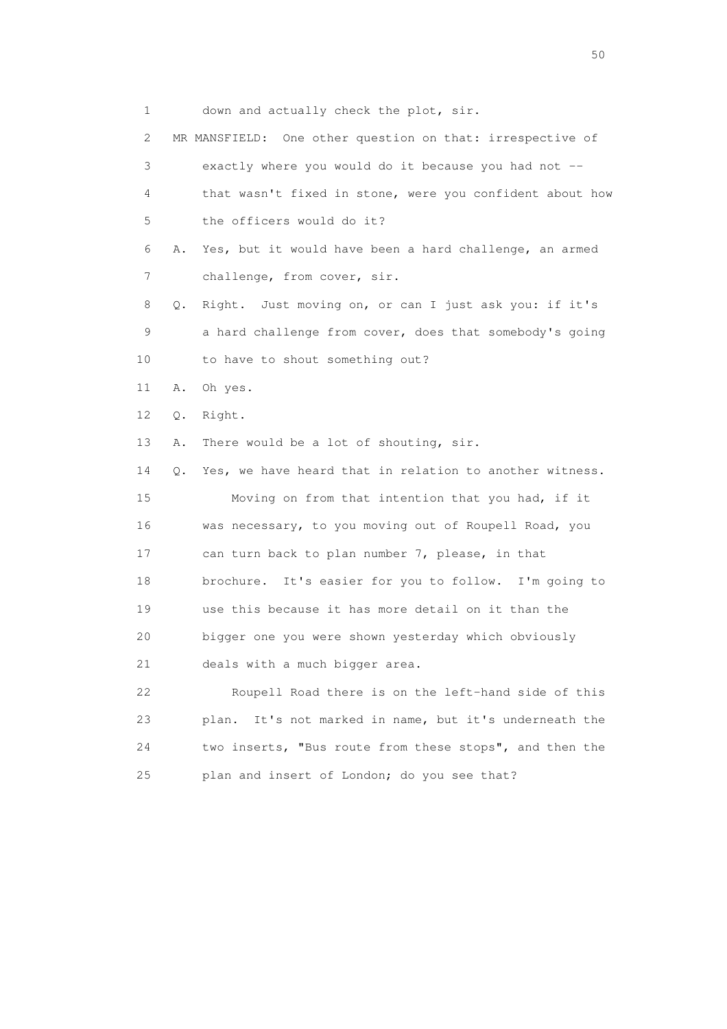1 down and actually check the plot, sir.

 2 MR MANSFIELD: One other question on that: irrespective of 3 exactly where you would do it because you had not -- 4 that wasn't fixed in stone, were you confident about how 5 the officers would do it? 6 A. Yes, but it would have been a hard challenge, an armed 7 challenge, from cover, sir. 8 Q. Right. Just moving on, or can I just ask you: if it's 9 a hard challenge from cover, does that somebody's going 10 to have to shout something out? 11 A. Oh yes. 12 Q. Right. 13 A. There would be a lot of shouting, sir. 14 Q. Yes, we have heard that in relation to another witness. 15 Moving on from that intention that you had, if it 16 was necessary, to you moving out of Roupell Road, you 17 can turn back to plan number 7, please, in that 18 brochure. It's easier for you to follow. I'm going to 19 use this because it has more detail on it than the 20 bigger one you were shown yesterday which obviously 21 deals with a much bigger area. 22 Roupell Road there is on the left-hand side of this 23 plan. It's not marked in name, but it's underneath the 24 two inserts, "Bus route from these stops", and then the 25 plan and insert of London; do you see that?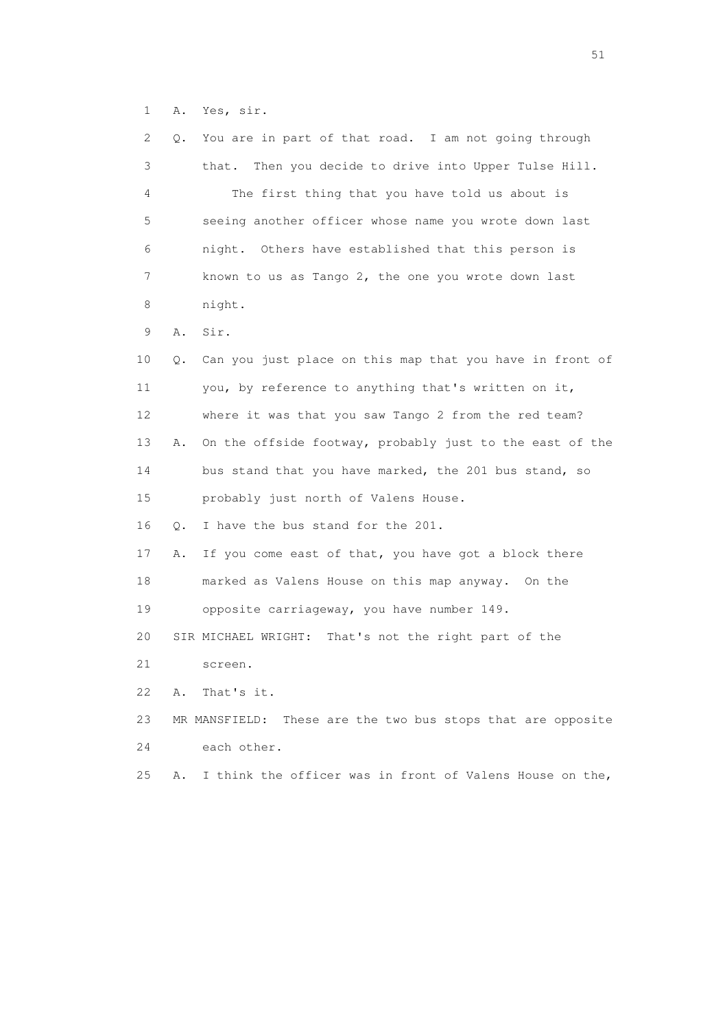1 A. Yes, sir.

| 2  | Q. | You are in part of that road. I am not going through           |
|----|----|----------------------------------------------------------------|
| 3  |    | that. Then you decide to drive into Upper Tulse Hill.          |
| 4  |    | The first thing that you have told us about is                 |
| 5  |    | seeing another officer whose name you wrote down last          |
| 6  |    | night. Others have established that this person is             |
| 7  |    | known to us as Tango 2, the one you wrote down last            |
| 8  |    | night.                                                         |
| 9  | Α. | Sir.                                                           |
| 10 | Q. | Can you just place on this map that you have in front of       |
| 11 |    | you, by reference to anything that's written on it,            |
| 12 |    | where it was that you saw Tango 2 from the red team?           |
| 13 | Α. | On the offside footway, probably just to the east of the       |
| 14 |    | bus stand that you have marked, the 201 bus stand, so          |
| 15 |    | probably just north of Valens House.                           |
| 16 | Q. | I have the bus stand for the 201.                              |
| 17 | Α. | If you come east of that, you have got a block there           |
| 18 |    | marked as Valens House on this map anyway. On the              |
| 19 |    | opposite carriageway, you have number 149.                     |
| 20 |    | SIR MICHAEL WRIGHT: That's not the right part of the           |
| 21 |    | screen.                                                        |
| 22 | Α. | That's it.                                                     |
| 23 |    | These are the two bus stops that are opposite<br>MR MANSFIELD: |
| 24 |    | each other.                                                    |
| 25 | Α. | I think the officer was in front of Valens House on the,       |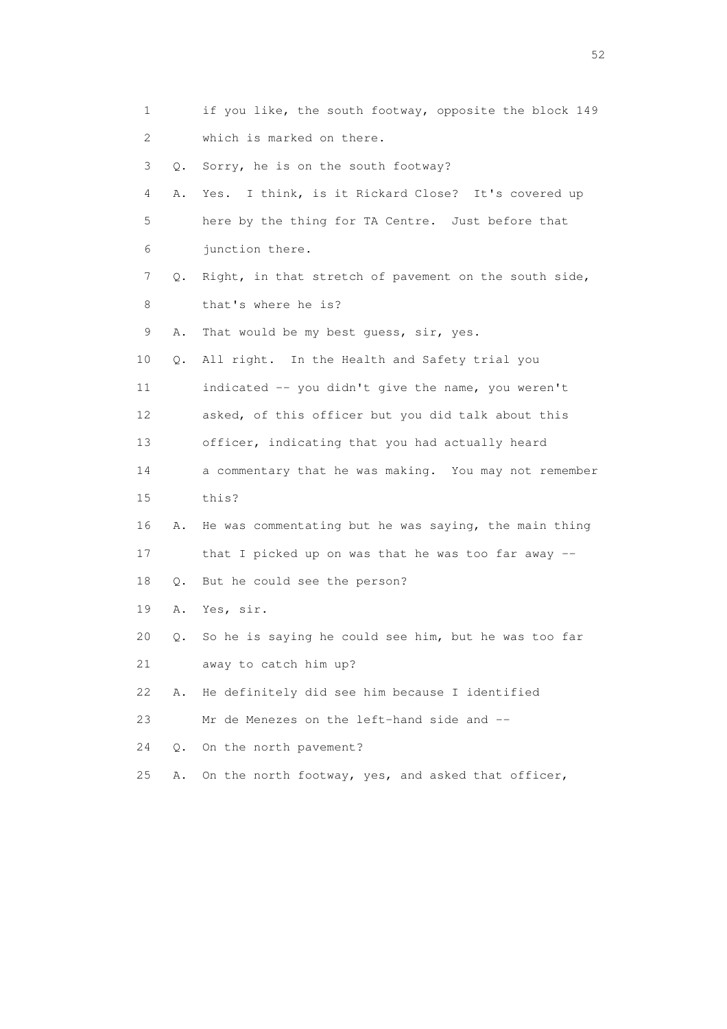1 if you like, the south footway, opposite the block 149 2 which is marked on there. 3 Q. Sorry, he is on the south footway? 4 A. Yes. I think, is it Rickard Close? It's covered up 5 here by the thing for TA Centre. Just before that 6 junction there. 7 Q. Right, in that stretch of pavement on the south side, 8 that's where he is? 9 A. That would be my best guess, sir, yes. 10 Q. All right. In the Health and Safety trial you 11 indicated -- you didn't give the name, you weren't 12 asked, of this officer but you did talk about this 13 officer, indicating that you had actually heard 14 a commentary that he was making. You may not remember 15 this? 16 A. He was commentating but he was saying, the main thing 17 that I picked up on was that he was too far away -- 18 Q. But he could see the person? 19 A. Yes, sir. 20 Q. So he is saying he could see him, but he was too far 21 away to catch him up? 22 A. He definitely did see him because I identified 23 Mr de Menezes on the left-hand side and -- 24 Q. On the north pavement? 25 A. On the north footway, yes, and asked that officer,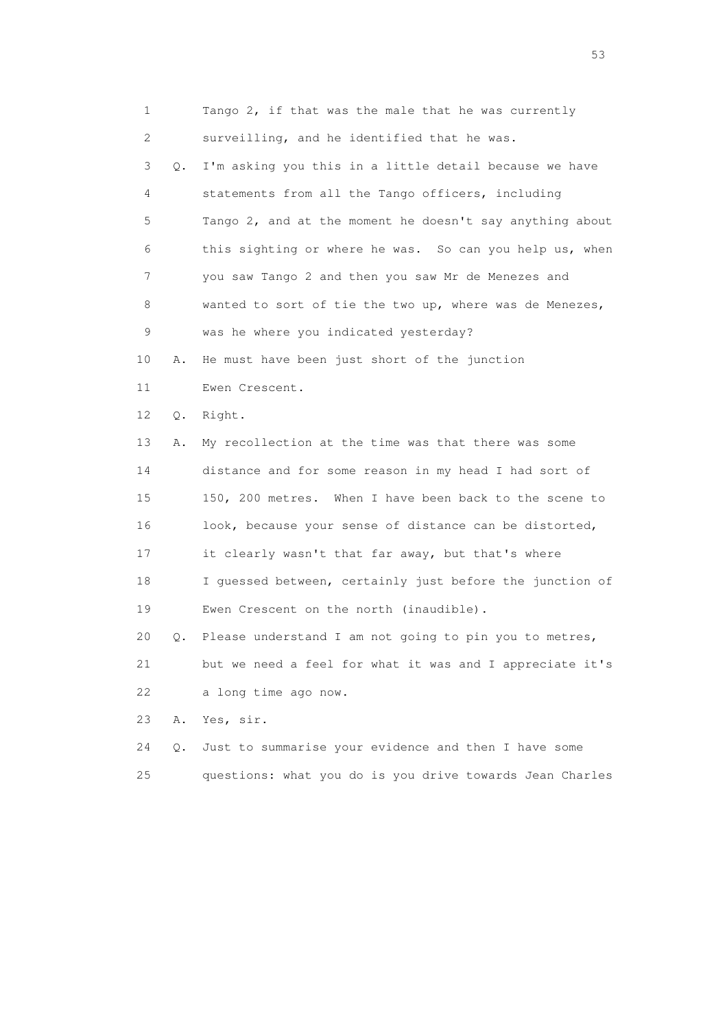| 1  |       | Tango 2, if that was the male that he was currently      |
|----|-------|----------------------------------------------------------|
| 2  |       | surveilling, and he identified that he was.              |
| 3  | 0.    | I'm asking you this in a little detail because we have   |
| 4  |       | statements from all the Tango officers, including        |
| 5  |       | Tango 2, and at the moment he doesn't say anything about |
| 6  |       | this sighting or where he was. So can you help us, when  |
| 7  |       | you saw Tango 2 and then you saw Mr de Menezes and       |
| 8  |       | wanted to sort of tie the two up, where was de Menezes,  |
| 9  |       | was he where you indicated yesterday?                    |
| 10 | Α.    | He must have been just short of the junction             |
| 11 |       | Ewen Crescent.                                           |
| 12 | $Q$ . | Right.                                                   |
| 13 | Α.    | My recollection at the time was that there was some      |
| 14 |       | distance and for some reason in my head I had sort of    |
| 15 |       | 150, 200 metres. When I have been back to the scene to   |
| 16 |       | look, because your sense of distance can be distorted,   |
| 17 |       | it clearly wasn't that far away, but that's where        |
| 18 |       | I guessed between, certainly just before the junction of |
| 19 |       | Ewen Crescent on the north (inaudible).                  |
| 20 | Q.    | Please understand I am not going to pin you to metres,   |
| 21 |       | but we need a feel for what it was and I appreciate it's |
| 22 |       | a long time ago now.                                     |
| 23 | Α.    | Yes, sir.                                                |
| 24 | Q.    | Just to summarise your evidence and then I have some     |
| 25 |       | questions: what you do is you drive towards Jean Charles |

 $\sim$  53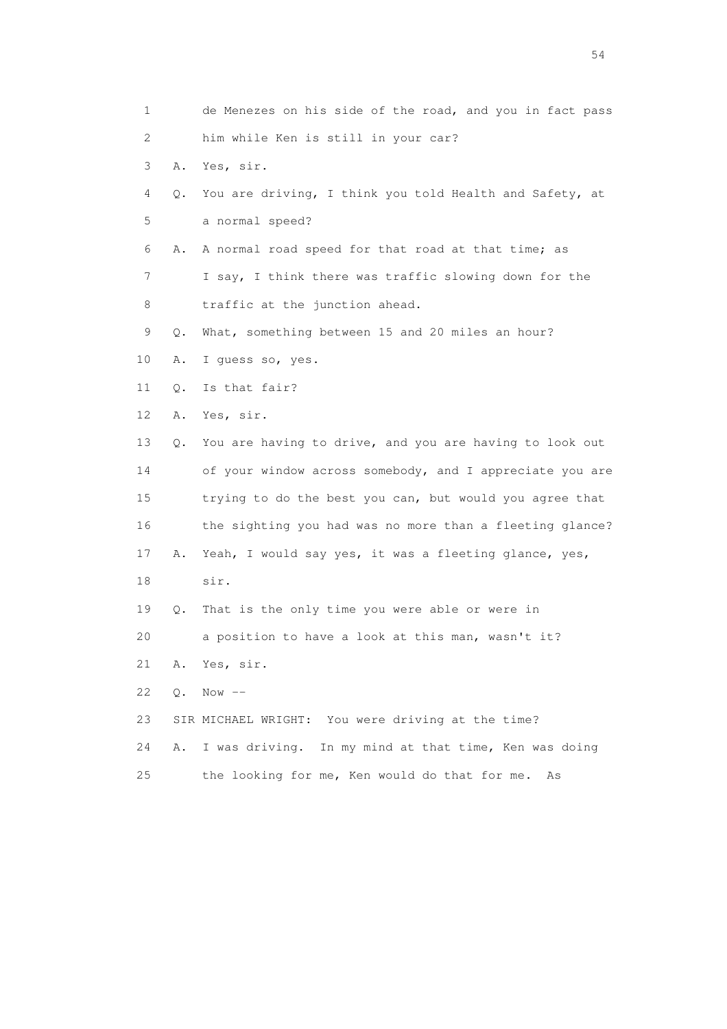| 1  |       | de Menezes on his side of the road, and you in fact pass |
|----|-------|----------------------------------------------------------|
| 2  |       | him while Ken is still in your car?                      |
| 3  | Α.    | Yes, sir.                                                |
| 4  | Q.    | You are driving, I think you told Health and Safety, at  |
| 5  |       | a normal speed?                                          |
| 6  | Α.    | A normal road speed for that road at that time; as       |
| 7  |       | I say, I think there was traffic slowing down for the    |
| 8  |       | traffic at the junction ahead.                           |
| 9  | Q.    | What, something between 15 and 20 miles an hour?         |
| 10 | Α.    | I guess so, yes.                                         |
| 11 | Q.    | Is that fair?                                            |
| 12 | Α.    | Yes, sir.                                                |
| 13 | Q.    | You are having to drive, and you are having to look out  |
| 14 |       | of your window across somebody, and I appreciate you are |
| 15 |       | trying to do the best you can, but would you agree that  |
| 16 |       | the sighting you had was no more than a fleeting glance? |
| 17 | Α.    | Yeah, I would say yes, it was a fleeting glance, yes,    |
| 18 |       | sir.                                                     |
| 19 | Q.    | That is the only time you were able or were in           |
| 20 |       | a position to have a look at this man, wasn't it?        |
| 21 | Α.    | Yes, sir.                                                |
| 22 | $Q$ . | $Now$ $--$                                               |
| 23 |       | SIR MICHAEL WRIGHT: You were driving at the time?        |
| 24 | Α.    | In my mind at that time, Ken was doing<br>I was driving. |
| 25 |       | the looking for me, Ken would do that for me.<br>As      |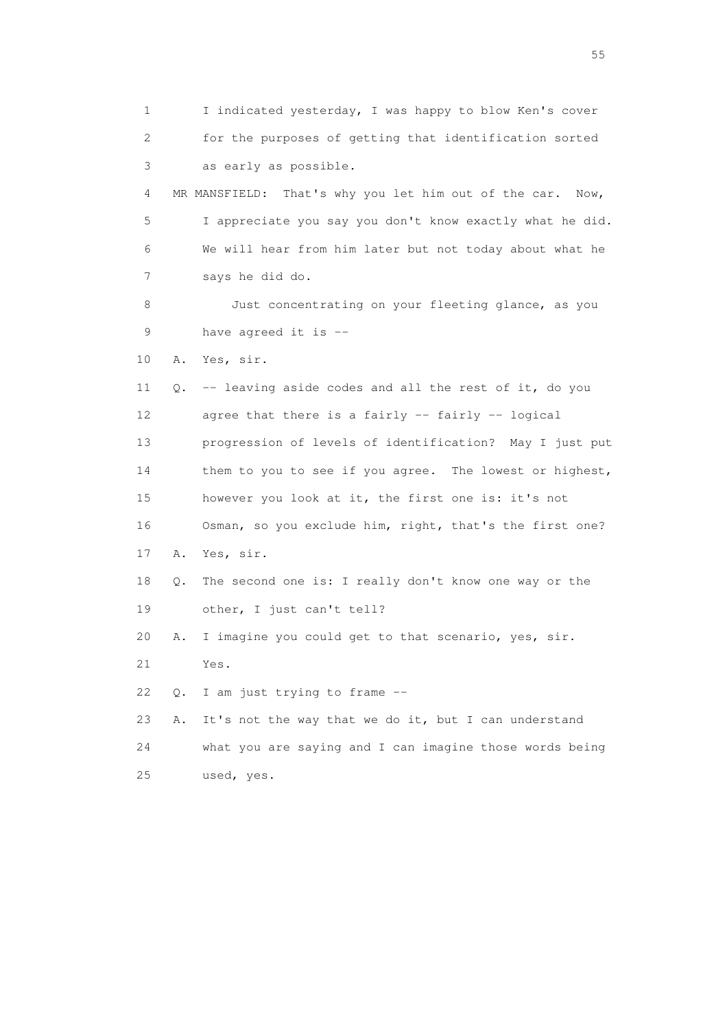1 I indicated yesterday, I was happy to blow Ken's cover 2 for the purposes of getting that identification sorted 3 as early as possible. 4 MR MANSFIELD: That's why you let him out of the car. Now, 5 I appreciate you say you don't know exactly what he did. 6 We will hear from him later but not today about what he 7 says he did do. 8 Just concentrating on your fleeting glance, as you 9 have agreed it is -- 10 A. Yes, sir. 11 Q. -- leaving aside codes and all the rest of it, do you 12 agree that there is a fairly -- fairly -- logical 13 progression of levels of identification? May I just put 14 them to you to see if you agree. The lowest or highest, 15 however you look at it, the first one is: it's not 16 Osman, so you exclude him, right, that's the first one? 17 A. Yes, sir. 18 Q. The second one is: I really don't know one way or the 19 other, I just can't tell? 20 A. I imagine you could get to that scenario, yes, sir. 21 Yes. 22 Q. I am just trying to frame -- 23 A. It's not the way that we do it, but I can understand 24 what you are saying and I can imagine those words being 25 used, yes.

the state of the state of the state of the state of the state of the state of the state of the state of the state of the state of the state of the state of the state of the state of the state of the state of the state of t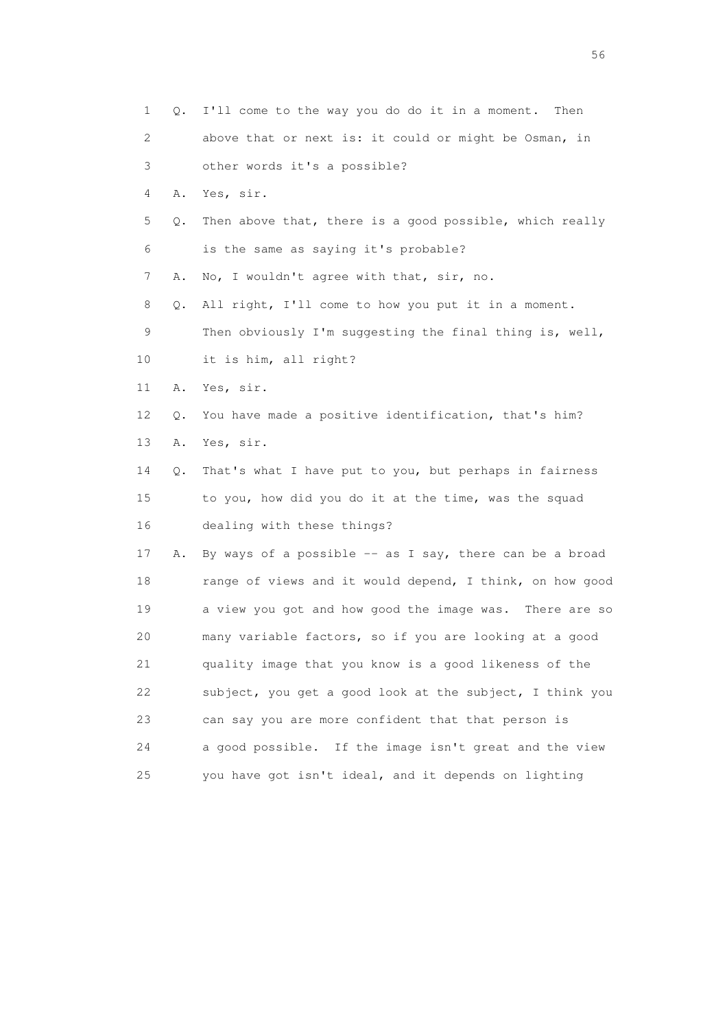| $\mathbf{1}$ | Q. | I'll come to the way you do do it in a moment. Then      |
|--------------|----|----------------------------------------------------------|
| 2            |    | above that or next is: it could or might be Osman, in    |
| 3            |    | other words it's a possible?                             |
| 4            | Α. | Yes, sir.                                                |
| 5            | Q. | Then above that, there is a good possible, which really  |
| 6            |    | is the same as saying it's probable?                     |
| 7            | Α. | No, I wouldn't agree with that, sir, no.                 |
| 8            | Q. | All right, I'll come to how you put it in a moment.      |
| 9            |    | Then obviously I'm suggesting the final thing is, well,  |
| 10           |    | it is him, all right?                                    |
| 11           | Α. | Yes, sir.                                                |
| 12           | Q. | You have made a positive identification, that's him?     |
| 13           | Α. | Yes, sir.                                                |
| 14           | Q. | That's what I have put to you, but perhaps in fairness   |
| 15           |    | to you, how did you do it at the time, was the squad     |
| 16           |    | dealing with these things?                               |
| 17           | Α. | By ways of a possible -- as I say, there can be a broad  |
| 18           |    | range of views and it would depend, I think, on how good |
| 19           |    | a view you got and how good the image was. There are so  |
| 20           |    | many variable factors, so if you are looking at a good   |
| 21           |    | quality image that you know is a good likeness of the    |
| 22           |    | subject, you get a good look at the subject, I think you |
| 23           |    | can say you are more confident that that person is       |
| 24           |    | a good possible. If the image isn't great and the view   |
| 25           |    | you have got isn't ideal, and it depends on lighting     |

 $56<sup>o</sup>$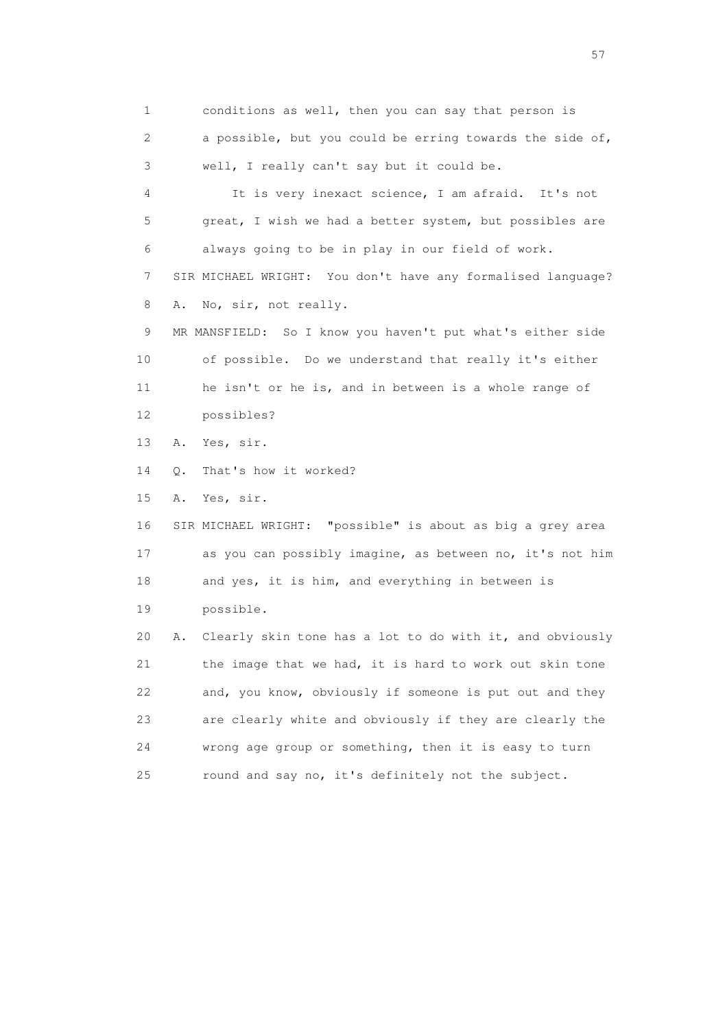1 conditions as well, then you can say that person is 2 a possible, but you could be erring towards the side of, 3 well, I really can't say but it could be. 4 It is very inexact science, I am afraid. It's not 5 great, I wish we had a better system, but possibles are 6 always going to be in play in our field of work. 7 SIR MICHAEL WRIGHT: You don't have any formalised language? 8 A. No, sir, not really. 9 MR MANSFIELD: So I know you haven't put what's either side 10 of possible. Do we understand that really it's either 11 he isn't or he is, and in between is a whole range of 12 possibles? 13 A. Yes, sir. 14 Q. That's how it worked? 15 A. Yes, sir. 16 SIR MICHAEL WRIGHT: "possible" is about as big a grey area 17 as you can possibly imagine, as between no, it's not him 18 and yes, it is him, and everything in between is 19 possible. 20 A. Clearly skin tone has a lot to do with it, and obviously 21 the image that we had, it is hard to work out skin tone 22 and, you know, obviously if someone is put out and they 23 are clearly white and obviously if they are clearly the 24 wrong age group or something, then it is easy to turn 25 round and say no, it's definitely not the subject.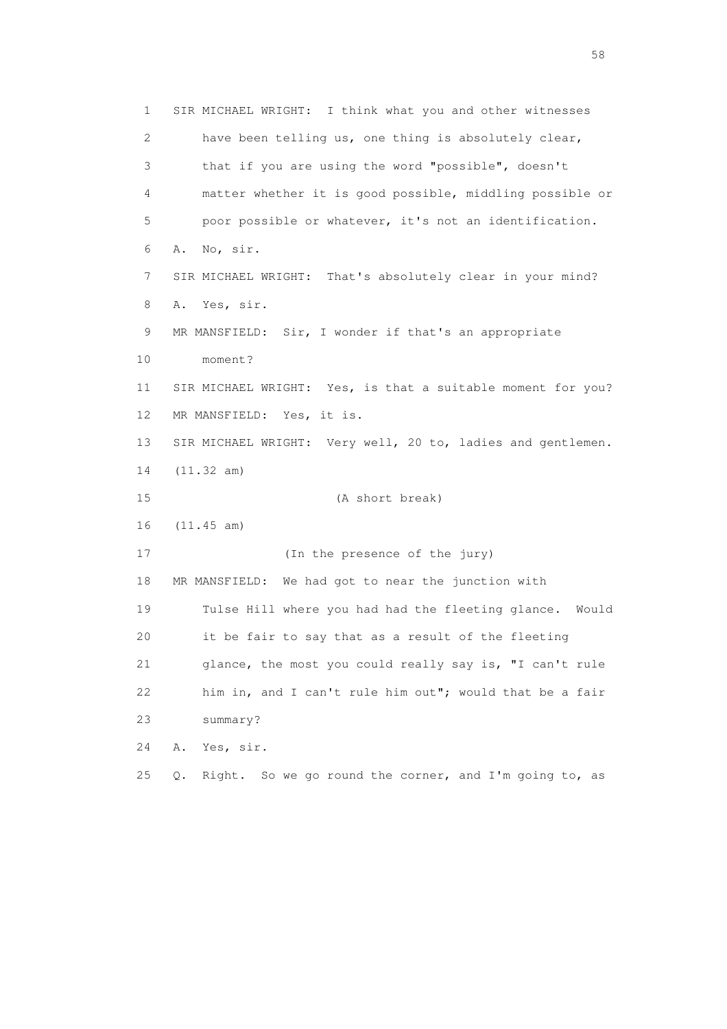1 SIR MICHAEL WRIGHT: I think what you and other witnesses 2 have been telling us, one thing is absolutely clear, 3 that if you are using the word "possible", doesn't 4 matter whether it is good possible, middling possible or 5 poor possible or whatever, it's not an identification. 6 A. No, sir. 7 SIR MICHAEL WRIGHT: That's absolutely clear in your mind? 8 A. Yes, sir. 9 MR MANSFIELD: Sir, I wonder if that's an appropriate 10 moment? 11 SIR MICHAEL WRIGHT: Yes, is that a suitable moment for you? 12 MR MANSFIELD: Yes, it is. 13 SIR MICHAEL WRIGHT: Very well, 20 to, ladies and gentlemen. 14 (11.32 am) 15 (A short break) 16 (11.45 am) 17 (In the presence of the jury) 18 MR MANSFIELD: We had got to near the junction with 19 Tulse Hill where you had had the fleeting glance. Would 20 it be fair to say that as a result of the fleeting 21 glance, the most you could really say is, "I can't rule 22 him in, and I can't rule him out"; would that be a fair 23 summary? 24 A. Yes, sir. 25 Q. Right. So we go round the corner, and I'm going to, as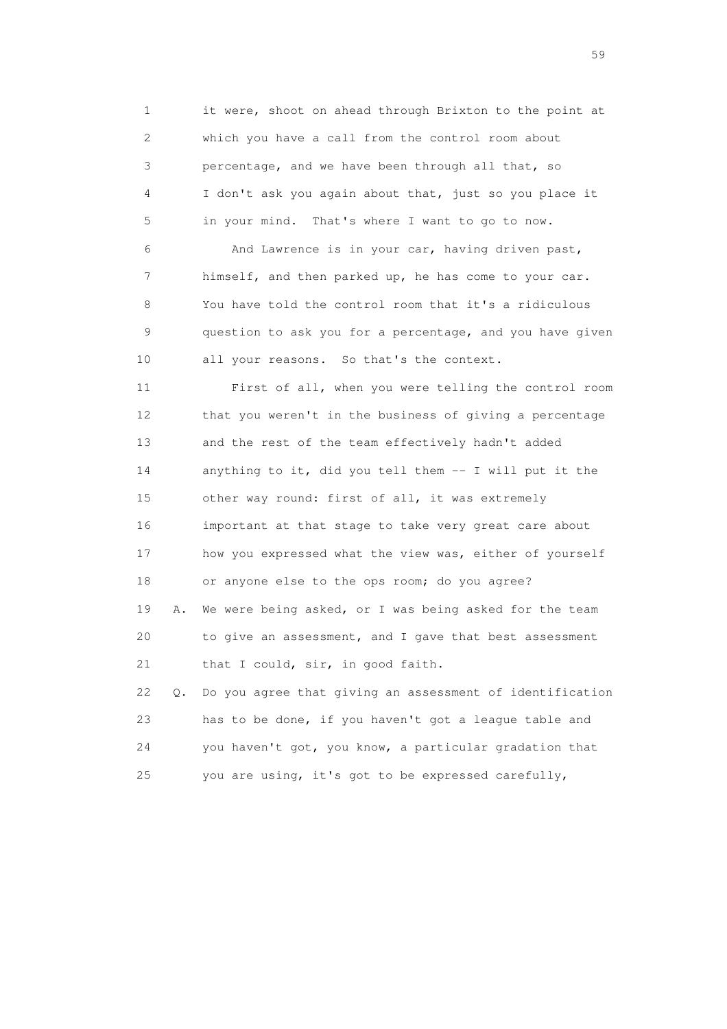1 it were, shoot on ahead through Brixton to the point at 2 which you have a call from the control room about 3 percentage, and we have been through all that, so 4 I don't ask you again about that, just so you place it 5 in your mind. That's where I want to go to now.

 6 And Lawrence is in your car, having driven past, 7 himself, and then parked up, he has come to your car. 8 You have told the control room that it's a ridiculous 9 question to ask you for a percentage, and you have given 10 all your reasons. So that's the context.

 11 First of all, when you were telling the control room 12 that you weren't in the business of giving a percentage 13 and the rest of the team effectively hadn't added 14 anything to it, did you tell them -- I will put it the 15 other way round: first of all, it was extremely 16 important at that stage to take very great care about 17 how you expressed what the view was, either of yourself 18 or anyone else to the ops room; do you agree? 19 A. We were being asked, or I was being asked for the team 20 to give an assessment, and I gave that best assessment 21 that I could, sir, in good faith. 22 Q. Do you agree that giving an assessment of identification 23 has to be done, if you haven't got a league table and

 24 you haven't got, you know, a particular gradation that 25 you are using, it's got to be expressed carefully,

 $59<sub>2</sub>$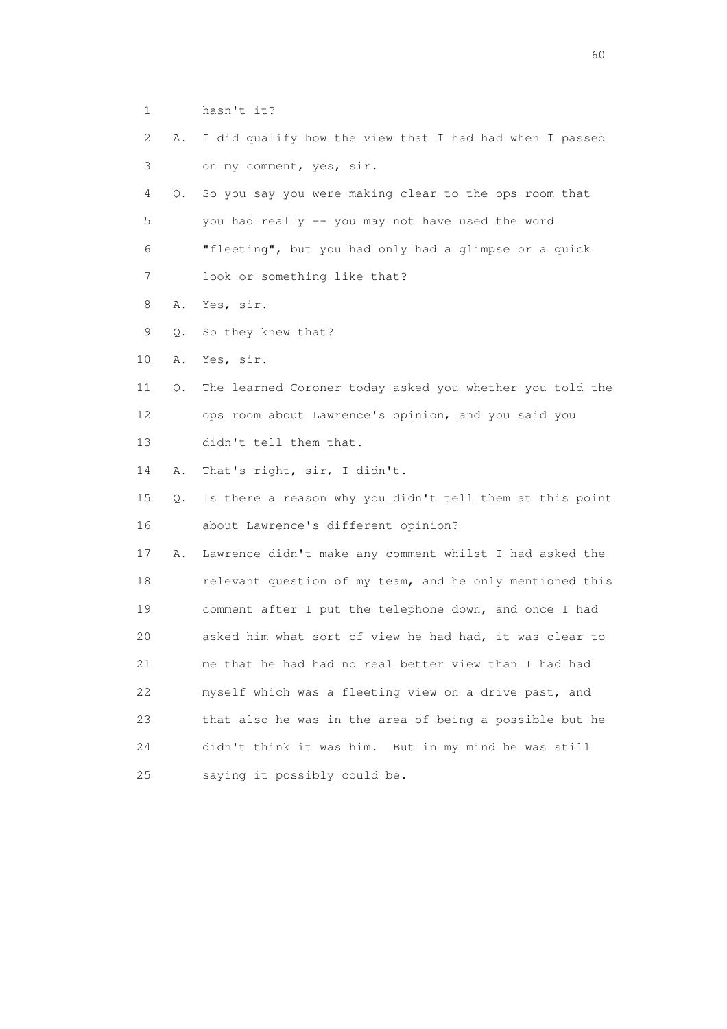- 1 hasn't it?
- 2 A. I did qualify how the view that I had had when I passed 3 on my comment, yes, sir.
- 4 Q. So you say you were making clear to the ops room that 5 you had really -- you may not have used the word 6 "fleeting", but you had only had a glimpse or a quick 7 look or something like that?
- 8 A. Yes, sir.
- 9 Q. So they knew that?
- 10 A. Yes, sir.
- 11 Q. The learned Coroner today asked you whether you told the 12 ops room about Lawrence's opinion, and you said you 13 didn't tell them that.
- 14 A. That's right, sir, I didn't.
- 15 Q. Is there a reason why you didn't tell them at this point 16 about Lawrence's different opinion?
- 17 A. Lawrence didn't make any comment whilst I had asked the 18 relevant question of my team, and he only mentioned this 19 comment after I put the telephone down, and once I had 20 asked him what sort of view he had had, it was clear to 21 me that he had had no real better view than I had had 22 myself which was a fleeting view on a drive past, and 23 that also he was in the area of being a possible but he 24 didn't think it was him. But in my mind he was still 25 saying it possibly could be.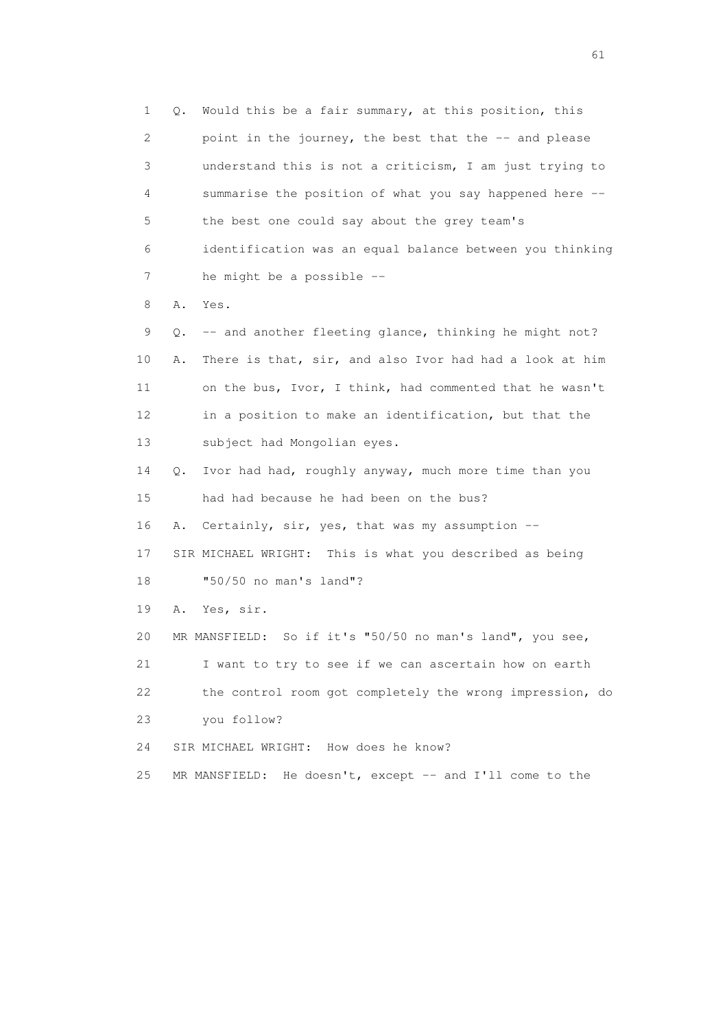1 Q. Would this be a fair summary, at this position, this 2 point in the journey, the best that the -- and please 3 understand this is not a criticism, I am just trying to 4 summarise the position of what you say happened here -- 5 the best one could say about the grey team's 6 identification was an equal balance between you thinking 7 he might be a possible --

8 A. Yes.

 9 Q. -- and another fleeting glance, thinking he might not? 10 A. There is that, sir, and also Ivor had had a look at him 11 on the bus, Ivor, I think, had commented that he wasn't 12 in a position to make an identification, but that the 13 subject had Mongolian eyes.

 14 Q. Ivor had had, roughly anyway, much more time than you 15 had had because he had been on the bus?

16 A. Certainly, sir, yes, that was my assumption --

 17 SIR MICHAEL WRIGHT: This is what you described as being 18 "50/50 no man's land"?

19 A. Yes, sir.

20 MR MANSFIELD: So if it's "50/50 no man's land", you see,

21 I want to try to see if we can ascertain how on earth

22 the control room got completely the wrong impression, do

23 you follow?

24 SIR MICHAEL WRIGHT: How does he know?

25 MR MANSFIELD: He doesn't, except -- and I'll come to the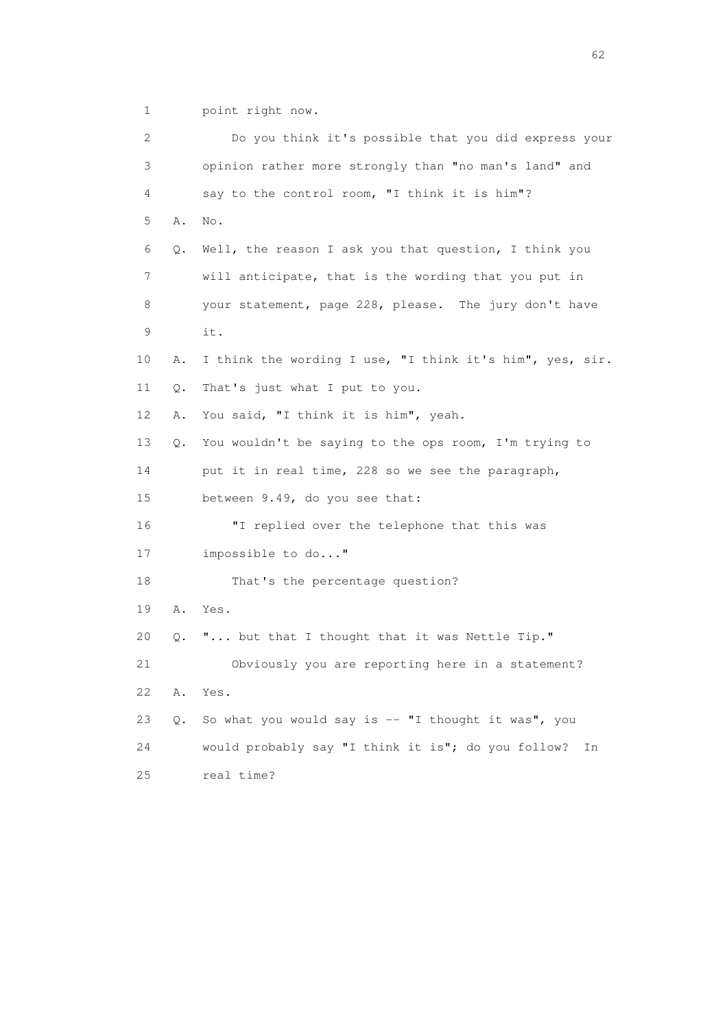1 point right now.

| 2  |       | Do you think it's possible that you did express your     |
|----|-------|----------------------------------------------------------|
| 3  |       | opinion rather more strongly than "no man's land" and    |
| 4  |       | say to the control room, "I think it is him"?            |
| 5  | Α.    | No.                                                      |
| 6  | $Q$ . | Well, the reason I ask you that question, I think you    |
| 7  |       | will anticipate, that is the wording that you put in     |
| 8  |       | your statement, page 228, please. The jury don't have    |
| 9  |       | it.                                                      |
| 10 | Α.    | I think the wording I use, "I think it's him", yes, sir. |
| 11 | Q.    | That's just what I put to you.                           |
| 12 | Α.    | You said, "I think it is him", yeah.                     |
| 13 | Q.    | You wouldn't be saying to the ops room, I'm trying to    |
| 14 |       | put it in real time, 228 so we see the paragraph,        |
| 15 |       | between 9.49, do you see that:                           |
| 16 |       | "I replied over the telephone that this was              |
| 17 |       | impossible to do"                                        |
| 18 |       | That's the percentage question?                          |
| 19 | Α.    | Yes.                                                     |
| 20 | Q.    | " but that I thought that it was Nettle Tip."            |
| 21 |       | Obviously you are reporting here in a statement?         |
| 22 | Α.    | Yes.                                                     |
| 23 | Q.    | So what you would say is -- "I thought it was", you      |
| 24 |       | would probably say "I think it is"; do you follow?<br>Ιn |
| 25 |       | real time?                                               |

 $\sim$  62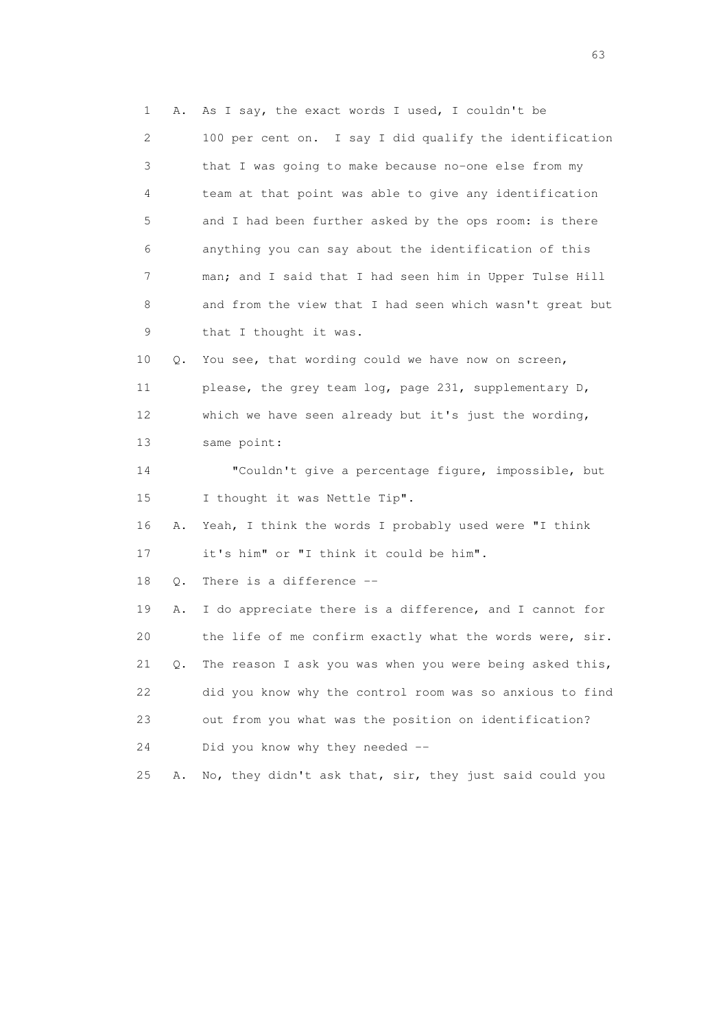1 A. As I say, the exact words I used, I couldn't be 2 100 per cent on. I say I did qualify the identification 3 that I was going to make because no-one else from my 4 team at that point was able to give any identification 5 and I had been further asked by the ops room: is there 6 anything you can say about the identification of this 7 man; and I said that I had seen him in Upper Tulse Hill 8 and from the view that I had seen which wasn't great but 9 that I thought it was. 10 Q. You see, that wording could we have now on screen, 11 please, the grey team log, page 231, supplementary D, 12 which we have seen already but it's just the wording, 13 same point: 14 "Couldn't give a percentage figure, impossible, but 15 I thought it was Nettle Tip". 16 A. Yeah, I think the words I probably used were "I think 17 it's him" or "I think it could be him". 18 Q. There is a difference -- 19 A. I do appreciate there is a difference, and I cannot for 20 the life of me confirm exactly what the words were, sir. 21 Q. The reason I ask you was when you were being asked this, 22 did you know why the control room was so anxious to find 23 out from you what was the position on identification? 24 Did you know why they needed -- 25 A. No, they didn't ask that, sir, they just said could you

experience of the contract of the contract of the contract of the contract of the contract of the contract of the contract of the contract of the contract of the contract of the contract of the contract of the contract of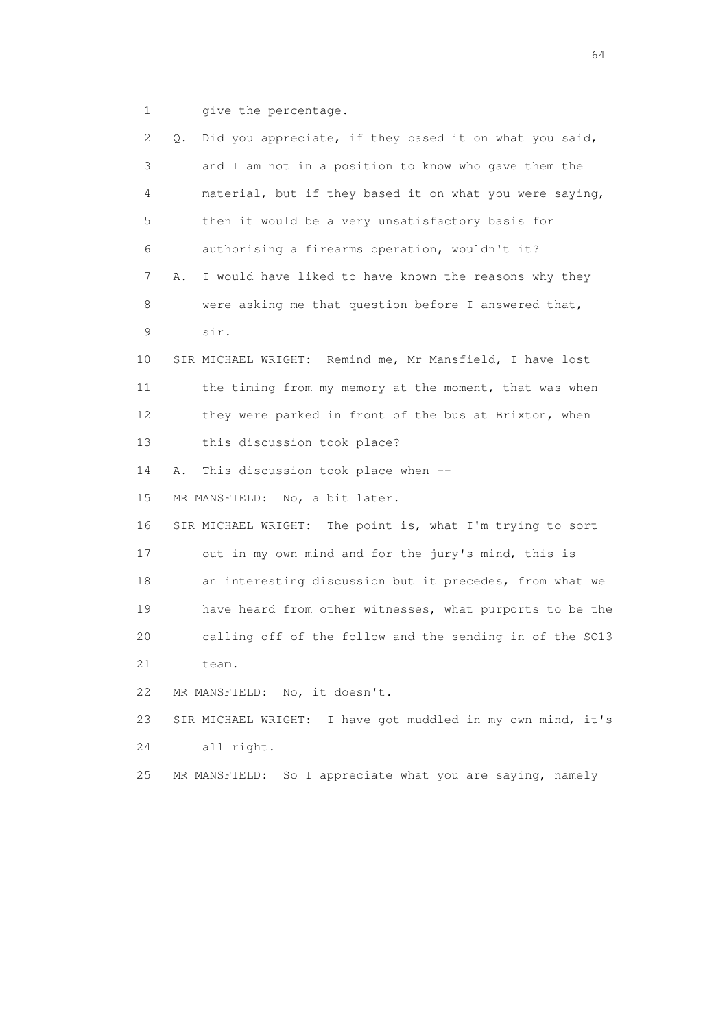1 give the percentage.

| $\mathbf{2}^{\mathsf{I}}$ | Did you appreciate, if they based it on what you said,<br>Q. |
|---------------------------|--------------------------------------------------------------|
| 3                         | and I am not in a position to know who gave them the         |
| 4                         | material, but if they based it on what you were saying,      |
| 5                         | then it would be a very unsatisfactory basis for             |
| 6                         | authorising a firearms operation, wouldn't it?               |
| 7                         | I would have liked to have known the reasons why they<br>Α.  |
| 8                         | were asking me that question before I answered that,         |
| 9                         | sir.                                                         |
| 10                        | SIR MICHAEL WRIGHT: Remind me, Mr Mansfield, I have lost     |
| 11                        | the timing from my memory at the moment, that was when       |
| 12                        | they were parked in front of the bus at Brixton, when        |
| 13                        | this discussion took place?                                  |
| 14                        | This discussion took place when --<br>Α.                     |
| 15                        | MR MANSFIELD: No, a bit later.                               |
| 16                        | SIR MICHAEL WRIGHT: The point is, what I'm trying to sort    |
| 17                        | out in my own mind and for the jury's mind, this is          |
| 18                        | an interesting discussion but it precedes, from what we      |
| 19                        | have heard from other witnesses, what purports to be the     |
| 20                        | calling off of the follow and the sending in of the S013     |
| 21                        | team.                                                        |
| 22                        | MR MANSFIELD: No, it doesn't.                                |
| 23                        | SIR MICHAEL WRIGHT: I have got muddled in my own mind, it's  |
| 24                        | all right.                                                   |
| 25                        | So I appreciate what you are saying, namely<br>MR MANSFIELD: |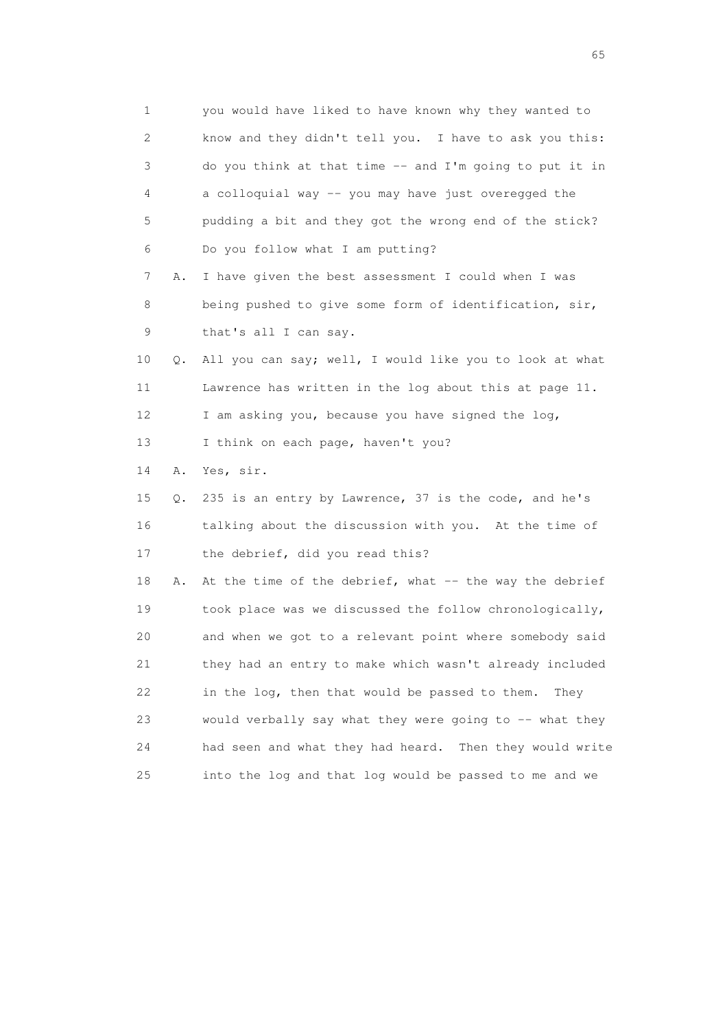1 you would have liked to have known why they wanted to 2 know and they didn't tell you. I have to ask you this: 3 do you think at that time -- and I'm going to put it in 4 a colloquial way -- you may have just overegged the 5 pudding a bit and they got the wrong end of the stick? 6 Do you follow what I am putting? 7 A. I have given the best assessment I could when I was 8 being pushed to give some form of identification, sir, 9 that's all I can say. 10 Q. All you can say; well, I would like you to look at what 11 Lawrence has written in the log about this at page 11. 12 I am asking you, because you have signed the log, 13 I think on each page, haven't you? 14 A. Yes, sir. 15 Q. 235 is an entry by Lawrence, 37 is the code, and he's 16 talking about the discussion with you. At the time of 17 the debrief, did you read this? 18 A. At the time of the debrief, what -- the way the debrief 19 took place was we discussed the follow chronologically, 20 and when we got to a relevant point where somebody said 21 they had an entry to make which wasn't already included 22 in the log, then that would be passed to them. They 23 would verbally say what they were going to -- what they 24 had seen and what they had heard. Then they would write 25 into the log and that log would be passed to me and we

 $\sim$  65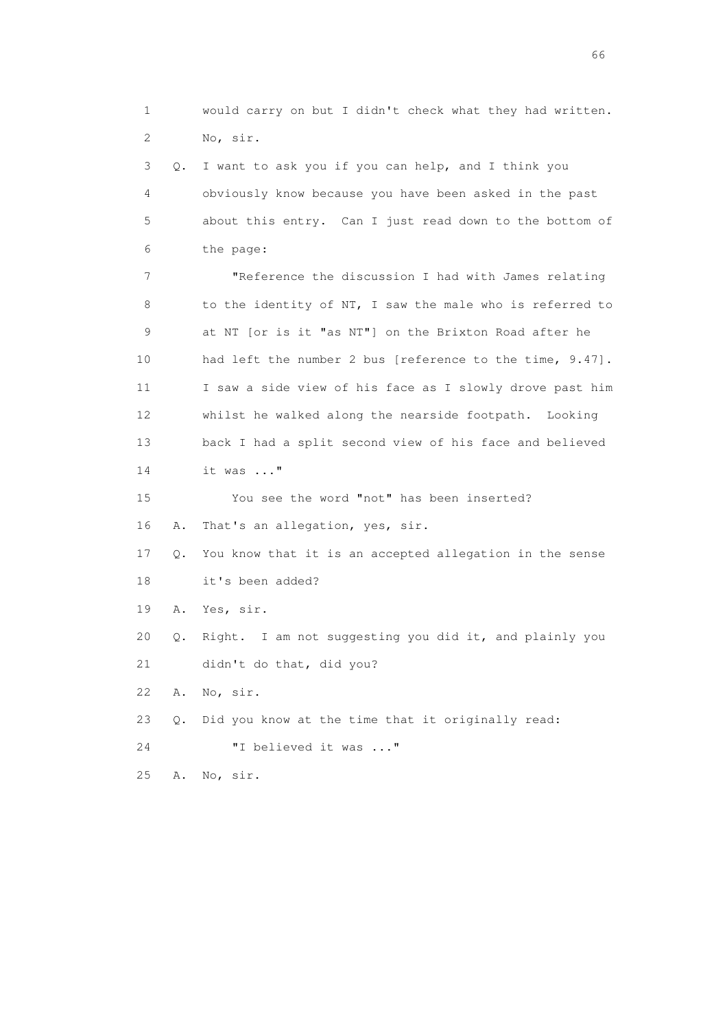1 would carry on but I didn't check what they had written. 2 No, sir. 3 Q. I want to ask you if you can help, and I think you 4 obviously know because you have been asked in the past 5 about this entry. Can I just read down to the bottom of 6 the page: 7 "Reference the discussion I had with James relating 8 to the identity of NT, I saw the male who is referred to 9 at NT [or is it "as NT"] on the Brixton Road after he 10 had left the number 2 bus [reference to the time, 9.47]. 11 I saw a side view of his face as I slowly drove past him 12 whilst he walked along the nearside footpath. Looking 13 back I had a split second view of his face and believed 14 it was ..." 15 You see the word "not" has been inserted? 16 A. That's an allegation, yes, sir. 17 Q. You know that it is an accepted allegation in the sense 18 it's been added? 19 A. Yes, sir. 20 Q. Right. I am not suggesting you did it, and plainly you 21 didn't do that, did you?

22 A. No, sir.

23 Q. Did you know at the time that it originally read:

24 "I believed it was ..."

25 A. No, sir.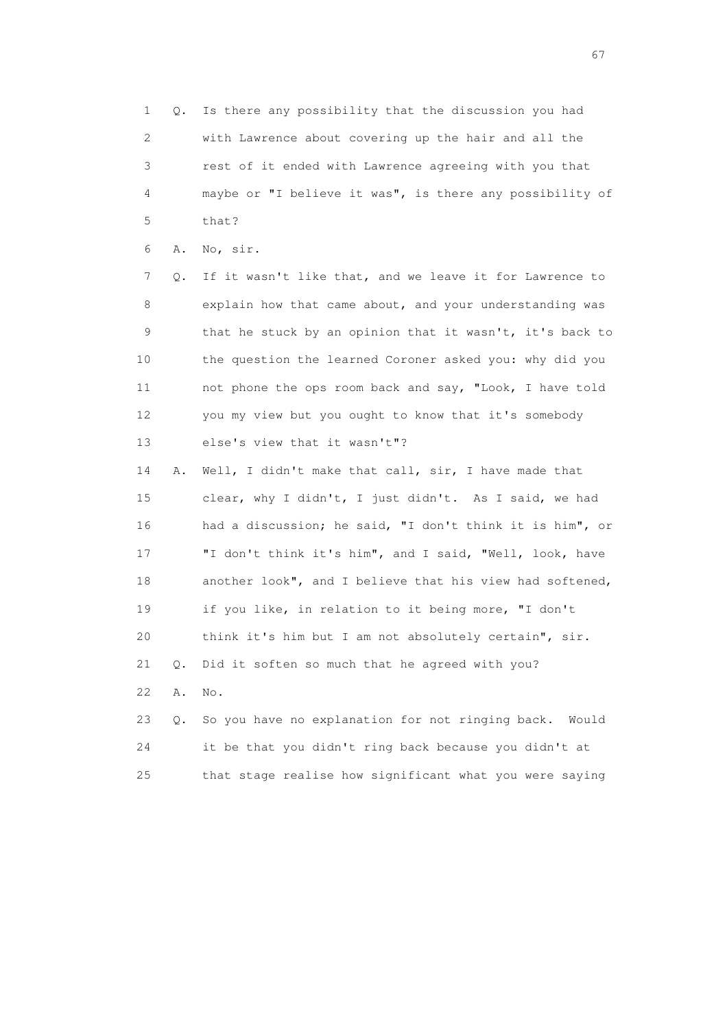1 Q. Is there any possibility that the discussion you had 2 with Lawrence about covering up the hair and all the 3 rest of it ended with Lawrence agreeing with you that 4 maybe or "I believe it was", is there any possibility of 5 that?

6 A. No, sir.

 7 Q. If it wasn't like that, and we leave it for Lawrence to 8 explain how that came about, and your understanding was 9 that he stuck by an opinion that it wasn't, it's back to 10 the question the learned Coroner asked you: why did you 11 not phone the ops room back and say, "Look, I have told 12 you my view but you ought to know that it's somebody 13 else's view that it wasn't"?

 14 A. Well, I didn't make that call, sir, I have made that 15 clear, why I didn't, I just didn't. As I said, we had 16 had a discussion; he said, "I don't think it is him", or 17 "I don't think it's him", and I said, "Well, look, have 18 another look", and I believe that his view had softened, 19 if you like, in relation to it being more, "I don't 20 think it's him but I am not absolutely certain", sir. 21 Q. Did it soften so much that he agreed with you? 22 A. No.

|     | 23 0. So you have no explanation for not ringing back. Would |
|-----|--------------------------------------------------------------|
| 24  | it be that you didn't ring back because you didn't at        |
| 25. | that stage realise how significant what you were saying      |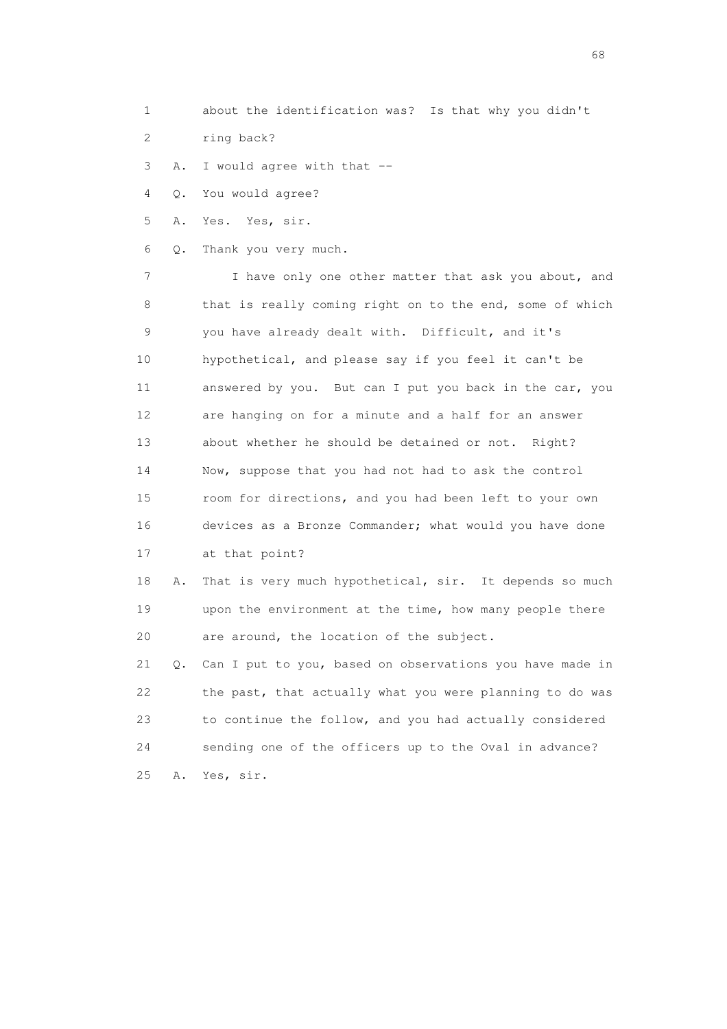- 1 about the identification was? Is that why you didn't
- 2 ring back?

3 A. I would agree with that --

4 Q. You would agree?

5 A. Yes. Yes, sir.

6 Q. Thank you very much.

 7 I have only one other matter that ask you about, and 8 that is really coming right on to the end, some of which 9 you have already dealt with. Difficult, and it's 10 hypothetical, and please say if you feel it can't be 11 answered by you. But can I put you back in the car, you 12 are hanging on for a minute and a half for an answer 13 about whether he should be detained or not. Right? 14 Now, suppose that you had not had to ask the control 15 room for directions, and you had been left to your own 16 devices as a Bronze Commander; what would you have done 17 at that point?

 18 A. That is very much hypothetical, sir. It depends so much 19 upon the environment at the time, how many people there 20 are around, the location of the subject.

 21 Q. Can I put to you, based on observations you have made in 22 the past, that actually what you were planning to do was 23 to continue the follow, and you had actually considered 24 sending one of the officers up to the Oval in advance? 25 A. Yes, sir.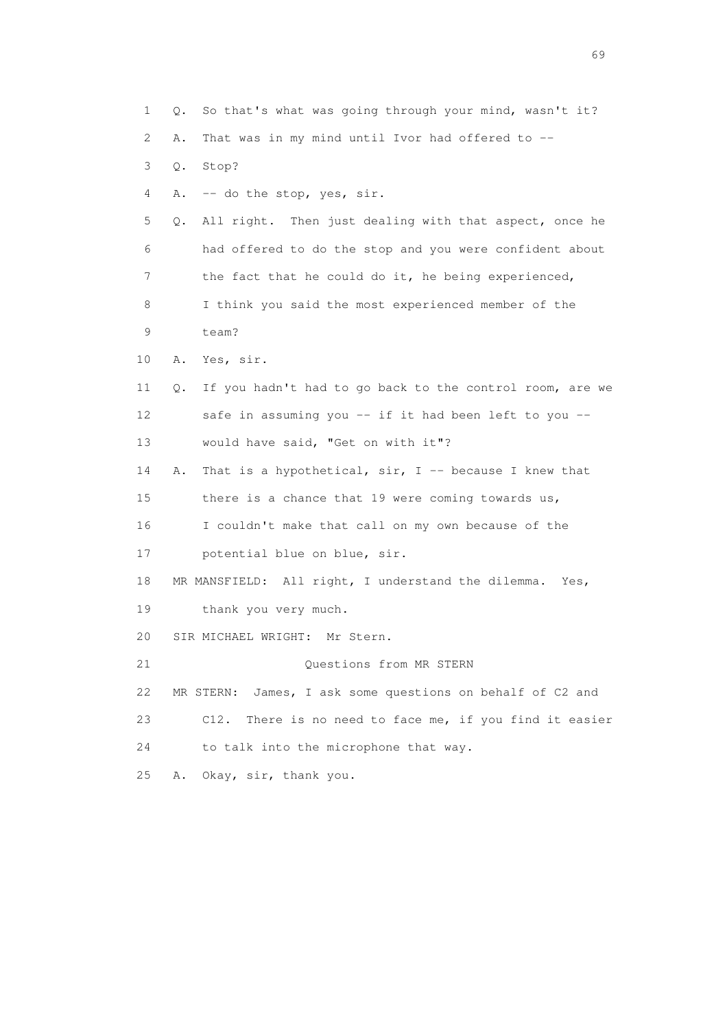1 Q. So that's what was going through your mind, wasn't it? 2 A. That was in my mind until Ivor had offered to -- 3 Q. Stop? 4 A. -- do the stop, yes, sir. 5 Q. All right. Then just dealing with that aspect, once he 6 had offered to do the stop and you were confident about 7 the fact that he could do it, he being experienced, 8 I think you said the most experienced member of the 9 team? 10 A. Yes, sir. 11 Q. If you hadn't had to go back to the control room, are we 12 safe in assuming you -- if it had been left to you -- 13 would have said, "Get on with it"? 14 A. That is a hypothetical, sir, I -- because I knew that 15 there is a chance that 19 were coming towards us, 16 I couldn't make that call on my own because of the 17 potential blue on blue, sir. 18 MR MANSFIELD: All right, I understand the dilemma. Yes, 19 thank you very much. 20 SIR MICHAEL WRIGHT: Mr Stern. 21 Questions from MR STERN 22 MR STERN: James, I ask some questions on behalf of C2 and 23 C12. There is no need to face me, if you find it easier 24 to talk into the microphone that way. 25 A. Okay, sir, thank you.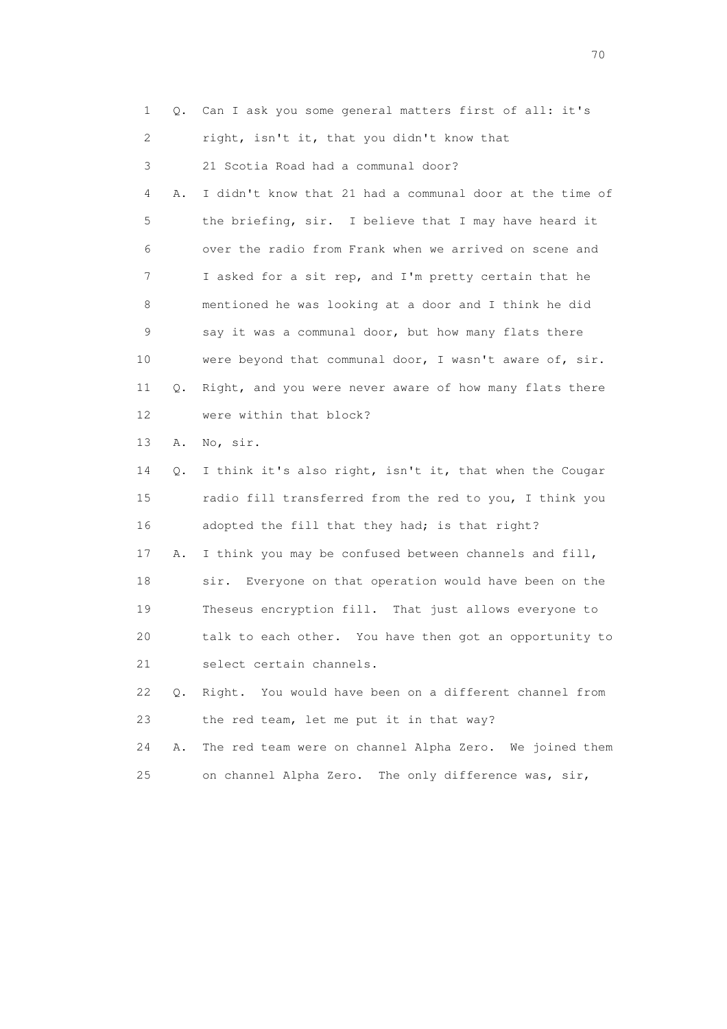| $\mathbf{1}$   |    | Q. Can I ask you some general matters first of all: it's   |
|----------------|----|------------------------------------------------------------|
| $\overline{2}$ |    | right, isn't it, that you didn't know that                 |
| 3              |    | 21 Scotia Road had a communal door?                        |
| 4              | Α. | I didn't know that 21 had a communal door at the time of   |
| 5              |    | the briefing, sir. I believe that I may have heard it      |
| 6              |    | over the radio from Frank when we arrived on scene and     |
| 7              |    | I asked for a sit rep, and I'm pretty certain that he      |
| 8              |    | mentioned he was looking at a door and I think he did      |
| 9              |    | say it was a communal door, but how many flats there       |
| 10             |    | were beyond that communal door, I wasn't aware of, sir.    |
| 11             |    | Q. Right, and you were never aware of how many flats there |
| 12             |    | were within that block?                                    |
| 13             | Α. | No, sir.                                                   |
| 14             |    | Q. I think it's also right, isn't it, that when the Cougar |
| 15             |    | radio fill transferred from the red to you, I think you    |
| 16             |    | adopted the fill that they had; is that right?             |
|                |    |                                                            |

 17 A. I think you may be confused between channels and fill, 18 sir. Everyone on that operation would have been on the 19 Theseus encryption fill. That just allows everyone to 20 talk to each other. You have then got an opportunity to 21 select certain channels.

 22 Q. Right. You would have been on a different channel from 23 the red team, let me put it in that way?

 24 A. The red team were on channel Alpha Zero. We joined them 25 on channel Alpha Zero. The only difference was, sir,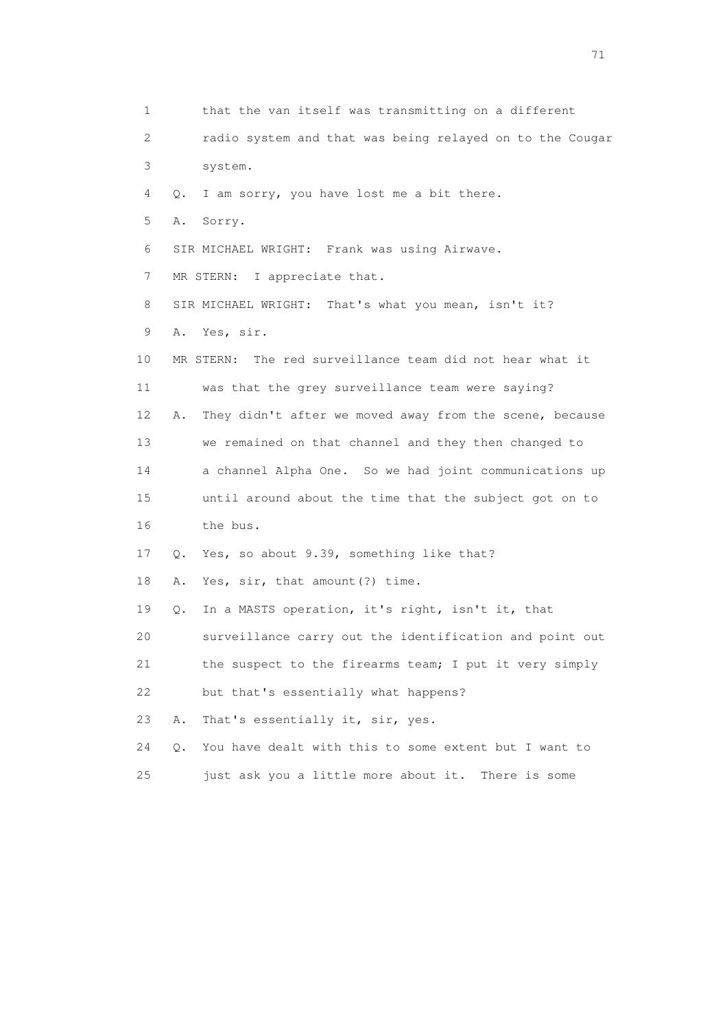1 that the van itself was transmitting on a different 2 radio system and that was being relayed on to the Cougar 3 system. 4 Q. I am sorry, you have lost me a bit there. 5 A. Sorry. 6 SIR MICHAEL WRIGHT: Frank was using Airwave. 7 MR STERN: I appreciate that. 8 SIR MICHAEL WRIGHT: That's what you mean, isn't it? 9 A. Yes, sir. 10 MR STERN: The red surveillance team did not hear what it 11 was that the grey surveillance team were saying? 12 A. They didn't after we moved away from the scene, because 13 we remained on that channel and they then changed to 14 a channel Alpha One. So we had joint communications up 15 until around about the time that the subject got on to 16 the bus. 17 Q. Yes, so about 9.39, something like that? 18 A. Yes, sir, that amount(?) time. 19 Q. In a MASTS operation, it's right, isn't it, that 20 surveillance carry out the identification and point out 21 the suspect to the firearms team; I put it very simply 22 but that's essentially what happens? 23 A. That's essentially it, sir, yes. 24 Q. You have dealt with this to some extent but I want to 25 just ask you a little more about it. There is some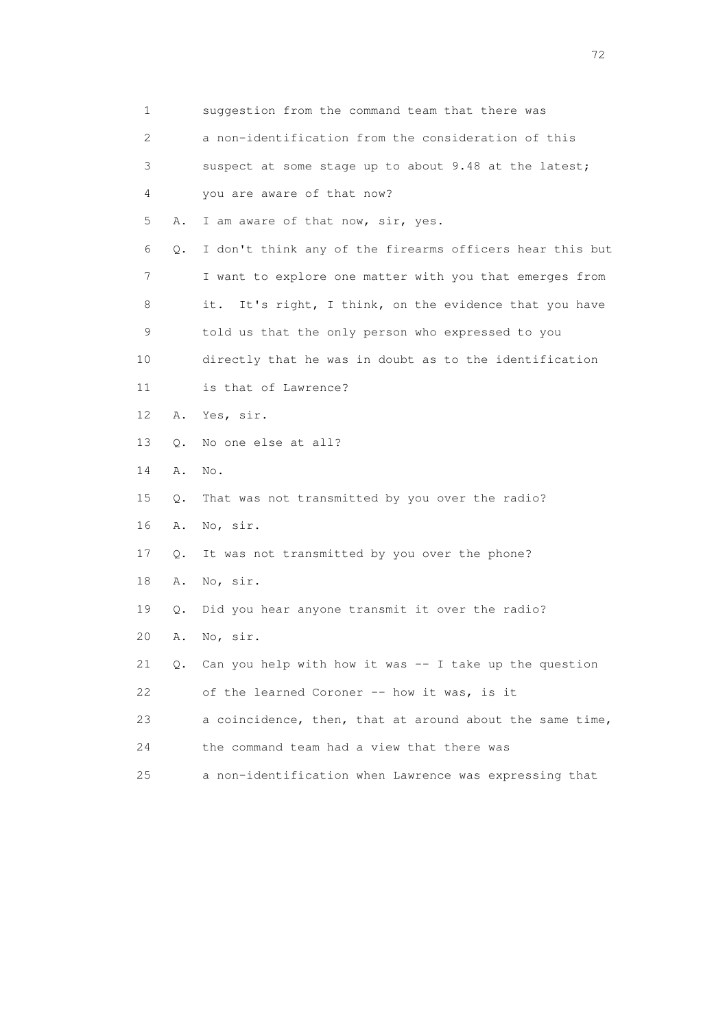| $\mathbf 1$               |           | suggestion from the command team that there was           |
|---------------------------|-----------|-----------------------------------------------------------|
| $\mathbf{2}^{\mathsf{I}}$ |           | a non-identification from the consideration of this       |
| 3                         |           | suspect at some stage up to about 9.48 at the latest;     |
| 4                         |           | you are aware of that now?                                |
| 5                         | Α.        | I am aware of that now, sir, yes.                         |
| 6                         | $Q$ .     | I don't think any of the firearms officers hear this but  |
| 7                         |           | I want to explore one matter with you that emerges from   |
| 8                         |           | It's right, I think, on the evidence that you have<br>it. |
| 9                         |           | told us that the only person who expressed to you         |
| 10                        |           | directly that he was in doubt as to the identification    |
| 11                        |           | is that of Lawrence?                                      |
| 12                        | Α.        | Yes, sir.                                                 |
| 13                        | $\circ$ . | No one else at all?                                       |
| 14                        | Α.        | No.                                                       |
| 15                        | Q.        | That was not transmitted by you over the radio?           |
| 16                        | Α.        | No, sir.                                                  |
| 17                        | Q.        | It was not transmitted by you over the phone?             |
| 18                        | Α.        | No, sir.                                                  |
| 19                        | Q.        | Did you hear anyone transmit it over the radio?           |
| 20                        | Α.        | No, sir.                                                  |
| 21                        |           | Q. Can you help with how it was -- I take up the question |
| 22                        |           | of the learned Coroner -- how it was, is it               |
| 23                        |           | a coincidence, then, that at around about the same time,  |
| 24                        |           | the command team had a view that there was                |
| 25                        |           | a non-identification when Lawrence was expressing that    |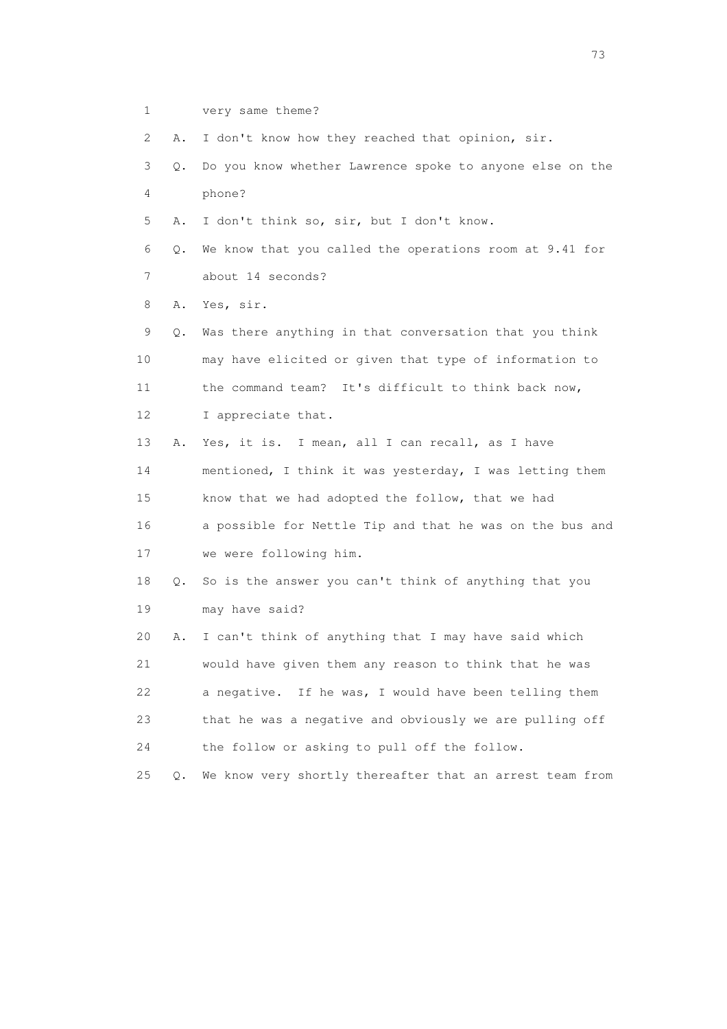1 very same theme?

2 A. I don't know how they reached that opinion, sir.

- 3 Q. Do you know whether Lawrence spoke to anyone else on the 4 phone?
- 5 A. I don't think so, sir, but I don't know.
- 6 Q. We know that you called the operations room at 9.41 for 7 about 14 seconds?

8 A. Yes, sir.

 9 Q. Was there anything in that conversation that you think 10 may have elicited or given that type of information to 11 the command team? It's difficult to think back now, 12 I appreciate that.

 13 A. Yes, it is. I mean, all I can recall, as I have 14 mentioned, I think it was yesterday, I was letting them 15 know that we had adopted the follow, that we had 16 a possible for Nettle Tip and that he was on the bus and 17 we were following him.

 18 Q. So is the answer you can't think of anything that you 19 may have said?

 20 A. I can't think of anything that I may have said which 21 would have given them any reason to think that he was 22 a negative. If he was, I would have been telling them 23 that he was a negative and obviously we are pulling off 24 the follow or asking to pull off the follow.

25 Q. We know very shortly thereafter that an arrest team from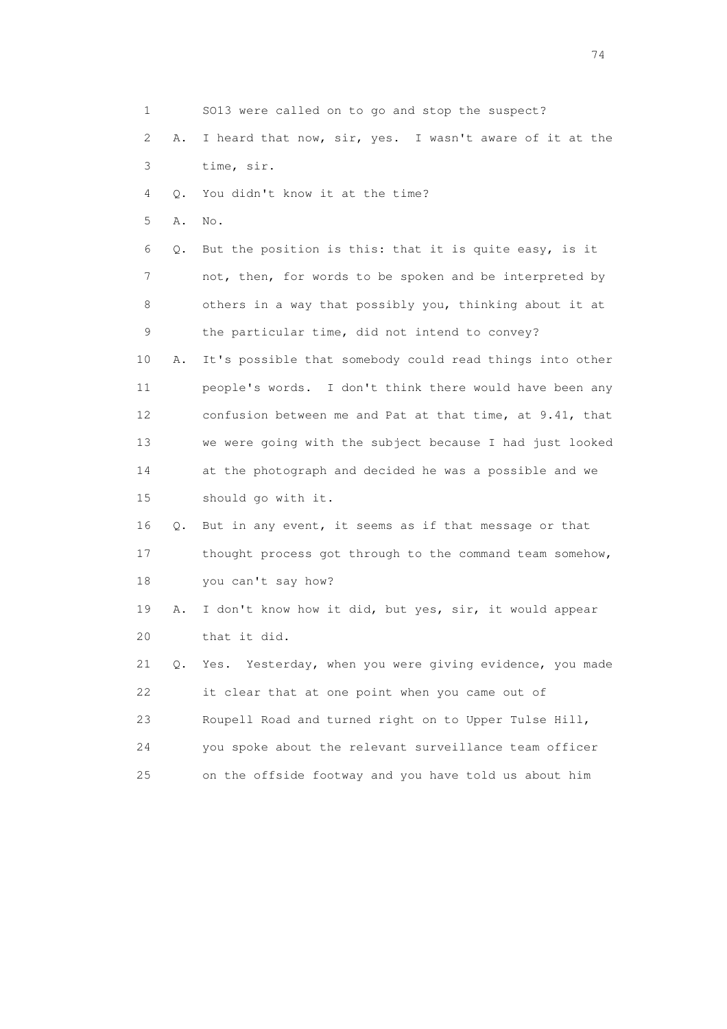1 SO13 were called on to go and stop the suspect? 2 A. I heard that now, sir, yes. I wasn't aware of it at the 3 time, sir. 4 Q. You didn't know it at the time? 5 A. No. 6 Q. But the position is this: that it is quite easy, is it 7 not, then, for words to be spoken and be interpreted by 8 others in a way that possibly you, thinking about it at 9 the particular time, did not intend to convey? 10 A. It's possible that somebody could read things into other 11 people's words. I don't think there would have been any 12 confusion between me and Pat at that time, at 9.41, that 13 we were going with the subject because I had just looked 14 at the photograph and decided he was a possible and we 15 should go with it. 16 Q. But in any event, it seems as if that message or that 17 thought process got through to the command team somehow, 18 you can't say how? 19 A. I don't know how it did, but yes, sir, it would appear 20 that it did. 21 Q. Yes. Yesterday, when you were giving evidence, you made 22 it clear that at one point when you came out of 23 Roupell Road and turned right on to Upper Tulse Hill, 24 you spoke about the relevant surveillance team officer 25 on the offside footway and you have told us about him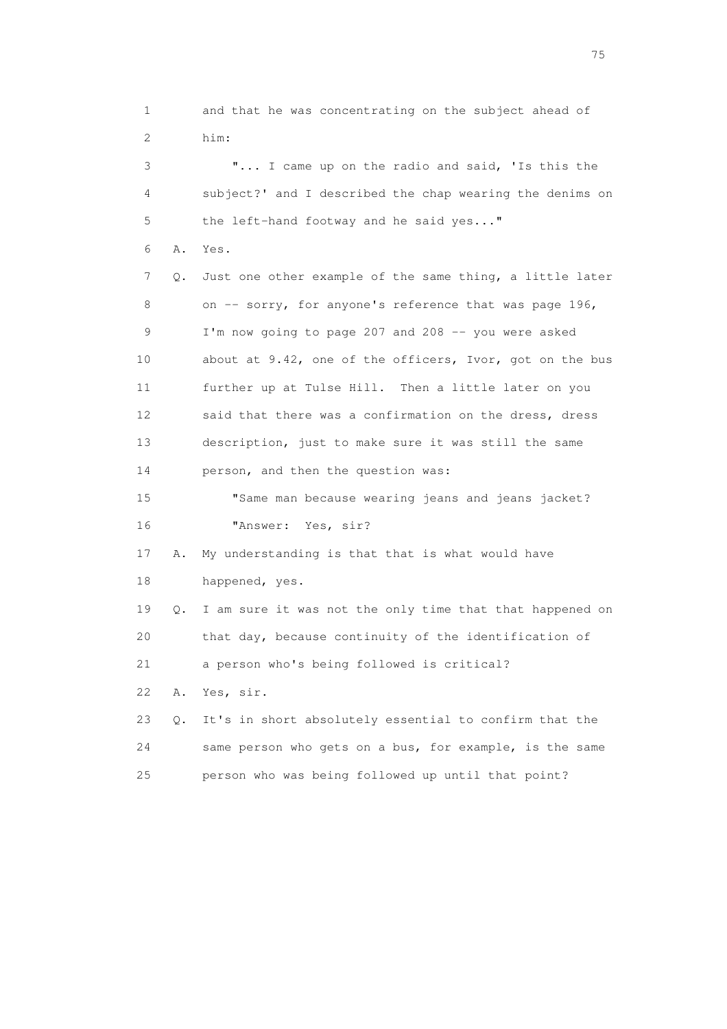1 and that he was concentrating on the subject ahead of 2 him: 3 "... I came up on the radio and said, 'Is this the 4 subject?' and I described the chap wearing the denims on 5 the left-hand footway and he said yes..." 6 A. Yes. 7 Q. Just one other example of the same thing, a little later 8 on -- sorry, for anyone's reference that was page 196, 9 I'm now going to page 207 and 208 -- you were asked 10 about at 9.42, one of the officers, Ivor, got on the bus 11 further up at Tulse Hill. Then a little later on you 12 said that there was a confirmation on the dress, dress 13 description, just to make sure it was still the same 14 person, and then the question was: 15 "Same man because wearing jeans and jeans jacket? 16 "Answer: Yes, sir? 17 A. My understanding is that that is what would have 18 happened, yes. 19 Q. I am sure it was not the only time that that happened on 20 that day, because continuity of the identification of 21 a person who's being followed is critical? 22 A. Yes, sir. 23 Q. It's in short absolutely essential to confirm that the

 24 same person who gets on a bus, for example, is the same 25 person who was being followed up until that point?

na matsay na katalog as na kasang na mga 175 may 2008. Ang isang isang nagsang nagsang nagsang nagsang nagsang<br>Tagapang nagsang nagsang nagsang nagsang nagsang nagsang nagsang nagsang nagsang nagsang nagsang nagsang nagsa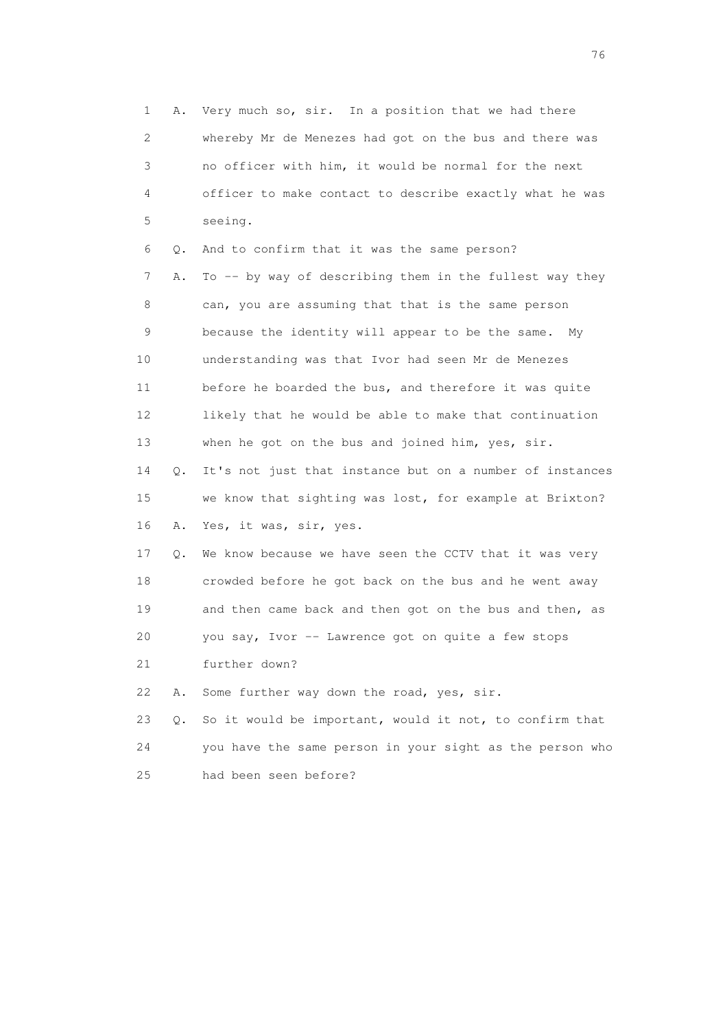1 A. Very much so, sir. In a position that we had there 2 whereby Mr de Menezes had got on the bus and there was 3 no officer with him, it would be normal for the next 4 officer to make contact to describe exactly what he was 5 seeing. 6 Q. And to confirm that it was the same person? 7 A. To -- by way of describing them in the fullest way they 8 can, you are assuming that that is the same person 9 because the identity will appear to be the same. My 10 understanding was that Ivor had seen Mr de Menezes 11 before he boarded the bus, and therefore it was quite 12 likely that he would be able to make that continuation 13 when he got on the bus and joined him, yes, sir. 14 Q. It's not just that instance but on a number of instances 15 we know that sighting was lost, for example at Brixton? 16 A. Yes, it was, sir, yes. 17 Q. We know because we have seen the CCTV that it was very 18 crowded before he got back on the bus and he went away 19 and then came back and then got on the bus and then, as 20 you say, Ivor -- Lawrence got on quite a few stops 21 further down? 22 A. Some further way down the road, yes, sir. 23 Q. So it would be important, would it not, to confirm that 24 you have the same person in your sight as the person who 25 had been seen before?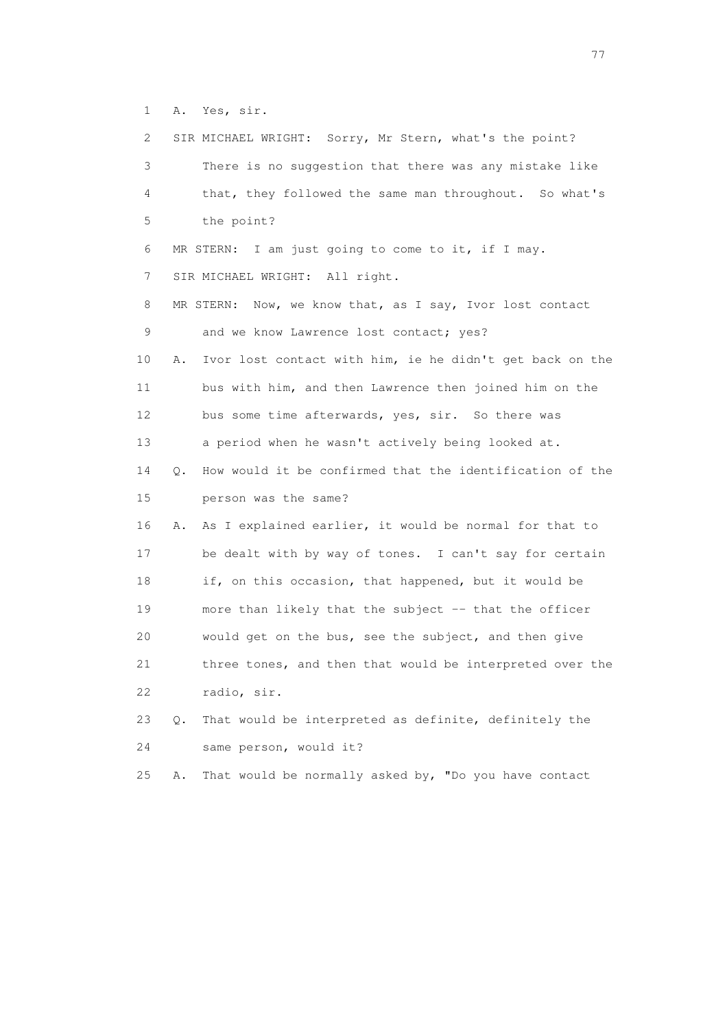1 A. Yes, sir.

| 2  |       | SIR MICHAEL WRIGHT: Sorry, Mr Stern, what's the point?      |
|----|-------|-------------------------------------------------------------|
| 3  |       | There is no suggestion that there was any mistake like      |
| 4  |       | that, they followed the same man throughout. So what's      |
| 5  |       | the point?                                                  |
| 6  |       | MR STERN: I am just going to come to it, if I may.          |
| 7  |       | SIR MICHAEL WRIGHT: All right.                              |
| 8  |       | Now, we know that, as I say, Ivor lost contact<br>MR STERN: |
| 9  |       | and we know Lawrence lost contact; yes?                     |
| 10 | Α.    | Ivor lost contact with him, ie he didn't get back on the    |
| 11 |       | bus with him, and then Lawrence then joined him on the      |
| 12 |       | bus some time afterwards, yes, sir. So there was            |
| 13 |       | a period when he wasn't actively being looked at.           |
| 14 | Q.    | How would it be confirmed that the identification of the    |
| 15 |       | person was the same?                                        |
| 16 | Α.    | As I explained earlier, it would be normal for that to      |
| 17 |       | be dealt with by way of tones. I can't say for certain      |
| 18 |       | if, on this occasion, that happened, but it would be        |
| 19 |       | more than likely that the subject -- that the officer       |
| 20 |       | would get on the bus, see the subject, and then give        |
| 21 |       | three tones, and then that would be interpreted over the    |
| 22 |       | radio, sir.                                                 |
| 23 | $Q$ . | That would be interpreted as definite, definitely the       |
| 24 |       | same person, would it?                                      |
| 25 | Α.    | That would be normally asked by, "Do you have contact       |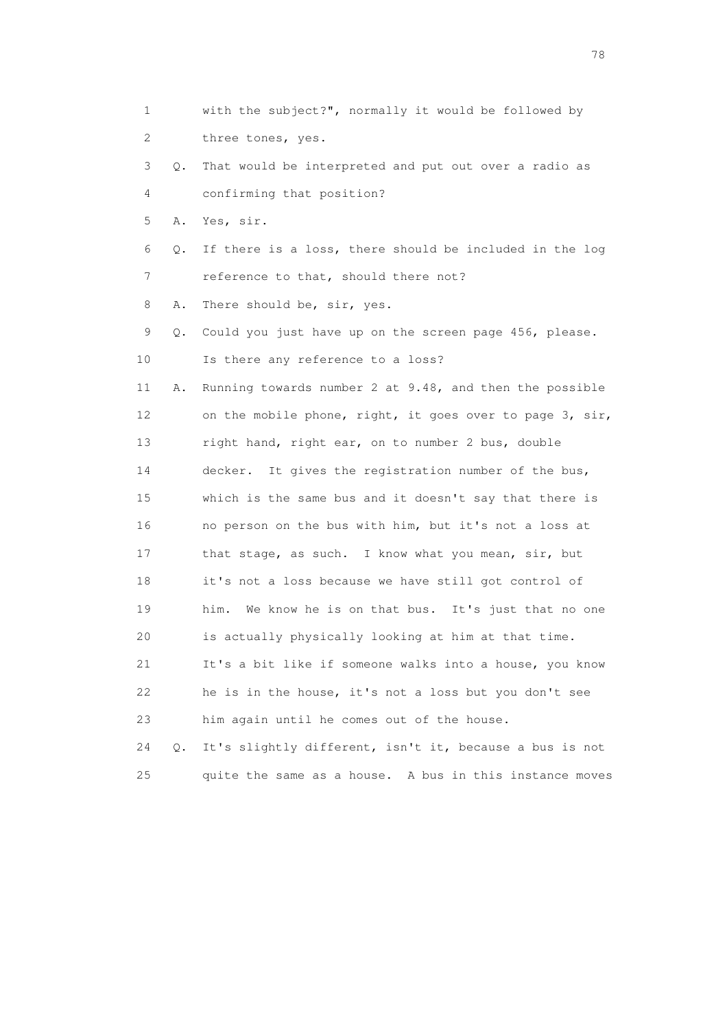1 with the subject?", normally it would be followed by 2 three tones, yes. 3 Q. That would be interpreted and put out over a radio as 4 confirming that position? 5 A. Yes, sir. 6 Q. If there is a loss, there should be included in the log 7 reference to that, should there not? 8 A. There should be, sir, yes. 9 Q. Could you just have up on the screen page 456, please. 10 Is there any reference to a loss? 11 A. Running towards number 2 at 9.48, and then the possible 12 on the mobile phone, right, it goes over to page 3, sir, 13 right hand, right ear, on to number 2 bus, double 14 decker. It gives the registration number of the bus, 15 which is the same bus and it doesn't say that there is 16 no person on the bus with him, but it's not a loss at 17 that stage, as such. I know what you mean, sir, but 18 it's not a loss because we have still got control of 19 him. We know he is on that bus. It's just that no one 20 is actually physically looking at him at that time. 21 It's a bit like if someone walks into a house, you know 22 he is in the house, it's not a loss but you don't see 23 him again until he comes out of the house. 24 Q. It's slightly different, isn't it, because a bus is not

25 quite the same as a house. A bus in this instance moves

n and the state of the state of the state of the state of the state of the state of the state of the state of the state of the state of the state of the state of the state of the state of the state of the state of the stat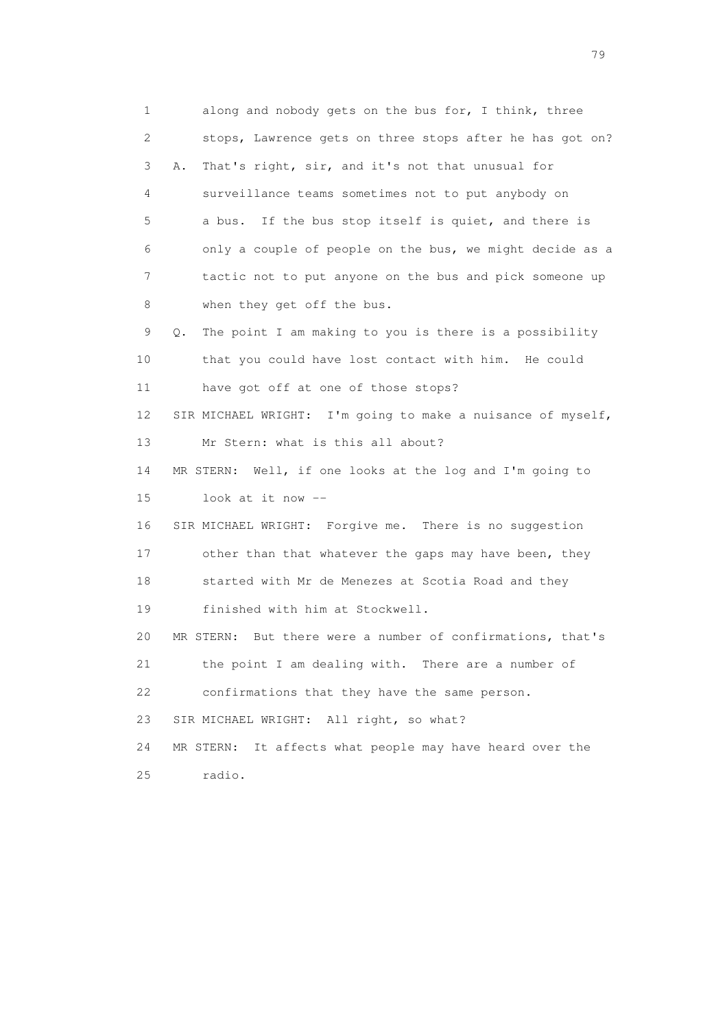1 along and nobody gets on the bus for, I think, three 2 stops, Lawrence gets on three stops after he has got on? 3 A. That's right, sir, and it's not that unusual for 4 surveillance teams sometimes not to put anybody on 5 a bus. If the bus stop itself is quiet, and there is 6 only a couple of people on the bus, we might decide as a 7 tactic not to put anyone on the bus and pick someone up 8 when they get off the bus. 9 Q. The point I am making to you is there is a possibility 10 that you could have lost contact with him. He could 11 have got off at one of those stops? 12 SIR MICHAEL WRIGHT: I'm going to make a nuisance of myself, 13 Mr Stern: what is this all about? 14 MR STERN: Well, if one looks at the log and I'm going to 15 look at it now -- 16 SIR MICHAEL WRIGHT: Forgive me. There is no suggestion 17 other than that whatever the gaps may have been, they 18 started with Mr de Menezes at Scotia Road and they 19 finished with him at Stockwell. 20 MR STERN: But there were a number of confirmations, that's 21 the point I am dealing with. There are a number of 22 confirmations that they have the same person. 23 SIR MICHAEL WRIGHT: All right, so what? 24 MR STERN: It affects what people may have heard over the 25 radio.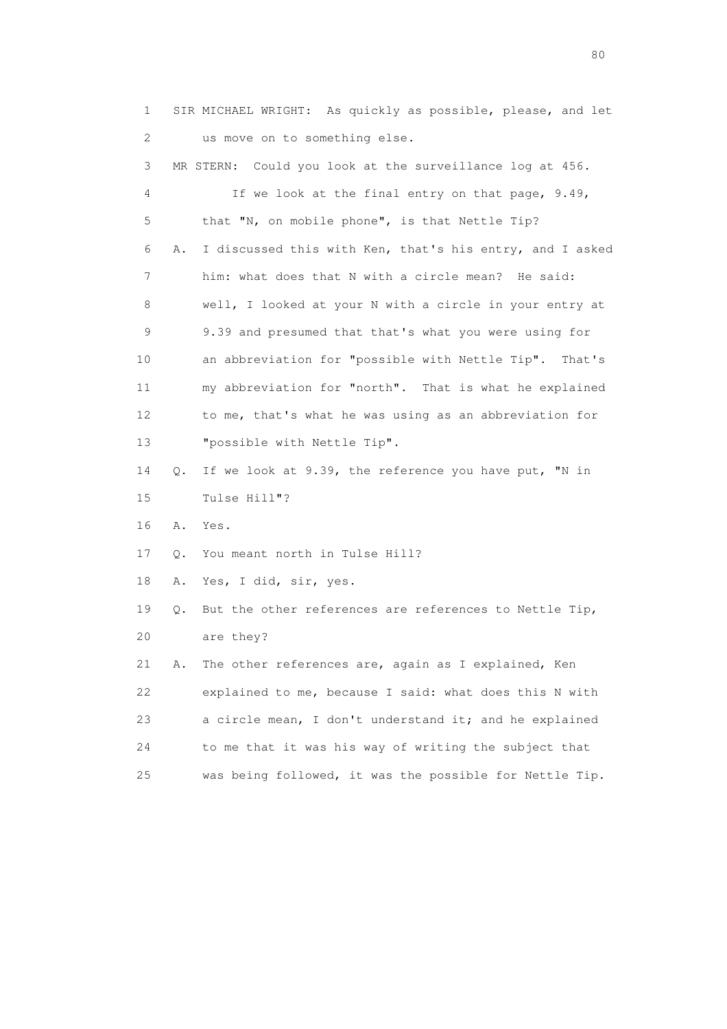1 SIR MICHAEL WRIGHT: As quickly as possible, please, and let 2 us move on to something else. 3 MR STERN: Could you look at the surveillance log at 456. 4 If we look at the final entry on that page, 9.49, 5 that "N, on mobile phone", is that Nettle Tip? 6 A. I discussed this with Ken, that's his entry, and I asked 7 him: what does that N with a circle mean? He said: 8 well, I looked at your N with a circle in your entry at 9 9.39 and presumed that that's what you were using for 10 an abbreviation for "possible with Nettle Tip". That's 11 my abbreviation for "north". That is what he explained 12 to me, that's what he was using as an abbreviation for 13 "possible with Nettle Tip". 14 Q. If we look at 9.39, the reference you have put, "N in 15 Tulse Hill"? 16 A. Yes. 17 Q. You meant north in Tulse Hill? 18 A. Yes, I did, sir, yes. 19 Q. But the other references are references to Nettle Tip, 20 are they? 21 A. The other references are, again as I explained, Ken 22 explained to me, because I said: what does this N with 23 a circle mean, I don't understand it; and he explained 24 to me that it was his way of writing the subject that 25 was being followed, it was the possible for Nettle Tip.

entration of the state of the state of the state of the state of the state of the state of the state of the state of the state of the state of the state of the state of the state of the state of the state of the state of t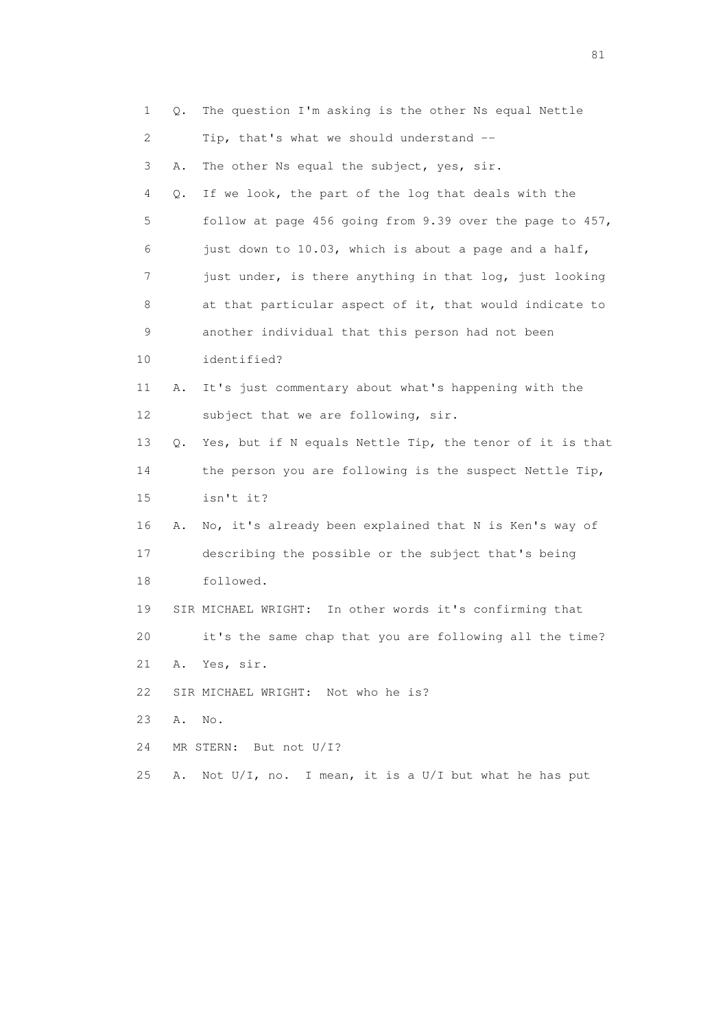| 1  | Q. | The question I'm asking is the other Ns equal Nettle     |
|----|----|----------------------------------------------------------|
| 2  |    | Tip, that's what we should understand --                 |
| 3  | Α. | The other Ns equal the subject, yes, sir.                |
| 4  | Q. | If we look, the part of the log that deals with the      |
| 5  |    | follow at page 456 going from 9.39 over the page to 457, |
| 6  |    | just down to 10.03, which is about a page and a half,    |
| 7  |    | just under, is there anything in that log, just looking  |
| 8  |    | at that particular aspect of it, that would indicate to  |
| 9  |    | another individual that this person had not been         |
| 10 |    | identified?                                              |
| 11 | Α. | It's just commentary about what's happening with the     |
| 12 |    | subject that we are following, sir.                      |
| 13 | Q. | Yes, but if N equals Nettle Tip, the tenor of it is that |
| 14 |    | the person you are following is the suspect Nettle Tip,  |
| 15 |    | isn't it?                                                |
| 16 | Α. | No, it's already been explained that N is Ken's way of   |
| 17 |    | describing the possible or the subject that's being      |
| 18 |    | followed.                                                |
| 19 |    | SIR MICHAEL WRIGHT: In other words it's confirming that  |
| 20 |    | it's the same chap that you are following all the time?  |
| 21 |    | A. Yes, sir.                                             |
| 22 |    | SIR MICHAEL WRIGHT: Not who he is?                       |
| 23 | Α. | No.                                                      |
| 24 |    | MR STERN: But not U/I?                                   |
| 25 | A. | Not U/I, no. I mean, it is a U/I but what he has put     |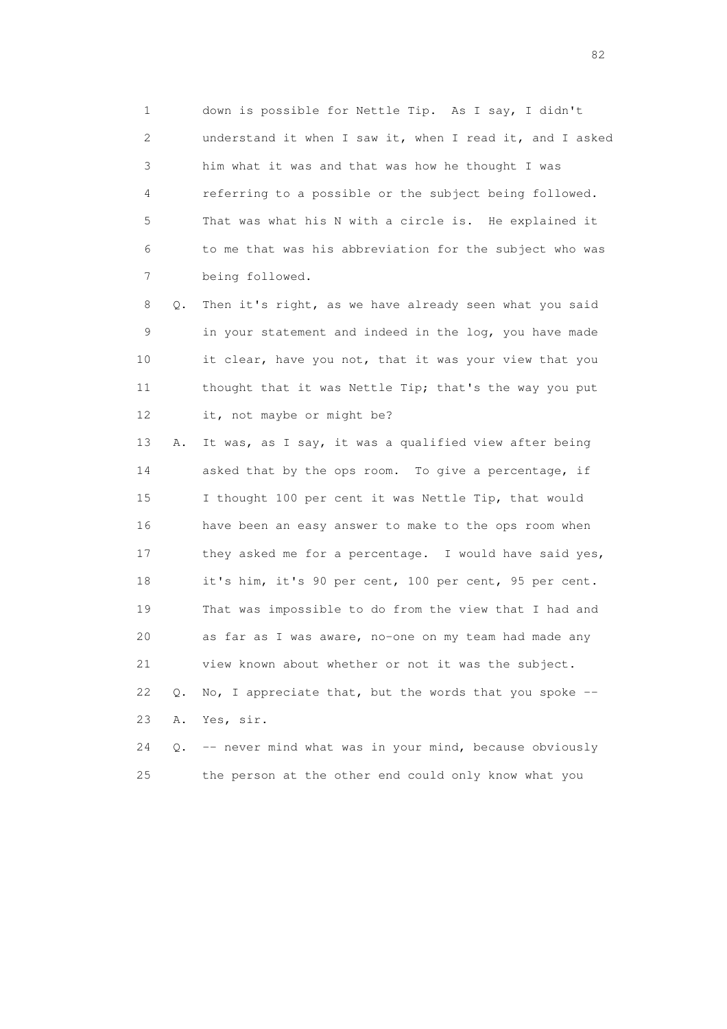1 down is possible for Nettle Tip. As I say, I didn't 2 understand it when I saw it, when I read it, and I asked 3 him what it was and that was how he thought I was 4 referring to a possible or the subject being followed. 5 That was what his N with a circle is. He explained it 6 to me that was his abbreviation for the subject who was 7 being followed.

 8 Q. Then it's right, as we have already seen what you said 9 in your statement and indeed in the log, you have made 10 it clear, have you not, that it was your view that you 11 thought that it was Nettle Tip; that's the way you put 12 it, not maybe or might be?

 13 A. It was, as I say, it was a qualified view after being 14 asked that by the ops room. To give a percentage, if 15 I thought 100 per cent it was Nettle Tip, that would 16 have been an easy answer to make to the ops room when 17 they asked me for a percentage. I would have said yes, 18 it's him, it's 90 per cent, 100 per cent, 95 per cent. 19 That was impossible to do from the view that I had and 20 as far as I was aware, no-one on my team had made any 21 view known about whether or not it was the subject. 22 Q. No, I appreciate that, but the words that you spoke -- 23 A. Yes, sir.

 24 Q. -- never mind what was in your mind, because obviously 25 the person at the other end could only know what you

experience of the state of the state of the state of the state of the state of the state of the state of the s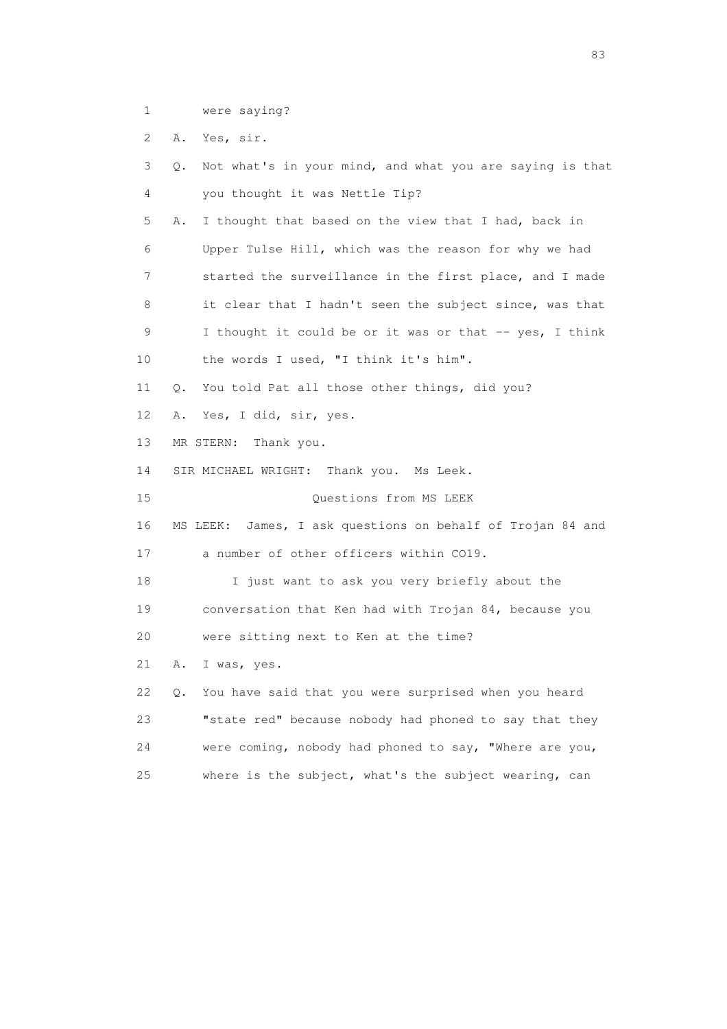1 were saying?

2 A. Yes, sir.

| 3  | Not what's in your mind, and what you are saying is that<br>Q. |
|----|----------------------------------------------------------------|
| 4  | you thought it was Nettle Tip?                                 |
| 5  | I thought that based on the view that I had, back in<br>Α.     |
| 6  | Upper Tulse Hill, which was the reason for why we had          |
| 7  | started the surveillance in the first place, and I made        |
| 8  | it clear that I hadn't seen the subject since, was that        |
| 9  | I thought it could be or it was or that -- yes, I think        |
| 10 | the words I used, "I think it's him".                          |
| 11 | You told Pat all those other things, did you?<br>Q.            |
| 12 | Yes, I did, sir, yes.<br>Α.                                    |
| 13 | MR STERN:<br>Thank you.                                        |
| 14 | SIR MICHAEL WRIGHT: Thank you. Ms Leek.                        |
| 15 | Questions from MS LEEK                                         |
| 16 | MS LEEK:<br>James, I ask questions on behalf of Trojan 84 and  |
| 17 | a number of other officers within CO19.                        |
| 18 | I just want to ask you very briefly about the                  |
| 19 | conversation that Ken had with Trojan 84, because you          |
| 20 | were sitting next to Ken at the time?                          |
| 21 | I was, yes.<br>Α.                                              |
| 22 | You have said that you were surprised when you heard<br>Q.     |
| 23 | "state red" because nobody had phoned to say that they         |
| 24 | were coming, nobody had phoned to say, "Where are you,         |
| 25 | where is the subject, what's the subject wearing, can          |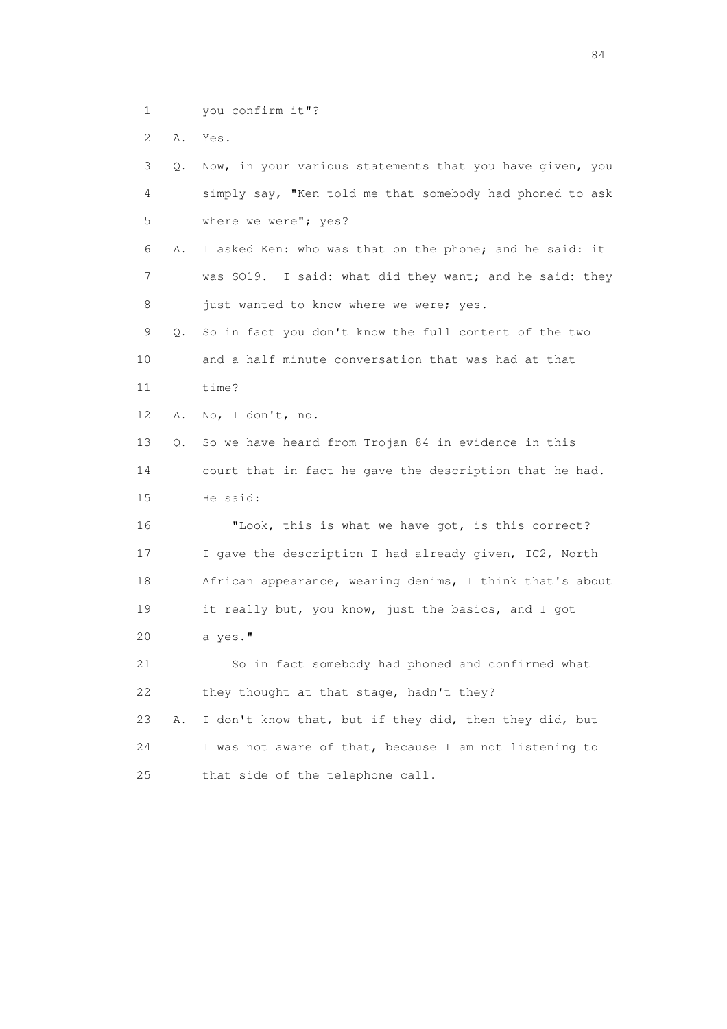1 you confirm it"?

2 A. Yes.

| 3  | 0. | Now, in your various statements that you have given, you |
|----|----|----------------------------------------------------------|
| 4  |    | simply say, "Ken told me that somebody had phoned to ask |
| 5  |    | where we were"; yes?                                     |
| 6  | Α. | I asked Ken: who was that on the phone; and he said: it  |
| 7  |    | was SO19. I said: what did they want; and he said: they  |
| 8  |    | just wanted to know where we were; yes.                  |
| 9  | Q. | So in fact you don't know the full content of the two    |
| 10 |    | and a half minute conversation that was had at that      |
| 11 |    | time?                                                    |
| 12 | Α. | No, I don't, no.                                         |
| 13 | Q. | So we have heard from Trojan 84 in evidence in this      |
| 14 |    | court that in fact he gave the description that he had.  |
| 15 |    | He said:                                                 |
| 16 |    | "Look, this is what we have got, is this correct?        |
| 17 |    | I gave the description I had already given, IC2, North   |
| 18 |    | African appearance, wearing denims, I think that's about |
| 19 |    | it really but, you know, just the basics, and I got      |
| 20 |    | a yes."                                                  |
| 21 |    | So in fact somebody had phoned and confirmed what        |
| 22 |    | they thought at that stage, hadn't they?                 |
| 23 | Α. | I don't know that, but if they did, then they did, but   |
| 24 |    | I was not aware of that, because I am not listening to   |
| 25 |    | that side of the telephone call.                         |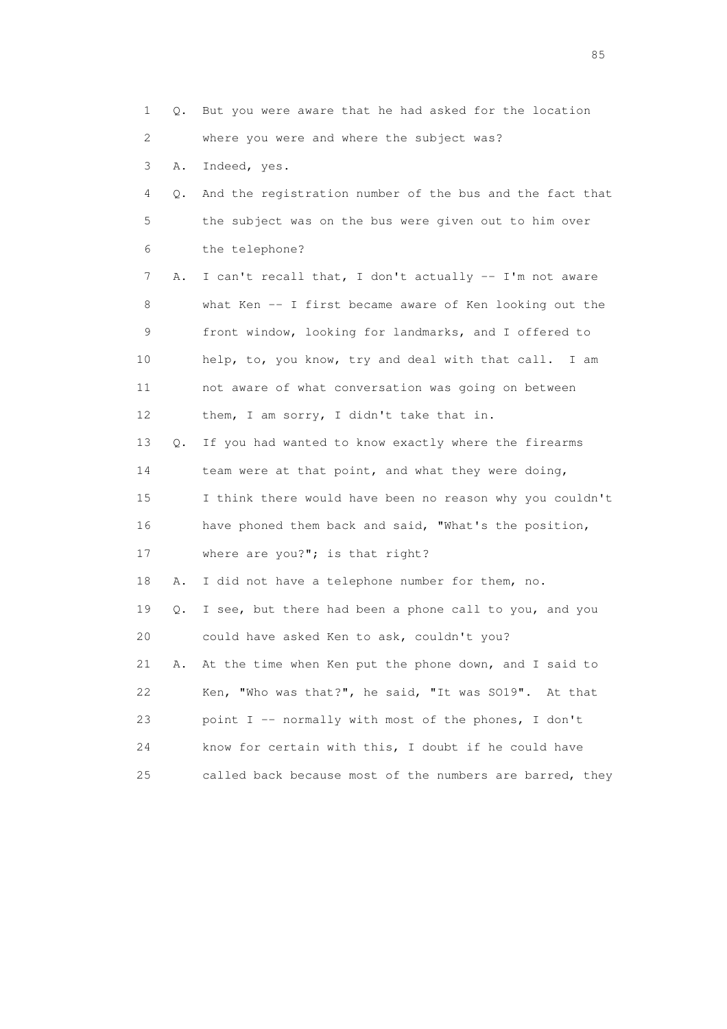1 Q. But you were aware that he had asked for the location 2 where you were and where the subject was? 3 A. Indeed, yes. 4 Q. And the registration number of the bus and the fact that 5 the subject was on the bus were given out to him over 6 the telephone? 7 A. I can't recall that, I don't actually -- I'm not aware 8 what Ken -- I first became aware of Ken looking out the 9 front window, looking for landmarks, and I offered to 10 help, to, you know, try and deal with that call. I am 11 not aware of what conversation was going on between 12 them, I am sorry, I didn't take that in. 13 Q. If you had wanted to know exactly where the firearms 14 team were at that point, and what they were doing, 15 I think there would have been no reason why you couldn't 16 have phoned them back and said, "What's the position, 17 where are you?"; is that right? 18 A. I did not have a telephone number for them, no. 19 Q. I see, but there had been a phone call to you, and you 20 could have asked Ken to ask, couldn't you? 21 A. At the time when Ken put the phone down, and I said to 22 Ken, "Who was that?", he said, "It was SO19". At that 23 point I -- normally with most of the phones, I don't 24 know for certain with this, I doubt if he could have 25 called back because most of the numbers are barred, they

experience of the contract of the contract of the contract of the contract of the contract of the contract of the contract of the contract of the contract of the contract of the contract of the contract of the contract of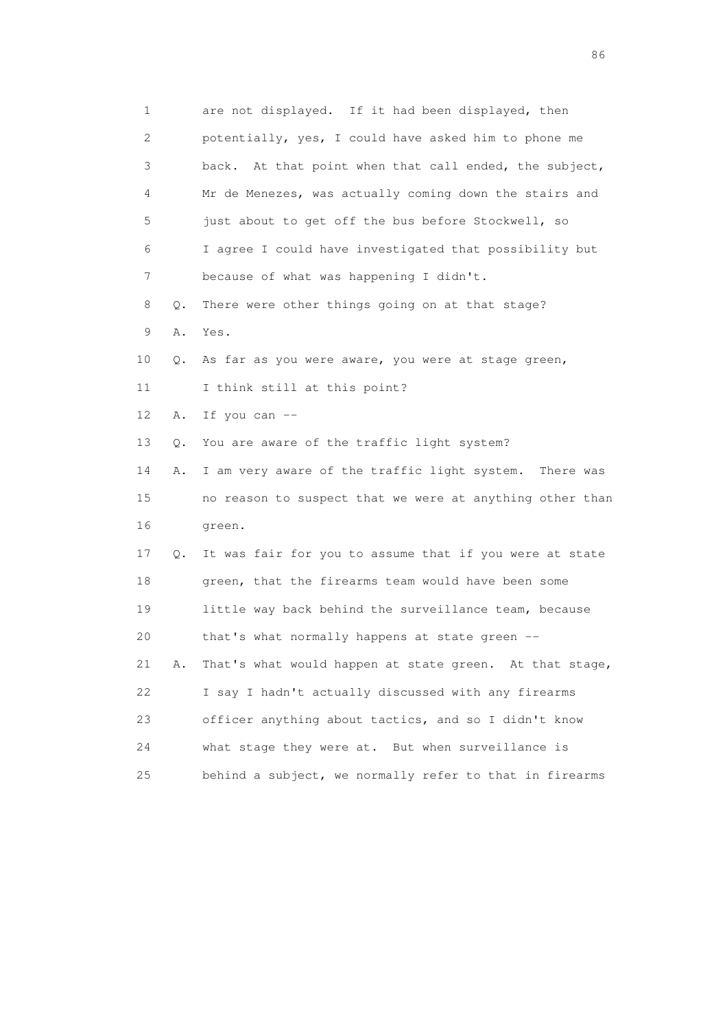| 1                         |    | are not displayed. If it had been displayed, then        |
|---------------------------|----|----------------------------------------------------------|
| $\mathbf{2}^{\mathsf{I}}$ |    | potentially, yes, I could have asked him to phone me     |
| 3                         |    | back. At that point when that call ended, the subject,   |
| 4                         |    | Mr de Menezes, was actually coming down the stairs and   |
| 5                         |    | just about to get off the bus before Stockwell, so       |
| 6                         |    | I agree I could have investigated that possibility but   |
| 7                         |    | because of what was happening I didn't.                  |
| 8                         | Q. | There were other things going on at that stage?          |
| 9                         | Α. | Yes.                                                     |
| 10                        | Q. | As far as you were aware, you were at stage green,       |
| 11                        |    | I think still at this point?                             |
| 12 <sup>°</sup>           | Α. | If you can --                                            |
| 13                        | Q. | You are aware of the traffic light system?               |
| 14                        | Α. | I am very aware of the traffic light system. There was   |
| 15                        |    | no reason to suspect that we were at anything other than |
| 16                        |    | green.                                                   |
| 17                        | Q. | It was fair for you to assume that if you were at state  |
| 18                        |    | green, that the firearms team would have been some       |
| 19                        |    | little way back behind the surveillance team, because    |
| 20                        |    | that's what normally happens at state green --           |
| 21                        | Α. | That's what would happen at state green. At that stage,  |
| 22                        |    | I say I hadn't actually discussed with any firearms      |
| 23                        |    | officer anything about tactics, and so I didn't know     |
| 24                        |    | what stage they were at. But when surveillance is        |
| 25                        |    | behind a subject, we normally refer to that in firearms  |

entration of the contract of the contract of the contract of the contract of the contract of the contract of the contract of the contract of the contract of the contract of the contract of the contract of the contract of t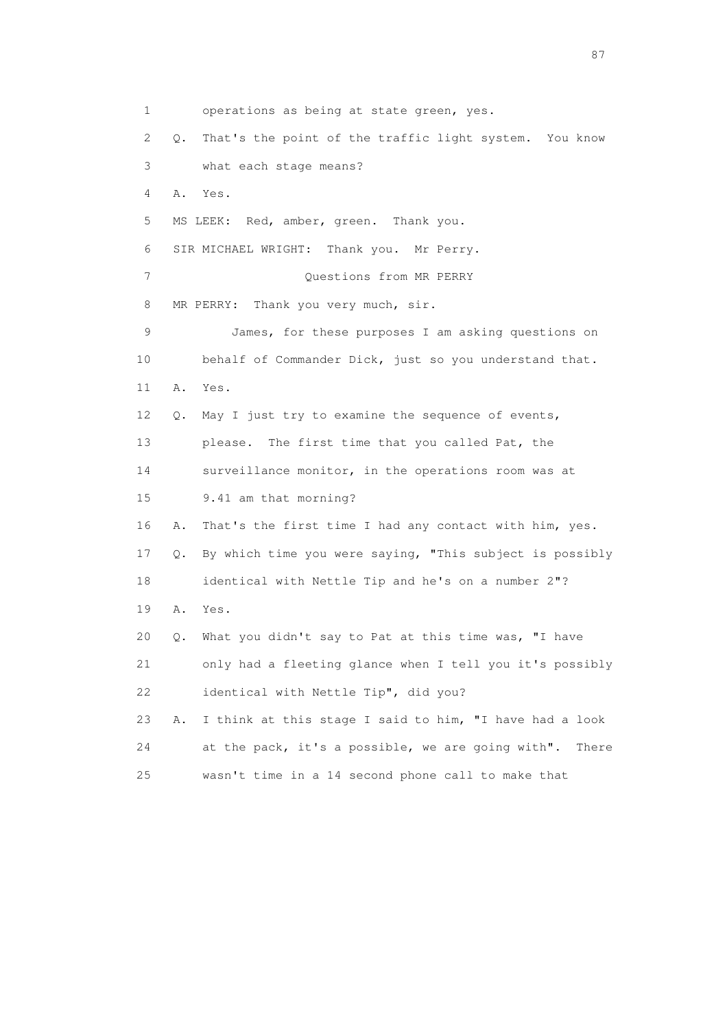1 operations as being at state green, yes. 2 Q. That's the point of the traffic light system. You know 3 what each stage means? 4 A. Yes. 5 MS LEEK: Red, amber, green. Thank you. 6 SIR MICHAEL WRIGHT: Thank you. Mr Perry. 7 Ouestions from MR PERRY 8 MR PERRY: Thank you very much, sir. 9 James, for these purposes I am asking questions on 10 behalf of Commander Dick, just so you understand that. 11 A. Yes. 12 Q. May I just try to examine the sequence of events, 13 please. The first time that you called Pat, the 14 surveillance monitor, in the operations room was at 15 9.41 am that morning? 16 A. That's the first time I had any contact with him, yes. 17 Q. By which time you were saying, "This subject is possibly 18 identical with Nettle Tip and he's on a number 2"? 19 A. Yes. 20 Q. What you didn't say to Pat at this time was, "I have 21 only had a fleeting glance when I tell you it's possibly 22 identical with Nettle Tip", did you? 23 A. I think at this stage I said to him, "I have had a look 24 at the pack, it's a possible, we are going with". There 25 wasn't time in a 14 second phone call to make that

experience of the state of the state of the state of the state of the state of the state of the state of the state of the state of the state of the state of the state of the state of the state of the state of the state of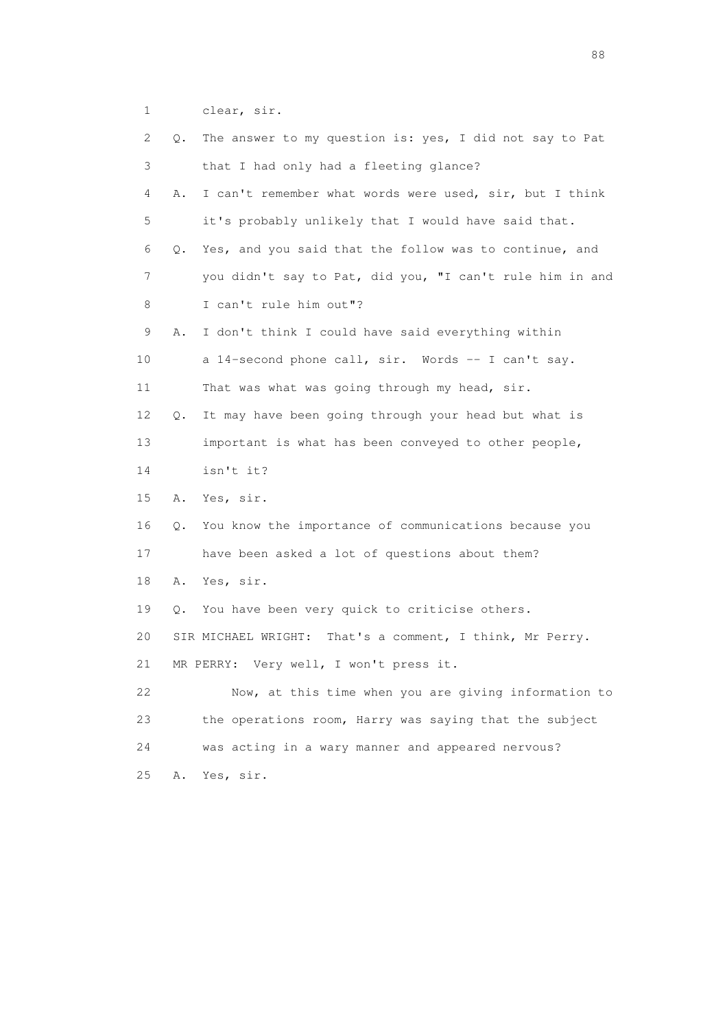1 clear, sir.

| 2  | Q. | The answer to my question is: yes, I did not say to Pat     |
|----|----|-------------------------------------------------------------|
| 3  |    | that I had only had a fleeting glance?                      |
| 4  | Α. | I can't remember what words were used, sir, but I think     |
| 5  |    | it's probably unlikely that I would have said that.         |
| 6  | Q. | Yes, and you said that the follow was to continue, and      |
| 7  |    | you didn't say to Pat, did you, "I can't rule him in and    |
| 8  |    | I can't rule him out"?                                      |
| 9  | Α. | I don't think I could have said everything within           |
| 10 |    | a 14-second phone call, sir. Words -- I can't say.          |
| 11 |    | That was what was going through my head, sir.               |
| 12 | Q. | It may have been going through your head but what is        |
| 13 |    | important is what has been conveyed to other people,        |
| 14 |    | isn't it?                                                   |
| 15 | Α. | Yes, sir.                                                   |
| 16 | Q. | You know the importance of communications because you       |
| 17 |    | have been asked a lot of questions about them?              |
| 18 | Α. | Yes, sir.                                                   |
| 19 | Q. | You have been very quick to criticise others.               |
| 20 |    | That's a comment, I think, Mr Perry.<br>SIR MICHAEL WRIGHT: |
| 21 |    | Very well, I won't press it.<br>MR PERRY:                   |
| 22 |    | Now, at this time when you are giving information to        |
| 23 |    | the operations room, Harry was saying that the subject      |
| 24 |    | was acting in a wary manner and appeared nervous?           |
| 25 | Α. | Yes, sir.                                                   |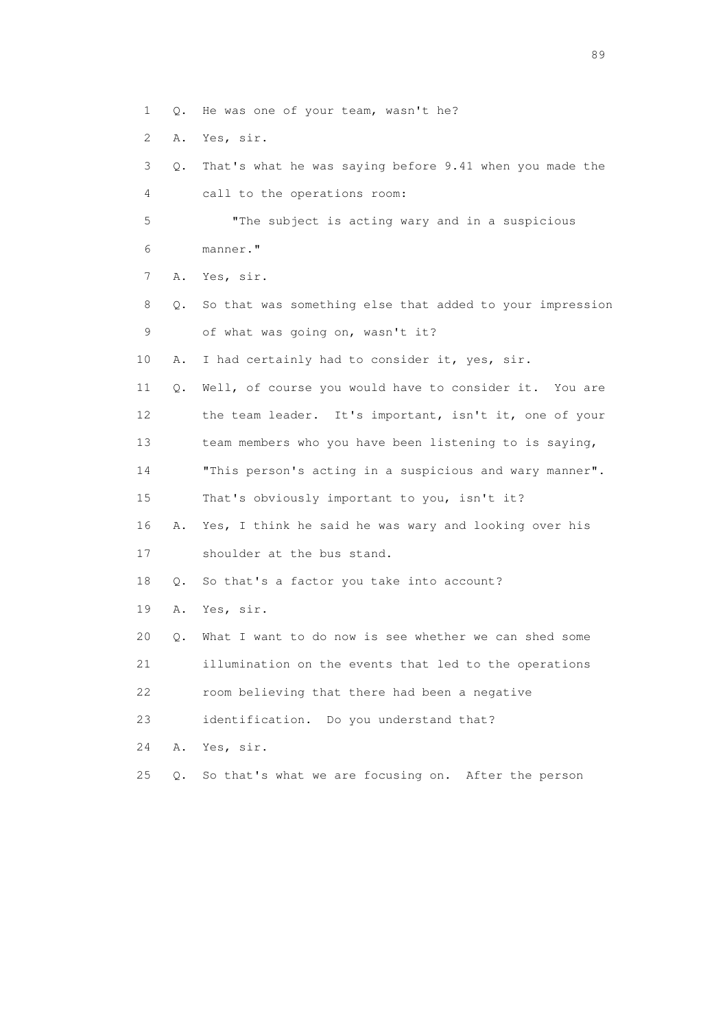- 1 Q. He was one of your team, wasn't he?
- 2 A. Yes, sir.
- 3 Q. That's what he was saying before 9.41 when you made the 4 call to the operations room:

 5 "The subject is acting wary and in a suspicious 6 manner."

7 A. Yes, sir.

- 8 Q. So that was something else that added to your impression 9 of what was going on, wasn't it?
- 10 A. I had certainly had to consider it, yes, sir.

 11 Q. Well, of course you would have to consider it. You are 12 the team leader. It's important, isn't it, one of your 13 team members who you have been listening to is saying,

14 "This person's acting in a suspicious and wary manner".

15 That's obviously important to you, isn't it?

16 A. Yes, I think he said he was wary and looking over his

17 shoulder at the bus stand.

18 Q. So that's a factor you take into account?

19 A. Yes, sir.

20 Q. What I want to do now is see whether we can shed some

21 illumination on the events that led to the operations

22 room believing that there had been a negative

23 identification. Do you understand that?

24 A. Yes, sir.

25 Q. So that's what we are focusing on. After the person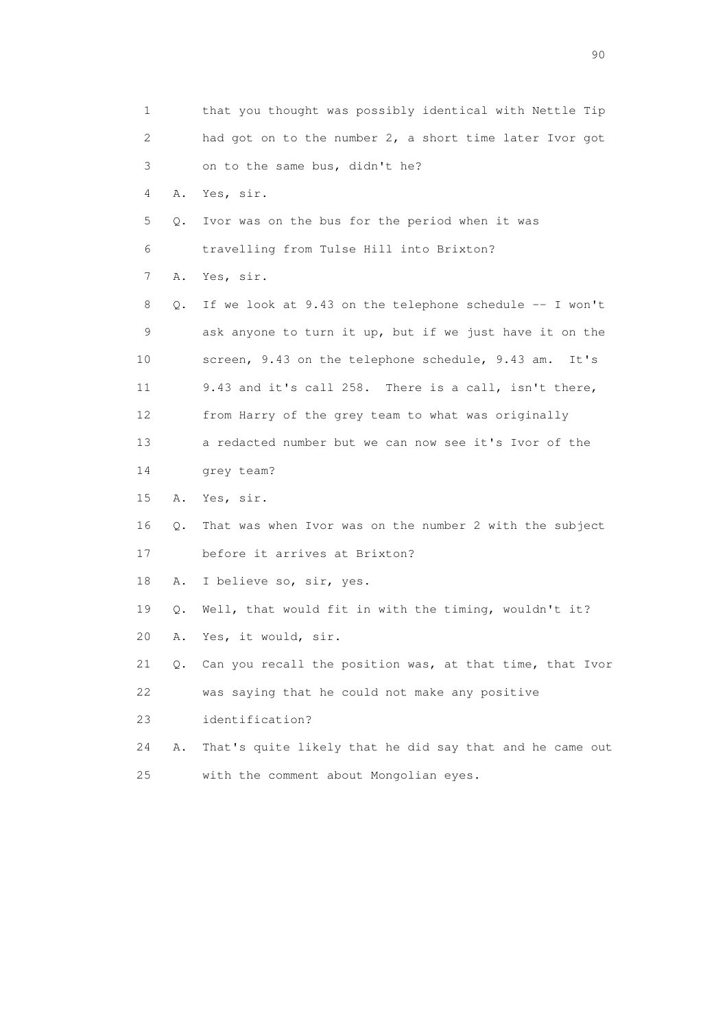| $\mathbf{1}$ |    | that you thought was possibly identical with Nettle Tip  |
|--------------|----|----------------------------------------------------------|
| 2            |    | had got on to the number 2, a short time later Ivor got  |
| 3            |    | on to the same bus, didn't he?                           |
| 4            | Α. | Yes, sir.                                                |
| 5            | Q. | Ivor was on the bus for the period when it was           |
| 6            |    | travelling from Tulse Hill into Brixton?                 |
| 7            | Α. | Yes, sir.                                                |
| 8            | Q. | If we look at 9.43 on the telephone schedule -- I won't  |
| 9            |    | ask anyone to turn it up, but if we just have it on the  |
| 10           |    | screen, 9.43 on the telephone schedule, 9.43 am.<br>It's |
| 11           |    | 9.43 and it's call 258. There is a call, isn't there,    |
| 12           |    | from Harry of the grey team to what was originally       |
| 13           |    | a redacted number but we can now see it's Ivor of the    |
| 14           |    | grey team?                                               |
| 15           | Α. | Yes, sir.                                                |
| 16           | Q. | That was when Ivor was on the number 2 with the subject  |
| 17           |    | before it arrives at Brixton?                            |
| 18           | Α. | I believe so, sir, yes.                                  |
| 19           | Q. | Well, that would fit in with the timing, wouldn't it?    |
| 20           | Α. | Yes, it would, sir.                                      |
| 21           | Q. | Can you recall the position was, at that time, that Ivor |
| 22           |    | was saying that he could not make any positive           |
| 23           |    | identification?                                          |
| 24           | Α. | That's quite likely that he did say that and he came out |
| 25           |    | with the comment about Mongolian eyes.                   |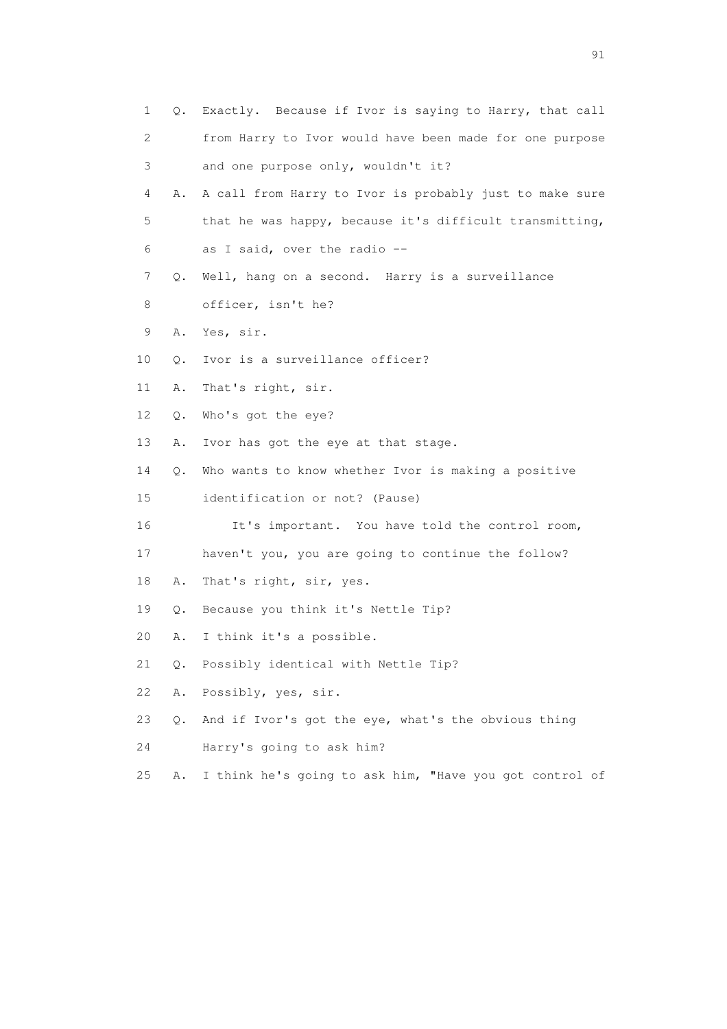| $\mathbf 1$ | Q.        | Exactly. Because if Ivor is saying to Harry, that call  |
|-------------|-----------|---------------------------------------------------------|
| 2           |           | from Harry to Ivor would have been made for one purpose |
| 3           |           | and one purpose only, wouldn't it?                      |
| 4           | Α.        | A call from Harry to Ivor is probably just to make sure |
| 5           |           | that he was happy, because it's difficult transmitting, |
| 6           |           | as I said, over the radio --                            |
| 7           |           | Q. Well, hang on a second. Harry is a surveillance      |
| 8           |           | officer, isn't he?                                      |
| 9           | Α.        | Yes, sir.                                               |
| 10          | Q.        | Ivor is a surveillance officer?                         |
| 11          | Α.        | That's right, sir.                                      |
| 12          | Q.        | Who's got the eye?                                      |
| 13          | Α.        | Ivor has got the eye at that stage.                     |
| 14          | $\circ$ . | Who wants to know whether Ivor is making a positive     |
| 15          |           | identification or not? (Pause)                          |
| 16          |           | It's important. You have told the control room,         |
| 17          |           | haven't you, you are going to continue the follow?      |
| 18          | Α.        | That's right, sir, yes.                                 |
| 19          | Q.        | Because you think it's Nettle Tip?                      |
| 20          | Α.        | I think it's a possible.                                |
| 21          |           | Q. Possibly identical with Nettle Tip?                  |
| 22          | Α.        | Possibly, yes, sir.                                     |
| 23          | О.        | And if Ivor's got the eye, what's the obvious thing     |
| 24          |           | Harry's going to ask him?                               |
| 25          | Α.        | I think he's going to ask him, "Have you got control of |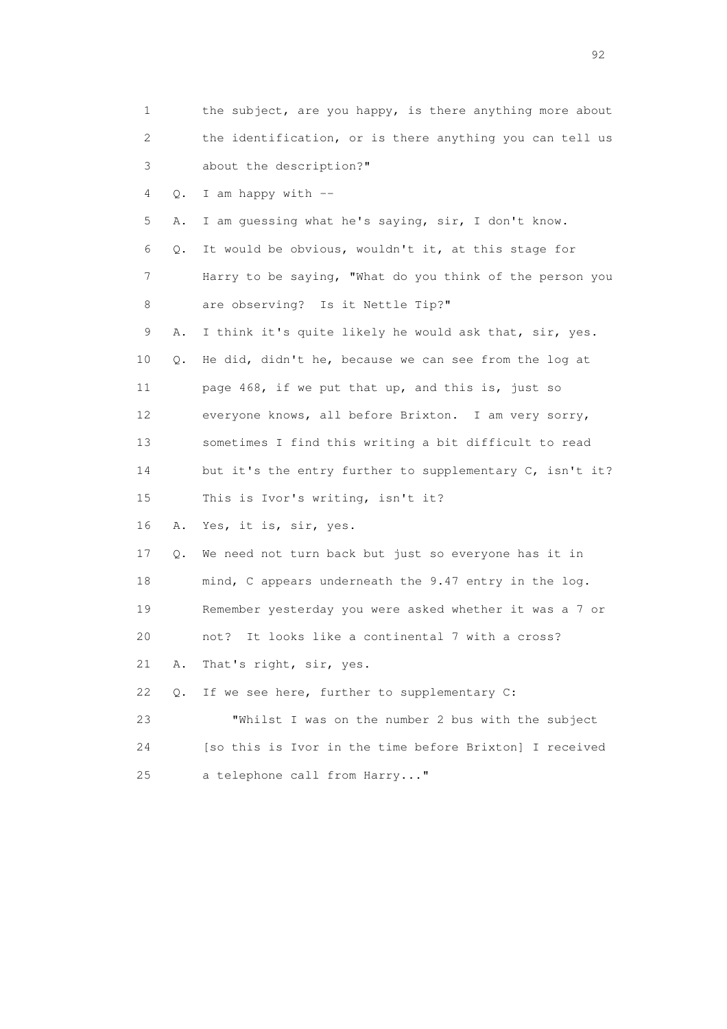|    | 1       | the subject, are you happy, is there anything more about |
|----|---------|----------------------------------------------------------|
|    | 2       | the identification, or is there anything you can tell us |
|    | 3       | about the description?"                                  |
|    | 4<br>Q. | I am happy with --                                       |
|    | 5<br>Α. | I am guessing what he's saying, sir, I don't know.       |
|    | 6<br>Q. | It would be obvious, wouldn't it, at this stage for      |
|    | 7       | Harry to be saying, "What do you think of the person you |
|    | 8       | are observing? Is it Nettle Tip?"                        |
|    | 9<br>Α. | I think it's quite likely he would ask that, sir, yes.   |
| 10 | Q.      | He did, didn't he, because we can see from the log at    |
| 11 |         | page 468, if we put that up, and this is, just so        |
| 12 |         | everyone knows, all before Brixton. I am very sorry,     |
| 13 |         | sometimes I find this writing a bit difficult to read    |
| 14 |         | but it's the entry further to supplementary C, isn't it? |
| 15 |         | This is Ivor's writing, isn't it?                        |
| 16 | Α.      | Yes, it is, sir, yes.                                    |
| 17 | Q.      | We need not turn back but just so everyone has it in     |
| 18 |         | mind, C appears underneath the 9.47 entry in the log.    |
| 19 |         | Remember yesterday you were asked whether it was a 7 or  |
| 20 |         | It looks like a continental 7 with a cross?<br>not?      |
| 21 | Α.      | That's right, sir, yes.                                  |
| 22 | $Q$ .   | If we see here, further to supplementary C:              |
| 23 |         | "Whilst I was on the number 2 bus with the subject       |
| 24 |         | [so this is Ivor in the time before Brixton] I received  |
| 25 |         | a telephone call from Harry"                             |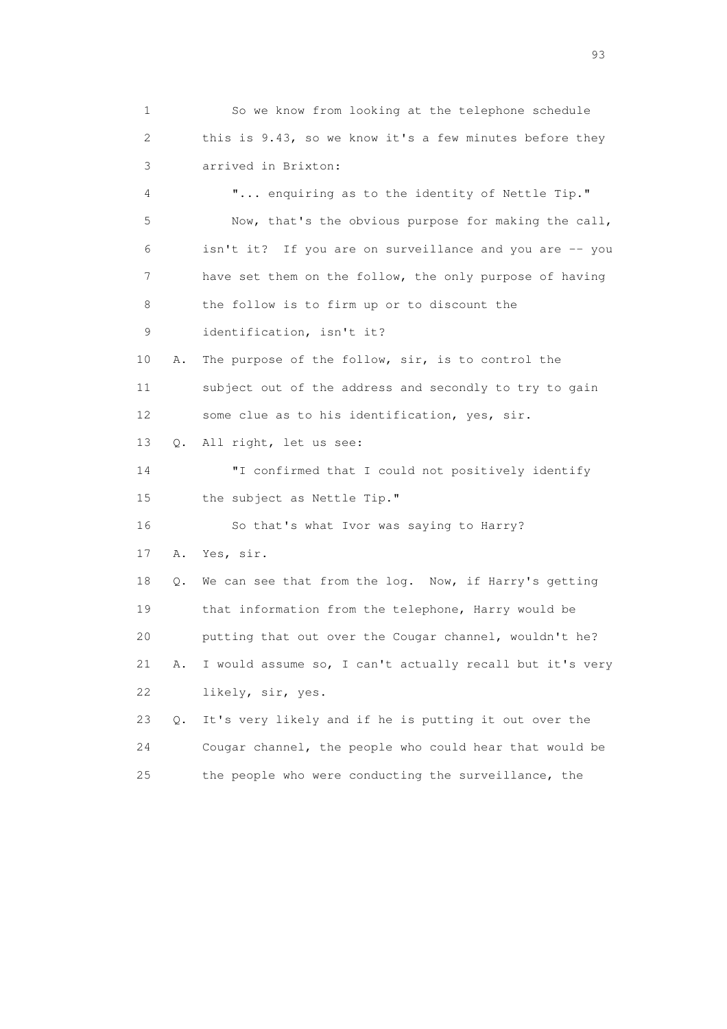1 So we know from looking at the telephone schedule 2 this is 9.43, so we know it's a few minutes before they 3 arrived in Brixton: 4 "... enquiring as to the identity of Nettle Tip." 5 Now, that's the obvious purpose for making the call, 6 isn't it? If you are on surveillance and you are -- you 7 have set them on the follow, the only purpose of having 8 the follow is to firm up or to discount the 9 identification, isn't it? 10 A. The purpose of the follow, sir, is to control the 11 subject out of the address and secondly to try to gain 12 some clue as to his identification, yes, sir. 13 Q. All right, let us see: 14 "I confirmed that I could not positively identify 15 the subject as Nettle Tip." 16 So that's what Ivor was saying to Harry? 17 A. Yes, sir. 18 Q. We can see that from the log. Now, if Harry's getting 19 that information from the telephone, Harry would be 20 putting that out over the Cougar channel, wouldn't he? 21 A. I would assume so, I can't actually recall but it's very 22 likely, sir, yes. 23 Q. It's very likely and if he is putting it out over the 24 Cougar channel, the people who could hear that would be 25 the people who were conducting the surveillance, the

experience of the contract of the contract of the contract of the contract of the contract of the contract of the contract of the contract of the contract of the contract of the contract of the contract of the contract of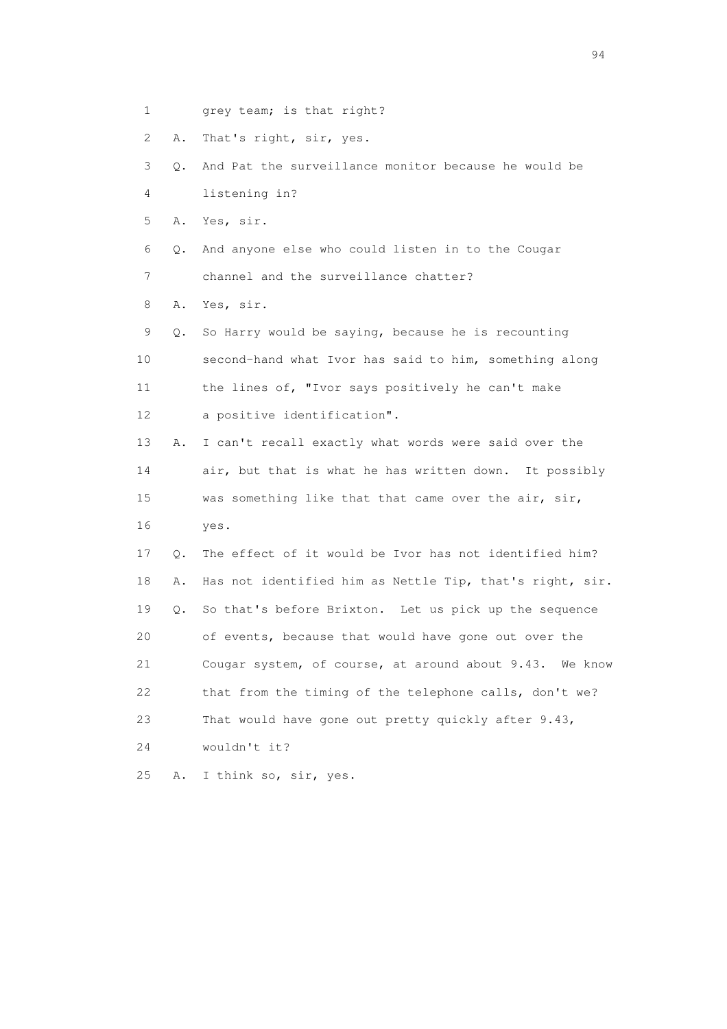1 grey team; is that right?

2 A. That's right, sir, yes.

 3 Q. And Pat the surveillance monitor because he would be 4 listening in?

5 A. Yes, sir.

 6 Q. And anyone else who could listen in to the Cougar 7 channel and the surveillance chatter?

8 A. Yes, sir.

 9 Q. So Harry would be saying, because he is recounting 10 second-hand what Ivor has said to him, something along 11 the lines of, "Ivor says positively he can't make 12 a positive identification".

 13 A. I can't recall exactly what words were said over the 14 air, but that is what he has written down. It possibly 15 was something like that that came over the air, sir, 16 yes.

 17 Q. The effect of it would be Ivor has not identified him? 18 A. Has not identified him as Nettle Tip, that's right, sir. 19 Q. So that's before Brixton. Let us pick up the sequence 20 of events, because that would have gone out over the 21 Cougar system, of course, at around about 9.43. We know 22 that from the timing of the telephone calls, don't we? 23 That would have gone out pretty quickly after 9.43, 24 wouldn't it?

25 A. I think so, sir, yes.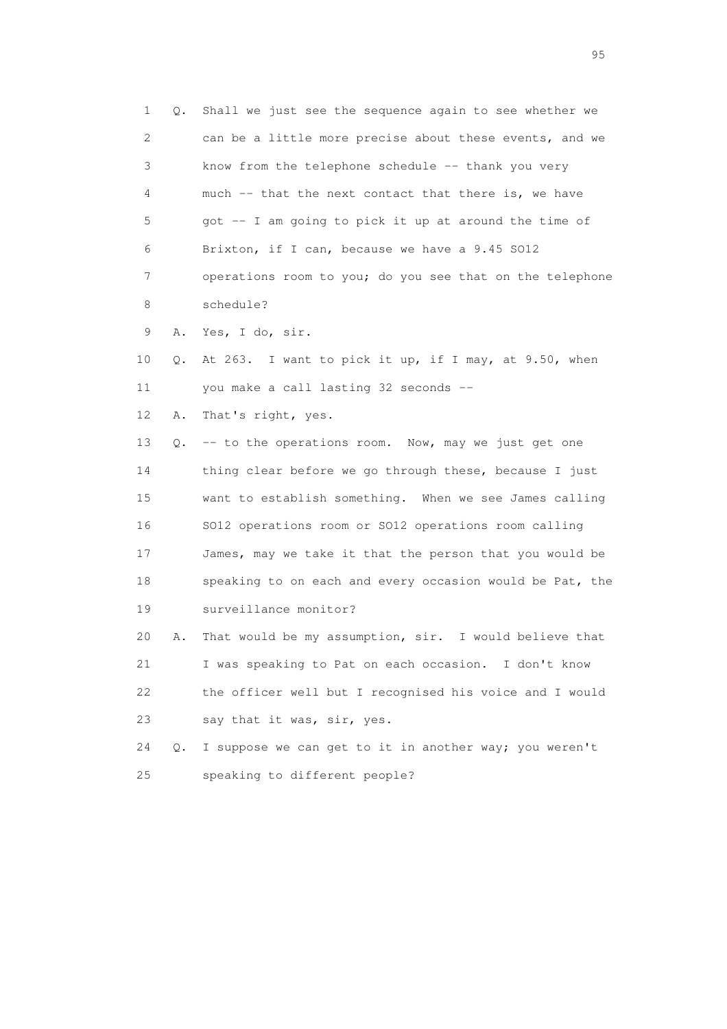1 Q. Shall we just see the sequence again to see whether we 2 can be a little more precise about these events, and we 3 know from the telephone schedule -- thank you very 4 much -- that the next contact that there is, we have 5 got -- I am going to pick it up at around the time of 6 Brixton, if I can, because we have a 9.45 SO12 7 operations room to you; do you see that on the telephone 8 schedule? 9 A. Yes, I do, sir. 10 Q. At 263. I want to pick it up, if I may, at 9.50, when 11 you make a call lasting 32 seconds -- 12 A. That's right, yes. 13 Q. -- to the operations room. Now, may we just get one 14 thing clear before we go through these, because I just 15 want to establish something. When we see James calling 16 SO12 operations room or SO12 operations room calling 17 James, may we take it that the person that you would be 18 speaking to on each and every occasion would be Pat, the 19 surveillance monitor? 20 A. That would be my assumption, sir. I would believe that 21 I was speaking to Pat on each occasion. I don't know 22 the officer well but I recognised his voice and I would 23 say that it was, sir, yes. 24 Q. I suppose we can get to it in another way; you weren't 25 speaking to different people?

experience of the contract of the contract of the contract of the contract of the contract of the contract of the contract of the contract of the contract of the contract of the contract of the contract of the contract of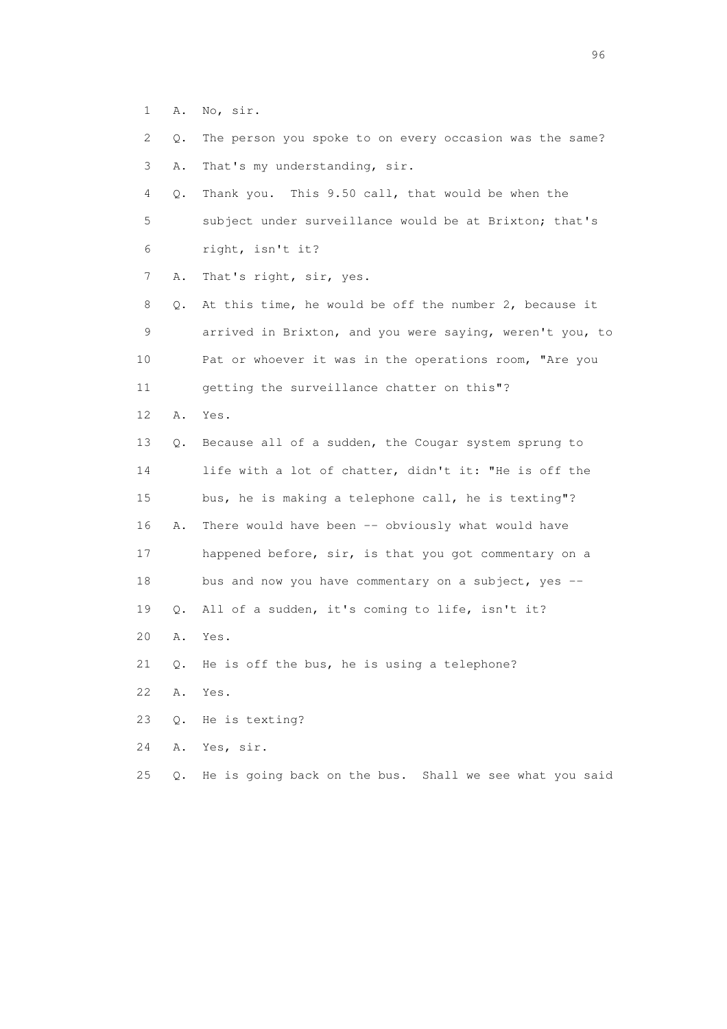1 A. No, sir.

| $\mathbf{2}$ | Q.    | The person you spoke to on every occasion was the same?  |
|--------------|-------|----------------------------------------------------------|
| 3            | Α.    | That's my understanding, sir.                            |
| 4            | Q.    | Thank you. This 9.50 call, that would be when the        |
| 5            |       | subject under surveillance would be at Brixton; that's   |
| 6            |       | right, isn't it?                                         |
| 7            | Α.    | That's right, sir, yes.                                  |
| 8            | Q.    | At this time, he would be off the number 2, because it   |
| 9            |       | arrived in Brixton, and you were saying, weren't you, to |
| 10           |       | Pat or whoever it was in the operations room, "Are you   |
| 11           |       | getting the surveillance chatter on this"?               |
| 12           | Α.    | Yes.                                                     |
| 13           | Q.    | Because all of a sudden, the Cougar system sprung to     |
| 14           |       | life with a lot of chatter, didn't it: "He is off the    |
| 15           |       | bus, he is making a telephone call, he is texting"?      |
| 16           | Α.    | There would have been -- obviously what would have       |
| 17           |       | happened before, sir, is that you got commentary on a    |
| 18           |       | bus and now you have commentary on a subject, yes --     |
| 19           | Q.    | All of a sudden, it's coming to life, isn't it?          |
| 20           | Α.    | Yes.                                                     |
| 21           | Q.    | He is off the bus, he is using a telephone?              |
| 22           | Α.    | Yes.                                                     |
| 23           | $Q$ . | He is texting?                                           |
| 24           | Α.    | Yes, sir.                                                |
| 25           | $Q$ . | He is going back on the bus. Shall we see what you said  |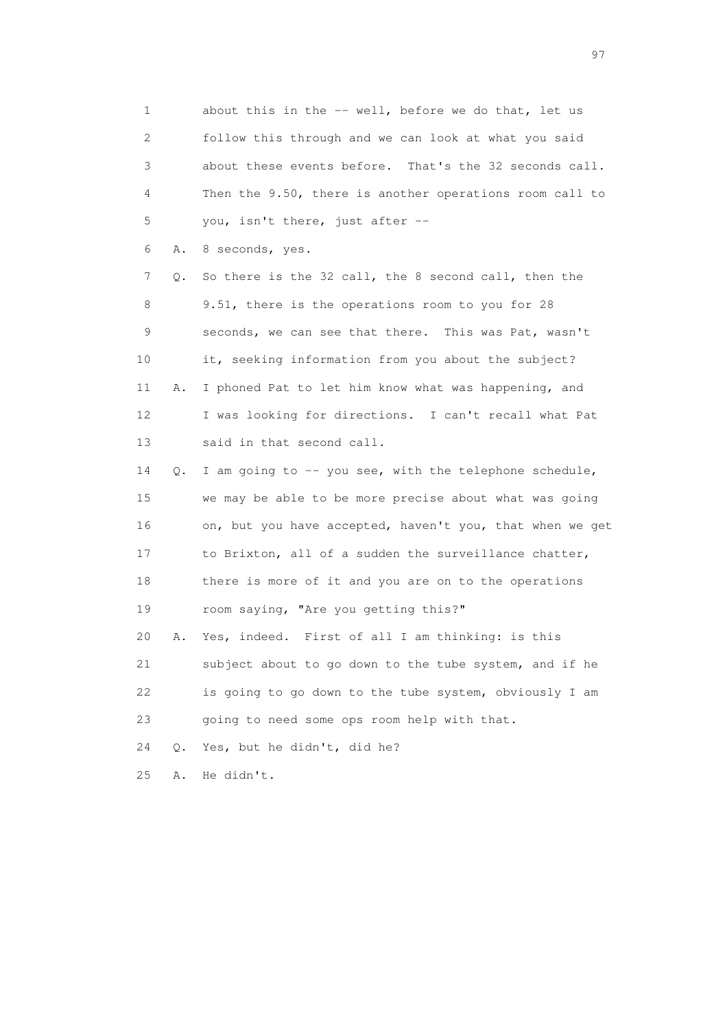1 about this in the -- well, before we do that, let us 2 follow this through and we can look at what you said 3 about these events before. That's the 32 seconds call. 4 Then the 9.50, there is another operations room call to 5 you, isn't there, just after --

6 A. 8 seconds, yes.

 7 Q. So there is the 32 call, the 8 second call, then the 8 9.51, there is the operations room to you for 28 9 seconds, we can see that there. This was Pat, wasn't 10 it, seeking information from you about the subject? 11 A. I phoned Pat to let him know what was happening, and 12 I was looking for directions. I can't recall what Pat 13 said in that second call.

 14 Q. I am going to -- you see, with the telephone schedule, 15 we may be able to be more precise about what was going 16 on, but you have accepted, haven't you, that when we get 17 to Brixton, all of a sudden the surveillance chatter, 18 there is more of it and you are on to the operations 19 room saying, "Are you getting this?"

 20 A. Yes, indeed. First of all I am thinking: is this 21 subject about to go down to the tube system, and if he 22 is going to go down to the tube system, obviously I am 23 going to need some ops room help with that.

24 Q. Yes, but he didn't, did he?

25 A. He didn't.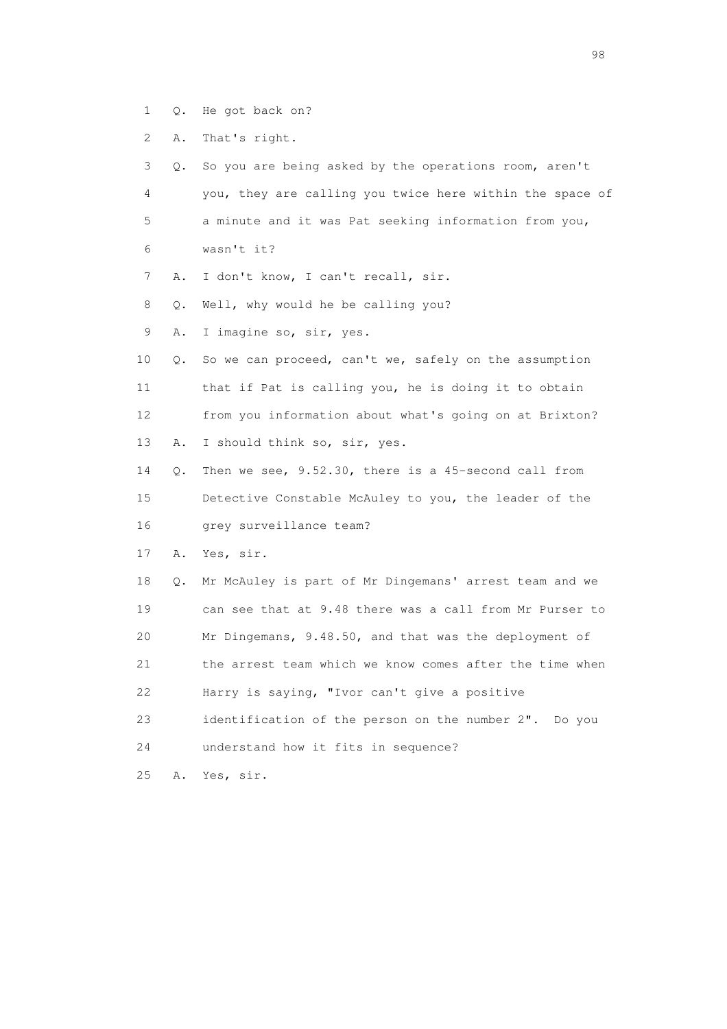- 1 Q. He got back on?
- 2 A. That's right.

| 3  | Q.        | So you are being asked by the operations room, aren't    |
|----|-----------|----------------------------------------------------------|
| 4  |           | you, they are calling you twice here within the space of |
| 5  |           | a minute and it was Pat seeking information from you,    |
| 6  |           | wasn't it?                                               |
| 7  | Α.        | I don't know, I can't recall, sir.                       |
| 8  | $\circ$ . | Well, why would he be calling you?                       |
| 9  | Α.        | I imagine so, sir, yes.                                  |
| 10 | Q.        | So we can proceed, can't we, safely on the assumption    |
| 11 |           | that if Pat is calling you, he is doing it to obtain     |
| 12 |           | from you information about what's going on at Brixton?   |
| 13 | Α.        | I should think so, sir, yes.                             |
| 14 | О.        | Then we see, 9.52.30, there is a 45-second call from     |
| 15 |           | Detective Constable McAuley to you, the leader of the    |
| 16 |           | qrey surveillance team?                                  |
| 17 | Α.        | Yes, sir.                                                |
| 18 | Q.        | Mr McAuley is part of Mr Dingemans' arrest team and we   |
| 19 |           | can see that at 9.48 there was a call from Mr Purser to  |
| 20 |           | Mr Dingemans, 9.48.50, and that was the deployment of    |
| 21 |           | the arrest team which we know comes after the time when  |
| 22 |           | Harry is saying, "Ivor can't give a positive             |
| 23 |           | identification of the person on the number 2". Do you    |
| 24 |           | understand how it fits in sequence?                      |
| 25 | Α.        | Yes, sir.                                                |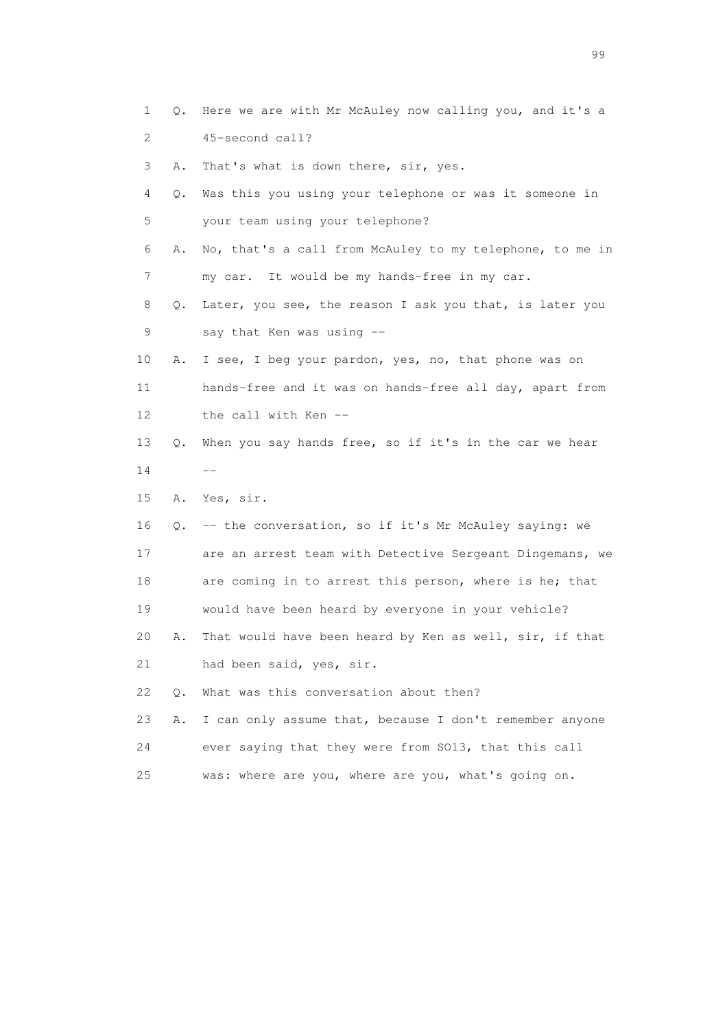1 Q. Here we are with Mr McAuley now calling you, and it's a 2 45-second call? 3 A. That's what is down there, sir, yes. 4 Q. Was this you using your telephone or was it someone in 5 your team using your telephone? 6 A. No, that's a call from McAuley to my telephone, to me in 7 my car. It would be my hands-free in my car. 8 Q. Later, you see, the reason I ask you that, is later you 9 say that Ken was using -- 10 A. I see, I beg your pardon, yes, no, that phone was on 11 hands-free and it was on hands-free all day, apart from 12 the call with Ken -- 13 Q. When you say hands free, so if it's in the car we hear  $14$   $-$  15 A. Yes, sir. 16 Q. -- the conversation, so if it's Mr McAuley saying: we 17 are an arrest team with Detective Sergeant Dingemans, we 18 are coming in to arrest this person, where is he; that 19 would have been heard by everyone in your vehicle? 20 A. That would have been heard by Ken as well, sir, if that 21 had been said, yes, sir. 22 O. What was this conversation about then? 23 A. I can only assume that, because I don't remember anyone 24 ever saying that they were from SO13, that this call 25 was: where are you, where are you, what's going on.

en de la construction de la construction de la construction de la construction de la construction de la constr<br>1990 : le construction de la construction de la construction de la construction de la construction de la const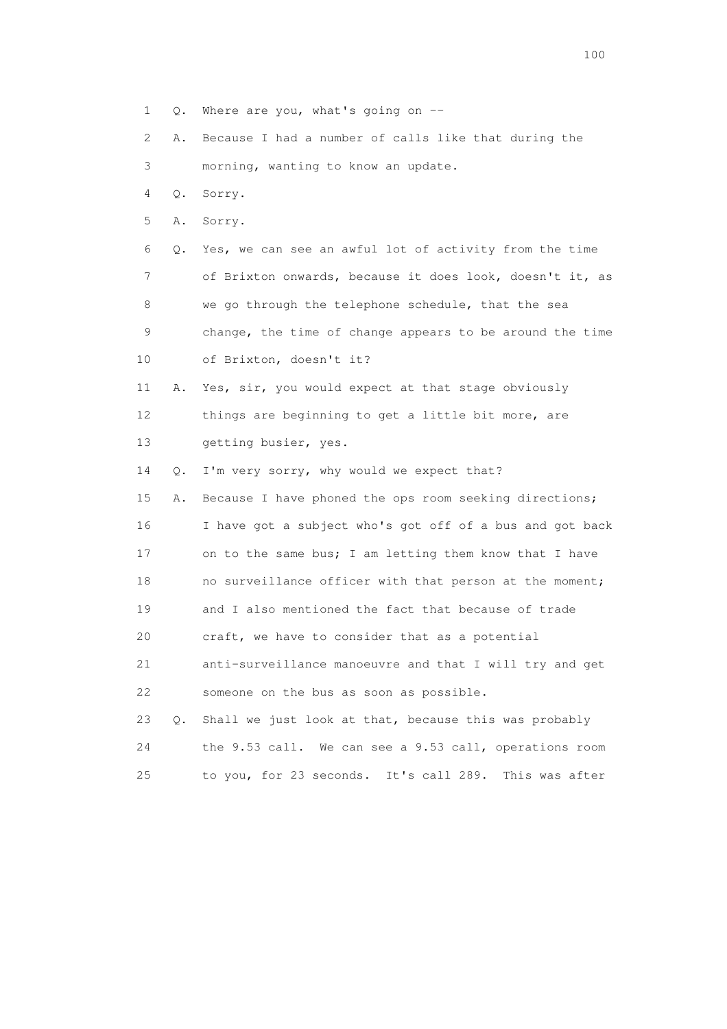- 1 Q. Where are you, what's going on --
- 2 A. Because I had a number of calls like that during the

3 morning, wanting to know an update.

- 4 Q. Sorry.
- 5 A. Sorry.

 6 Q. Yes, we can see an awful lot of activity from the time 7 of Brixton onwards, because it does look, doesn't it, as 8 we go through the telephone schedule, that the sea 9 change, the time of change appears to be around the time 10 of Brixton, doesn't it?

- 11 A. Yes, sir, you would expect at that stage obviously 12 things are beginning to get a little bit more, are 13 getting busier, yes.
- 14 Q. I'm very sorry, why would we expect that?

 15 A. Because I have phoned the ops room seeking directions; 16 I have got a subject who's got off of a bus and got back 17 on to the same bus; I am letting them know that I have 18 no surveillance officer with that person at the moment; 19 and I also mentioned the fact that because of trade 20 craft, we have to consider that as a potential 21 anti-surveillance manoeuvre and that I will try and get 22 someone on the bus as soon as possible.

|    | 23 Q. Shall we just look at that, because this was probably |  |
|----|-------------------------------------------------------------|--|
| 24 | the 9.53 call. We can see a 9.53 call, operations room      |  |
| 25 | to you, for 23 seconds. It's call 289. This was after       |  |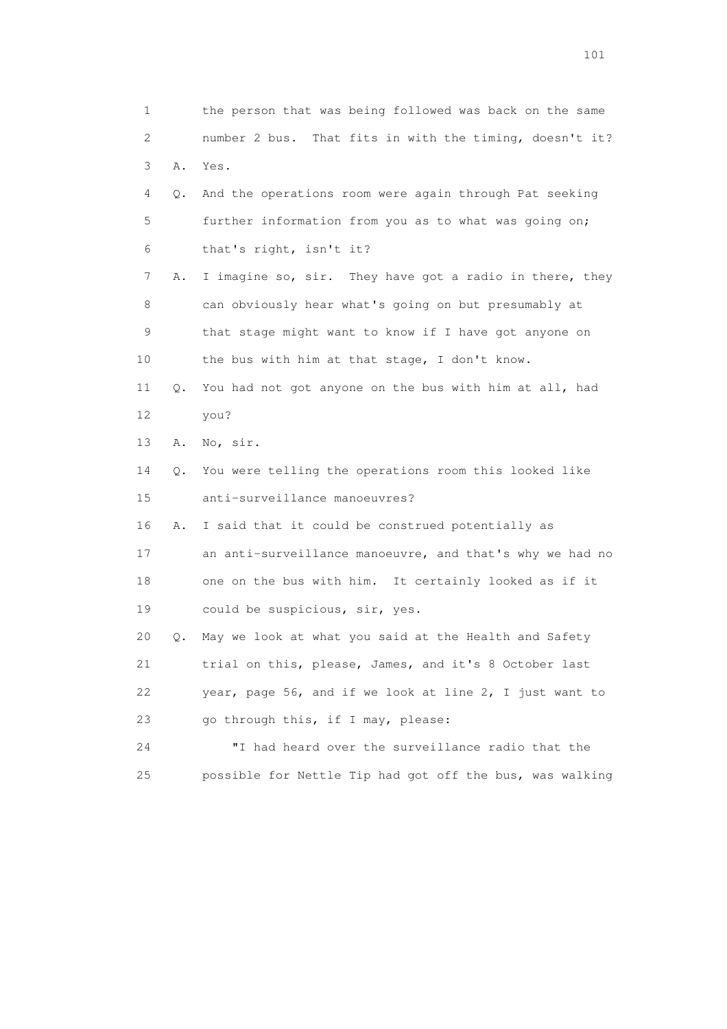1 the person that was being followed was back on the same 2 number 2 bus. That fits in with the timing, doesn't it? 3 A. Yes. 4 Q. And the operations room were again through Pat seeking 5 further information from you as to what was going on; 6 that's right, isn't it? 7 A. I imagine so, sir. They have got a radio in there, they 8 can obviously hear what's going on but presumably at 9 that stage might want to know if I have got anyone on 10 the bus with him at that stage, I don't know. 11 Q. You had not got anyone on the bus with him at all, had 12 you? 13 A. No, sir. 14 Q. You were telling the operations room this looked like 15 anti-surveillance manoeuvres? 16 A. I said that it could be construed potentially as 17 an anti-surveillance manoeuvre, and that's why we had no 18 one on the bus with him. It certainly looked as if it 19 could be suspicious, sir, yes. 20 Q. May we look at what you said at the Health and Safety 21 trial on this, please, James, and it's 8 October last 22 year, page 56, and if we look at line 2, I just want to 23 go through this, if I may, please: 24 "I had heard over the surveillance radio that the 25 possible for Nettle Tip had got off the bus, was walking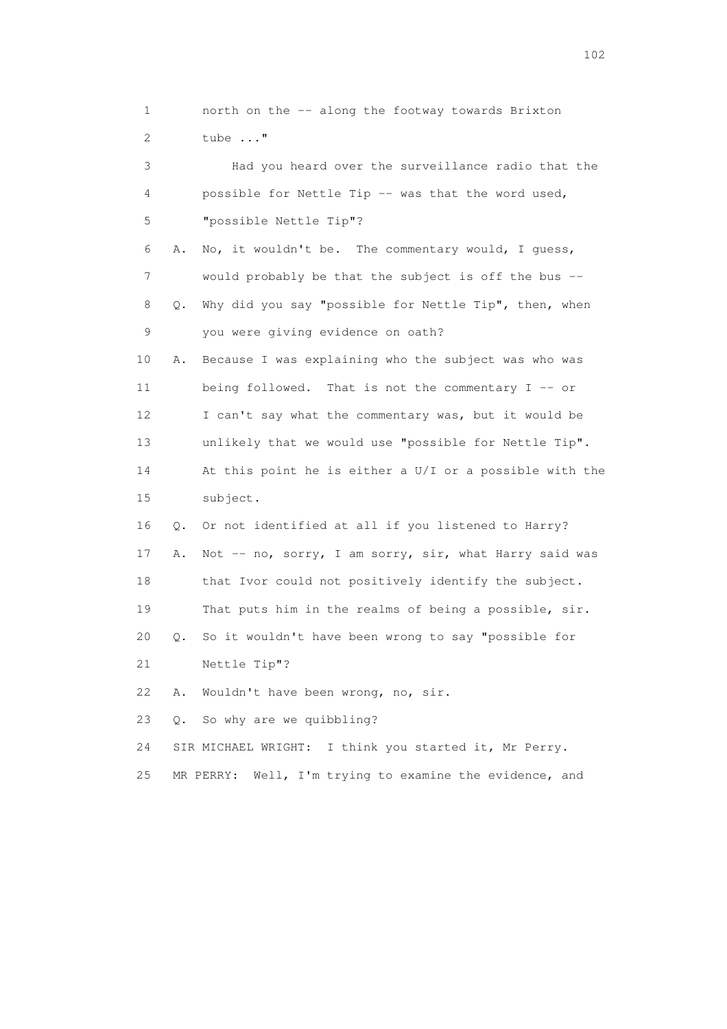1 north on the -- along the footway towards Brixton 2 tube ..." 3 Had you heard over the surveillance radio that the 4 possible for Nettle Tip -- was that the word used, 5 "possible Nettle Tip"? 6 A. No, it wouldn't be. The commentary would, I guess, 7 would probably be that the subject is off the bus -- 8 Q. Why did you say "possible for Nettle Tip", then, when 9 you were giving evidence on oath? 10 A. Because I was explaining who the subject was who was 11 being followed. That is not the commentary I -- or 12 I can't say what the commentary was, but it would be 13 unlikely that we would use "possible for Nettle Tip". 14 At this point he is either a U/I or a possible with the 15 subject. 16 Q. Or not identified at all if you listened to Harry? 17 A. Not -- no, sorry, I am sorry, sir, what Harry said was 18 that Ivor could not positively identify the subject. 19 That puts him in the realms of being a possible, sir. 20 Q. So it wouldn't have been wrong to say "possible for 21 Nettle Tip"? 22 A. Wouldn't have been wrong, no, sir. 23 Q. So why are we quibbling? 24 SIR MICHAEL WRIGHT: I think you started it, Mr Perry. 25 MR PERRY: Well, I'm trying to examine the evidence, and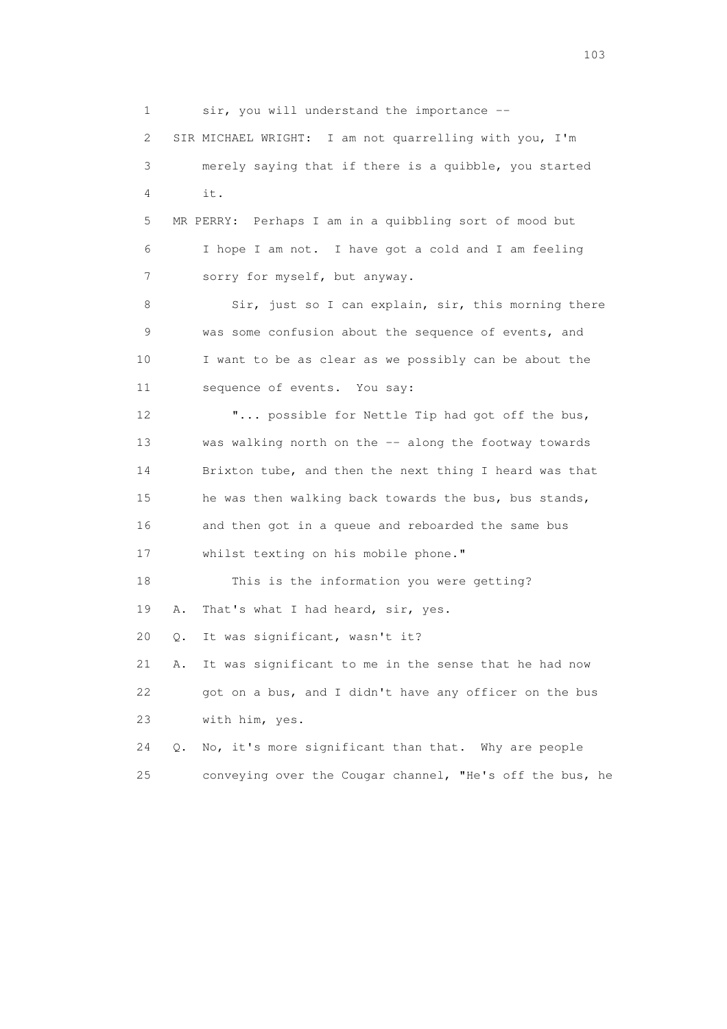1 sir, you will understand the importance -- 2 SIR MICHAEL WRIGHT: I am not quarrelling with you, I'm 3 merely saying that if there is a quibble, you started  $4 \quad i \dagger$ . 5 MR PERRY: Perhaps I am in a quibbling sort of mood but 6 I hope I am not. I have got a cold and I am feeling 7 sorry for myself, but anyway. 8 Sir, just so I can explain, sir, this morning there 9 was some confusion about the sequence of events, and 10 I want to be as clear as we possibly can be about the 11 sequence of events. You say: 12 "... possible for Nettle Tip had got off the bus, 13 was walking north on the -- along the footway towards 14 Brixton tube, and then the next thing I heard was that 15 he was then walking back towards the bus, bus stands, 16 and then got in a queue and reboarded the same bus 17 whilst texting on his mobile phone." 18 This is the information you were getting? 19 A. That's what I had heard, sir, yes. 20 Q. It was significant, wasn't it? 21 A. It was significant to me in the sense that he had now 22 got on a bus, and I didn't have any officer on the bus 23 with him, yes. 24 Q. No, it's more significant than that. Why are people 25 conveying over the Cougar channel, "He's off the bus, he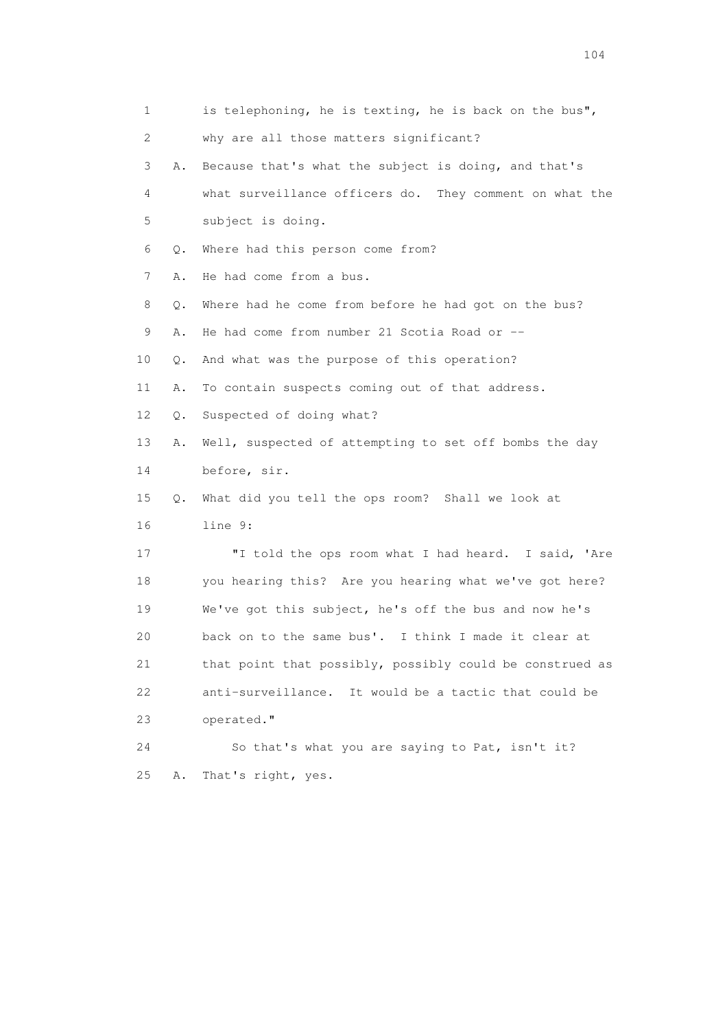1 is telephoning, he is texting, he is back on the bus", 2 why are all those matters significant? 3 A. Because that's what the subject is doing, and that's 4 what surveillance officers do. They comment on what the 5 subject is doing. 6 Q. Where had this person come from? 7 A. He had come from a bus. 8 Q. Where had he come from before he had got on the bus? 9 A. He had come from number 21 Scotia Road or -- 10 Q. And what was the purpose of this operation? 11 A. To contain suspects coming out of that address. 12 Q. Suspected of doing what? 13 A. Well, suspected of attempting to set off bombs the day 14 before, sir. 15 Q. What did you tell the ops room? Shall we look at 16 line 9: 17 "I told the ops room what I had heard. I said, 'Are 18 you hearing this? Are you hearing what we've got here? 19 We've got this subject, he's off the bus and now he's 20 back on to the same bus'. I think I made it clear at 21 that point that possibly, possibly could be construed as 22 anti-surveillance. It would be a tactic that could be 23 operated." 24 So that's what you are saying to Pat, isn't it? 25 A. That's right, yes.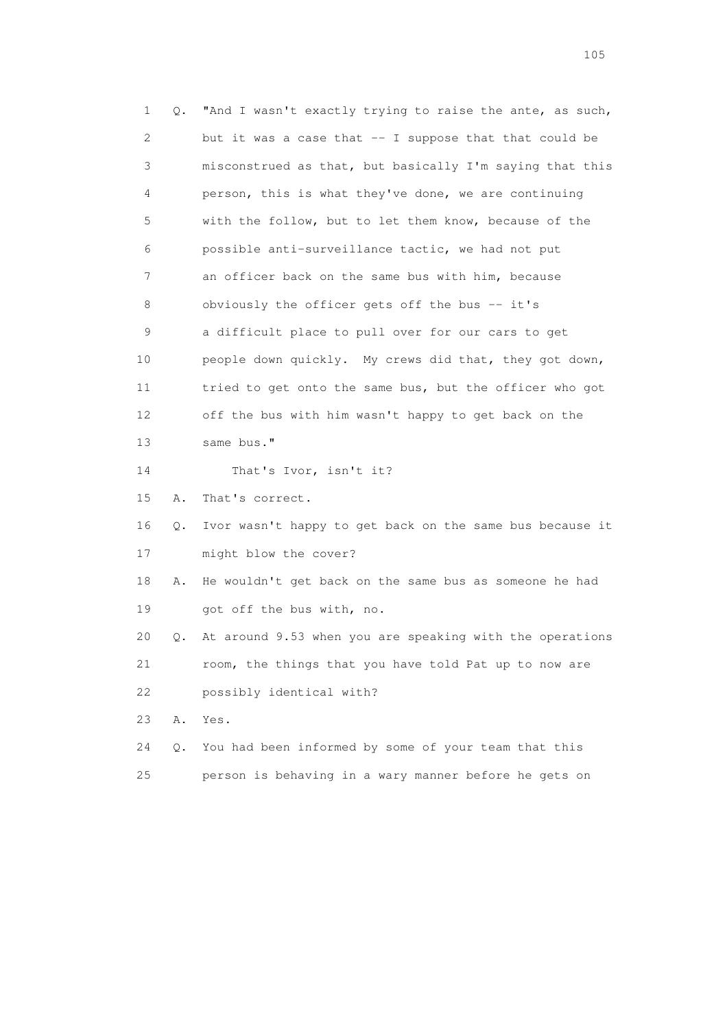1 Q. "And I wasn't exactly trying to raise the ante, as such, 2 but it was a case that -- I suppose that that could be 3 misconstrued as that, but basically I'm saying that this 4 person, this is what they've done, we are continuing 5 with the follow, but to let them know, because of the 6 possible anti-surveillance tactic, we had not put 7 an officer back on the same bus with him, because 8 obviously the officer gets off the bus -- it's 9 a difficult place to pull over for our cars to get 10 people down quickly. My crews did that, they got down, 11 tried to get onto the same bus, but the officer who got 12 off the bus with him wasn't happy to get back on the 13 same bus." 14 That's Ivor, isn't it? 15 A. That's correct. 16 Q. Ivor wasn't happy to get back on the same bus because it 17 might blow the cover? 18 A. He wouldn't get back on the same bus as someone he had 19 got off the bus with, no. 20 Q. At around 9.53 when you are speaking with the operations 21 room, the things that you have told Pat up to now are 22 possibly identical with? 23 A. Yes. 24 Q. You had been informed by some of your team that this 25 person is behaving in a wary manner before he gets on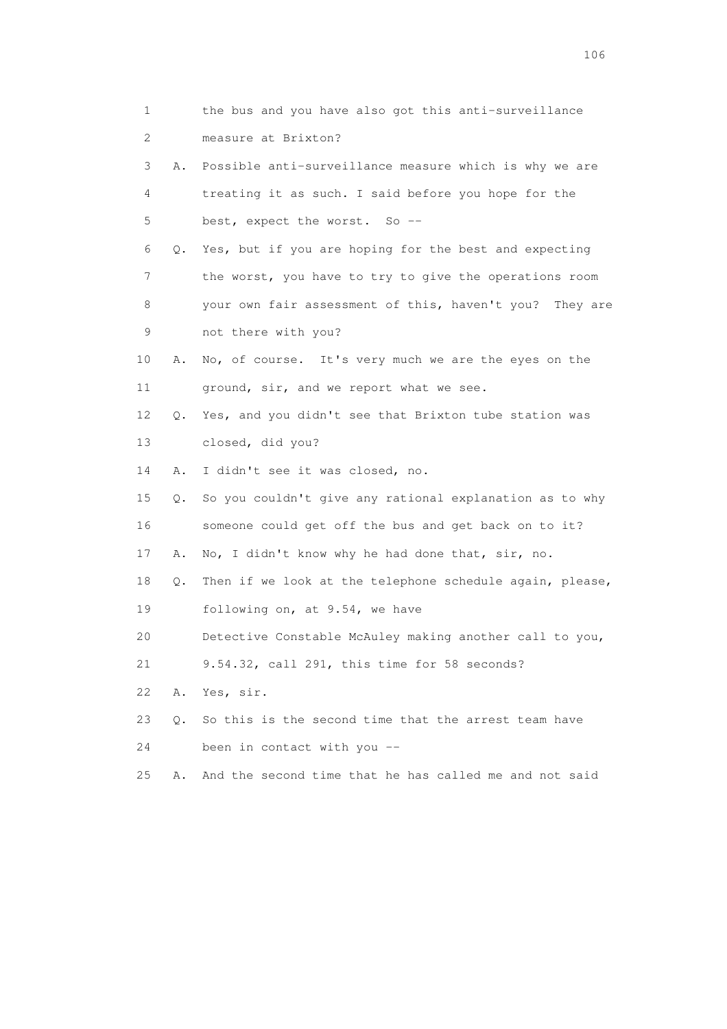| 1        | the bus and you have also got this anti-surveillance     |
|----------|----------------------------------------------------------|
| 2        | measure at Brixton?                                      |
| 3<br>Α.  | Possible anti-surveillance measure which is why we are   |
| 4        | treating it as such. I said before you hope for the      |
| 5        | best, expect the worst. So --                            |
| 6<br>Q.  | Yes, but if you are hoping for the best and expecting    |
| 7        | the worst, you have to try to give the operations room   |
| 8        | your own fair assessment of this, haven't you? They are  |
| 9        | not there with you?                                      |
| 10<br>Α. | No, of course. It's very much we are the eyes on the     |
| 11       | ground, sir, and we report what we see.                  |
| 12<br>Q. | Yes, and you didn't see that Brixton tube station was    |
| 13       | closed, did you?                                         |
| 14<br>Α. | I didn't see it was closed, no.                          |
| 15<br>Q. | So you couldn't give any rational explanation as to why  |
| 16       | someone could get off the bus and get back on to it?     |
| 17<br>Α. | No, I didn't know why he had done that, sir, no.         |
| 18<br>Q. | Then if we look at the telephone schedule again, please, |
| 19       | following on, at 9.54, we have                           |
| 20       | Detective Constable McAuley making another call to you,  |
| 21       | 9.54.32, call 291, this time for 58 seconds?             |
| 22<br>Α. | Yes, sir.                                                |
| 23<br>Q. | So this is the second time that the arrest team have     |
| 24       | been in contact with you --                              |
| 25<br>Α. | And the second time that he has called me and not said   |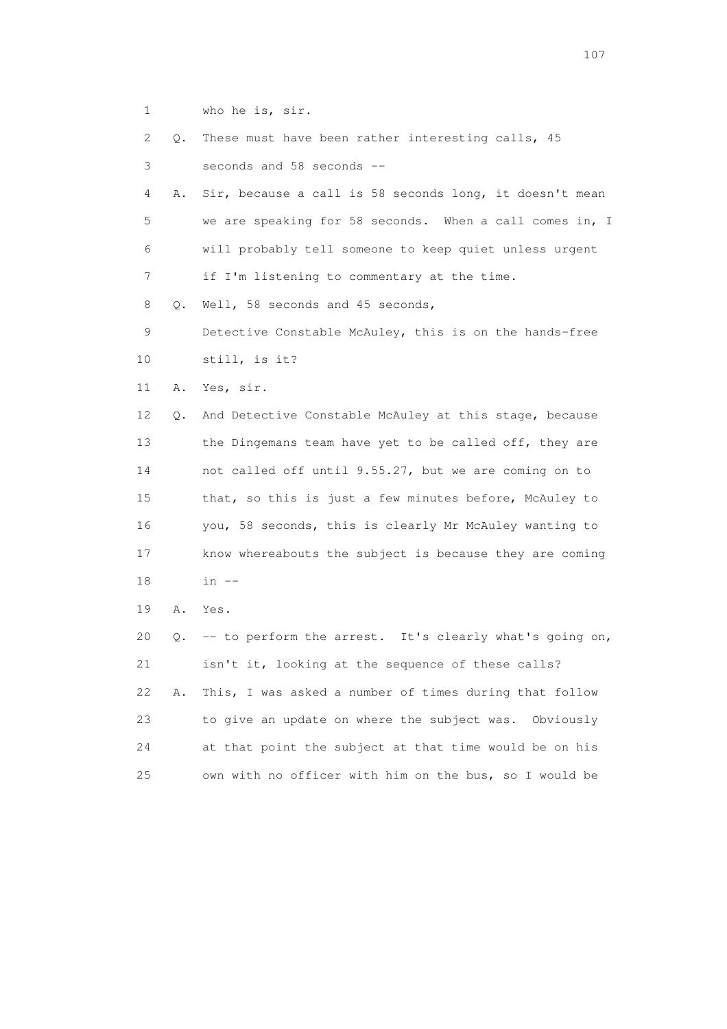1 who he is, sir.

 2 Q. These must have been rather interesting calls, 45 3 seconds and 58 seconds -- 4 A. Sir, because a call is 58 seconds long, it doesn't mean 5 we are speaking for 58 seconds. When a call comes in, I 6 will probably tell someone to keep quiet unless urgent 7 if I'm listening to commentary at the time. 8 Q. Well, 58 seconds and 45 seconds, 9 Detective Constable McAuley, this is on the hands-free 10 still, is it? 11 A. Yes, sir. 12 Q. And Detective Constable McAuley at this stage, because 13 the Dingemans team have yet to be called off, they are 14 not called off until 9.55.27, but we are coming on to 15 that, so this is just a few minutes before, McAuley to 16 you, 58 seconds, this is clearly Mr McAuley wanting to 17 know whereabouts the subject is because they are coming 18 in -- 19 A. Yes. 20 Q. -- to perform the arrest. It's clearly what's going on, 21 isn't it, looking at the sequence of these calls? 22 A. This, I was asked a number of times during that follow

|     | ZZ – A. THIS, I was asked a number of cimes during that follow |
|-----|----------------------------------------------------------------|
| 23  | to give an update on where the subject was. Obviously          |
| 2.4 | at that point the subject at that time would be on his         |
| 2.5 | own with no officer with him on the bus, so I would be         |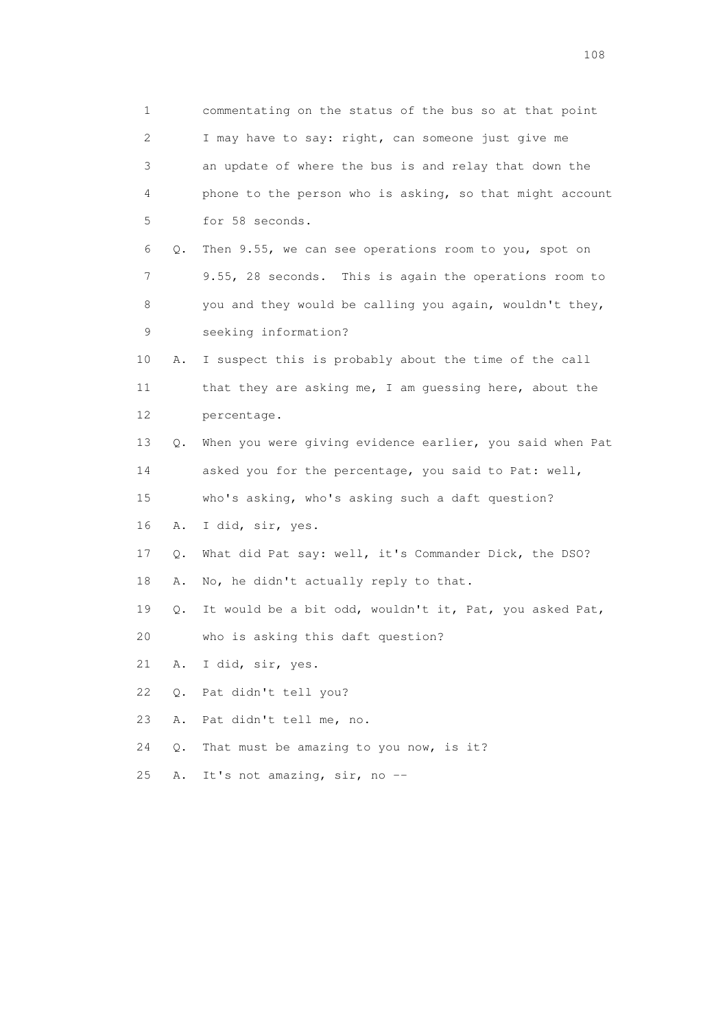1 commentating on the status of the bus so at that point 2 I may have to say: right, can someone just give me 3 an update of where the bus is and relay that down the 4 phone to the person who is asking, so that might account 5 for 58 seconds. 6 Q. Then 9.55, we can see operations room to you, spot on 7 9.55, 28 seconds. This is again the operations room to 8 you and they would be calling you again, wouldn't they, 9 seeking information? 10 A. I suspect this is probably about the time of the call 11 that they are asking me, I am guessing here, about the 12 percentage. 13 Q. When you were giving evidence earlier, you said when Pat 14 asked you for the percentage, you said to Pat: well, 15 who's asking, who's asking such a daft question? 16 A. I did, sir, yes. 17 Q. What did Pat say: well, it's Commander Dick, the DSO? 18 A. No, he didn't actually reply to that. 19 Q. It would be a bit odd, wouldn't it, Pat, you asked Pat, 20 who is asking this daft question? 21 A. I did, sir, yes. 22 Q. Pat didn't tell you? 23 A. Pat didn't tell me, no. 24 Q. That must be amazing to you now, is it? 25 A. It's not amazing, sir, no --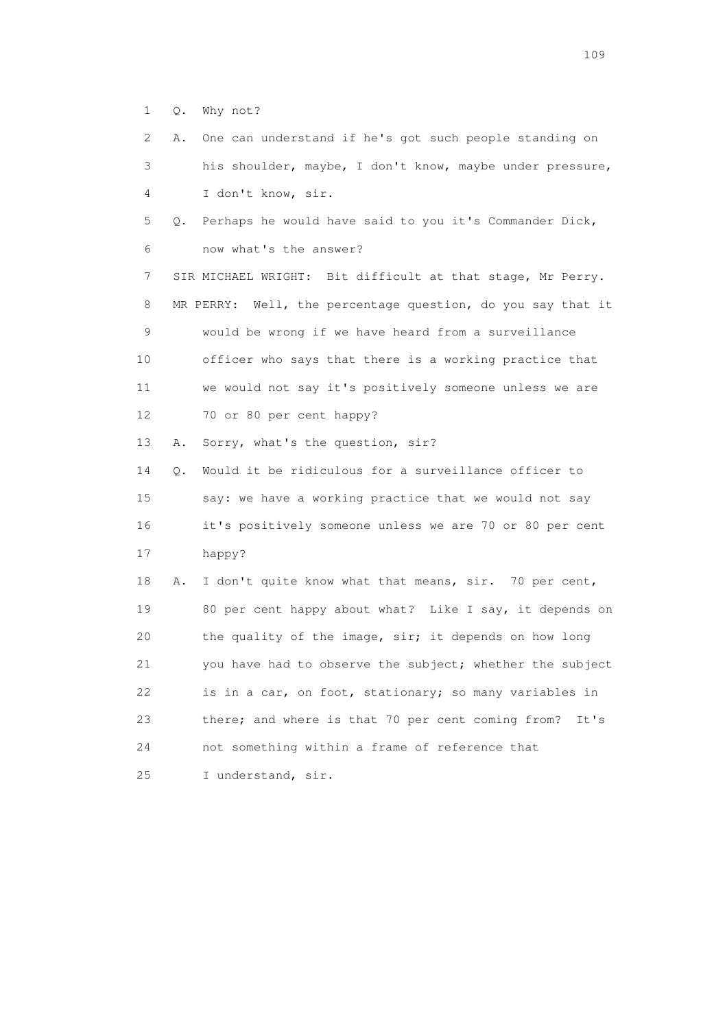1 Q. Why not?

 2 A. One can understand if he's got such people standing on 3 his shoulder, maybe, I don't know, maybe under pressure, 4 I don't know, sir. 5 Q. Perhaps he would have said to you it's Commander Dick, 6 now what's the answer? 7 SIR MICHAEL WRIGHT: Bit difficult at that stage, Mr Perry. 8 MR PERRY: Well, the percentage question, do you say that it 9 would be wrong if we have heard from a surveillance 10 officer who says that there is a working practice that 11 we would not say it's positively someone unless we are 12 70 or 80 per cent happy? 13 A. Sorry, what's the question, sir? 14 Q. Would it be ridiculous for a surveillance officer to 15 say: we have a working practice that we would not say 16 it's positively someone unless we are 70 or 80 per cent 17 happy? 18 A. I don't quite know what that means, sir. 70 per cent, 19 80 per cent happy about what? Like I say, it depends on 20 the quality of the image, sir; it depends on how long 21 you have had to observe the subject; whether the subject 22 is in a car, on foot, stationary; so many variables in 23 there; and where is that 70 per cent coming from? It's 24 not something within a frame of reference that 25 I understand, sir.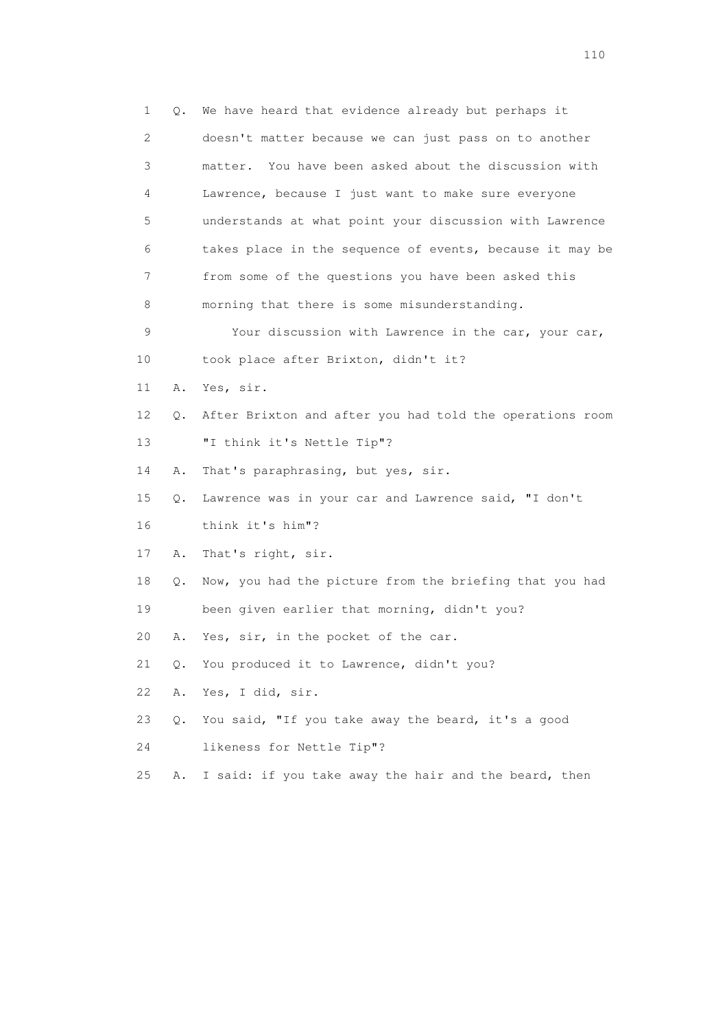1 Q. We have heard that evidence already but perhaps it 2 doesn't matter because we can just pass on to another 3 matter. You have been asked about the discussion with 4 Lawrence, because I just want to make sure everyone 5 understands at what point your discussion with Lawrence 6 takes place in the sequence of events, because it may be 7 from some of the questions you have been asked this 8 morning that there is some misunderstanding. 9 Your discussion with Lawrence in the car, your car, 10 took place after Brixton, didn't it? 11 A. Yes, sir. 12 Q. After Brixton and after you had told the operations room 13 "I think it's Nettle Tip"? 14 A. That's paraphrasing, but yes, sir. 15 Q. Lawrence was in your car and Lawrence said, "I don't 16 think it's him"? 17 A. That's right, sir. 18 Q. Now, you had the picture from the briefing that you had 19 been given earlier that morning, didn't you? 20 A. Yes, sir, in the pocket of the car. 21 Q. You produced it to Lawrence, didn't you? 22 A. Yes, I did, sir. 23 Q. You said, "If you take away the beard, it's a good 24 likeness for Nettle Tip"? 25 A. I said: if you take away the hair and the beard, then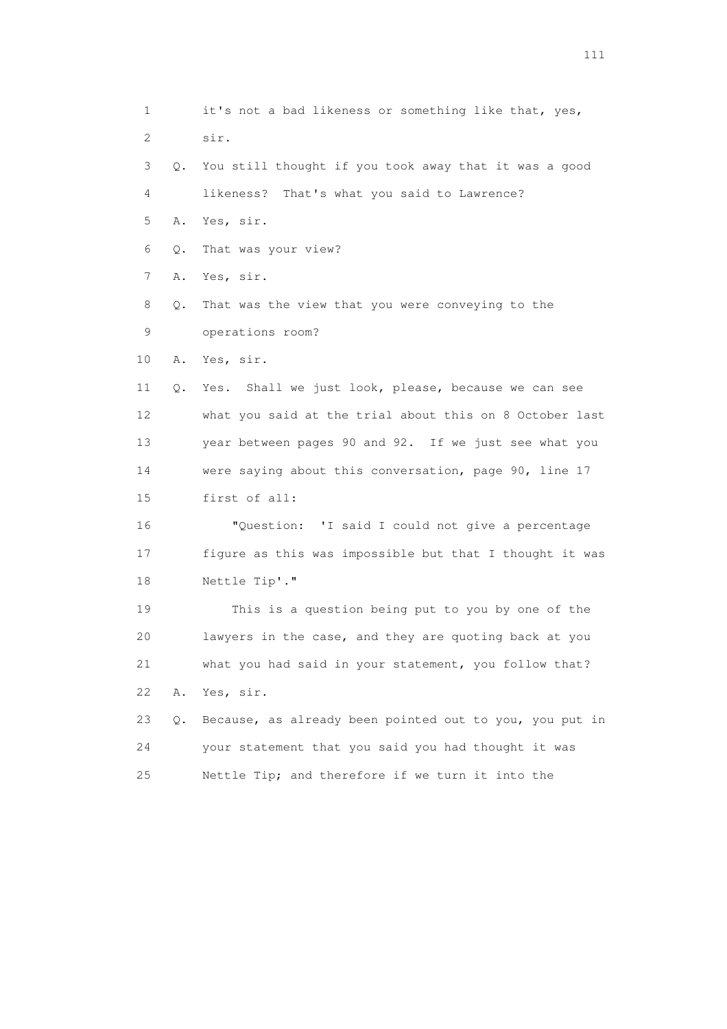1 it's not a bad likeness or something like that, yes, 2 sir. 3 Q. You still thought if you took away that it was a good 4 likeness? That's what you said to Lawrence? 5 A. Yes, sir. 6 Q. That was your view? 7 A. Yes, sir. 8 Q. That was the view that you were conveying to the 9 operations room? 10 A. Yes, sir. 11 Q. Yes. Shall we just look, please, because we can see 12 what you said at the trial about this on 8 October last 13 year between pages 90 and 92. If we just see what you 14 were saying about this conversation, page 90, line 17 15 first of all: 16 "Question: 'I said I could not give a percentage 17 figure as this was impossible but that I thought it was 18 Nettle Tip'." 19 This is a question being put to you by one of the 20 lawyers in the case, and they are quoting back at you 21 what you had said in your statement, you follow that? 22 A. Yes, sir. 23 Q. Because, as already been pointed out to you, you put in 24 your statement that you said you had thought it was 25 Nettle Tip; and therefore if we turn it into the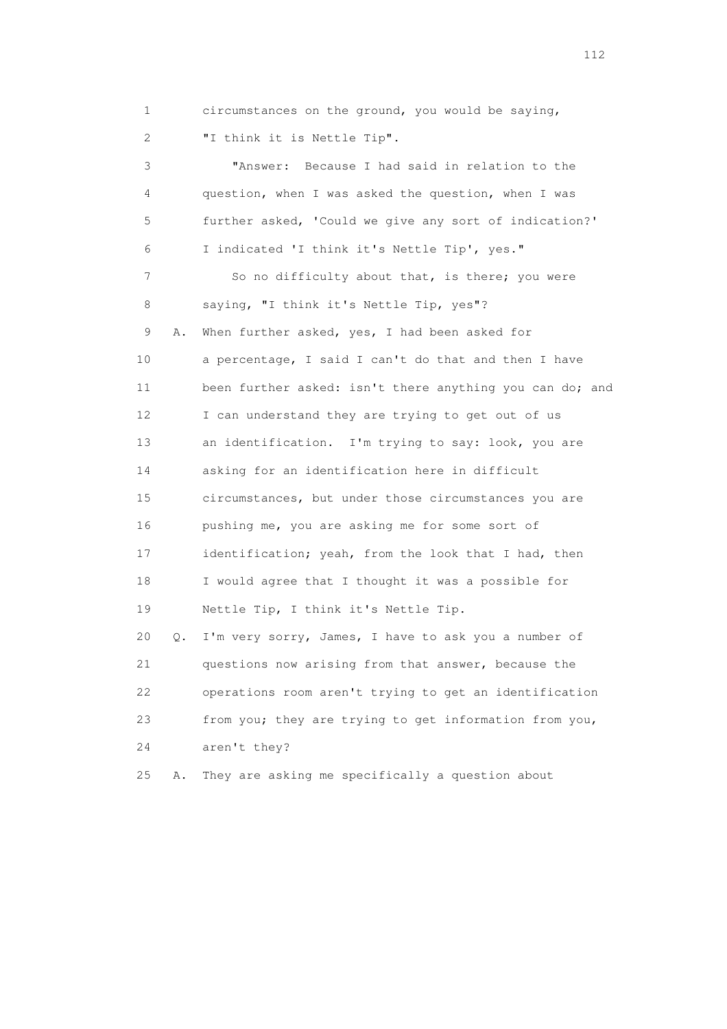1 circumstances on the ground, you would be saying, 2 "I think it is Nettle Tip".

 3 "Answer: Because I had said in relation to the 4 question, when I was asked the question, when I was 5 further asked, 'Could we give any sort of indication?' 6 I indicated 'I think it's Nettle Tip', yes." 7 So no difficulty about that, is there; you were 8 saying, "I think it's Nettle Tip, yes"? 9 A. When further asked, yes, I had been asked for 10 a percentage, I said I can't do that and then I have 11 been further asked: isn't there anything you can do; and 12 I can understand they are trying to get out of us 13 an identification. I'm trying to say: look, you are 14 asking for an identification here in difficult 15 circumstances, but under those circumstances you are 16 pushing me, you are asking me for some sort of 17 identification; yeah, from the look that I had, then 18 I would agree that I thought it was a possible for 19 Nettle Tip, I think it's Nettle Tip. 20 Q. I'm very sorry, James, I have to ask you a number of 21 questions now arising from that answer, because the 22 operations room aren't trying to get an identification

 23 from you; they are trying to get information from you, 24 aren't they?

25 A. They are asking me specifically a question about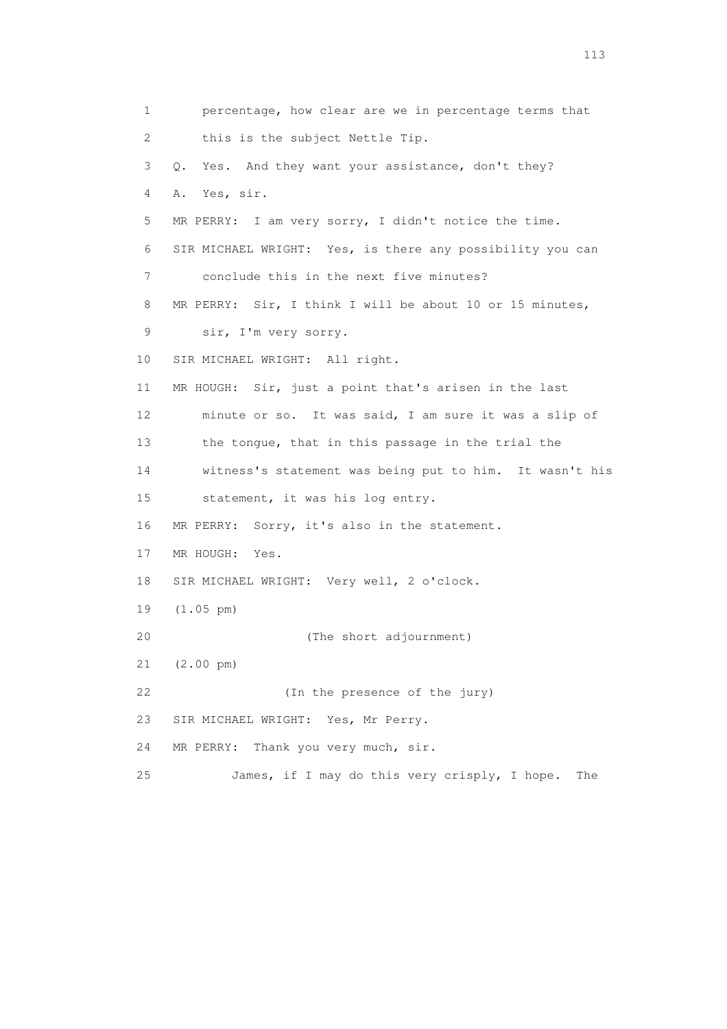1 percentage, how clear are we in percentage terms that 2 this is the subject Nettle Tip. 3 Q. Yes. And they want your assistance, don't they? 4 A. Yes, sir. 5 MR PERRY: I am very sorry, I didn't notice the time. 6 SIR MICHAEL WRIGHT: Yes, is there any possibility you can 7 conclude this in the next five minutes? 8 MR PERRY: Sir, I think I will be about 10 or 15 minutes, 9 sir, I'm very sorry. 10 SIR MICHAEL WRIGHT: All right. 11 MR HOUGH: Sir, just a point that's arisen in the last 12 minute or so. It was said, I am sure it was a slip of 13 the tongue, that in this passage in the trial the 14 witness's statement was being put to him. It wasn't his 15 statement, it was his log entry. 16 MR PERRY: Sorry, it's also in the statement. 17 MR HOUGH: Yes. 18 SIR MICHAEL WRIGHT: Very well, 2 o'clock. 19 (1.05 pm) 20 (The short adjournment) 21 (2.00 pm) 22 (In the presence of the jury) 23 SIR MICHAEL WRIGHT: Yes, Mr Perry. 24 MR PERRY: Thank you very much, sir. 25 James, if I may do this very crisply, I hope. The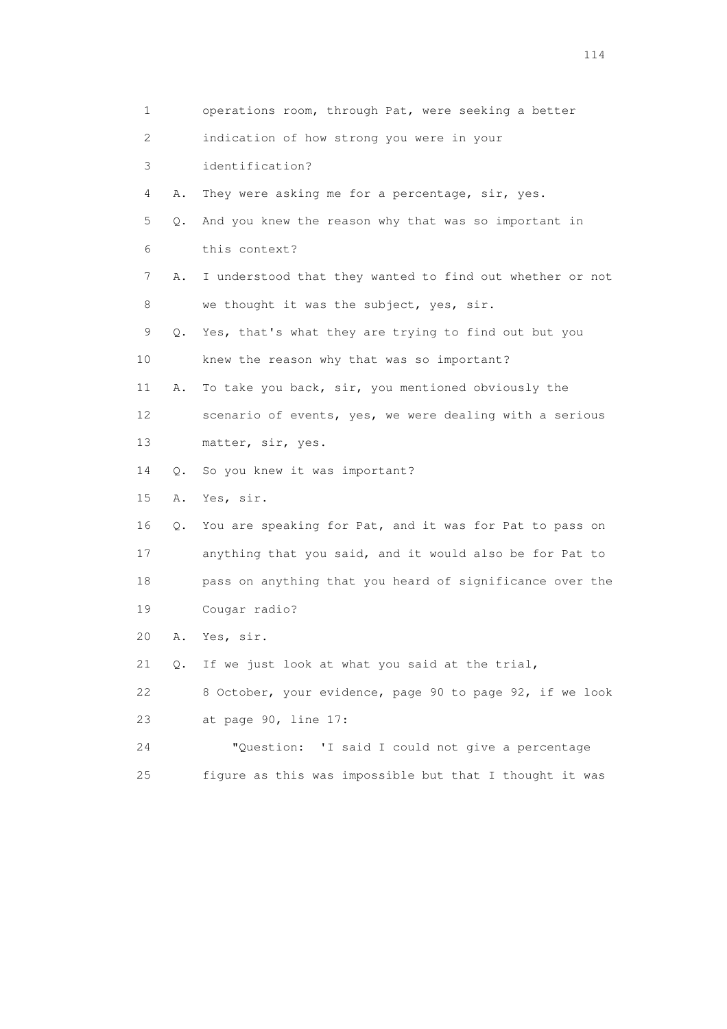| 1  |               | operations room, through Pat, were seeking a better      |
|----|---------------|----------------------------------------------------------|
| 2  |               | indication of how strong you were in your                |
| 3  |               | identification?                                          |
| 4  | Α.            | They were asking me for a percentage, sir, yes.          |
| 5  | О.            | And you knew the reason why that was so important in     |
| 6  |               | this context?                                            |
| 7  | Α.            | I understood that they wanted to find out whether or not |
| 8  |               | we thought it was the subject, yes, sir.                 |
| 9  | Q.            | Yes, that's what they are trying to find out but you     |
| 10 |               | knew the reason why that was so important?               |
| 11 | Α.            | To take you back, sir, you mentioned obviously the       |
| 12 |               | scenario of events, yes, we were dealing with a serious  |
| 13 |               | matter, sir, yes.                                        |
| 14 | $\circ$ .     | So you knew it was important?                            |
| 15 | Α.            | Yes, sir.                                                |
| 16 | $\circ$ .     | You are speaking for Pat, and it was for Pat to pass on  |
| 17 |               | anything that you said, and it would also be for Pat to  |
| 18 |               | pass on anything that you heard of significance over the |
| 19 |               | Cougar radio?                                            |
| 20 | Α.            | Yes, sir.                                                |
| 21 | $Q_{\bullet}$ | If we just look at what you said at the trial,           |
| 22 |               | 8 October, your evidence, page 90 to page 92, if we look |
| 23 |               | at page 90, line 17:                                     |
| 24 |               | "Question: 'I said I could not give a percentage         |
| 25 |               | figure as this was impossible but that I thought it was  |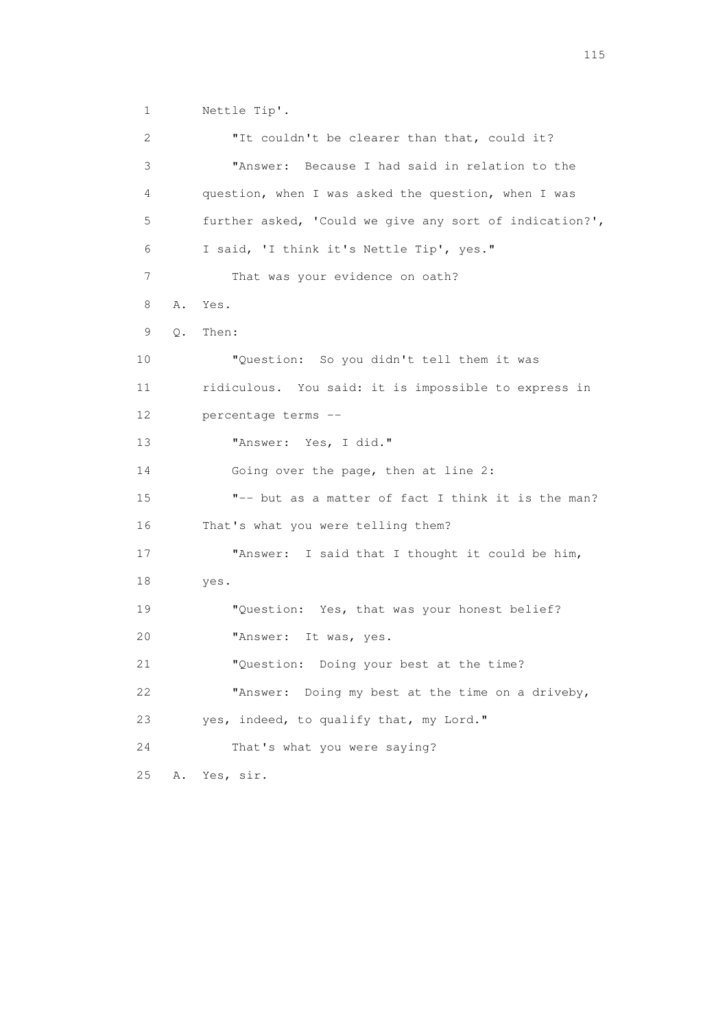1 Nettle Tip'.

2 **"It couldn't be clearer than that, could it?**  3 "Answer: Because I had said in relation to the 4 question, when I was asked the question, when I was 5 further asked, 'Could we give any sort of indication?', 6 I said, 'I think it's Nettle Tip', yes." 7 That was your evidence on oath? 8 A. Yes. 9 Q. Then: 10 "Question: So you didn't tell them it was 11 ridiculous. You said: it is impossible to express in 12 percentage terms -- 13 "Answer: Yes, I did." 14 Going over the page, then at line 2: 15 "-- but as a matter of fact I think it is the man? 16 That's what you were telling them? 17 "Answer: I said that I thought it could be him, 18 yes. 19 "Question: Yes, that was your honest belief? 20 "Answer: It was, yes. 21 "Question: Doing your best at the time? 22 "Answer: Doing my best at the time on a driveby, 23 yes, indeed, to qualify that, my Lord." 24 That's what you were saying? 25 A. Yes, sir.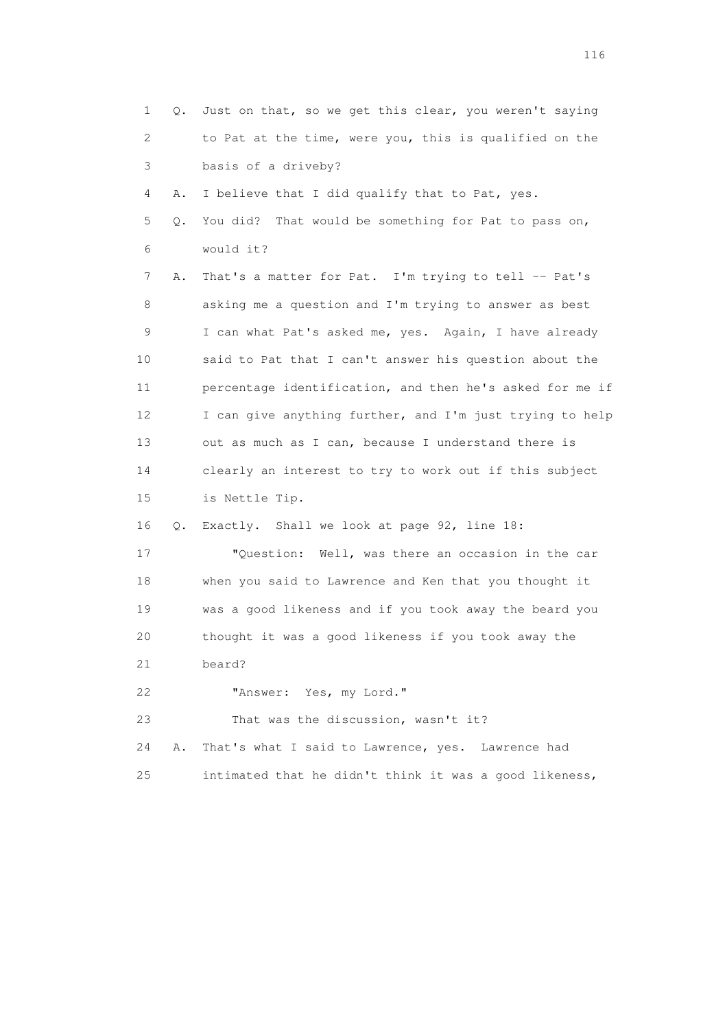1 Q. Just on that, so we get this clear, you weren't saying 2 to Pat at the time, were you, this is qualified on the 3 basis of a driveby? 4 A. I believe that I did qualify that to Pat, yes. 5 Q. You did? That would be something for Pat to pass on, 6 would it? 7 A. That's a matter for Pat. I'm trying to tell -- Pat's 8 asking me a question and I'm trying to answer as best 9 I can what Pat's asked me, yes. Again, I have already 10 said to Pat that I can't answer his question about the 11 percentage identification, and then he's asked for me if 12 I can give anything further, and I'm just trying to help 13 out as much as I can, because I understand there is 14 clearly an interest to try to work out if this subject 15 is Nettle Tip. 16 Q. Exactly. Shall we look at page 92, line 18: 17 "Question: Well, was there an occasion in the car 18 when you said to Lawrence and Ken that you thought it 19 was a good likeness and if you took away the beard you 20 thought it was a good likeness if you took away the 21 beard? 22 "Answer: Yes, my Lord." 23 That was the discussion, wasn't it? 24 A. That's what I said to Lawrence, yes. Lawrence had 25 intimated that he didn't think it was a good likeness,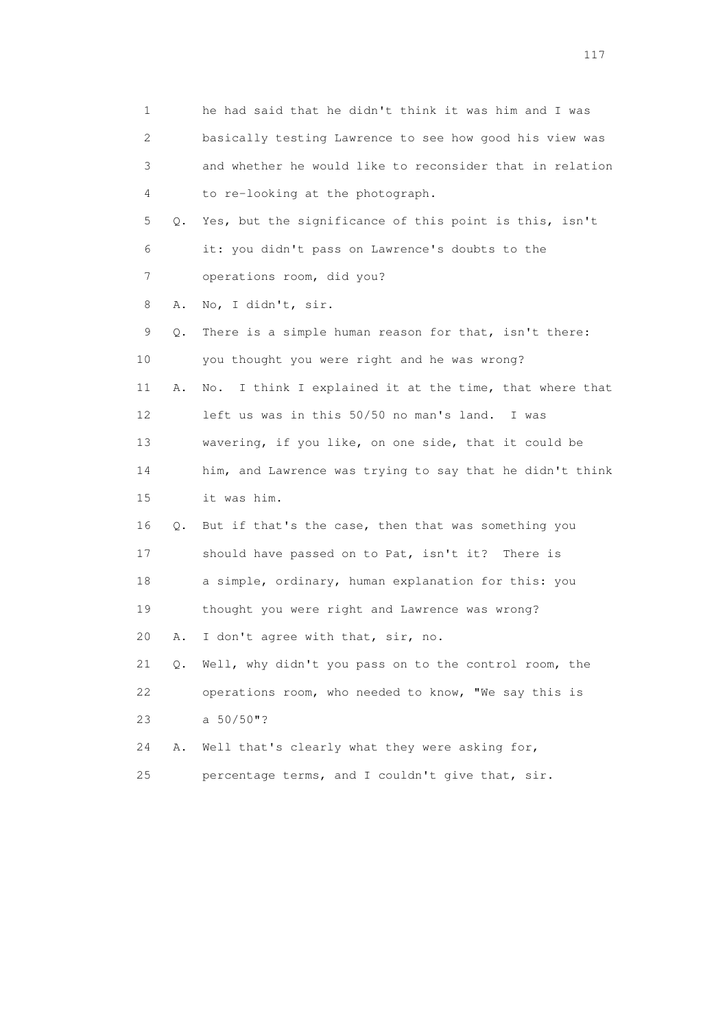1 he had said that he didn't think it was him and I was 2 basically testing Lawrence to see how good his view was 3 and whether he would like to reconsider that in relation 4 to re-looking at the photograph. 5 Q. Yes, but the significance of this point is this, isn't 6 it: you didn't pass on Lawrence's doubts to the 7 operations room, did you? 8 A. No, I didn't, sir. 9 Q. There is a simple human reason for that, isn't there: 10 you thought you were right and he was wrong? 11 A. No. I think I explained it at the time, that where that 12 left us was in this 50/50 no man's land. I was 13 wavering, if you like, on one side, that it could be 14 him, and Lawrence was trying to say that he didn't think 15 it was him. 16 Q. But if that's the case, then that was something you 17 should have passed on to Pat, isn't it? There is 18 a simple, ordinary, human explanation for this: you 19 thought you were right and Lawrence was wrong? 20 A. I don't agree with that, sir, no. 21 Q. Well, why didn't you pass on to the control room, the 22 operations room, who needed to know, "We say this is 23 a 50/50"? 24 A. Well that's clearly what they were asking for, 25 percentage terms, and I couldn't give that, sir.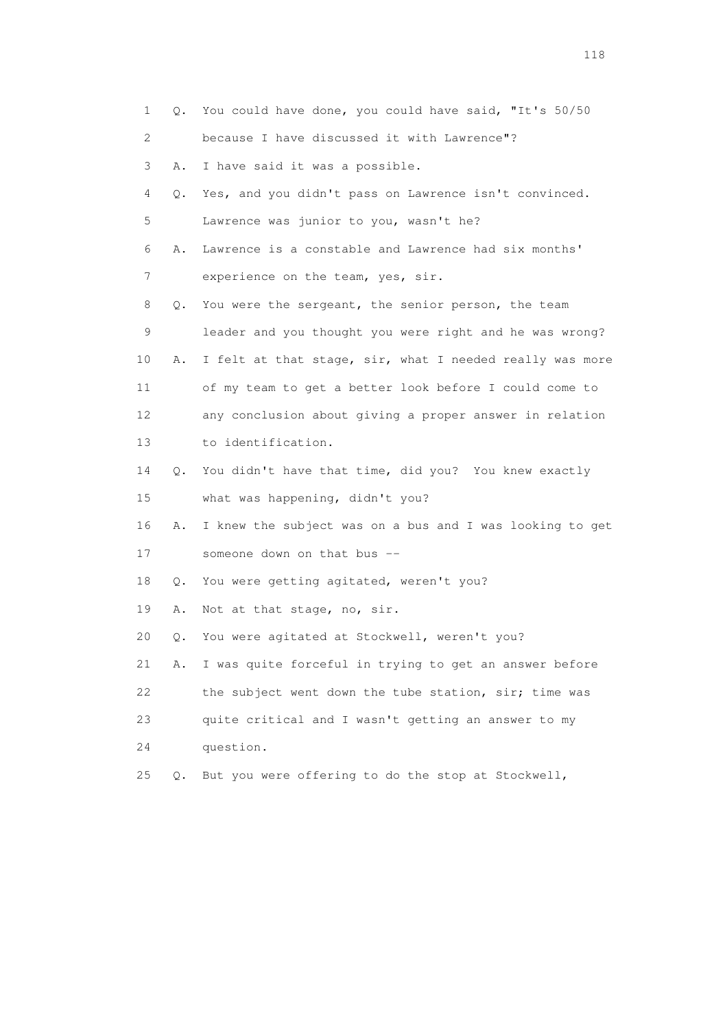| 1               | Q.        | You could have done, you could have said, "It's 50/50    |
|-----------------|-----------|----------------------------------------------------------|
| 2               |           | because I have discussed it with Lawrence"?              |
| 3               | Α.        | I have said it was a possible.                           |
| 4               | Q.        | Yes, and you didn't pass on Lawrence isn't convinced.    |
| 5               |           | Lawrence was junior to you, wasn't he?                   |
| 6               | Α.        | Lawrence is a constable and Lawrence had six months'     |
| 7               |           | experience on the team, yes, sir.                        |
| 8               | Q.        | You were the sergeant, the senior person, the team       |
| 9               |           | leader and you thought you were right and he was wrong?  |
| 10              | Α.        | I felt at that stage, sir, what I needed really was more |
| 11              |           | of my team to get a better look before I could come to   |
| 12 <sup>°</sup> |           | any conclusion about giving a proper answer in relation  |
| 13              |           | to identification.                                       |
| 14              | Q.        | You didn't have that time, did you? You knew exactly     |
| 15              |           | what was happening, didn't you?                          |
| 16              | Α.        | I knew the subject was on a bus and I was looking to get |
| 17              |           | someone down on that bus --                              |
| 18              | Q.        | You were getting agitated, weren't you?                  |
| 19              | Α.        | Not at that stage, no, sir.                              |
| 20              | Q.        | You were agitated at Stockwell, weren't you?             |
| 21              | Α.        | I was quite forceful in trying to get an answer before   |
| 22              |           | the subject went down the tube station, sir; time was    |
| 23              |           | quite critical and I wasn't getting an answer to my      |
| 24              |           | question.                                                |
| 25              | $\circ$ . | But you were offering to do the stop at Stockwell,       |
|                 |           |                                                          |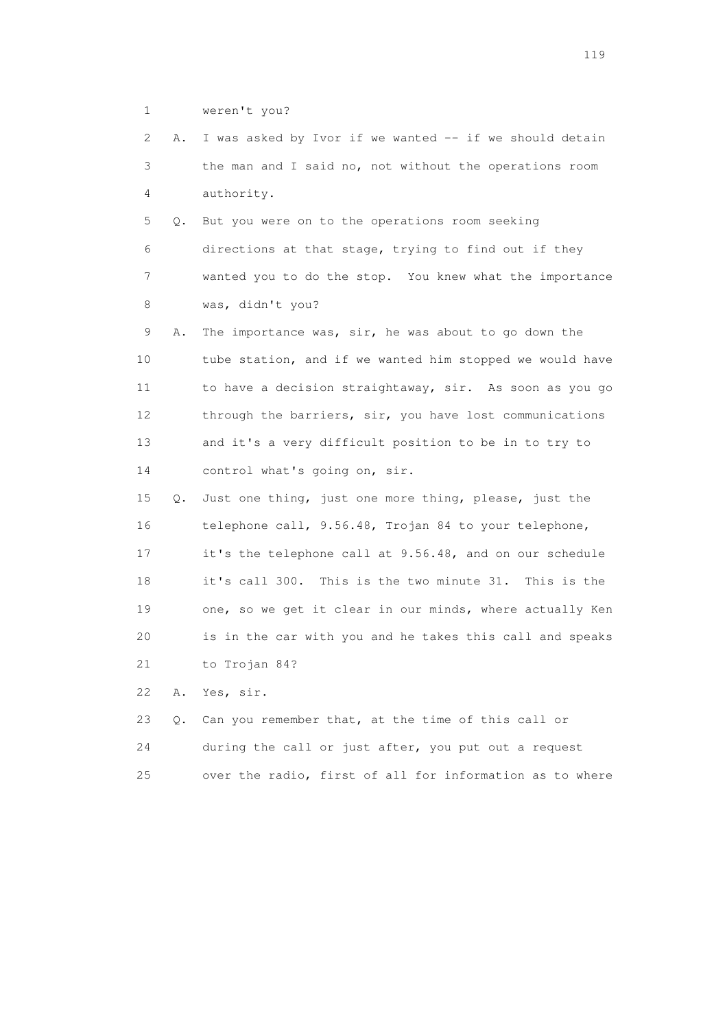1 weren't you?

 2 A. I was asked by Ivor if we wanted -- if we should detain 3 the man and I said no, not without the operations room 4 authority.

 5 Q. But you were on to the operations room seeking 6 directions at that stage, trying to find out if they 7 wanted you to do the stop. You knew what the importance 8 was, didn't you?

 9 A. The importance was, sir, he was about to go down the 10 tube station, and if we wanted him stopped we would have 11 to have a decision straightaway, sir. As soon as you go 12 through the barriers, sir, you have lost communications 13 and it's a very difficult position to be in to try to 14 control what's going on, sir.

 15 Q. Just one thing, just one more thing, please, just the 16 telephone call, 9.56.48, Trojan 84 to your telephone, 17 it's the telephone call at 9.56.48, and on our schedule 18 it's call 300. This is the two minute 31. This is the 19 one, so we get it clear in our minds, where actually Ken 20 is in the car with you and he takes this call and speaks 21 to Trojan 84?

22 A. Yes, sir.

|      | 23 O. Can you remember that, at the time of this call or |
|------|----------------------------------------------------------|
| 24   | during the call or just after, you put out a request     |
| 25 - | over the radio, first of all for information as to where |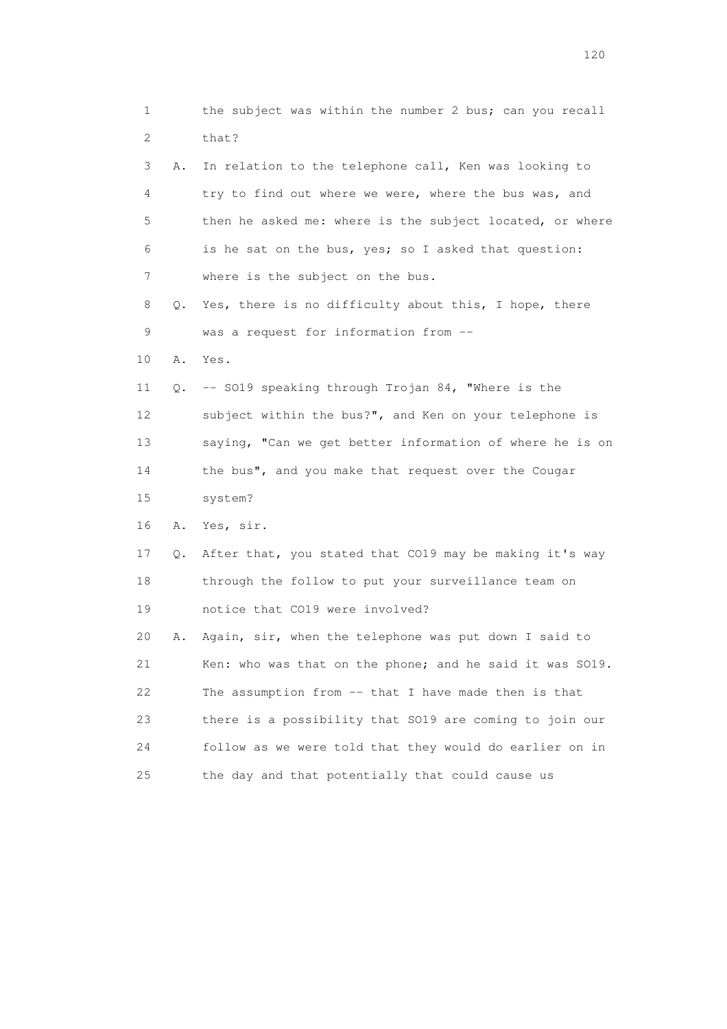| 1  |    | the subject was within the number 2 bus; can you recall  |
|----|----|----------------------------------------------------------|
| 2  |    | that?                                                    |
| 3  | Α. | In relation to the telephone call, Ken was looking to    |
| 4  |    | try to find out where we were, where the bus was, and    |
| 5  |    | then he asked me: where is the subject located, or where |
| 6  |    | is he sat on the bus, yes; so I asked that question:     |
| 7  |    | where is the subject on the bus.                         |
| 8  | Q. | Yes, there is no difficulty about this, I hope, there    |
| 9  |    | was a request for information from --                    |
| 10 | Α. | Yes.                                                     |
| 11 | Q. | -- SO19 speaking through Trojan 84, "Where is the        |
| 12 |    | subject within the bus?", and Ken on your telephone is   |
| 13 |    | saying, "Can we get better information of where he is on |
| 14 |    | the bus", and you make that request over the Cougar      |
| 15 |    | system?                                                  |
| 16 | Α. | Yes, sir.                                                |
| 17 | Q. | After that, you stated that CO19 may be making it's way  |
| 18 |    | through the follow to put your surveillance team on      |
| 19 |    | notice that CO19 were involved?                          |
| 20 | Α. | Again, sir, when the telephone was put down I said to    |
| 21 |    | Ken: who was that on the phone; and he said it was SO19. |
| 22 |    | The assumption from -- that I have made then is that     |
| 23 |    | there is a possibility that SO19 are coming to join our  |
| 24 |    | follow as we were told that they would do earlier on in  |
| 25 |    | the day and that potentially that could cause us         |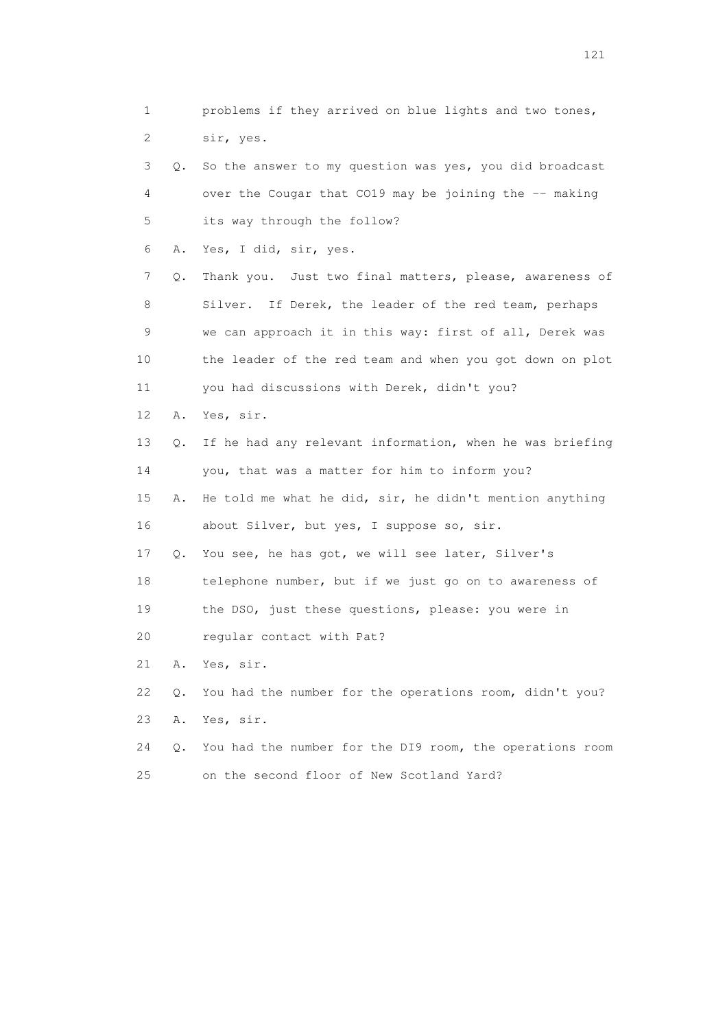1 problems if they arrived on blue lights and two tones, 2 sir, yes. 3 Q. So the answer to my question was yes, you did broadcast 4 over the Cougar that CO19 may be joining the -- making 5 its way through the follow? 6 A. Yes, I did, sir, yes. 7 Q. Thank you. Just two final matters, please, awareness of 8 Silver. If Derek, the leader of the red team, perhaps 9 we can approach it in this way: first of all, Derek was 10 the leader of the red team and when you got down on plot 11 you had discussions with Derek, didn't you? 12 A. Yes, sir. 13 Q. If he had any relevant information, when he was briefing 14 you, that was a matter for him to inform you? 15 A. He told me what he did, sir, he didn't mention anything 16 about Silver, but yes, I suppose so, sir. 17 Q. You see, he has got, we will see later, Silver's 18 telephone number, but if we just go on to awareness of 19 the DSO, just these questions, please: you were in 20 regular contact with Pat? 21 A. Yes, sir. 22 Q. You had the number for the operations room, didn't you? 23 A. Yes, sir. 24 Q. You had the number for the DI9 room, the operations room 25 on the second floor of New Scotland Yard?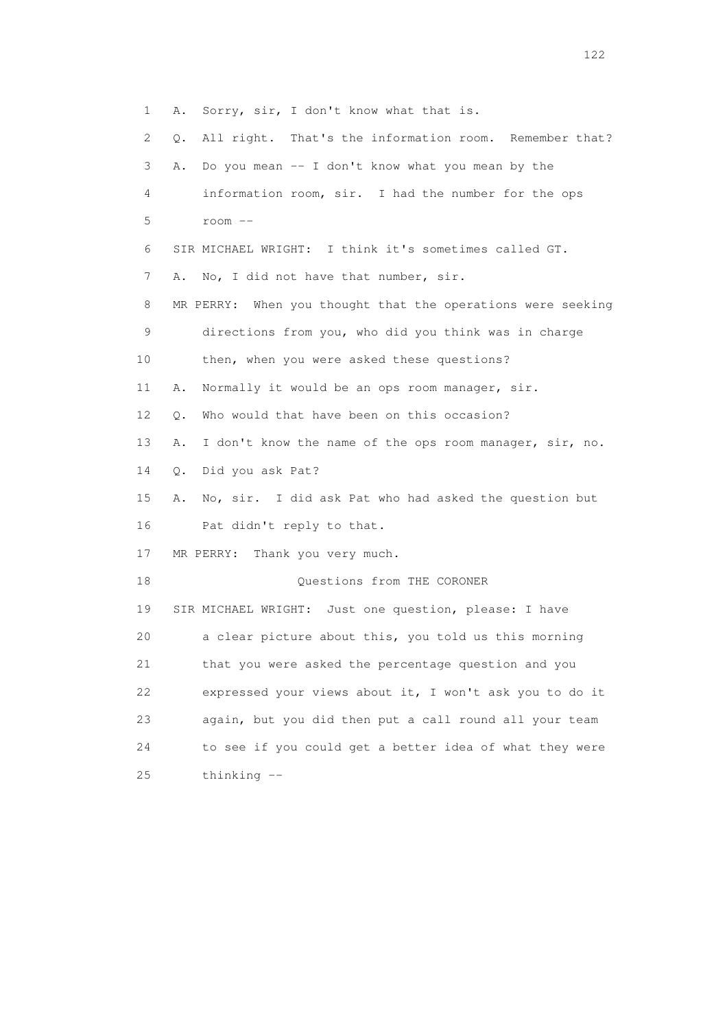1 A. Sorry, sir, I don't know what that is. 2 Q. All right. That's the information room. Remember that? 3 A. Do you mean -- I don't know what you mean by the 4 information room, sir. I had the number for the ops 5 room -- 6 SIR MICHAEL WRIGHT: I think it's sometimes called GT. 7 A. No, I did not have that number, sir. 8 MR PERRY: When you thought that the operations were seeking 9 directions from you, who did you think was in charge 10 then, when you were asked these questions? 11 A. Normally it would be an ops room manager, sir. 12 0. Who would that have been on this occasion? 13 A. I don't know the name of the ops room manager, sir, no. 14 Q. Did you ask Pat? 15 A. No, sir. I did ask Pat who had asked the question but 16 Pat didn't reply to that. 17 MR PERRY: Thank you very much. 18 Ouestions from THE CORONER 19 SIR MICHAEL WRIGHT: Just one question, please: I have 20 a clear picture about this, you told us this morning 21 that you were asked the percentage question and you 22 expressed your views about it, I won't ask you to do it 23 again, but you did then put a call round all your team 24 to see if you could get a better idea of what they were 25 thinking --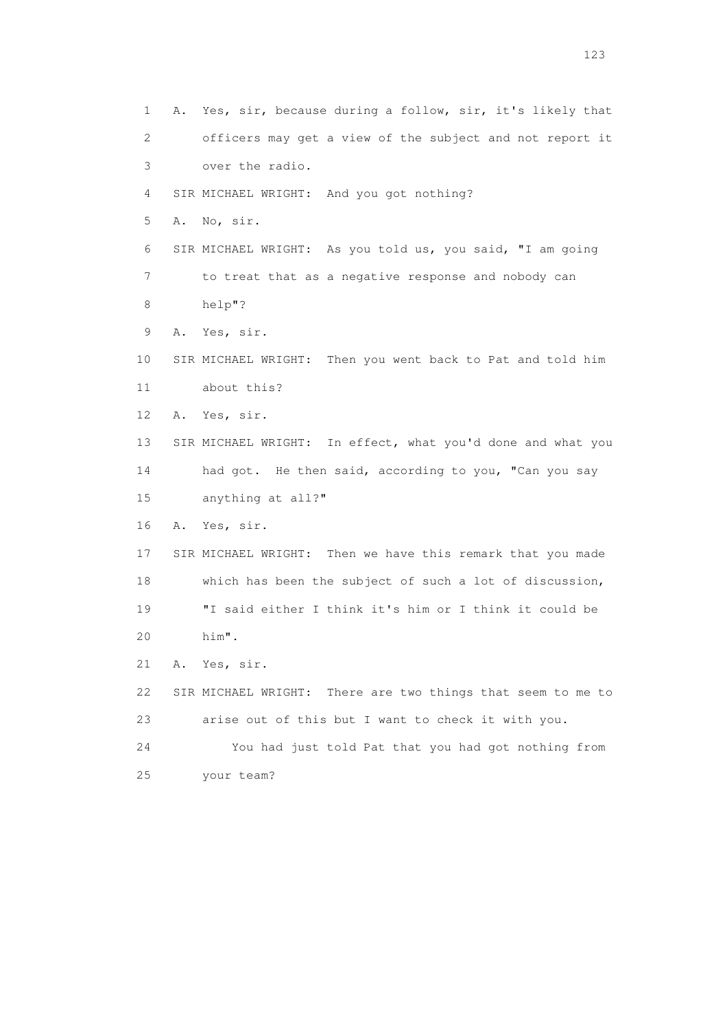1 A. Yes, sir, because during a follow, sir, it's likely that 2 officers may get a view of the subject and not report it 3 over the radio. 4 SIR MICHAEL WRIGHT: And you got nothing? 5 A. No, sir. 6 SIR MICHAEL WRIGHT: As you told us, you said, "I am going 7 to treat that as a negative response and nobody can 8 help"? 9 A. Yes, sir. 10 SIR MICHAEL WRIGHT: Then you went back to Pat and told him 11 about this? 12 A. Yes, sir. 13 SIR MICHAEL WRIGHT: In effect, what you'd done and what you 14 had got. He then said, according to you, "Can you say 15 anything at all?" 16 A. Yes, sir. 17 SIR MICHAEL WRIGHT: Then we have this remark that you made 18 which has been the subject of such a lot of discussion, 19 "I said either I think it's him or I think it could be 20 him". 21 A. Yes, sir. 22 SIR MICHAEL WRIGHT: There are two things that seem to me to 23 arise out of this but I want to check it with you. 24 You had just told Pat that you had got nothing from 25 your team?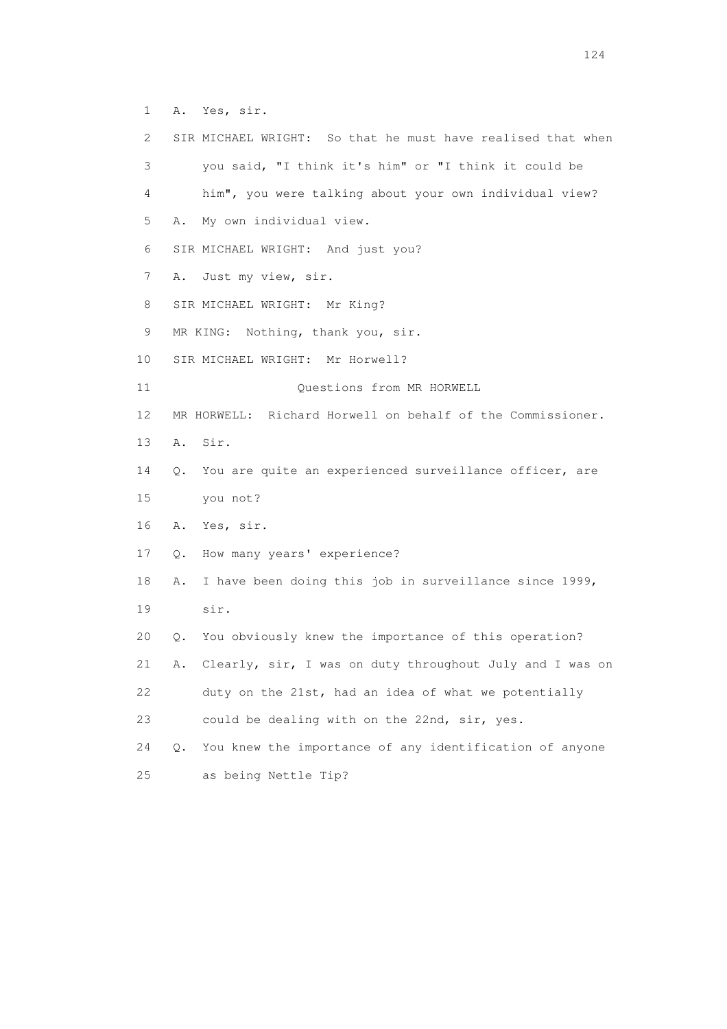1 A. Yes, sir.

 2 SIR MICHAEL WRIGHT: So that he must have realised that when 3 you said, "I think it's him" or "I think it could be 4 him", you were talking about your own individual view? 5 A. My own individual view. 6 SIR MICHAEL WRIGHT: And just you? 7 A. Just my view, sir. 8 SIR MICHAEL WRIGHT: Mr King? 9 MR KING: Nothing, thank you, sir. 10 SIR MICHAEL WRIGHT: Mr Horwell? 11 Ouestions from MR HORWELL 12 MR HORWELL: Richard Horwell on behalf of the Commissioner. 13 A. Sir. 14 Q. You are quite an experienced surveillance officer, are 15 you not? 16 A. Yes, sir. 17 Q. How many years' experience? 18 A. I have been doing this job in surveillance since 1999, 19 sir. 20 Q. You obviously knew the importance of this operation? 21 A. Clearly, sir, I was on duty throughout July and I was on 22 duty on the 21st, had an idea of what we potentially 23 could be dealing with on the 22nd, sir, yes. 24 Q. You knew the importance of any identification of anyone 25 as being Nettle Tip?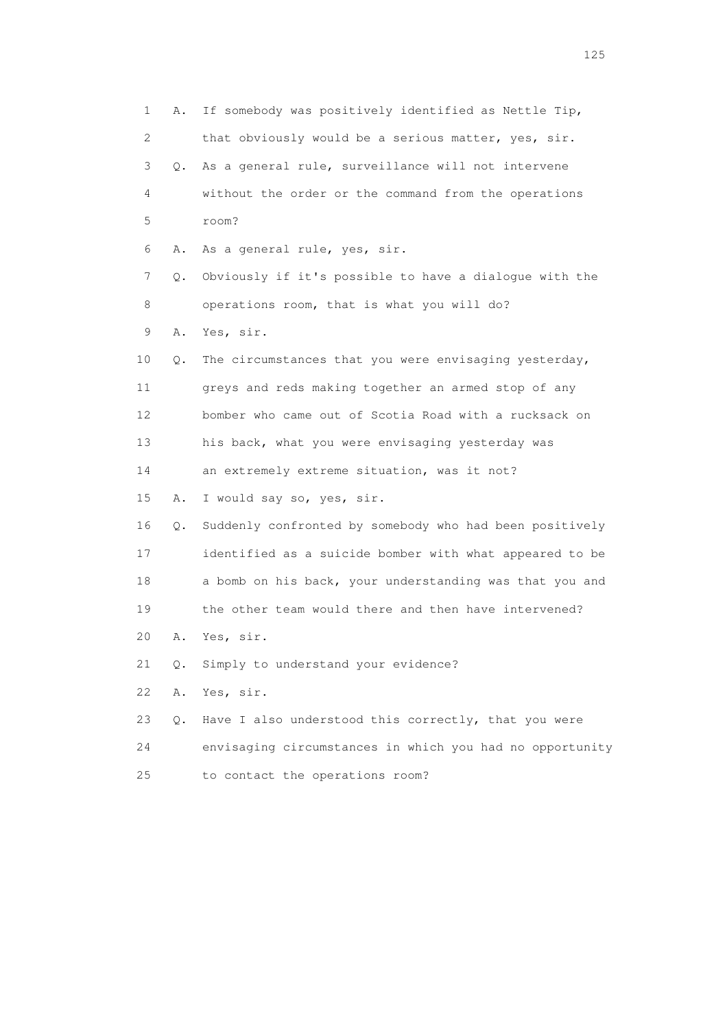1 A. If somebody was positively identified as Nettle Tip, 2 that obviously would be a serious matter, yes, sir. 3 Q. As a general rule, surveillance will not intervene 4 without the order or the command from the operations 5 room? 6 A. As a general rule, yes, sir. 7 Q. Obviously if it's possible to have a dialogue with the 8 operations room, that is what you will do? 9 A. Yes, sir. 10 Q. The circumstances that you were envisaging yesterday, 11 greys and reds making together an armed stop of any 12 bomber who came out of Scotia Road with a rucksack on 13 his back, what you were envisaging yesterday was 14 an extremely extreme situation, was it not? 15 A. I would say so, yes, sir. 16 Q. Suddenly confronted by somebody who had been positively 17 identified as a suicide bomber with what appeared to be 18 a bomb on his back, your understanding was that you and 19 the other team would there and then have intervened? 20 A. Yes, sir. 21 Q. Simply to understand your evidence? 22 A. Yes, sir. 23 Q. Have I also understood this correctly, that you were 24 envisaging circumstances in which you had no opportunity 25 to contact the operations room?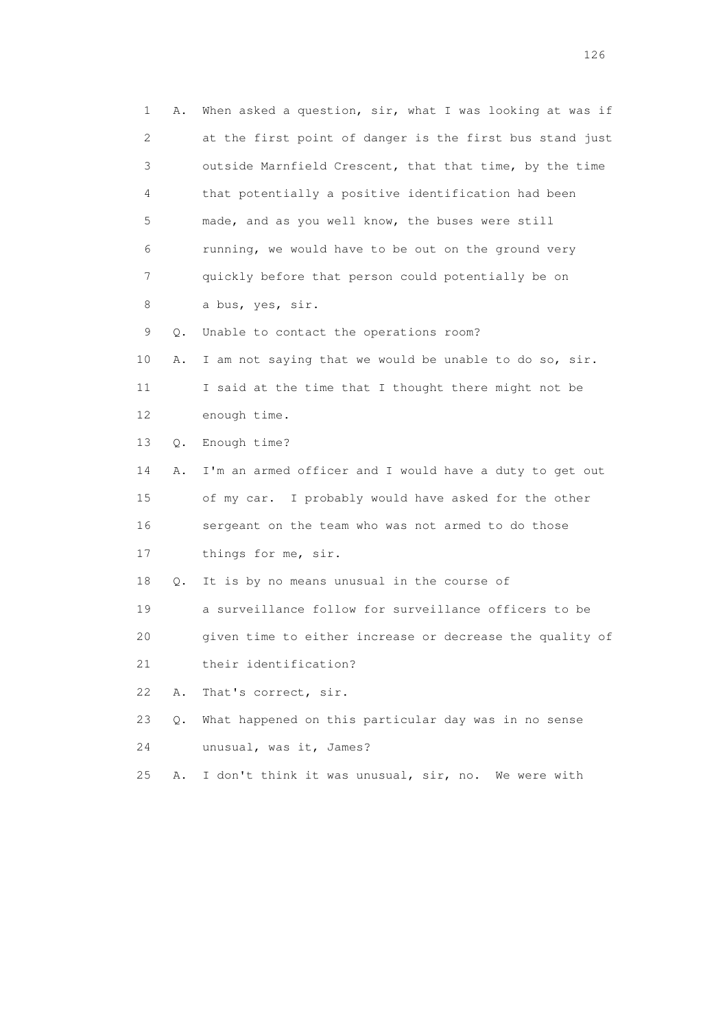1 A. When asked a question, sir, what I was looking at was if 2 at the first point of danger is the first bus stand just 3 outside Marnfield Crescent, that that time, by the time 4 that potentially a positive identification had been 5 made, and as you well know, the buses were still 6 running, we would have to be out on the ground very 7 quickly before that person could potentially be on 8 a bus, yes, sir. 9 Q. Unable to contact the operations room? 10 A. I am not saying that we would be unable to do so, sir. 11 I said at the time that I thought there might not be 12 enough time. 13 Q. Enough time? 14 A. I'm an armed officer and I would have a duty to get out 15 of my car. I probably would have asked for the other 16 sergeant on the team who was not armed to do those 17 things for me, sir. 18 Q. It is by no means unusual in the course of 19 a surveillance follow for surveillance officers to be 20 given time to either increase or decrease the quality of 21 their identification? 22 A. That's correct, sir. 23 Q. What happened on this particular day was in no sense 24 unusual, was it, James? 25 A. I don't think it was unusual, sir, no. We were with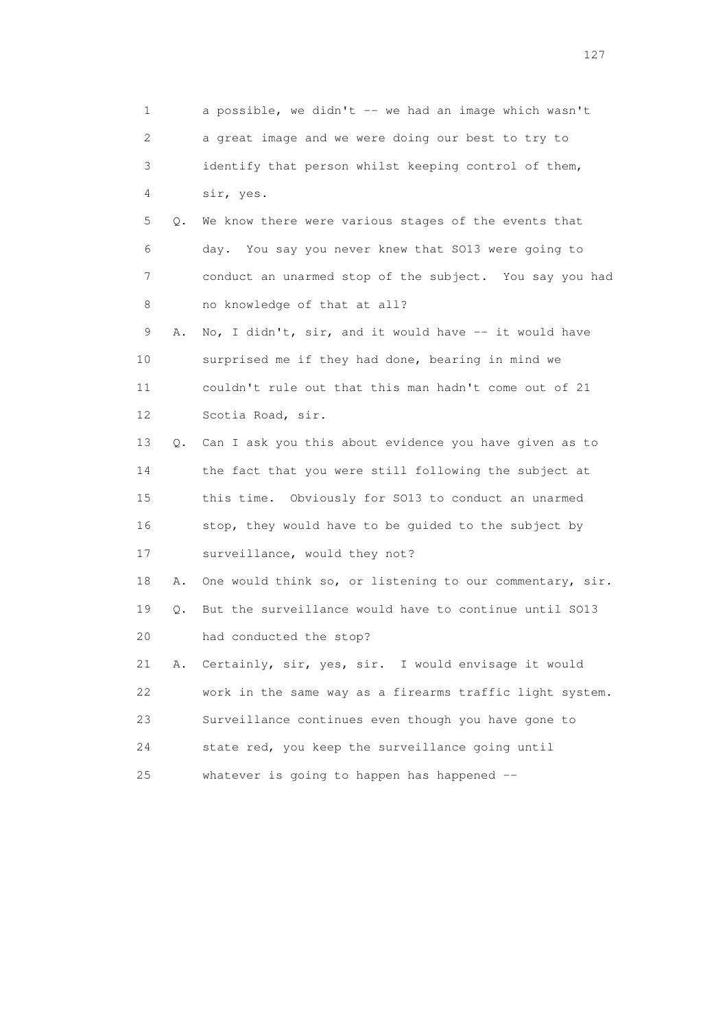1 a possible, we didn't -- we had an image which wasn't 2 a great image and we were doing our best to try to 3 identify that person whilst keeping control of them, 4 sir, yes. 5 Q. We know there were various stages of the events that 6 day. You say you never knew that SO13 were going to 7 conduct an unarmed stop of the subject. You say you had 8 no knowledge of that at all? 9 A. No, I didn't, sir, and it would have -- it would have 10 surprised me if they had done, bearing in mind we 11 couldn't rule out that this man hadn't come out of 21 12 Scotia Road, sir. 13 Q. Can I ask you this about evidence you have given as to 14 the fact that you were still following the subject at 15 this time. Obviously for SO13 to conduct an unarmed 16 stop, they would have to be guided to the subject by 17 surveillance, would they not? 18 A. One would think so, or listening to our commentary, sir. 19 Q. But the surveillance would have to continue until SO13 20 had conducted the stop? 21 A. Certainly, sir, yes, sir. I would envisage it would 22 work in the same way as a firearms traffic light system. 23 Surveillance continues even though you have gone to 24 state red, you keep the surveillance going until 25 whatever is going to happen has happened --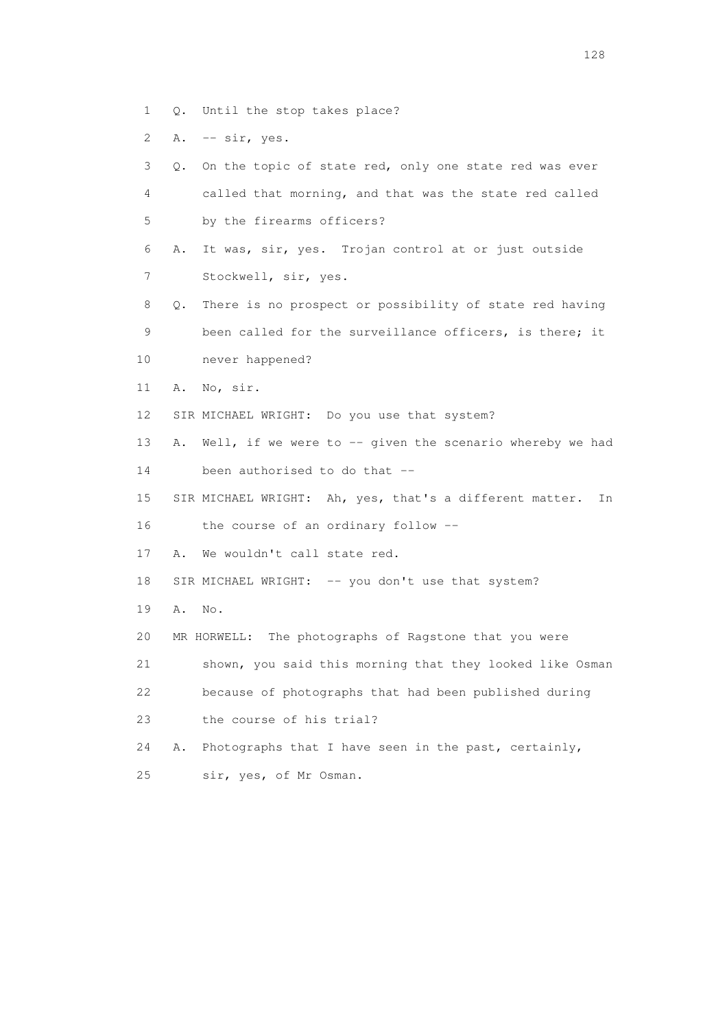- 1 Q. Until the stop takes place?
- 2 A. -- sir, yes.

| 3               | Q. On the topic of state red, only one state red was ever         |
|-----------------|-------------------------------------------------------------------|
| 4               | called that morning, and that was the state red called            |
| 5               | by the firearms officers?                                         |
| 6               | It was, sir, yes. Trojan control at or just outside<br>Α.         |
| 7               | Stockwell, sir, yes.                                              |
| 8               | There is no prospect or possibility of state red having<br>Q.     |
| 9               | been called for the surveillance officers, is there; it           |
| 10              | never happened?                                                   |
| 11              | No, sir.<br>Α.                                                    |
| 12 <sup>°</sup> | SIR MICHAEL WRIGHT: Do you use that system?                       |
| 13              | Well, if we were to $-$ - given the scenario whereby we had<br>Α. |
| 14              | been authorised to do that --                                     |
| 15              | SIR MICHAEL WRIGHT: Ah, yes, that's a different matter.<br>In     |
| 16              | the course of an ordinary follow --                               |
| 17              | We wouldn't call state red.<br>Α.                                 |
| 18              | SIR MICHAEL WRIGHT: -- you don't use that system?                 |
| 19              | Α.<br>No.                                                         |
| 20              | MR HORWELL: The photographs of Ragstone that you were             |
| 21              | shown, you said this morning that they looked like Osman          |
| 22              | because of photographs that had been published during             |
| 23              | the course of his trial?                                          |
| 24              | Photographs that I have seen in the past, certainly,<br>Α.        |
| 25              | sir, yes, of Mr Osman.                                            |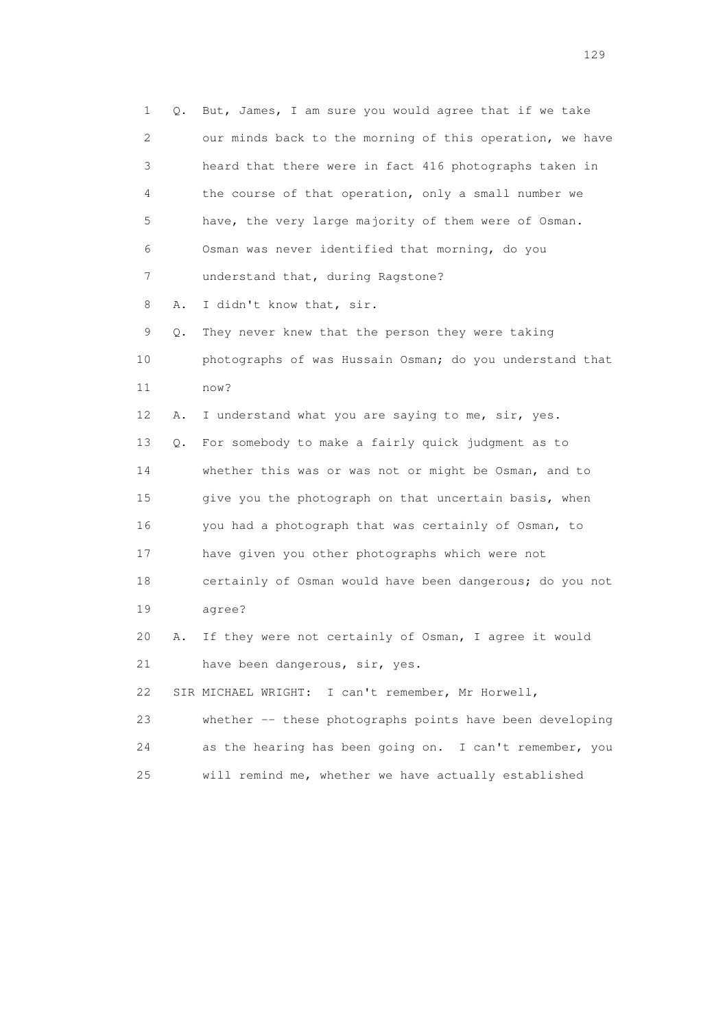1 Q. But, James, I am sure you would agree that if we take 2 our minds back to the morning of this operation, we have 3 heard that there were in fact 416 photographs taken in 4 the course of that operation, only a small number we 5 have, the very large majority of them were of Osman. 6 Osman was never identified that morning, do you 7 understand that, during Ragstone? 8 A. I didn't know that, sir. 9 Q. They never knew that the person they were taking 10 photographs of was Hussain Osman; do you understand that 11 now? 12 A. I understand what you are saying to me, sir, yes. 13 Q. For somebody to make a fairly quick judgment as to 14 whether this was or was not or might be Osman, and to 15 give you the photograph on that uncertain basis, when 16 you had a photograph that was certainly of Osman, to 17 have given you other photographs which were not 18 certainly of Osman would have been dangerous; do you not 19 agree? 20 A. If they were not certainly of Osman, I agree it would 21 have been dangerous, sir, yes. 22 SIR MICHAEL WRIGHT: I can't remember, Mr Horwell, 23 whether -- these photographs points have been developing 24 as the hearing has been going on. I can't remember, you 25 will remind me, whether we have actually established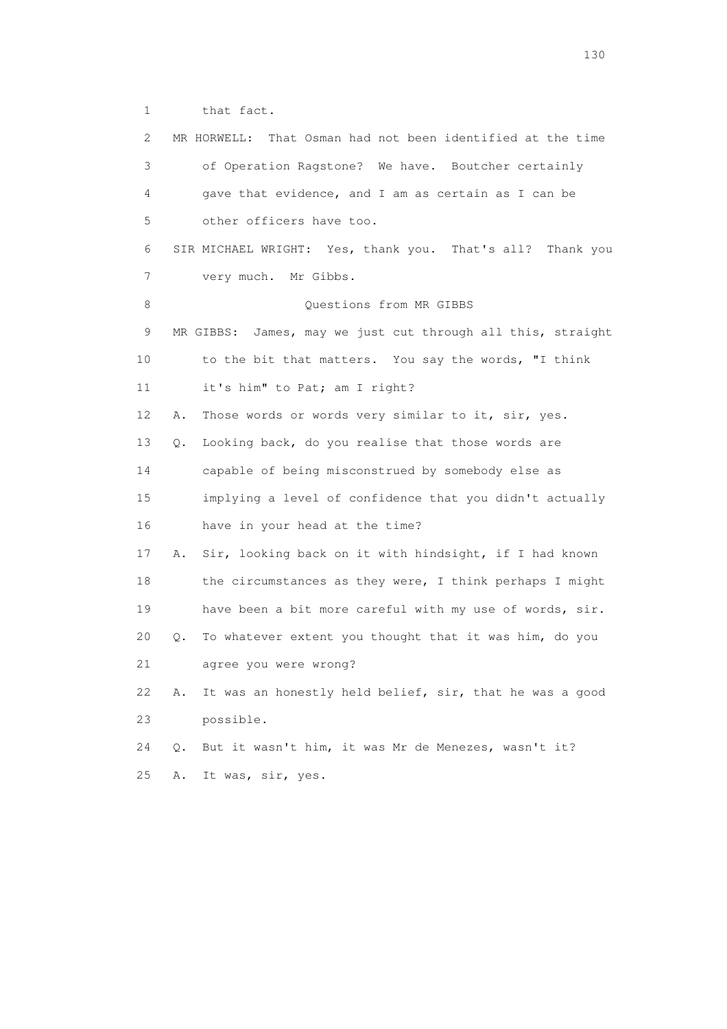1 that fact.

| $\overline{2}$ | MR HORWELL: That Osman had not been identified at the time    |  |
|----------------|---------------------------------------------------------------|--|
| 3              | of Operation Ragstone? We have. Boutcher certainly            |  |
| 4              | gave that evidence, and I am as certain as I can be           |  |
| 5              | other officers have too.                                      |  |
| 6              | SIR MICHAEL WRIGHT: Yes, thank you. That's all? Thank you     |  |
| 7              | very much. Mr Gibbs.                                          |  |
| 8              | Questions from MR GIBBS                                       |  |
| 9              | MR GIBBS: James, may we just cut through all this, straight   |  |
| 10             | to the bit that matters. You say the words, "I think          |  |
| 11             | it's him" to Pat; am I right?                                 |  |
| 12             | Those words or words very similar to it, sir, yes.<br>Α.      |  |
| 13             | Looking back, do you realise that those words are<br>О.       |  |
| 14             | capable of being misconstrued by somebody else as             |  |
| 15             | implying a level of confidence that you didn't actually       |  |
| 16             | have in your head at the time?                                |  |
| 17             | Sir, looking back on it with hindsight, if I had known<br>Α.  |  |
| 18             | the circumstances as they were, I think perhaps I might       |  |
| 19             | have been a bit more careful with my use of words, sir.       |  |
| 20             | To whatever extent you thought that it was him, do you<br>Q.  |  |
| 21             | agree you were wrong?                                         |  |
| 22             | It was an honestly held belief, sir, that he was a good<br>Α. |  |
| 23             | possible.                                                     |  |
| 24             | But it wasn't him, it was Mr de Menezes, wasn't it?<br>$Q$ .  |  |
| 25             | It was, sir, yes.<br>Α.                                       |  |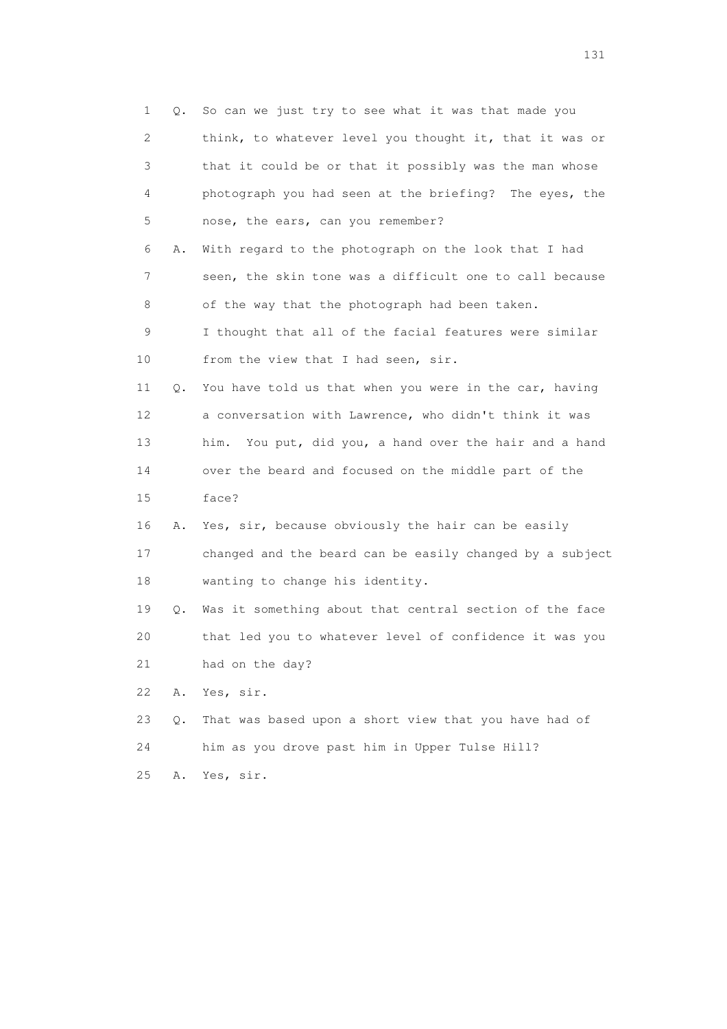| 1           | Q. | So can we just try to see what it was that made you       |
|-------------|----|-----------------------------------------------------------|
| 2           |    | think, to whatever level you thought it, that it was or   |
| 3           |    | that it could be or that it possibly was the man whose    |
| 4           |    | photograph you had seen at the briefing? The eyes, the    |
| 5           |    | nose, the ears, can you remember?                         |
| 6           | Α. | With regard to the photograph on the look that I had      |
| 7           |    | seen, the skin tone was a difficult one to call because   |
| 8           |    | of the way that the photograph had been taken.            |
| $\mathsf 9$ |    | I thought that all of the facial features were similar    |
| 10          |    | from the view that I had seen, sir.                       |
| 11          | Q. | You have told us that when you were in the car, having    |
| 12          |    | a conversation with Lawrence, who didn't think it was     |
| 13          |    | You put, did you, a hand over the hair and a hand<br>him. |
| 14          |    | over the beard and focused on the middle part of the      |
| 15          |    | face?                                                     |
| 16          | Α. | Yes, sir, because obviously the hair can be easily        |
| 17          |    | changed and the beard can be easily changed by a subject  |
| 18          |    | wanting to change his identity.                           |
| 19          | Q. | Was it something about that central section of the face   |
| 20          |    | that led you to whatever level of confidence it was you   |
| 21          |    | had on the day?                                           |
| 22          | Α. | Yes, sir.                                                 |
| 23          | Q. | That was based upon a short view that you have had of     |
| 24          |    | him as you drove past him in Upper Tulse Hill?            |
| 25          | Α. | Yes, sir.                                                 |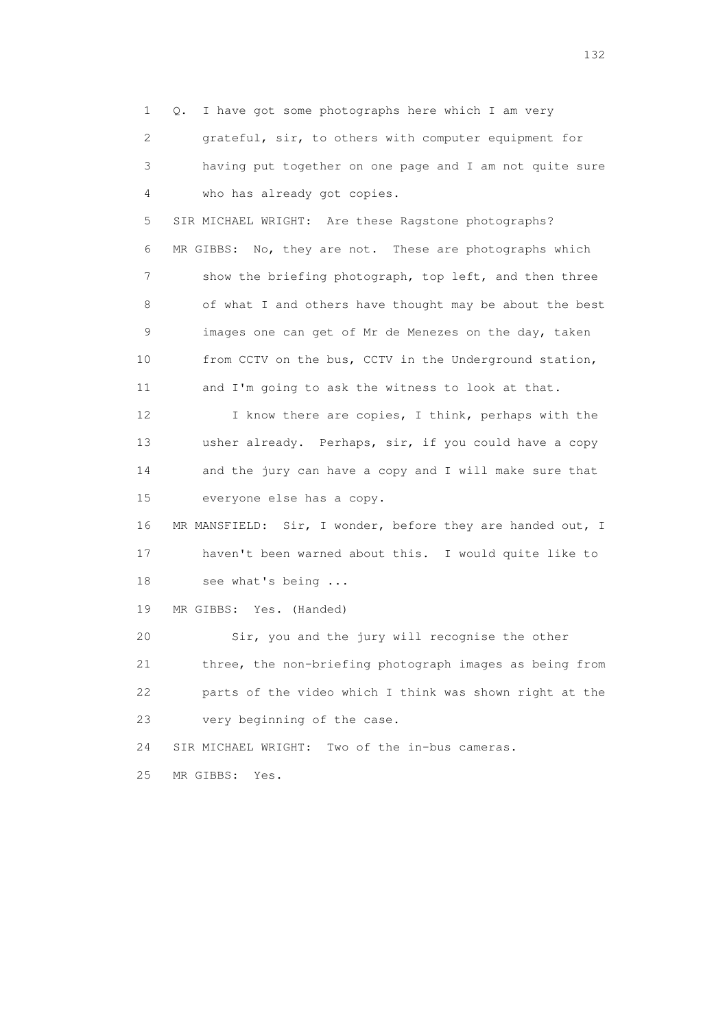1 Q. I have got some photographs here which I am very 2 grateful, sir, to others with computer equipment for 3 having put together on one page and I am not quite sure 4 who has already got copies. 5 SIR MICHAEL WRIGHT: Are these Ragstone photographs?

 6 MR GIBBS: No, they are not. These are photographs which 7 show the briefing photograph, top left, and then three 8 of what I and others have thought may be about the best 9 images one can get of Mr de Menezes on the day, taken 10 from CCTV on the bus, CCTV in the Underground station, 11 and I'm going to ask the witness to look at that.

12 I know there are copies, I think, perhaps with the 13 usher already. Perhaps, sir, if you could have a copy 14 and the jury can have a copy and I will make sure that 15 everyone else has a copy.

 16 MR MANSFIELD: Sir, I wonder, before they are handed out, I 17 haven't been warned about this. I would quite like to 18 see what's being ...

19 MR GIBBS: Yes. (Handed)

 20 Sir, you and the jury will recognise the other 21 three, the non-briefing photograph images as being from 22 parts of the video which I think was shown right at the 23 very beginning of the case.

24 SIR MICHAEL WRIGHT: Two of the in-bus cameras.

25 MR GIBBS: Yes.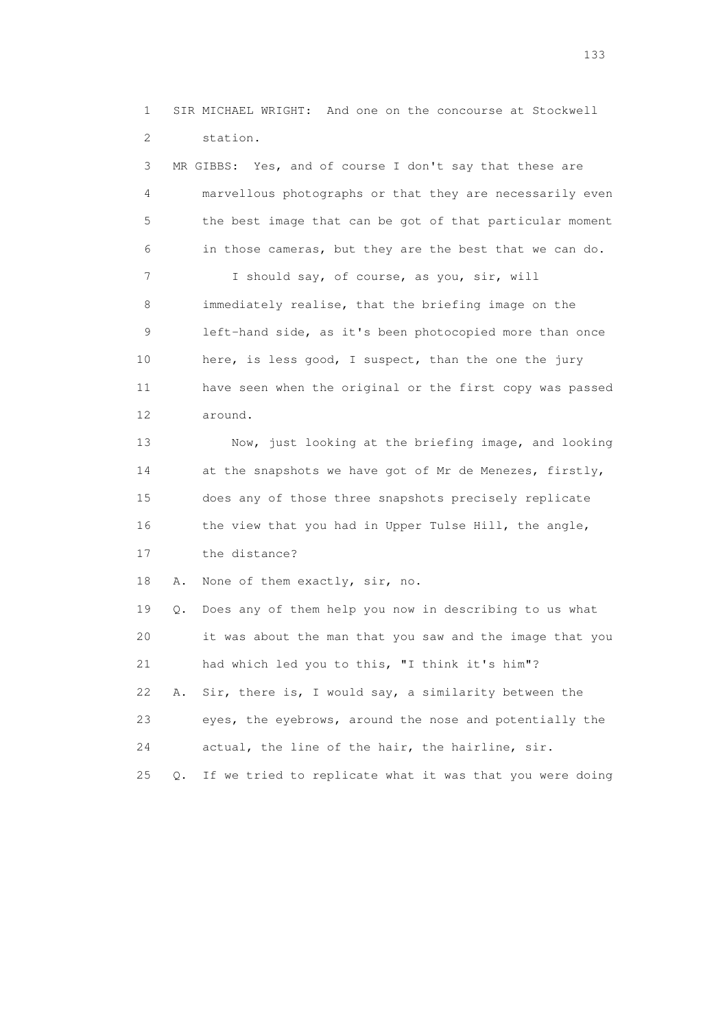1 SIR MICHAEL WRIGHT: And one on the concourse at Stockwell 2 station.

 3 MR GIBBS: Yes, and of course I don't say that these are 4 marvellous photographs or that they are necessarily even 5 the best image that can be got of that particular moment 6 in those cameras, but they are the best that we can do. 7 I should say, of course, as you, sir, will 8 immediately realise, that the briefing image on the 9 left-hand side, as it's been photocopied more than once 10 here, is less good, I suspect, than the one the jury 11 have seen when the original or the first copy was passed 12 around. 13 Now, just looking at the briefing image, and looking 14 at the snapshots we have got of Mr de Menezes, firstly, 15 does any of those three snapshots precisely replicate 16 the view that you had in Upper Tulse Hill, the angle, 17 the distance? 18 A. None of them exactly, sir, no. 19 Q. Does any of them help you now in describing to us what 20 it was about the man that you saw and the image that you 21 had which led you to this, "I think it's him"? 22 A. Sir, there is, I would say, a similarity between the 23 eyes, the eyebrows, around the nose and potentially the

24 actual, the line of the hair, the hairline, sir.

25 Q. If we tried to replicate what it was that you were doing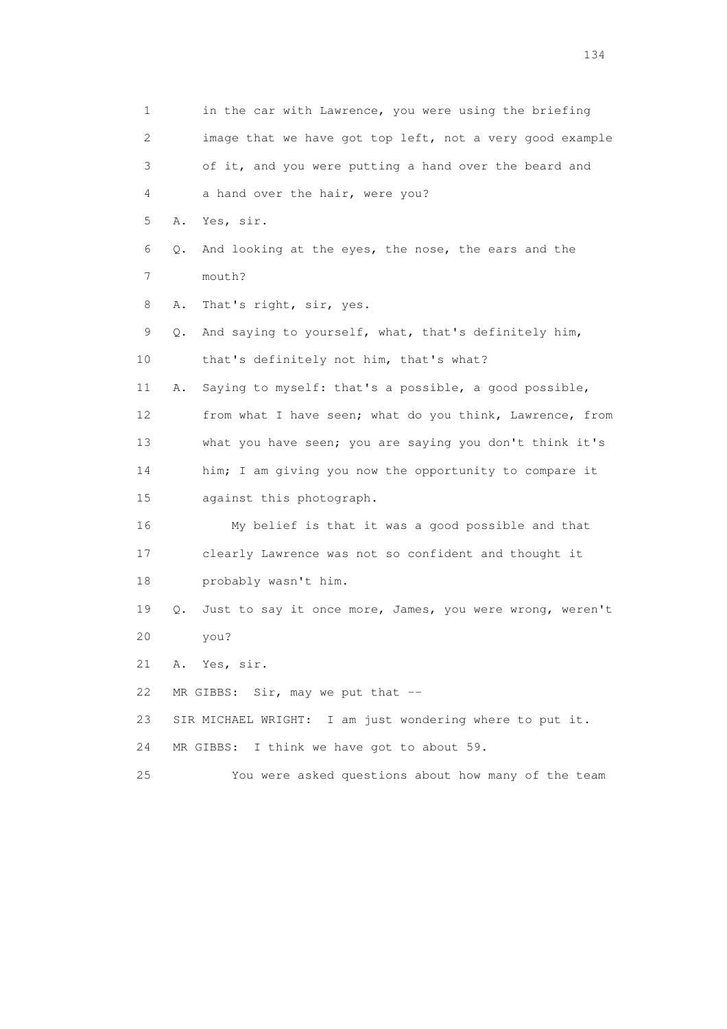| $\mathbf 1$    |    | in the car with Lawrence, you were using the briefing    |
|----------------|----|----------------------------------------------------------|
| $\overline{c}$ |    | image that we have got top left, not a very good example |
| 3              |    | of it, and you were putting a hand over the beard and    |
| 4              |    | a hand over the hair, were you?                          |
| 5              | Α. | Yes, sir.                                                |
| 6              | Q. | And looking at the eyes, the nose, the ears and the      |
| 7              |    | mouth?                                                   |
| 8              | Α. | That's right, sir, yes.                                  |
| 9              | Q. | And saying to yourself, what, that's definitely him,     |
| 10             |    | that's definitely not him, that's what?                  |
| 11             | Α. | Saying to myself: that's a possible, a good possible,    |
| 12             |    | from what I have seen; what do you think, Lawrence, from |
| 13             |    | what you have seen; you are saying you don't think it's  |
| 14             |    | him; I am giving you now the opportunity to compare it   |
| 15             |    | against this photograph.                                 |
| 16             |    | My belief is that it was a good possible and that        |
| 17             |    | clearly Lawrence was not so confident and thought it     |
| 18             |    | probably wasn't him.                                     |
| 19             | О. | Just to say it once more, James, you were wrong, weren't |
| 20             |    | you?                                                     |
| 21             |    | A. Yes, sir.                                             |
| 22             |    | MR GIBBS: Sir, may we put that --                        |
| 23             |    | SIR MICHAEL WRIGHT: I am just wondering where to put it. |
| 24             |    | MR GIBBS: I think we have got to about 59.               |
| 25             |    | You were asked questions about how many of the team      |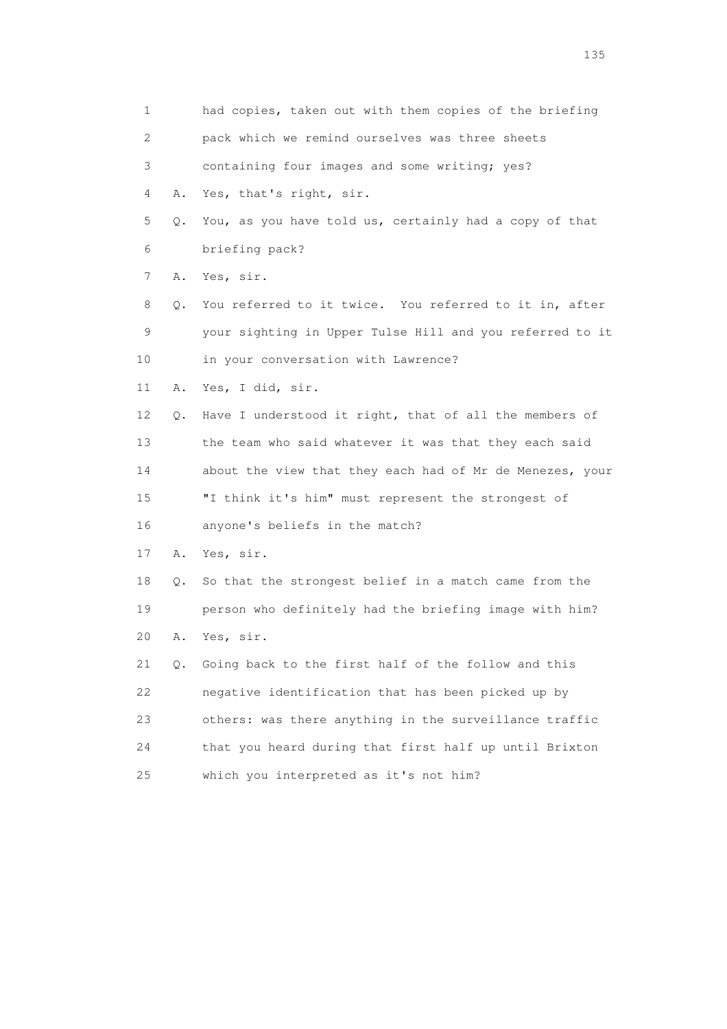1 had copies, taken out with them copies of the briefing 2 pack which we remind ourselves was three sheets 3 containing four images and some writing; yes? 4 A. Yes, that's right, sir. 5 Q. You, as you have told us, certainly had a copy of that 6 briefing pack? 7 A. Yes, sir. 8 Q. You referred to it twice. You referred to it in, after 9 your sighting in Upper Tulse Hill and you referred to it 10 in your conversation with Lawrence? 11 A. Yes, I did, sir. 12 Q. Have I understood it right, that of all the members of 13 the team who said whatever it was that they each said 14 about the view that they each had of Mr de Menezes, your 15 "I think it's him" must represent the strongest of 16 anyone's beliefs in the match? 17 A. Yes, sir. 18 Q. So that the strongest belief in a match came from the 19 person who definitely had the briefing image with him? 20 A. Yes, sir. 21 Q. Going back to the first half of the follow and this 22 negative identification that has been picked up by 23 others: was there anything in the surveillance traffic 24 that you heard during that first half up until Brixton 25 which you interpreted as it's not him?

n 135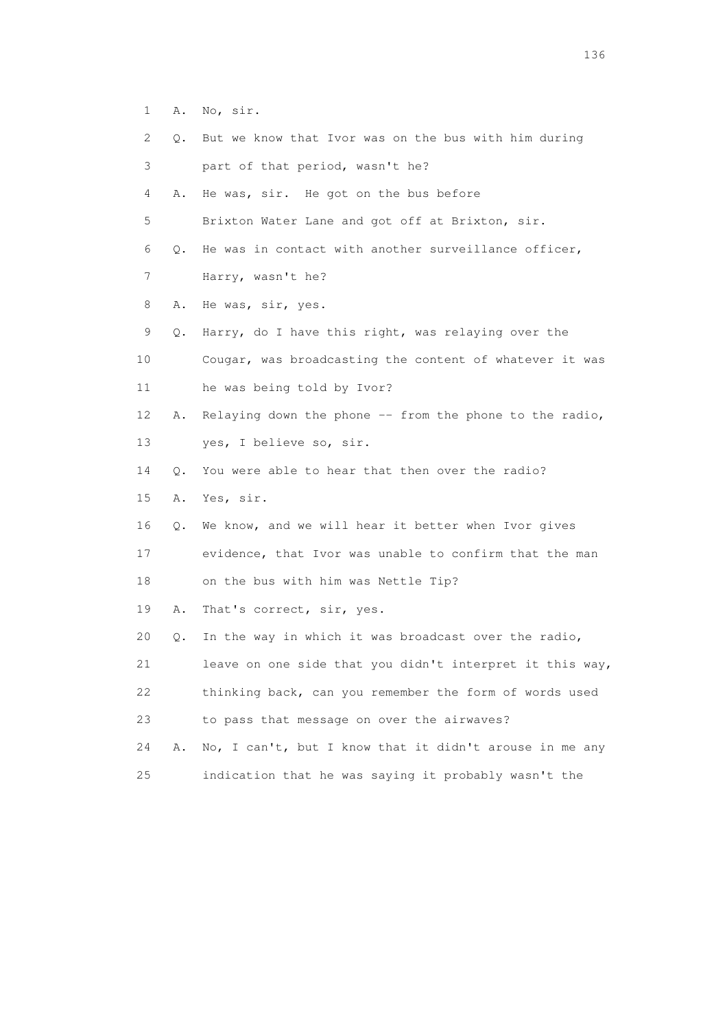- 1 A. No, sir.
- 2 Q. But we know that Ivor was on the bus with him during
- 3 part of that period, wasn't he?
- 4 A. He was, sir. He got on the bus before

5 Brixton Water Lane and got off at Brixton, sir.

6 Q. He was in contact with another surveillance officer,

- 7 Harry, wasn't he?
- 8 A. He was, sir, yes.
- 9 Q. Harry, do I have this right, was relaying over the
- 10 Cougar, was broadcasting the content of whatever it was 11 he was being told by Ivor?
- 12 A. Relaying down the phone -- from the phone to the radio, 13 yes, I believe so, sir.
- 14 Q. You were able to hear that then over the radio?
- 15 A. Yes, sir.
- 16 Q. We know, and we will hear it better when Ivor gives

17 evidence, that Ivor was unable to confirm that the man

18 on the bus with him was Nettle Tip?

19 A. That's correct, sir, yes.

20 Q. In the way in which it was broadcast over the radio,

21 leave on one side that you didn't interpret it this way,

- 22 thinking back, can you remember the form of words used
- 23 to pass that message on over the airwaves?
- 24 A. No, I can't, but I know that it didn't arouse in me any 25 indication that he was saying it probably wasn't the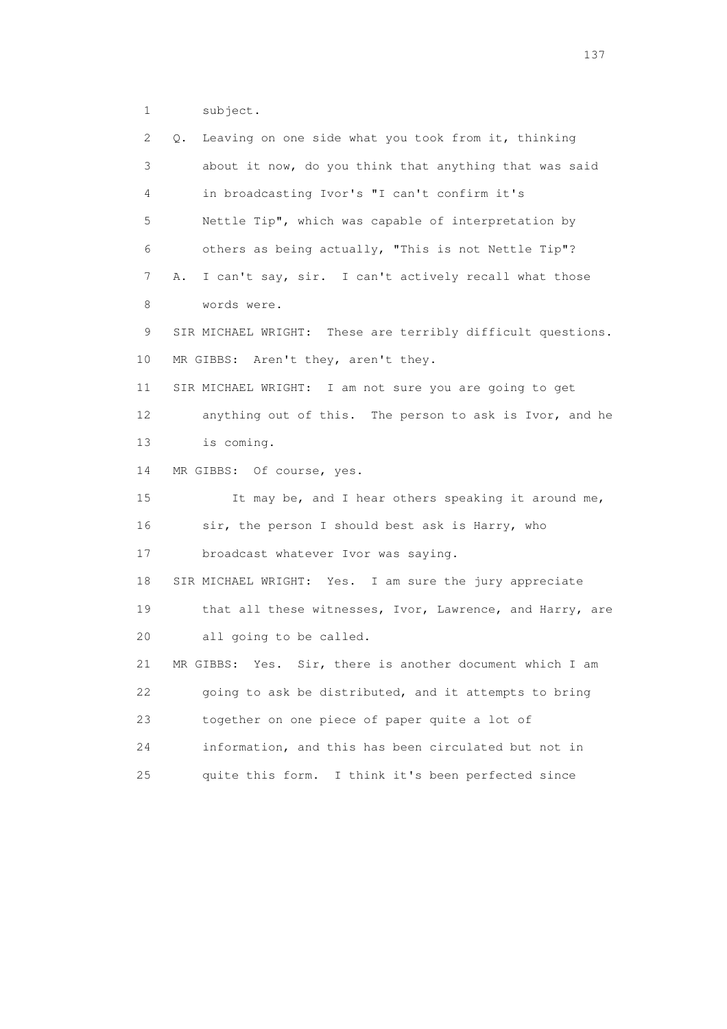1 subject.

| 2               | Leaving on one side what you took from it, thinking<br>Q.   |
|-----------------|-------------------------------------------------------------|
| 3               | about it now, do you think that anything that was said      |
| 4               | in broadcasting Ivor's "I can't confirm it's                |
| 5               | Nettle Tip", which was capable of interpretation by         |
| 6               | others as being actually, "This is not Nettle Tip"?         |
| 7               | I can't say, sir. I can't actively recall what those<br>Α.  |
| 8               | words were.                                                 |
| 9               | SIR MICHAEL WRIGHT: These are terribly difficult questions. |
| 10              | MR GIBBS: Aren't they, aren't they.                         |
| 11              | SIR MICHAEL WRIGHT: I am not sure you are going to get      |
| 12 <sup>°</sup> | anything out of this. The person to ask is Ivor, and he     |
| 13              | is coming.                                                  |
| 14              | MR GIBBS: Of course, yes.                                   |
| 15              | It may be, and I hear others speaking it around me,         |
| 16              | sir, the person I should best ask is Harry, who             |
| 17              | broadcast whatever Ivor was saying.                         |
| 18              | SIR MICHAEL WRIGHT: Yes. I am sure the jury appreciate      |
| 19              | that all these witnesses, Ivor, Lawrence, and Harry, are    |
| 20              | all going to be called.                                     |
| 21              | MR GIBBS: Yes. Sir, there is another document which I am    |
| 22              | going to ask be distributed, and it attempts to bring       |
| 23              | together on one piece of paper quite a lot of               |
| 24              | information, and this has been circulated but not in        |
| 25              | I think it's been perfected since<br>quite this form.       |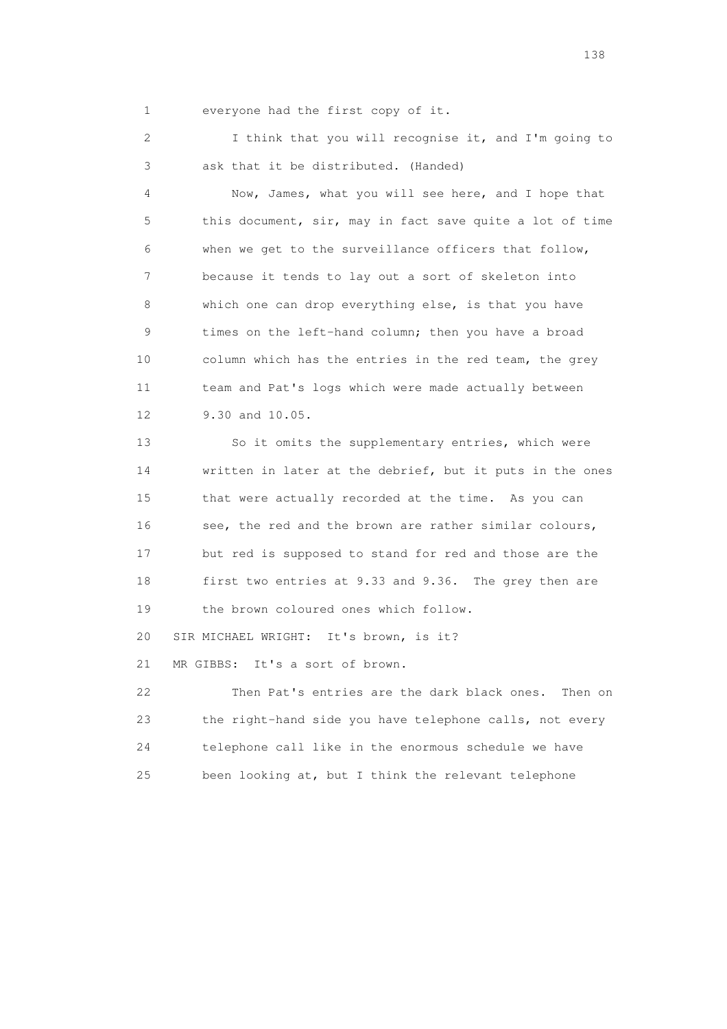1 everyone had the first copy of it.

 2 I think that you will recognise it, and I'm going to 3 ask that it be distributed. (Handed)

 4 Now, James, what you will see here, and I hope that 5 this document, sir, may in fact save quite a lot of time 6 when we get to the surveillance officers that follow, 7 because it tends to lay out a sort of skeleton into 8 which one can drop everything else, is that you have 9 times on the left-hand column; then you have a broad 10 column which has the entries in the red team, the grey 11 team and Pat's logs which were made actually between 12 9.30 and 10.05.

 13 So it omits the supplementary entries, which were 14 written in later at the debrief, but it puts in the ones 15 that were actually recorded at the time. As you can 16 see, the red and the brown are rather similar colours, 17 but red is supposed to stand for red and those are the 18 first two entries at 9.33 and 9.36. The grey then are 19 the brown coloured ones which follow.

20 SIR MICHAEL WRIGHT: It's brown, is it?

21 MR GIBBS: It's a sort of brown.

 22 Then Pat's entries are the dark black ones. Then on 23 the right-hand side you have telephone calls, not every 24 telephone call like in the enormous schedule we have 25 been looking at, but I think the relevant telephone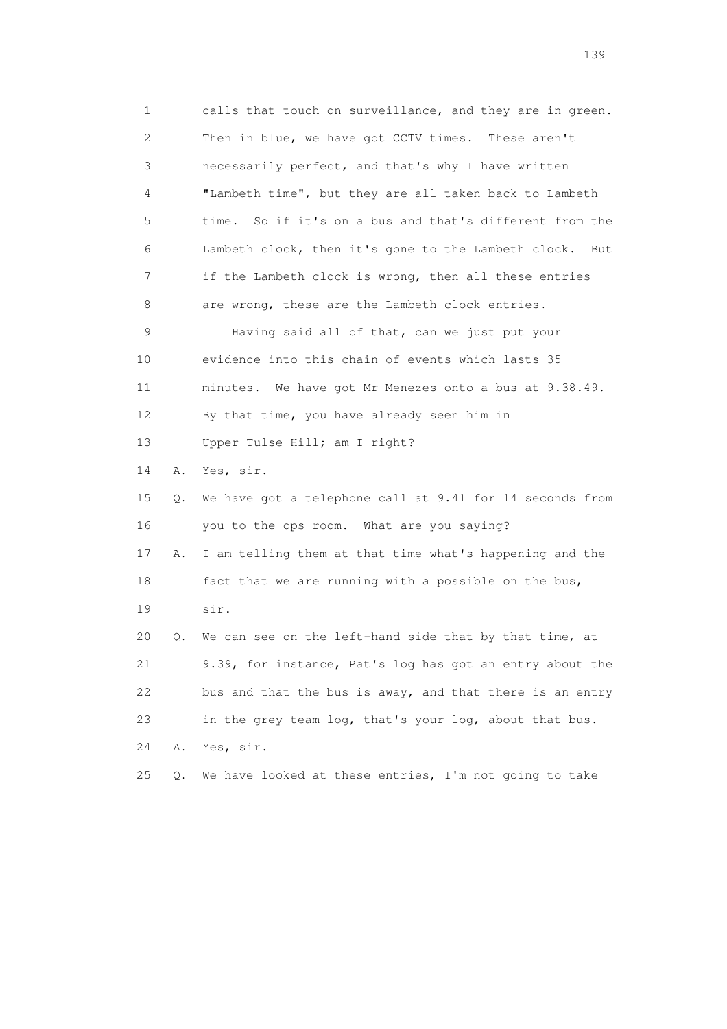1 calls that touch on surveillance, and they are in green. 2 Then in blue, we have got CCTV times. These aren't 3 necessarily perfect, and that's why I have written 4 "Lambeth time", but they are all taken back to Lambeth 5 time. So if it's on a bus and that's different from the 6 Lambeth clock, then it's gone to the Lambeth clock. But 7 if the Lambeth clock is wrong, then all these entries 8 are wrong, these are the Lambeth clock entries. 9 Having said all of that, can we just put your 10 evidence into this chain of events which lasts 35 11 minutes. We have got Mr Menezes onto a bus at 9.38.49. 12 By that time, you have already seen him in 13 Upper Tulse Hill; am I right? 14 A. Yes, sir. 15 Q. We have got a telephone call at 9.41 for 14 seconds from 16 you to the ops room. What are you saying? 17 A. I am telling them at that time what's happening and the 18 fact that we are running with a possible on the bus, 19 sir. 20 Q. We can see on the left-hand side that by that time, at 21 9.39, for instance, Pat's log has got an entry about the 22 bus and that the bus is away, and that there is an entry 23 in the grey team log, that's your log, about that bus. 24 A. Yes, sir. 25 Q. We have looked at these entries, I'm not going to take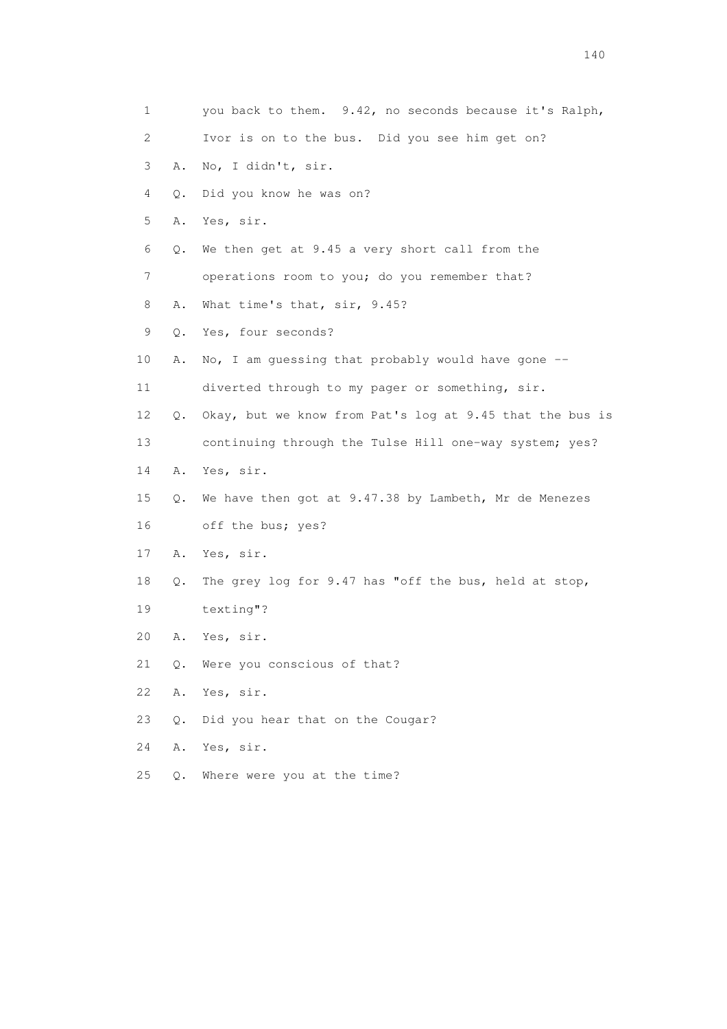| $\mathbf 1$ |       | you back to them. 9.42, no seconds because it's Ralph,   |
|-------------|-------|----------------------------------------------------------|
| 2           |       | Ivor is on to the bus. Did you see him get on?           |
| 3           | Α.    | No, I didn't, sir.                                       |
| 4           | Q.    | Did you know he was on?                                  |
| 5           | Α.    | Yes, sir.                                                |
| 6           | Q.    | We then get at 9.45 a very short call from the           |
| 7           |       | operations room to you; do you remember that?            |
| 8           | Α.    | What time's that, sir, 9.45?                             |
| 9           | Q.    | Yes, four seconds?                                       |
| 10          | Α.    | No, I am guessing that probably would have gone $-$ -    |
| 11          |       | diverted through to my pager or something, sir.          |
| 12          | Q.    | Okay, but we know from Pat's log at 9.45 that the bus is |
| 13          |       | continuing through the Tulse Hill one-way system; yes?   |
| 14          | A.    | Yes, sir.                                                |
| 15          | Q.    | We have then got at 9.47.38 by Lambeth, Mr de Menezes    |
| 16          |       | off the bus; yes?                                        |
| 17          | Α.    | Yes, sir.                                                |
| 18          | Q.    | The grey log for 9.47 has "off the bus, held at stop,    |
| 19          |       | texting"?                                                |
| 20          | Α.    | Yes, sir.                                                |
| 21          | $Q$ . | Were you conscious of that?                              |
| 22          | Α.    | Yes, sir.                                                |
| 23          | Q.    | Did you hear that on the Cougar?                         |
| 24          | Α.    | Yes, sir.                                                |
| 25          | Q.    | Where were you at the time?                              |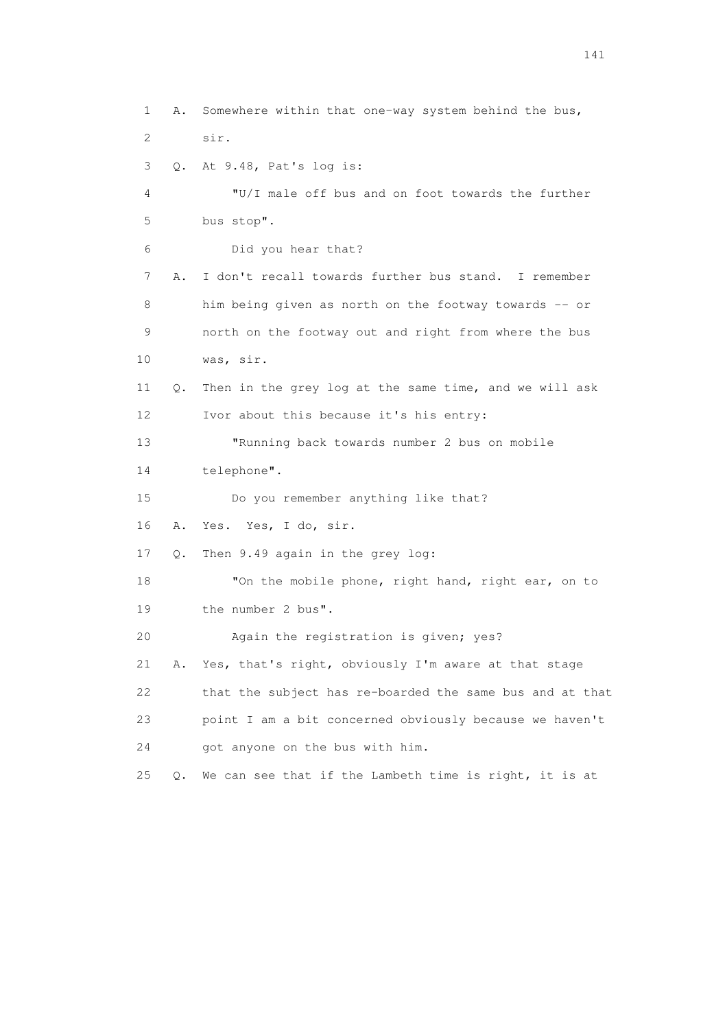1 A. Somewhere within that one-way system behind the bus, 2 sir. 3 Q. At 9.48, Pat's log is: 4 "U/I male off bus and on foot towards the further 5 bus stop". 6 Did you hear that? 7 A. I don't recall towards further bus stand. I remember 8 him being given as north on the footway towards -- or 9 north on the footway out and right from where the bus 10 was, sir. 11 Q. Then in the grey log at the same time, and we will ask 12 Ivor about this because it's his entry: 13 "Running back towards number 2 bus on mobile 14 telephone". 15 Do you remember anything like that? 16 A. Yes. Yes, I do, sir. 17 Q. Then 9.49 again in the grey log: 18 "On the mobile phone, right hand, right ear, on to 19 the number 2 bus". 20 Again the registration is given; yes? 21 A. Yes, that's right, obviously I'm aware at that stage 22 that the subject has re-boarded the same bus and at that 23 point I am a bit concerned obviously because we haven't 24 got anyone on the bus with him. 25 Q. We can see that if the Lambeth time is right, it is at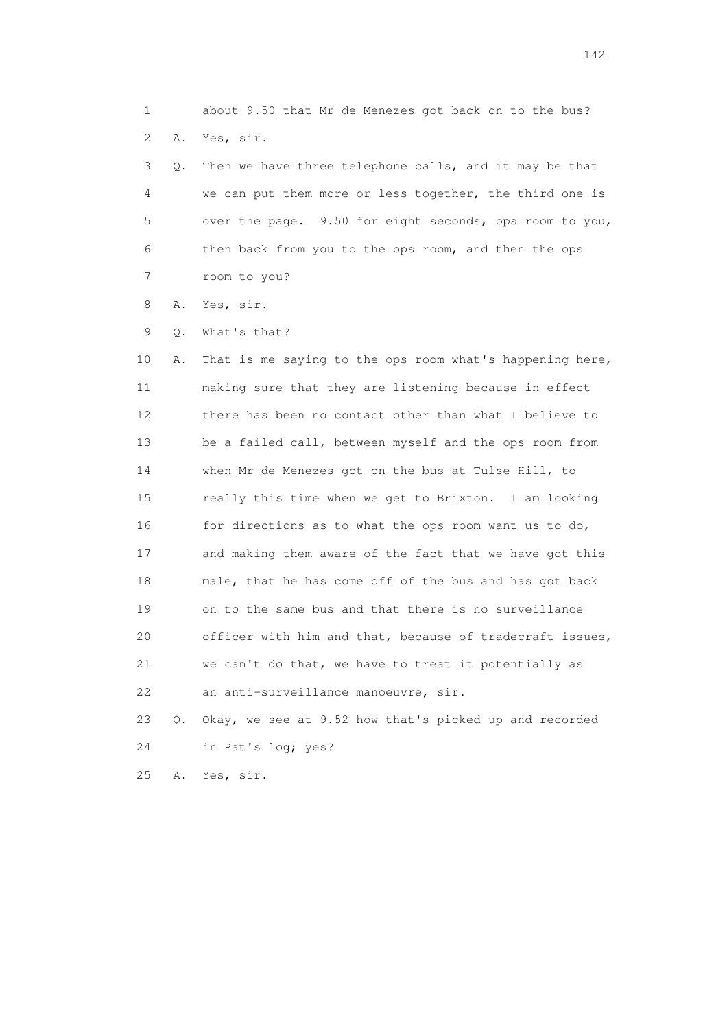1 about 9.50 that Mr de Menezes got back on to the bus? 2 A. Yes, sir.

 3 Q. Then we have three telephone calls, and it may be that 4 we can put them more or less together, the third one is 5 over the page. 9.50 for eight seconds, ops room to you, 6 then back from you to the ops room, and then the ops 7 room to you?

8 A. Yes, sir.

9 Q. What's that?

 10 A. That is me saying to the ops room what's happening here, 11 making sure that they are listening because in effect 12 there has been no contact other than what I believe to 13 be a failed call, between myself and the ops room from 14 when Mr de Menezes got on the bus at Tulse Hill, to 15 really this time when we get to Brixton. I am looking 16 for directions as to what the ops room want us to do, 17 and making them aware of the fact that we have got this 18 male, that he has come off of the bus and has got back 19 on to the same bus and that there is no surveillance 20 officer with him and that, because of tradecraft issues, 21 we can't do that, we have to treat it potentially as 22 an anti-surveillance manoeuvre, sir.

 23 Q. Okay, we see at 9.52 how that's picked up and recorded 24 in Pat's log; yes?

25 A. Yes, sir.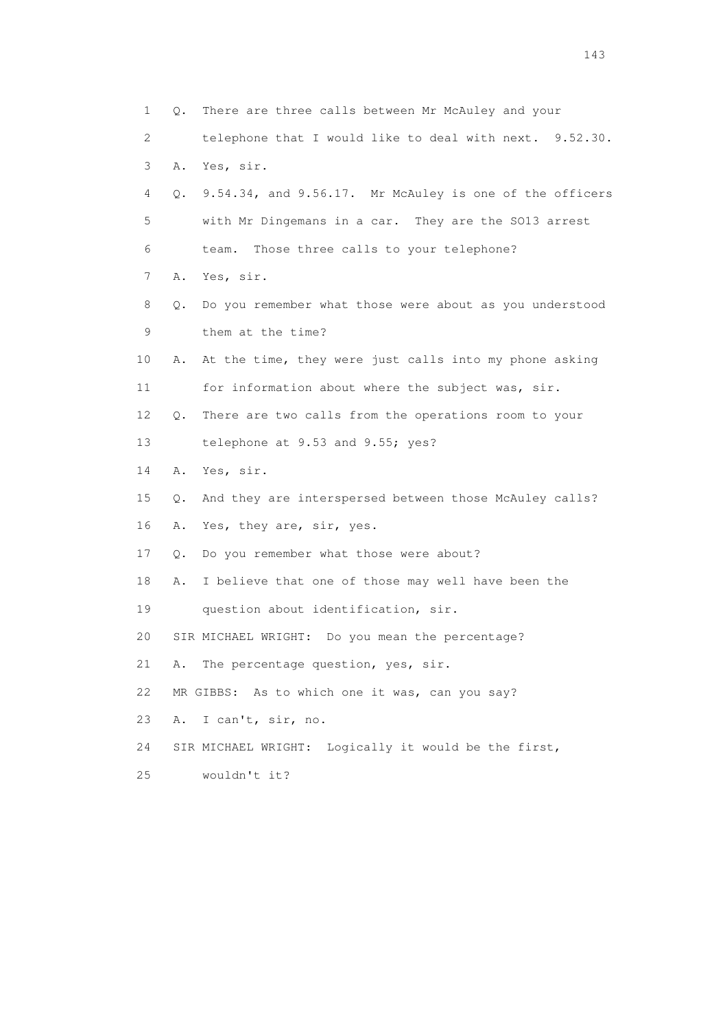1 Q. There are three calls between Mr McAuley and your 2 telephone that I would like to deal with next. 9.52.30. 3 A. Yes, sir. 4 Q. 9.54.34, and 9.56.17. Mr McAuley is one of the officers 5 with Mr Dingemans in a car. They are the SO13 arrest 6 team. Those three calls to your telephone? 7 A. Yes, sir. 8 Q. Do you remember what those were about as you understood 9 them at the time? 10 A. At the time, they were just calls into my phone asking 11 for information about where the subject was, sir. 12 Q. There are two calls from the operations room to your 13 telephone at 9.53 and 9.55; yes? 14 A. Yes, sir. 15 Q. And they are interspersed between those McAuley calls? 16 A. Yes, they are, sir, yes. 17 Q. Do you remember what those were about? 18 A. I believe that one of those may well have been the 19 question about identification, sir. 20 SIR MICHAEL WRIGHT: Do you mean the percentage? 21 A. The percentage question, yes, sir. 22 MR GIBBS: As to which one it was, can you say? 23 A. I can't, sir, no. 24 SIR MICHAEL WRIGHT: Logically it would be the first, 25 wouldn't it?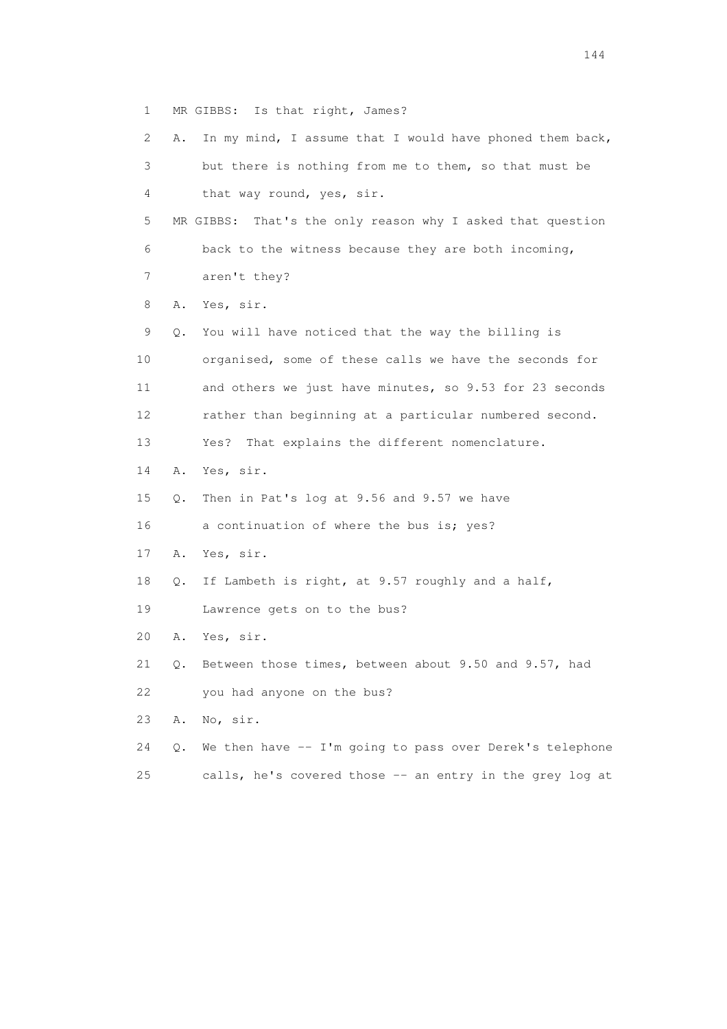1 MR GIBBS: Is that right, James?

| 2  | Α. | In my mind, I assume that I would have phoned them back,      |
|----|----|---------------------------------------------------------------|
| 3  |    | but there is nothing from me to them, so that must be         |
| 4  |    | that way round, yes, sir.                                     |
| 5  |    | MR GIBBS:<br>That's the only reason why I asked that question |
| 6  |    | back to the witness because they are both incoming,           |
| 7  |    | aren't they?                                                  |
| 8  | Α. | Yes, sir.                                                     |
| 9  | Q. | You will have noticed that the way the billing is             |
| 10 |    | organised, some of these calls we have the seconds for        |
| 11 |    | and others we just have minutes, so 9.53 for 23 seconds       |
| 12 |    | rather than beginning at a particular numbered second.        |
| 13 |    | That explains the different nomenclature.<br>Yes?             |
| 14 | Α. | Yes, sir.                                                     |
| 15 | Q. | Then in Pat's log at 9.56 and 9.57 we have                    |
| 16 |    | a continuation of where the bus is; yes?                      |
| 17 | Α. | Yes, sir.                                                     |
| 18 | Q. | If Lambeth is right, at 9.57 roughly and a half,              |
| 19 |    | Lawrence gets on to the bus?                                  |
| 20 | Α. | Yes, sir.                                                     |
| 21 | Q. | Between those times, between about 9.50 and 9.57, had         |
| 22 |    | you had anyone on the bus?                                    |
| 23 | Α. | No, sir.                                                      |
| 24 | Q. | We then have $--$ I'm going to pass over Derek's telephone    |
| 25 |    | calls, he's covered those -- an entry in the grey log at      |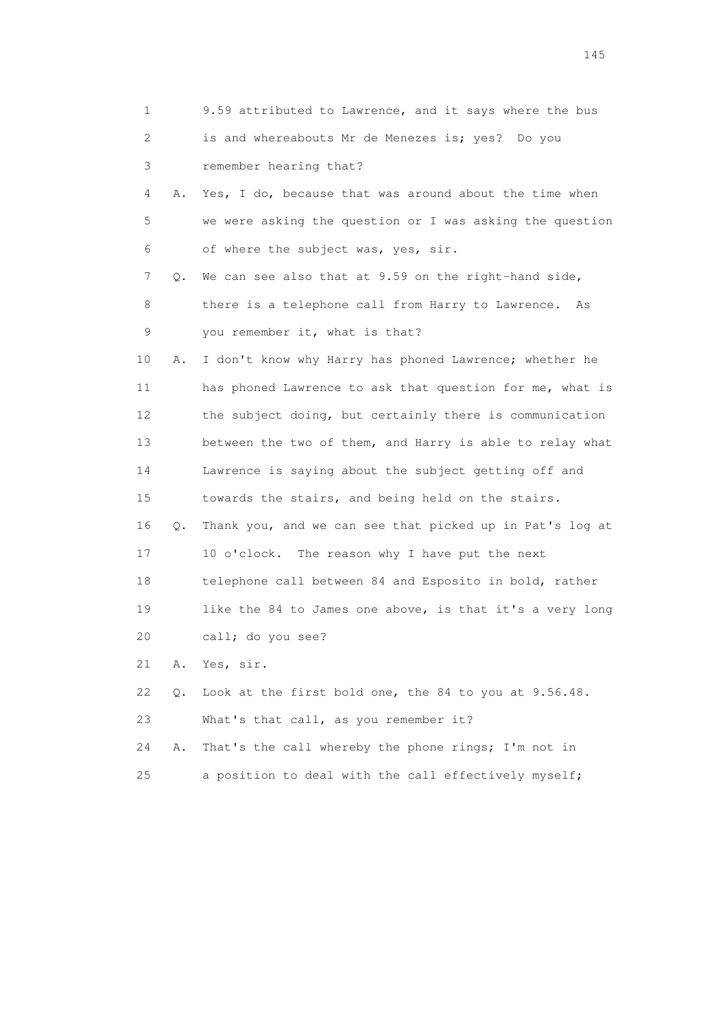|    | 1       | 9.59 attributed to Lawrence, and it says where the bus   |
|----|---------|----------------------------------------------------------|
|    | 2       | is and whereabouts Mr de Menezes is; yes? Do you         |
|    | 3       | remember hearing that?                                   |
|    | 4<br>Α. | Yes, I do, because that was around about the time when   |
|    | 5       | we were asking the question or I was asking the question |
|    | 6       | of where the subject was, yes, sir.                      |
|    | 7<br>Q. | We can see also that at 9.59 on the right-hand side,     |
|    | 8       | there is a telephone call from Harry to Lawrence.<br>As  |
|    | 9       | you remember it, what is that?                           |
| 10 | Α.      | I don't know why Harry has phoned Lawrence; whether he   |
| 11 |         | has phoned Lawrence to ask that question for me, what is |
| 12 |         | the subject doing, but certainly there is communication  |
| 13 |         | between the two of them, and Harry is able to relay what |
| 14 |         | Lawrence is saying about the subject getting off and     |
| 15 |         | towards the stairs, and being held on the stairs.        |
| 16 | Q.      | Thank you, and we can see that picked up in Pat's log at |
| 17 |         | 10 o'clock. The reason why I have put the next           |
| 18 |         | telephone call between 84 and Esposito in bold, rather   |
| 19 |         | like the 84 to James one above, is that it's a very long |
| 20 |         | call; do you see?                                        |
| 21 | Α.      | Yes, sir.                                                |
| 22 | Q.      | Look at the first bold one, the 84 to you at 9.56.48.    |
| 23 |         | What's that call, as you remember it?                    |
| 24 | Α.      | That's the call whereby the phone rings; I'm not in      |
| 25 |         | a position to deal with the call effectively myself;     |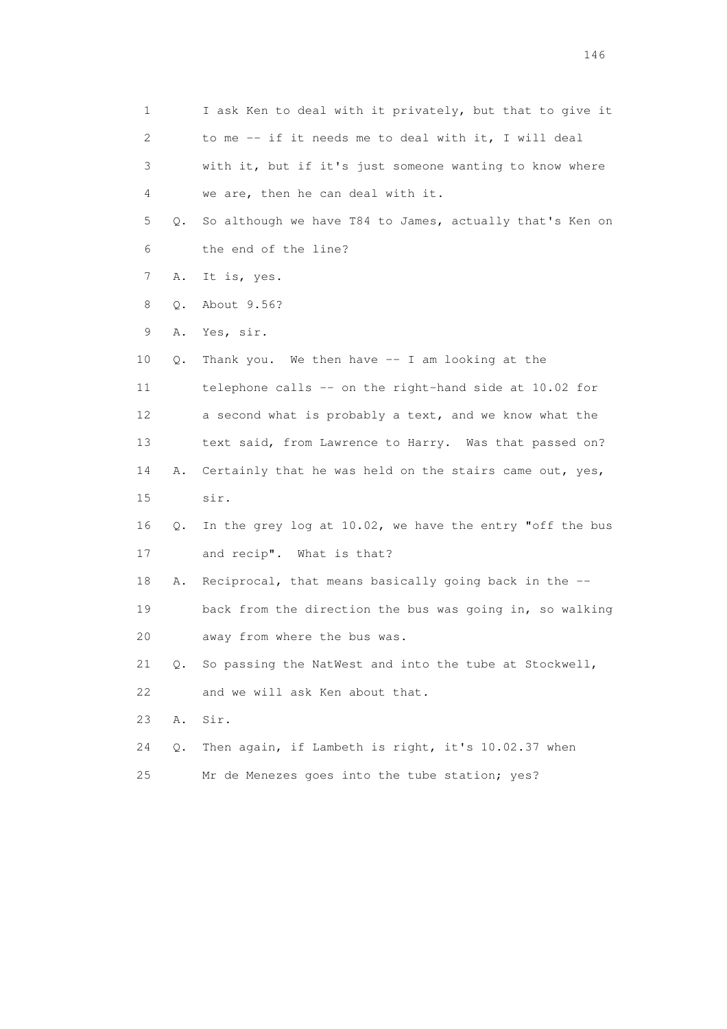| $\mathbf 1$ |    | I ask Ken to deal with it privately, but that to give it |
|-------------|----|----------------------------------------------------------|
| 2           |    | to me -- if it needs me to deal with it, I will deal     |
| 3           |    | with it, but if it's just someone wanting to know where  |
| 4           |    | we are, then he can deal with it.                        |
| 5           | Q. | So although we have T84 to James, actually that's Ken on |
| 6           |    | the end of the line?                                     |
| 7           | Α. | It is, yes.                                              |
| 8           | Q. | About 9.56?                                              |
| 9           | Α. | Yes, sir.                                                |
| 10          | Q. | Thank you. We then have -- I am looking at the           |
| 11          |    | telephone calls -- on the right-hand side at 10.02 for   |
| 12          |    | a second what is probably a text, and we know what the   |
| 13          |    | text said, from Lawrence to Harry. Was that passed on?   |
| 14          | Α. | Certainly that he was held on the stairs came out, yes,  |
| 15          |    | sir.                                                     |
| 16          | Q. | In the grey log at 10.02, we have the entry "off the bus |
| 17          |    | and recip". What is that?                                |
| 18          | Α. | Reciprocal, that means basically going back in the --    |
| 19          |    | back from the direction the bus was going in, so walking |
| 20          |    | away from where the bus was.                             |
| 21          | Q. | So passing the NatWest and into the tube at Stockwell,   |
| 22          |    | and we will ask Ken about that.                          |
| 23          | Α. | Sir.                                                     |
| 24          | Q. | Then again, if Lambeth is right, it's 10.02.37 when      |
| 25          |    | Mr de Menezes goes into the tube station; yes?           |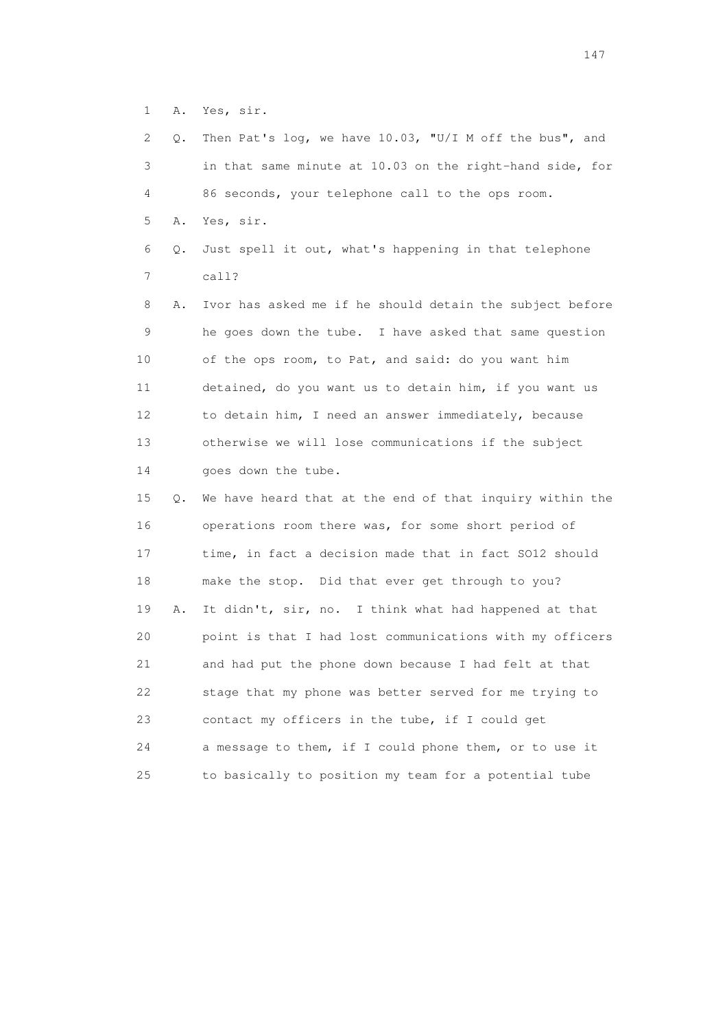1 A. Yes, sir.

 2 Q. Then Pat's log, we have 10.03, "U/I M off the bus", and 3 in that same minute at 10.03 on the right-hand side, for 4 86 seconds, your telephone call to the ops room. 5 A. Yes, sir. 6 Q. Just spell it out, what's happening in that telephone 7 call? 8 A. Ivor has asked me if he should detain the subject before 9 he goes down the tube. I have asked that same question 10 of the ops room, to Pat, and said: do you want him 11 detained, do you want us to detain him, if you want us 12 to detain him, I need an answer immediately, because 13 otherwise we will lose communications if the subject 14 goes down the tube. 15 Q. We have heard that at the end of that inquiry within the 16 operations room there was, for some short period of 17 time, in fact a decision made that in fact SO12 should 18 make the stop. Did that ever get through to you? 19 A. It didn't, sir, no. I think what had happened at that 20 point is that I had lost communications with my officers 21 and had put the phone down because I had felt at that 22 stage that my phone was better served for me trying to 23 contact my officers in the tube, if I could get 24 a message to them, if I could phone them, or to use it 25 to basically to position my team for a potential tube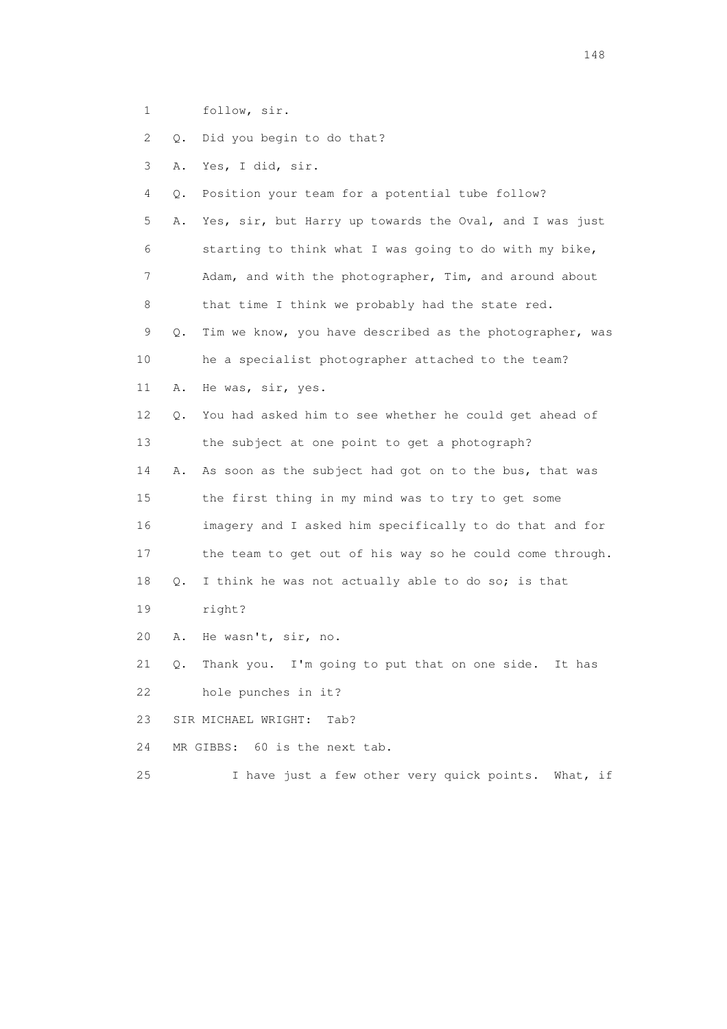1 follow, sir.

2 Q. Did you begin to do that?

3 A. Yes, I did, sir.

4 Q. Position your team for a potential tube follow?

 5 A. Yes, sir, but Harry up towards the Oval, and I was just 6 starting to think what I was going to do with my bike, 7 Adam, and with the photographer, Tim, and around about 8 that time I think we probably had the state red.

 9 Q. Tim we know, you have described as the photographer, was 10 he a specialist photographer attached to the team?

11 A. He was, sir, yes.

 12 Q. You had asked him to see whether he could get ahead of 13 the subject at one point to get a photograph?

 14 A. As soon as the subject had got on to the bus, that was 15 the first thing in my mind was to try to get some 16 imagery and I asked him specifically to do that and for 17 the team to get out of his way so he could come through.

18 Q. I think he was not actually able to do so; is that

19 right?

20 A. He wasn't, sir, no.

 21 Q. Thank you. I'm going to put that on one side. It has 22 hole punches in it?

23 SIR MICHAEL WRIGHT: Tab?

24 MR GIBBS: 60 is the next tab.

25 I have just a few other very quick points. What, if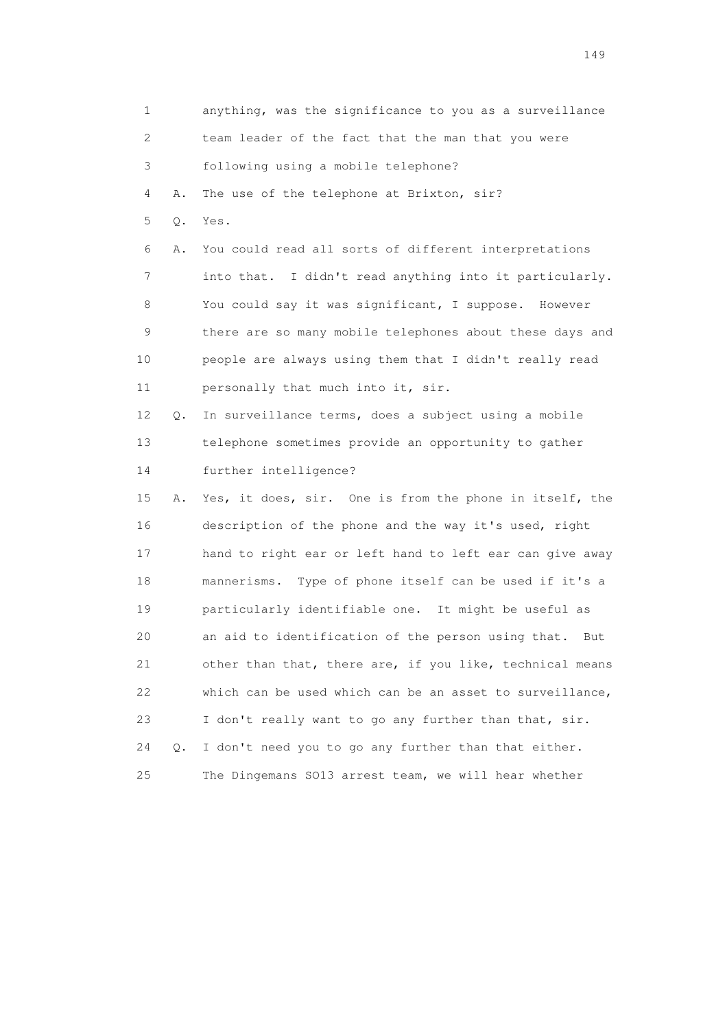| $\mathbf 1$ |       | anything, was the significance to you as a surveillance   |
|-------------|-------|-----------------------------------------------------------|
| 2           |       | team leader of the fact that the man that you were        |
| 3           |       | following using a mobile telephone?                       |
| 4           | Α.    | The use of the telephone at Brixton, sir?                 |
| 5           | $Q$ . | Yes.                                                      |
| 6           | Α.    | You could read all sorts of different interpretations     |
| 7           |       | into that. I didn't read anything into it particularly.   |
| 8           |       | You could say it was significant, I suppose. However      |
| 9           |       | there are so many mobile telephones about these days and  |
| 10          |       | people are always using them that I didn't really read    |
| 11          |       | personally that much into it, sir.                        |
| 12          | Q.    | In surveillance terms, does a subject using a mobile      |
| 13          |       | telephone sometimes provide an opportunity to gather      |
| 14          |       | further intelligence?                                     |
| 15          | Α.    | Yes, it does, sir. One is from the phone in itself, the   |
| 16          |       | description of the phone and the way it's used, right     |
| 17          |       | hand to right ear or left hand to left ear can give away  |
| 18          |       | mannerisms. Type of phone itself can be used if it's a    |
| 19          |       | particularly identifiable one. It might be useful as      |
| 20          |       | an aid to identification of the person using that.<br>But |
| 21          |       | other than that, there are, if you like, technical means  |
| 22          |       | which can be used which can be an asset to surveillance,  |
| 23          |       | I don't really want to go any further than that, sir.     |
| 24          | $Q$ . | I don't need you to go any further than that either.      |
| 25          |       | The Dingemans SO13 arrest team, we will hear whether      |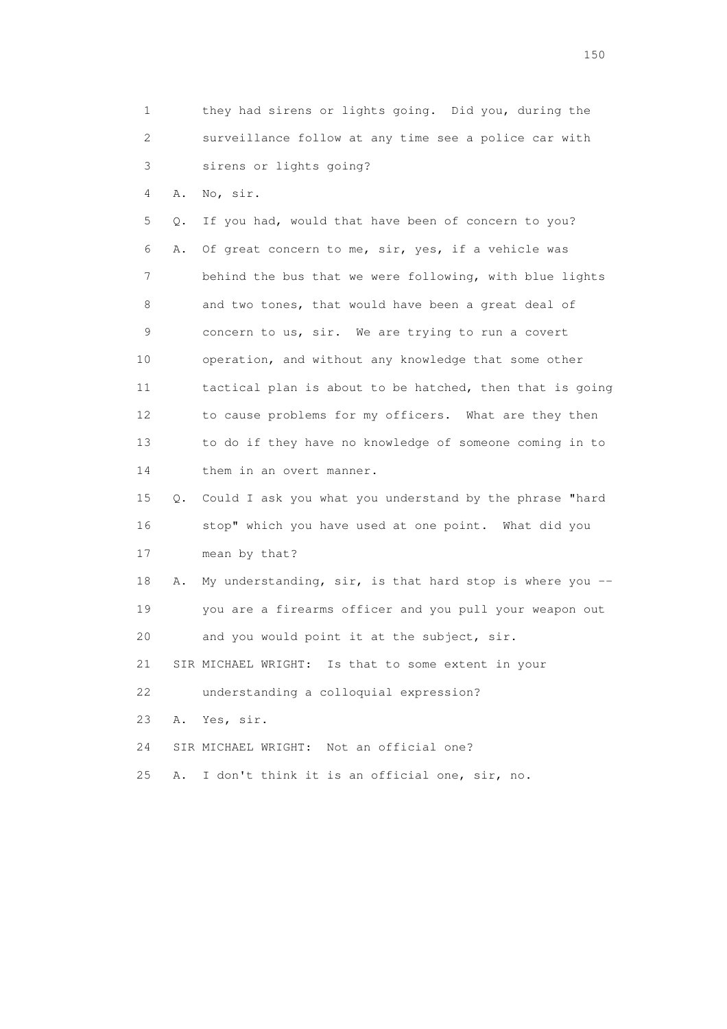1 they had sirens or lights going. Did you, during the 2 surveillance follow at any time see a police car with 3 sirens or lights going? 4 A. No, sir. 5 Q. If you had, would that have been of concern to you? 6 A. Of great concern to me, sir, yes, if a vehicle was 7 behind the bus that we were following, with blue lights 8 and two tones, that would have been a great deal of 9 concern to us, sir. We are trying to run a covert 10 operation, and without any knowledge that some other 11 tactical plan is about to be hatched, then that is going 12 to cause problems for my officers. What are they then 13 to do if they have no knowledge of someone coming in to 14 them in an overt manner. 15 Q. Could I ask you what you understand by the phrase "hard 16 stop" which you have used at one point. What did you 17 mean by that? 18 A. My understanding, sir, is that hard stop is where you -- 19 you are a firearms officer and you pull your weapon out 20 and you would point it at the subject, sir.

21 SIR MICHAEL WRIGHT: Is that to some extent in your

22 understanding a colloquial expression?

23 A. Yes, sir.

24 SIR MICHAEL WRIGHT: Not an official one?

25 A. I don't think it is an official one, sir, no.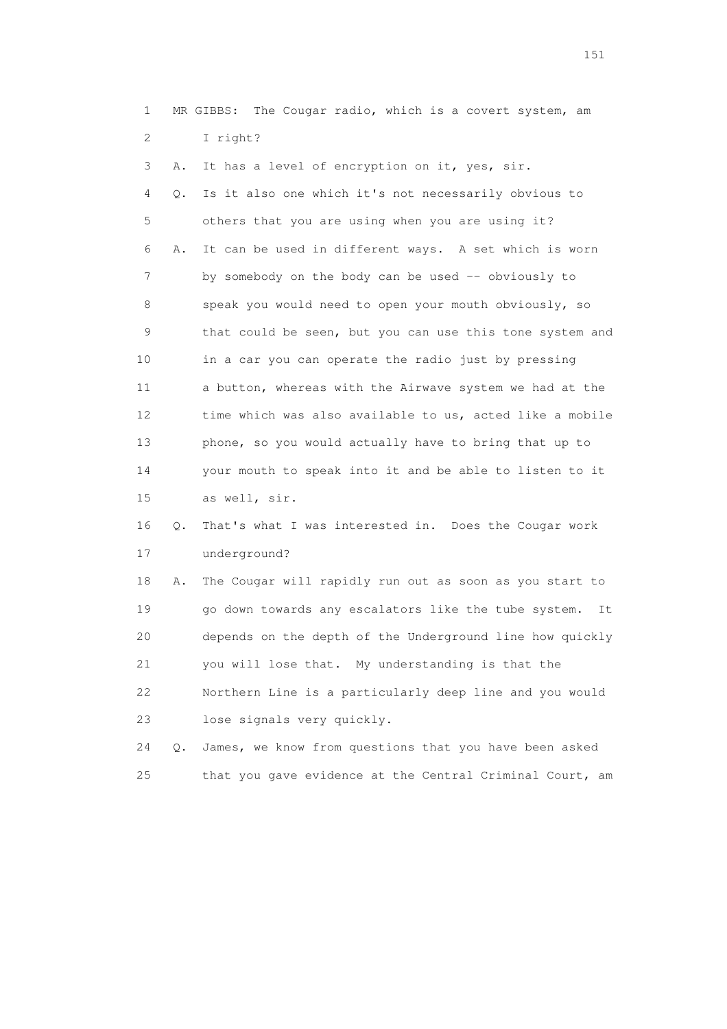1 MR GIBBS: The Cougar radio, which is a covert system, am 2 I right?

 3 A. It has a level of encryption on it, yes, sir. 4 Q. Is it also one which it's not necessarily obvious to 5 others that you are using when you are using it? 6 A. It can be used in different ways. A set which is worn 7 by somebody on the body can be used -- obviously to 8 speak you would need to open your mouth obviously, so 9 that could be seen, but you can use this tone system and 10 in a car you can operate the radio just by pressing 11 a button, whereas with the Airwave system we had at the 12 time which was also available to us, acted like a mobile 13 phone, so you would actually have to bring that up to 14 your mouth to speak into it and be able to listen to it 15 as well, sir. 16 Q. That's what I was interested in. Does the Cougar work

17 underground?

 18 A. The Cougar will rapidly run out as soon as you start to 19 go down towards any escalators like the tube system. It 20 depends on the depth of the Underground line how quickly 21 you will lose that. My understanding is that the 22 Northern Line is a particularly deep line and you would 23 lose signals very quickly.

 24 Q. James, we know from questions that you have been asked 25 that you gave evidence at the Central Criminal Court, am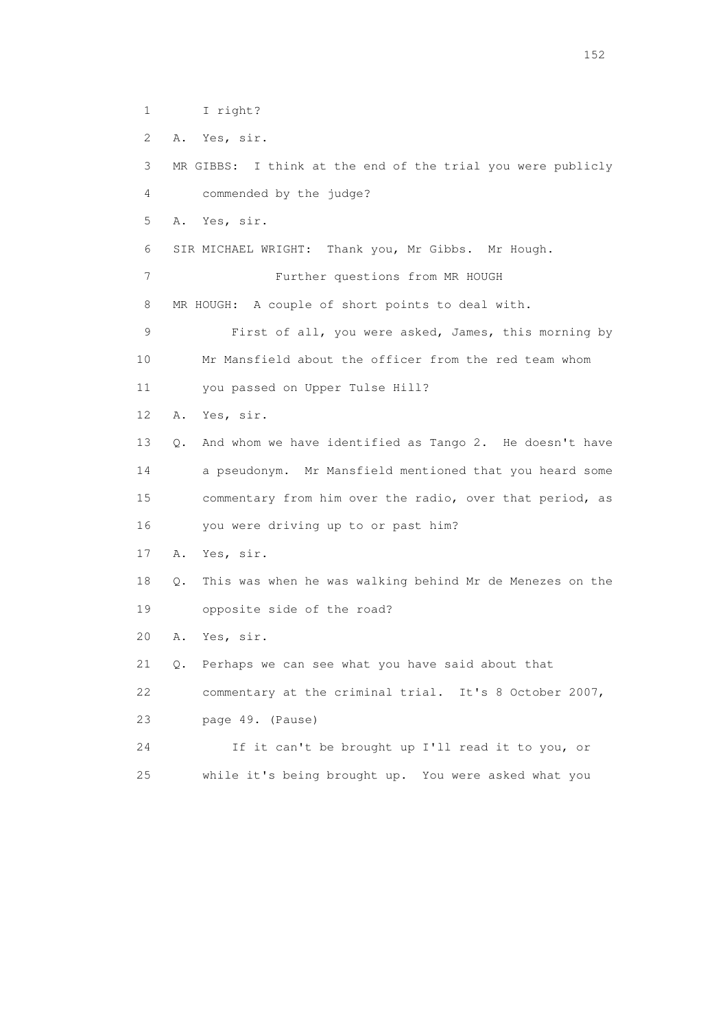```
 1 I right?
```
2 A. Yes, sir.

 3 MR GIBBS: I think at the end of the trial you were publicly 4 commended by the judge? 5 A. Yes, sir. 6 SIR MICHAEL WRIGHT: Thank you, Mr Gibbs. Mr Hough. 7 Further questions from MR HOUGH 8 MR HOUGH: A couple of short points to deal with. 9 First of all, you were asked, James, this morning by 10 Mr Mansfield about the officer from the red team whom 11 you passed on Upper Tulse Hill? 12 A. Yes, sir. 13 Q. And whom we have identified as Tango 2. He doesn't have 14 a pseudonym. Mr Mansfield mentioned that you heard some 15 commentary from him over the radio, over that period, as 16 you were driving up to or past him? 17 A. Yes, sir. 18 Q. This was when he was walking behind Mr de Menezes on the 19 opposite side of the road? 20 A. Yes, sir. 21 Q. Perhaps we can see what you have said about that 22 commentary at the criminal trial. It's 8 October 2007, 23 page 49. (Pause) 24 If it can't be brought up I'll read it to you, or 25 while it's being brought up. You were asked what you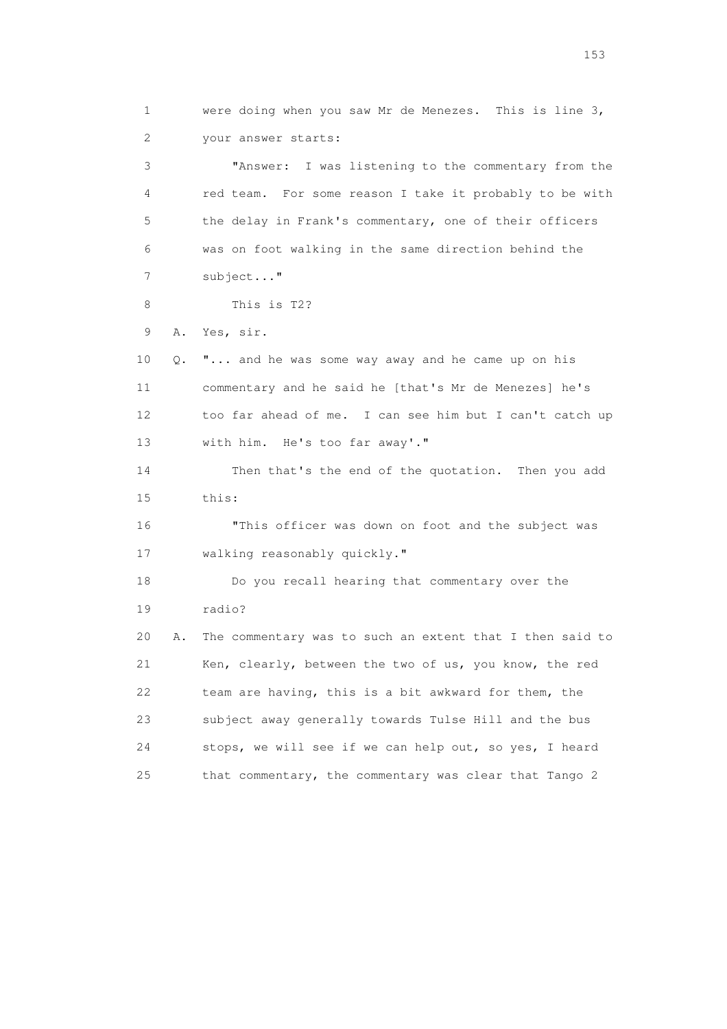1 were doing when you saw Mr de Menezes. This is line 3, 2 your answer starts: 3 "Answer: I was listening to the commentary from the 4 red team. For some reason I take it probably to be with 5 the delay in Frank's commentary, one of their officers 6 was on foot walking in the same direction behind the 7 subject..." 8 This is T2? 9 A. Yes, sir. 10 Q. "... and he was some way away and he came up on his 11 commentary and he said he [that's Mr de Menezes] he's 12 too far ahead of me. I can see him but I can't catch up 13 with him. He's too far away'." 14 Then that's the end of the quotation. Then you add 15 this: 16 "This officer was down on foot and the subject was 17 walking reasonably quickly." 18 Do you recall hearing that commentary over the 19 radio? 20 A. The commentary was to such an extent that I then said to 21 Ken, clearly, between the two of us, you know, the red 22 team are having, this is a bit awkward for them, the 23 subject away generally towards Tulse Hill and the bus 24 stops, we will see if we can help out, so yes, I heard 25 that commentary, the commentary was clear that Tango 2

n 153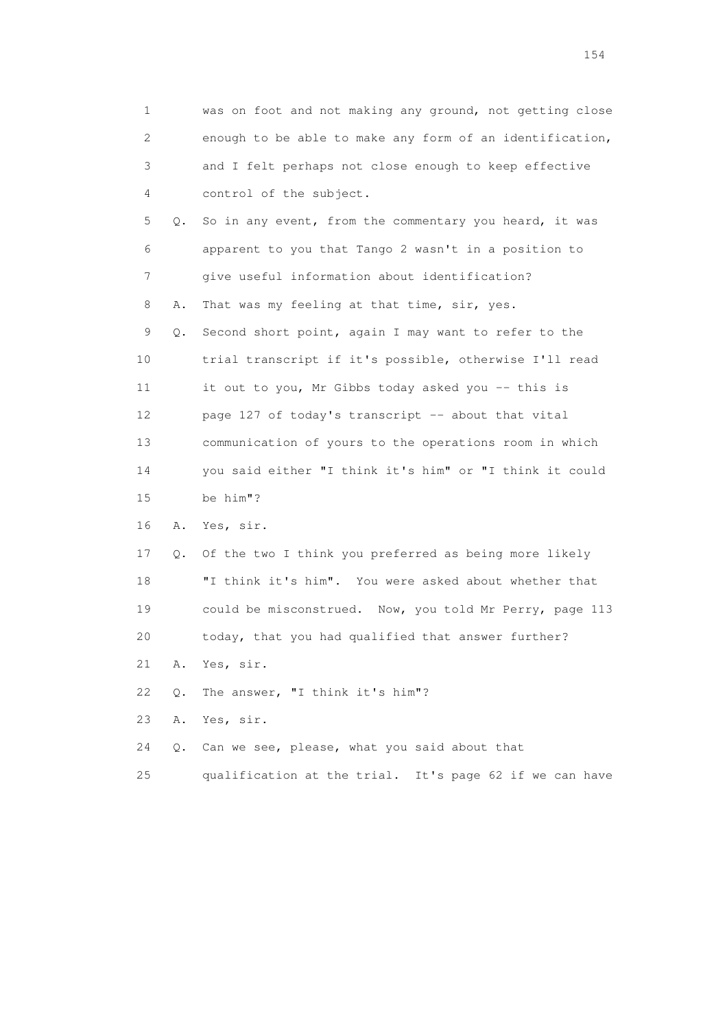| 1  |    | was on foot and not making any ground, not getting close |
|----|----|----------------------------------------------------------|
| 2  |    | enough to be able to make any form of an identification, |
| 3  |    | and I felt perhaps not close enough to keep effective    |
| 4  |    | control of the subject.                                  |
| 5  | Q. | So in any event, from the commentary you heard, it was   |
| 6  |    | apparent to you that Tango 2 wasn't in a position to     |
| 7  |    | give useful information about identification?            |
| 8  | Α. | That was my feeling at that time, sir, yes.              |
| 9  | Q. | Second short point, again I may want to refer to the     |
| 10 |    | trial transcript if it's possible, otherwise I'll read   |
| 11 |    | it out to you, Mr Gibbs today asked you -- this is       |
| 12 |    | page 127 of today's transcript -- about that vital       |
| 13 |    | communication of yours to the operations room in which   |
| 14 |    | you said either "I think it's him" or "I think it could  |
| 15 |    | be him"?                                                 |
| 16 | Α. | Yes, sir.                                                |
| 17 | Q. | Of the two I think you preferred as being more likely    |
| 18 |    | "I think it's him". You were asked about whether that    |
| 19 |    | could be misconstrued. Now, you told Mr Perry, page 113  |
| 20 |    | today, that you had qualified that answer further?       |
| 21 | Α. | Yes, sir.                                                |
| 22 | Q. | The answer, "I think it's him"?                          |
| 23 | Α. | Yes, sir.                                                |
| 24 | Q. | Can we see, please, what you said about that             |
| 25 |    | qualification at the trial. It's page 62 if we can have  |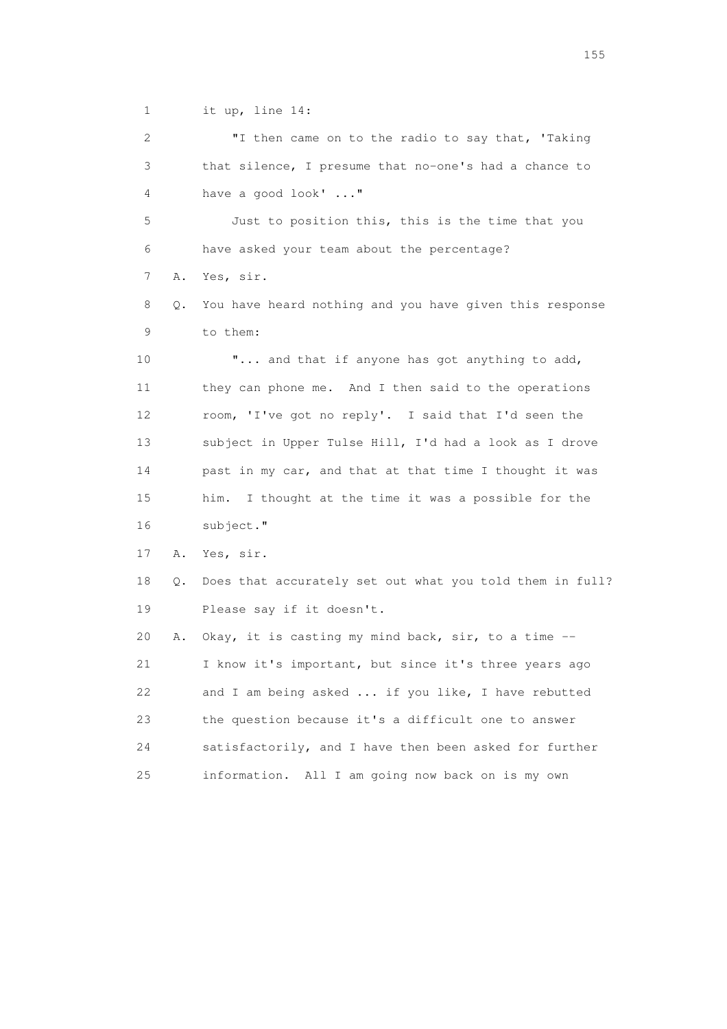1 it up, line 14:

 2 "I then came on to the radio to say that, 'Taking 3 that silence, I presume that no-one's had a chance to 4 have a good look' ..."

 5 Just to position this, this is the time that you 6 have asked your team about the percentage? 7 A. Yes, sir.

 8 Q. You have heard nothing and you have given this response 9 to them:

10  $\ldots$  and that if anyone has got anything to add, 11 they can phone me. And I then said to the operations 12 room, 'I've got no reply'. I said that I'd seen the 13 subject in Upper Tulse Hill, I'd had a look as I drove 14 past in my car, and that at that time I thought it was 15 him. I thought at the time it was a possible for the 16 subject."

17 A. Yes, sir.

 18 Q. Does that accurately set out what you told them in full? 19 Please say if it doesn't.

 20 A. Okay, it is casting my mind back, sir, to a time -- 21 I know it's important, but since it's three years ago 22 and I am being asked ... if you like, I have rebutted 23 the question because it's a difficult one to answer 24 satisfactorily, and I have then been asked for further 25 information. All I am going now back on is my own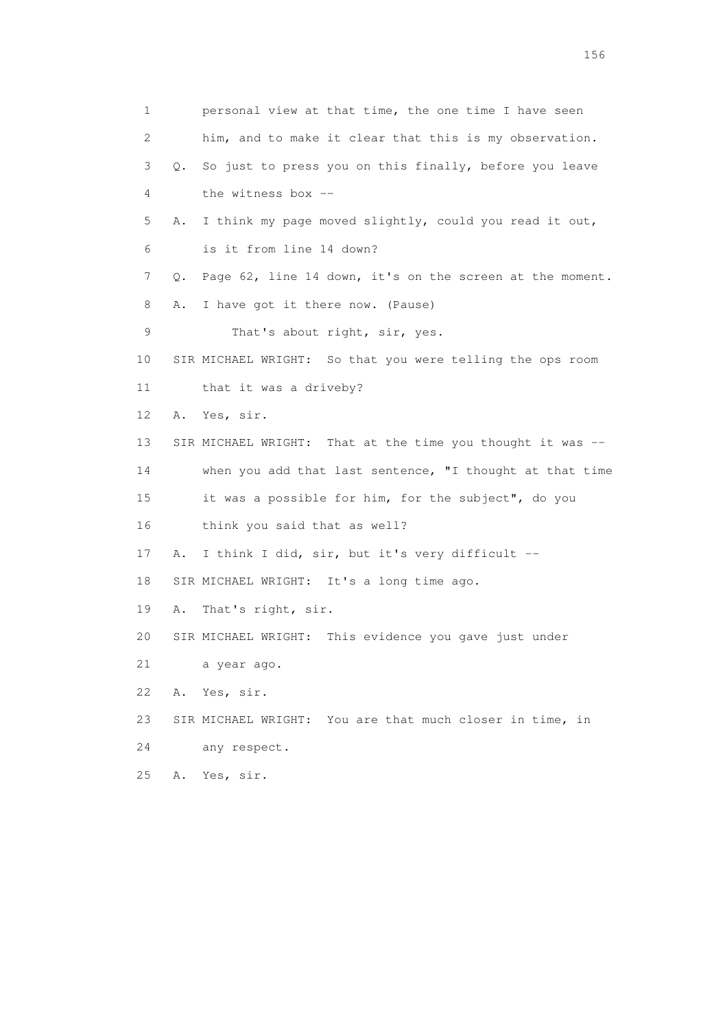1 personal view at that time, the one time I have seen 2 him, and to make it clear that this is my observation. 3 Q. So just to press you on this finally, before you leave 4 the witness box -- 5 A. I think my page moved slightly, could you read it out, 6 is it from line 14 down? 7 Q. Page 62, line 14 down, it's on the screen at the moment. 8 A. I have got it there now. (Pause) 9 That's about right, sir, yes. 10 SIR MICHAEL WRIGHT: So that you were telling the ops room 11 that it was a driveby? 12 A. Yes, sir. 13 SIR MICHAEL WRIGHT: That at the time you thought it was -- 14 when you add that last sentence, "I thought at that time 15 it was a possible for him, for the subject", do you 16 think you said that as well? 17 A. I think I did, sir, but it's very difficult -- 18 SIR MICHAEL WRIGHT: It's a long time ago. 19 A. That's right, sir. 20 SIR MICHAEL WRIGHT: This evidence you gave just under 21 a year ago. 22 A. Yes, sir. 23 SIR MICHAEL WRIGHT: You are that much closer in time, in 24 any respect. 25 A. Yes, sir.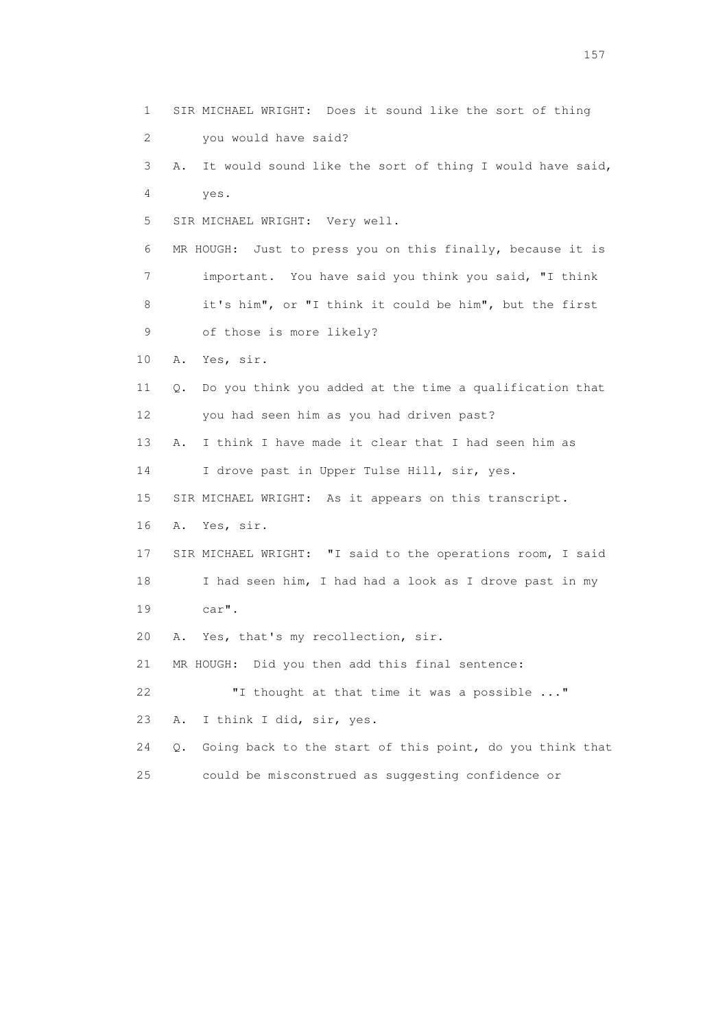1 SIR MICHAEL WRIGHT: Does it sound like the sort of thing 2 you would have said? 3 A. It would sound like the sort of thing I would have said, 4 yes. 5 SIR MICHAEL WRIGHT: Very well. 6 MR HOUGH: Just to press you on this finally, because it is 7 important. You have said you think you said, "I think 8 it's him", or "I think it could be him", but the first 9 of those is more likely? 10 A. Yes, sir. 11 Q. Do you think you added at the time a qualification that 12 you had seen him as you had driven past? 13 A. I think I have made it clear that I had seen him as 14 I drove past in Upper Tulse Hill, sir, yes. 15 SIR MICHAEL WRIGHT: As it appears on this transcript. 16 A. Yes, sir. 17 SIR MICHAEL WRIGHT: "I said to the operations room, I said 18 I had seen him, I had had a look as I drove past in my 19 car". 20 A. Yes, that's my recollection, sir. 21 MR HOUGH: Did you then add this final sentence: 22 "I thought at that time it was a possible ..." 23 A. I think I did, sir, yes. 24 Q. Going back to the start of this point, do you think that 25 could be misconstrued as suggesting confidence or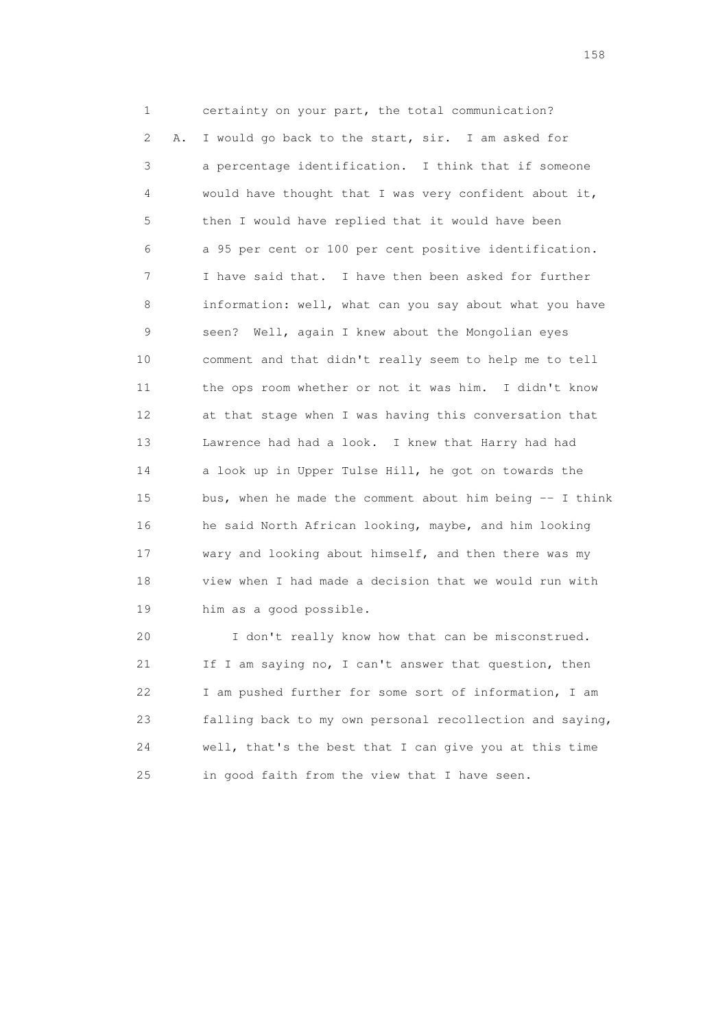1 certainty on your part, the total communication? 2 A. I would go back to the start, sir. I am asked for 3 a percentage identification. I think that if someone 4 would have thought that I was very confident about it, 5 then I would have replied that it would have been 6 a 95 per cent or 100 per cent positive identification. 7 I have said that. I have then been asked for further 8 information: well, what can you say about what you have 9 seen? Well, again I knew about the Mongolian eyes 10 comment and that didn't really seem to help me to tell 11 the ops room whether or not it was him. I didn't know 12 at that stage when I was having this conversation that 13 Lawrence had had a look. I knew that Harry had had 14 a look up in Upper Tulse Hill, he got on towards the 15 bus, when he made the comment about him being -- I think 16 he said North African looking, maybe, and him looking 17 wary and looking about himself, and then there was my 18 view when I had made a decision that we would run with 19 him as a good possible.

 20 I don't really know how that can be misconstrued. 21 If I am saying no, I can't answer that question, then 22 I am pushed further for some sort of information, I am 23 falling back to my own personal recollection and saying, 24 well, that's the best that I can give you at this time 25 in good faith from the view that I have seen.

158 and 158 and 158 and 158 and 158 and 158 and 158 and 158 and 158 and 158 and 158 and 158 and 158 and 158 and 158 and 158 and 158 and 158 and 158 and 158 and 159 and 159 and 159 and 159 and 159 and 159 and 159 and 159 an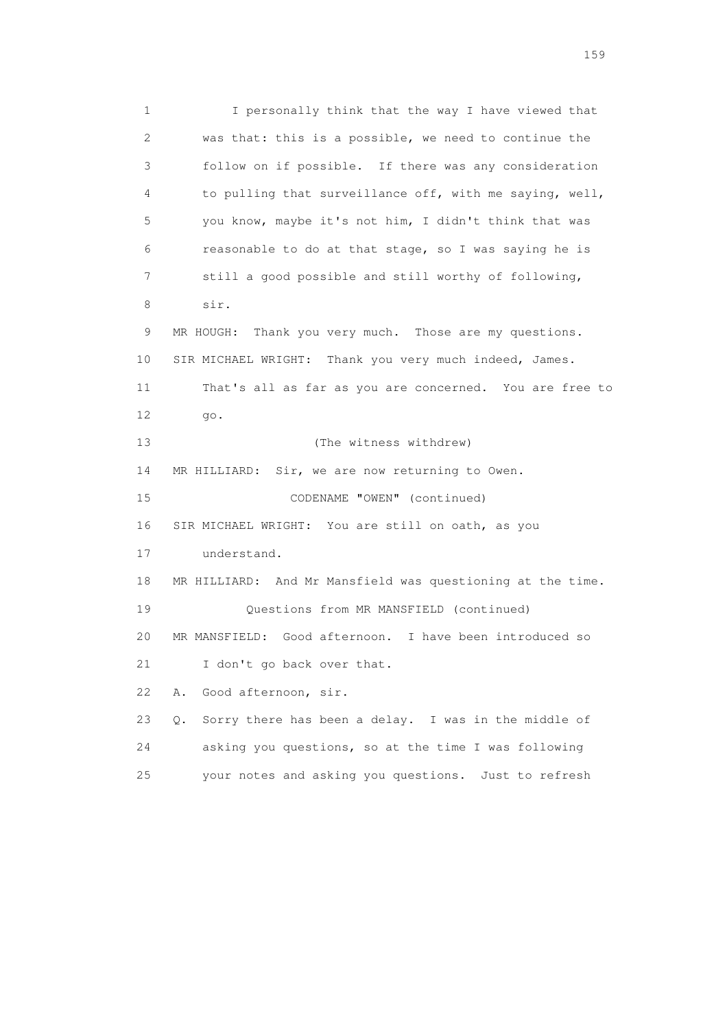1 I personally think that the way I have viewed that 2 was that: this is a possible, we need to continue the 3 follow on if possible. If there was any consideration 4 to pulling that surveillance off, with me saying, well, 5 you know, maybe it's not him, I didn't think that was 6 reasonable to do at that stage, so I was saying he is 7 still a good possible and still worthy of following, 8 sir. 9 MR HOUGH: Thank you very much. Those are my questions. 10 SIR MICHAEL WRIGHT: Thank you very much indeed, James. 11 That's all as far as you are concerned. You are free to 12 go. 13 (The witness withdrew) 14 MR HILLIARD: Sir, we are now returning to Owen. 15 CODENAME "OWEN" (continued) 16 SIR MICHAEL WRIGHT: You are still on oath, as you 17 understand. 18 MR HILLIARD: And Mr Mansfield was questioning at the time. 19 Questions from MR MANSFIELD (continued) 20 MR MANSFIELD: Good afternoon. I have been introduced so 21 I don't go back over that. 22 A. Good afternoon, sir. 23 Q. Sorry there has been a delay. I was in the middle of 24 asking you questions, so at the time I was following 25 your notes and asking you questions. Just to refresh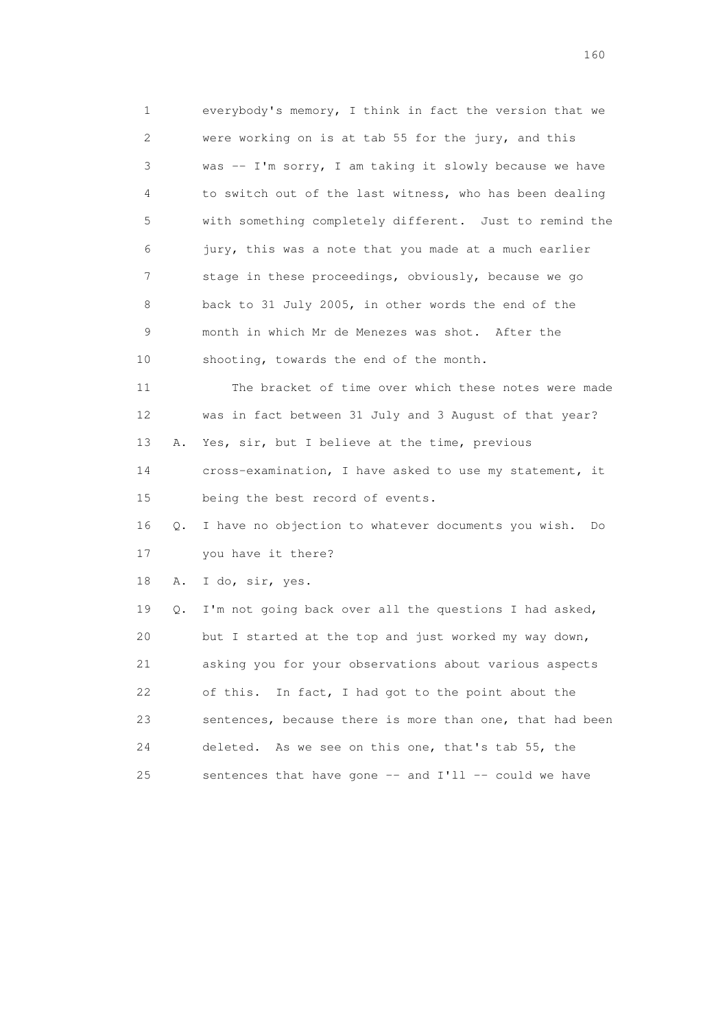1 everybody's memory, I think in fact the version that we 2 were working on is at tab 55 for the jury, and this 3 was -- I'm sorry, I am taking it slowly because we have 4 to switch out of the last witness, who has been dealing 5 with something completely different. Just to remind the 6 jury, this was a note that you made at a much earlier 7 stage in these proceedings, obviously, because we go 8 back to 31 July 2005, in other words the end of the 9 month in which Mr de Menezes was shot. After the 10 shooting, towards the end of the month. 11 The bracket of time over which these notes were made

 12 was in fact between 31 July and 3 August of that year? 13 A. Yes, sir, but I believe at the time, previous 14 cross-examination, I have asked to use my statement, it 15 being the best record of events.

 16 Q. I have no objection to whatever documents you wish. Do 17 you have it there?

18 A. I do, sir, yes.

 19 Q. I'm not going back over all the questions I had asked, 20 but I started at the top and just worked my way down, 21 asking you for your observations about various aspects 22 of this. In fact, I had got to the point about the 23 sentences, because there is more than one, that had been 24 deleted. As we see on this one, that's tab 55, the 25 sentences that have gone -- and I'll -- could we have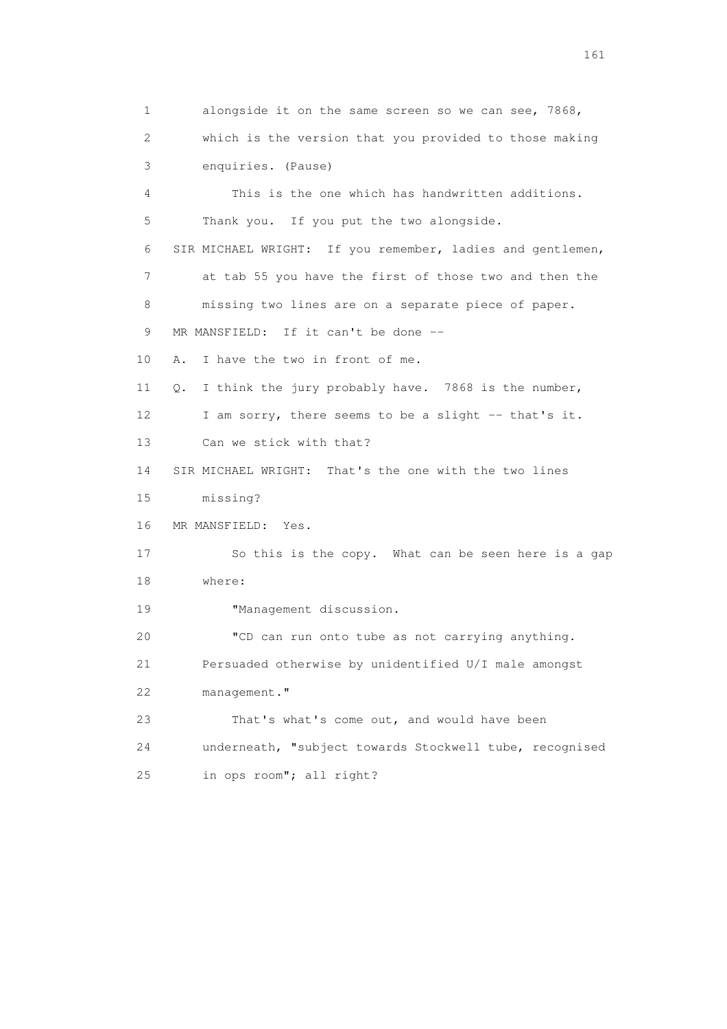1 alongside it on the same screen so we can see, 7868, 2 which is the version that you provided to those making 3 enquiries. (Pause) 4 This is the one which has handwritten additions. 5 Thank you. If you put the two alongside. 6 SIR MICHAEL WRIGHT: If you remember, ladies and gentlemen, 7 at tab 55 you have the first of those two and then the 8 missing two lines are on a separate piece of paper. 9 MR MANSFIELD: If it can't be done -- 10 A. I have the two in front of me. 11 Q. I think the jury probably have. 7868 is the number, 12 I am sorry, there seems to be a slight -- that's it. 13 Can we stick with that? 14 SIR MICHAEL WRIGHT: That's the one with the two lines 15 missing? 16 MR MANSFIELD: Yes. 17 So this is the copy. What can be seen here is a gap 18 where: 19 **"Management discussion.**  20 "CD can run onto tube as not carrying anything. 21 Persuaded otherwise by unidentified U/I male amongst 22 management." 23 That's what's come out, and would have been 24 underneath, "subject towards Stockwell tube, recognised 25 in ops room"; all right?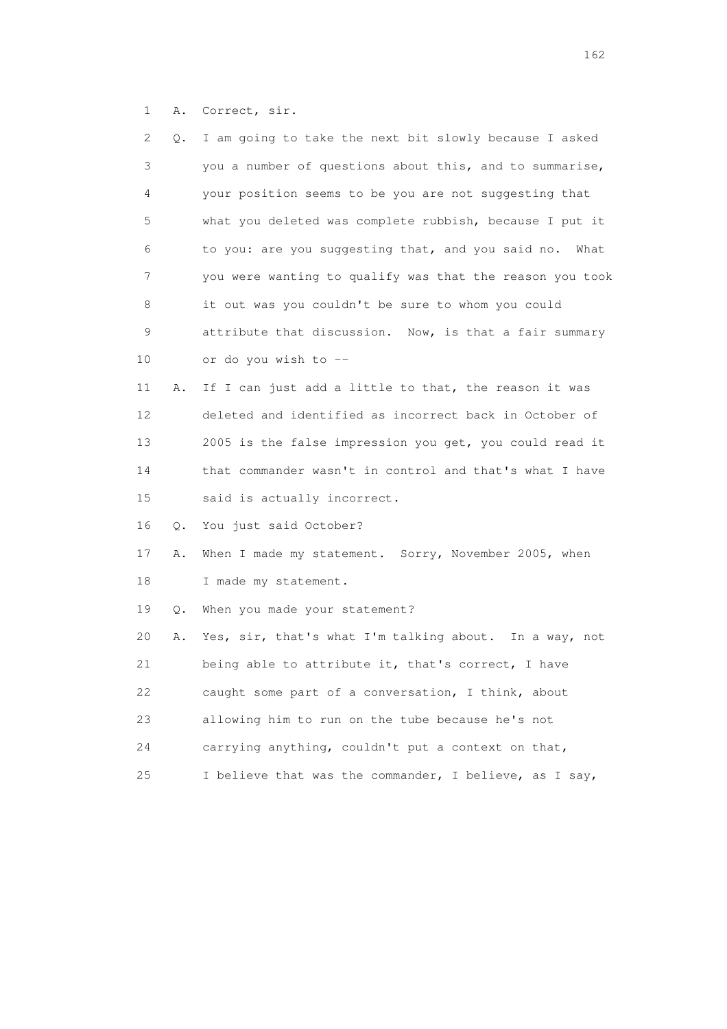1 A. Correct, sir.

| 2  | Q. | I am going to take the next bit slowly because I asked   |
|----|----|----------------------------------------------------------|
| 3  |    | you a number of questions about this, and to summarise,  |
| 4  |    | your position seems to be you are not suggesting that    |
| 5  |    | what you deleted was complete rubbish, because I put it  |
| 6  |    | to you: are you suggesting that, and you said no. What   |
| 7  |    | you were wanting to qualify was that the reason you took |
| 8  |    | it out was you couldn't be sure to whom you could        |
| 9  |    | attribute that discussion. Now, is that a fair summary   |
| 10 |    | or do you wish to --                                     |
| 11 | Α. | If I can just add a little to that, the reason it was    |
| 12 |    | deleted and identified as incorrect back in October of   |
| 13 |    | 2005 is the false impression you get, you could read it  |
| 14 |    | that commander wasn't in control and that's what I have  |
| 15 |    | said is actually incorrect.                              |
| 16 | Q. | You just said October?                                   |
| 17 | Α. | When I made my statement. Sorry, November 2005, when     |
| 18 |    | I made my statement.                                     |
| 19 | Q. | When you made your statement?                            |
| 20 | Α. | Yes, sir, that's what I'm talking about. In a way, not   |
| 21 |    | being able to attribute it, that's correct, I have       |
| 22 |    | caught some part of a conversation, I think, about       |
| 23 |    | allowing him to run on the tube because he's not         |
| 24 |    | carrying anything, couldn't put a context on that,       |
| 25 |    | I believe that was the commander, I believe, as I say,   |
|    |    |                                                          |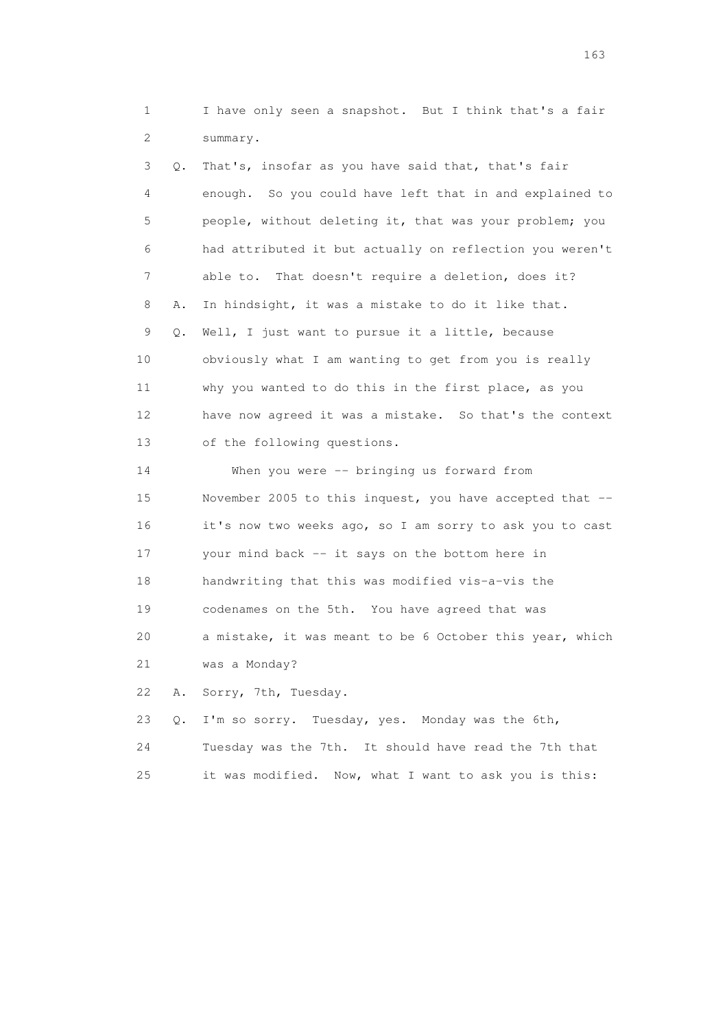1 I have only seen a snapshot. But I think that's a fair 2 summary.

 3 Q. That's, insofar as you have said that, that's fair 4 enough. So you could have left that in and explained to 5 people, without deleting it, that was your problem; you 6 had attributed it but actually on reflection you weren't 7 able to. That doesn't require a deletion, does it? 8 A. In hindsight, it was a mistake to do it like that. 9 Q. Well, I just want to pursue it a little, because 10 obviously what I am wanting to get from you is really 11 why you wanted to do this in the first place, as you 12 have now agreed it was a mistake. So that's the context 13 of the following questions. 14 When you were -- bringing us forward from 15 November 2005 to this inquest, you have accepted that -- 16 it's now two weeks ago, so I am sorry to ask you to cast 17 your mind back -- it says on the bottom here in 18 handwriting that this was modified vis-a-vis the 19 codenames on the 5th. You have agreed that was 20 a mistake, it was meant to be 6 October this year, which 21 was a Monday? 22 A. Sorry, 7th, Tuesday. 23 Q. I'm so sorry. Tuesday, yes. Monday was the 6th,

24 Tuesday was the 7th. It should have read the 7th that

25 it was modified. Now, what I want to ask you is this:

<u>163</u>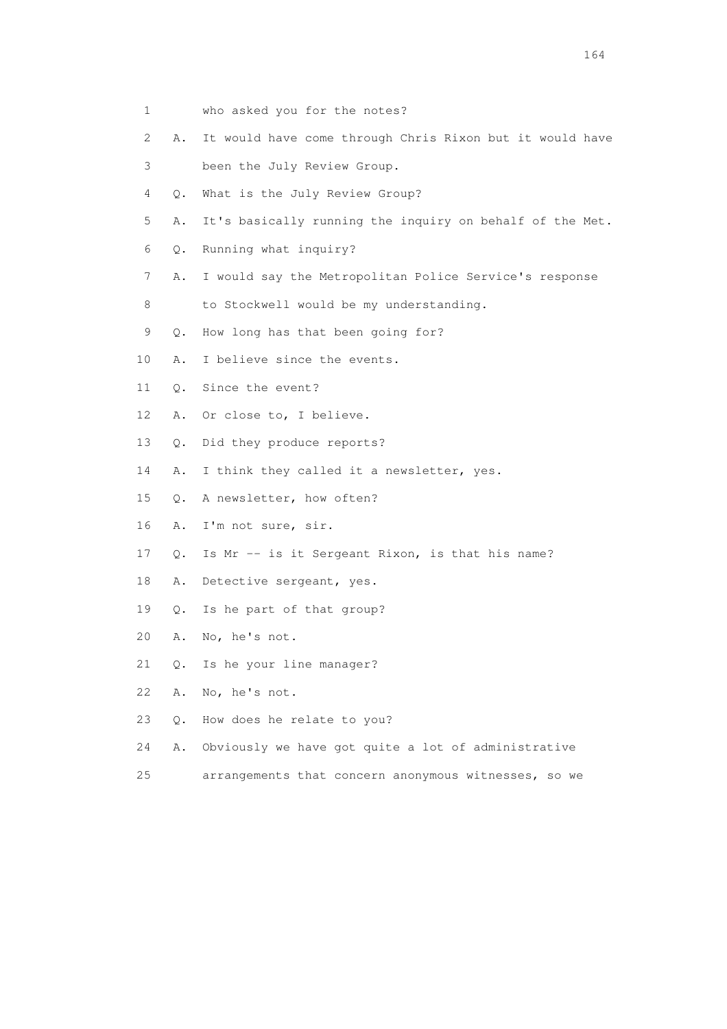- 1 who asked you for the notes?
- 2 A. It would have come through Chris Rixon but it would have
- 3 been the July Review Group.
- 4 Q. What is the July Review Group?
- 5 A. It's basically running the inquiry on behalf of the Met.
- 6 Q. Running what inquiry?
- 7 A. I would say the Metropolitan Police Service's response
- 8 to Stockwell would be my understanding.
- 9 Q. How long has that been going for?
- 10 A. I believe since the events.
- 11 Q. Since the event?
- 12 A. Or close to, I believe.
- 13 Q. Did they produce reports?
- 14 A. I think they called it a newsletter, yes.
- 15 Q. A newsletter, how often?
- 16 A. I'm not sure, sir.
- 17 Q. Is Mr -- is it Sergeant Rixon, is that his name?
- 18 A. Detective sergeant, yes.
- 19 Q. Is he part of that group?
- 20 A. No, he's not.
- 21 Q. Is he your line manager?
- 22 A. No, he's not.
- 23 Q. How does he relate to you?
- 24 A. Obviously we have got quite a lot of administrative
- 25 arrangements that concern anonymous witnesses, so we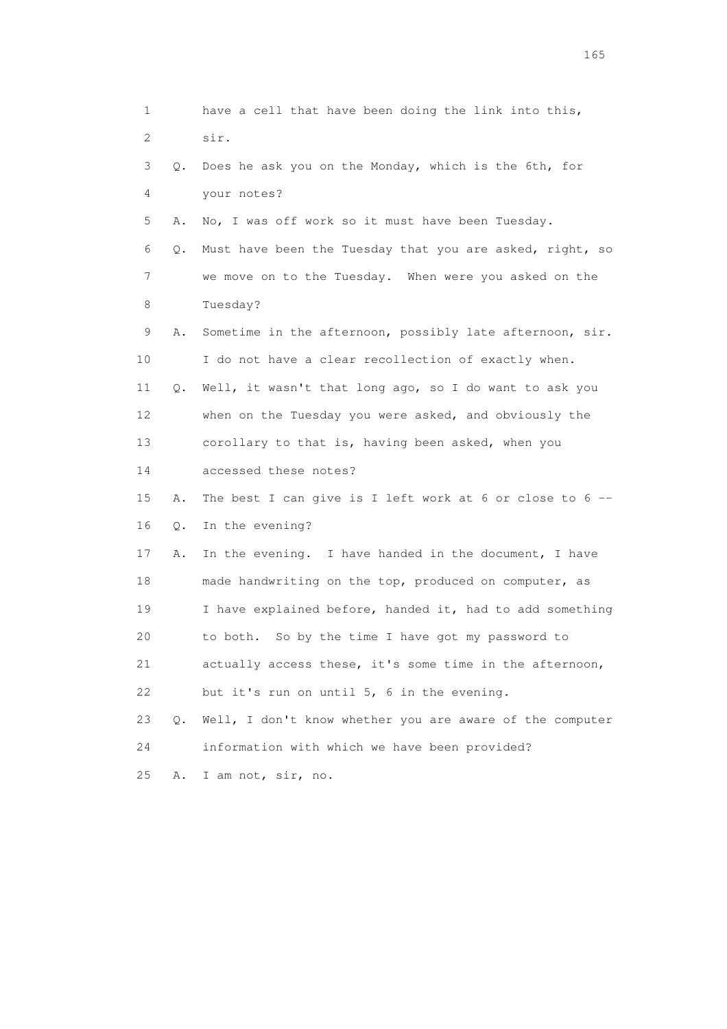1 have a cell that have been doing the link into this, 2 sir. 3 Q. Does he ask you on the Monday, which is the 6th, for 4 your notes? 5 A. No, I was off work so it must have been Tuesday. 6 Q. Must have been the Tuesday that you are asked, right, so 7 we move on to the Tuesday. When were you asked on the 8 Tuesday? 9 A. Sometime in the afternoon, possibly late afternoon, sir. 10 I do not have a clear recollection of exactly when. 11 Q. Well, it wasn't that long ago, so I do want to ask you 12 when on the Tuesday you were asked, and obviously the 13 corollary to that is, having been asked, when you 14 accessed these notes? 15 A. The best I can give is I left work at 6 or close to 6 -- 16 Q. In the evening? 17 A. In the evening. I have handed in the document, I have 18 made handwriting on the top, produced on computer, as 19 I have explained before, handed it, had to add something 20 to both. So by the time I have got my password to 21 actually access these, it's some time in the afternoon, 22 but it's run on until 5, 6 in the evening. 23 Q. Well, I don't know whether you are aware of the computer 24 information with which we have been provided? 25 A. I am not, sir, no.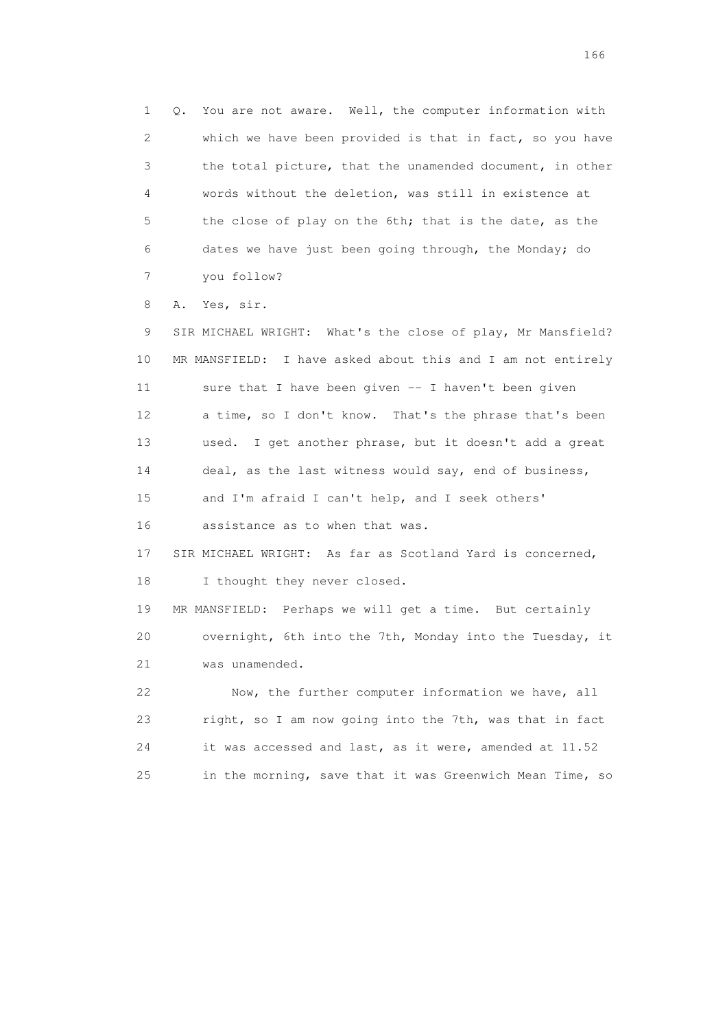1 Q. You are not aware. Well, the computer information with 2 which we have been provided is that in fact, so you have 3 the total picture, that the unamended document, in other 4 words without the deletion, was still in existence at 5 the close of play on the 6th; that is the date, as the 6 dates we have just been going through, the Monday; do 7 you follow?

8 A. Yes, sir.

 9 SIR MICHAEL WRIGHT: What's the close of play, Mr Mansfield? 10 MR MANSFIELD: I have asked about this and I am not entirely 11 sure that I have been given -- I haven't been given 12 a time, so I don't know. That's the phrase that's been 13 used. I get another phrase, but it doesn't add a great 14 deal, as the last witness would say, end of business, 15 and I'm afraid I can't help, and I seek others' 16 assistance as to when that was. 17 SIR MICHAEL WRIGHT: As far as Scotland Yard is concerned, 18 I thought they never closed. 19 MR MANSFIELD: Perhaps we will get a time. But certainly

 20 overnight, 6th into the 7th, Monday into the Tuesday, it 21 was unamended.

 22 Now, the further computer information we have, all 23 right, so I am now going into the 7th, was that in fact 24 it was accessed and last, as it were, amended at 11.52 25 in the morning, save that it was Greenwich Mean Time, so

<u>166</u> **166**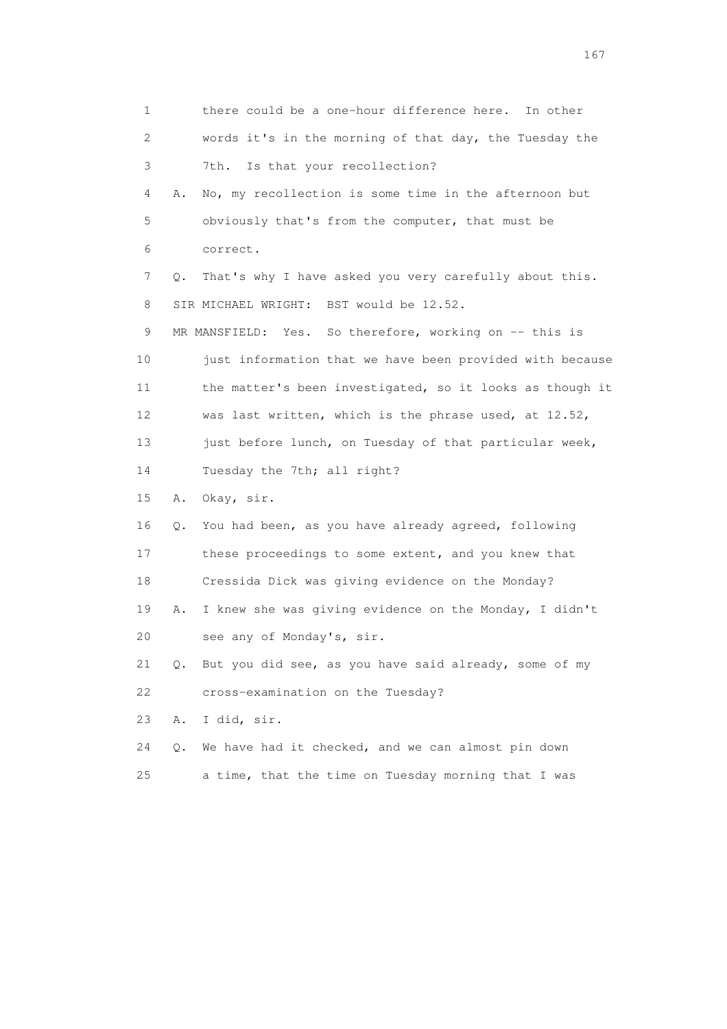1 there could be a one-hour difference here. In other 2 words it's in the morning of that day, the Tuesday the 3 7th. Is that your recollection? 4 A. No, my recollection is some time in the afternoon but 5 obviously that's from the computer, that must be 6 correct. 7 Q. That's why I have asked you very carefully about this. 8 SIR MICHAEL WRIGHT: BST would be 12.52. 9 MR MANSFIELD: Yes. So therefore, working on -- this is 10 just information that we have been provided with because 11 the matter's been investigated, so it looks as though it 12 was last written, which is the phrase used, at 12.52, 13 just before lunch, on Tuesday of that particular week, 14 Tuesday the 7th; all right? 15 A. Okay, sir. 16 Q. You had been, as you have already agreed, following 17 these proceedings to some extent, and you knew that 18 Cressida Dick was giving evidence on the Monday? 19 A. I knew she was giving evidence on the Monday, I didn't 20 see any of Monday's, sir. 21 Q. But you did see, as you have said already, some of my 22 cross-examination on the Tuesday? 23 A. I did, sir. 24 Q. We have had it checked, and we can almost pin down 25 a time, that the time on Tuesday morning that I was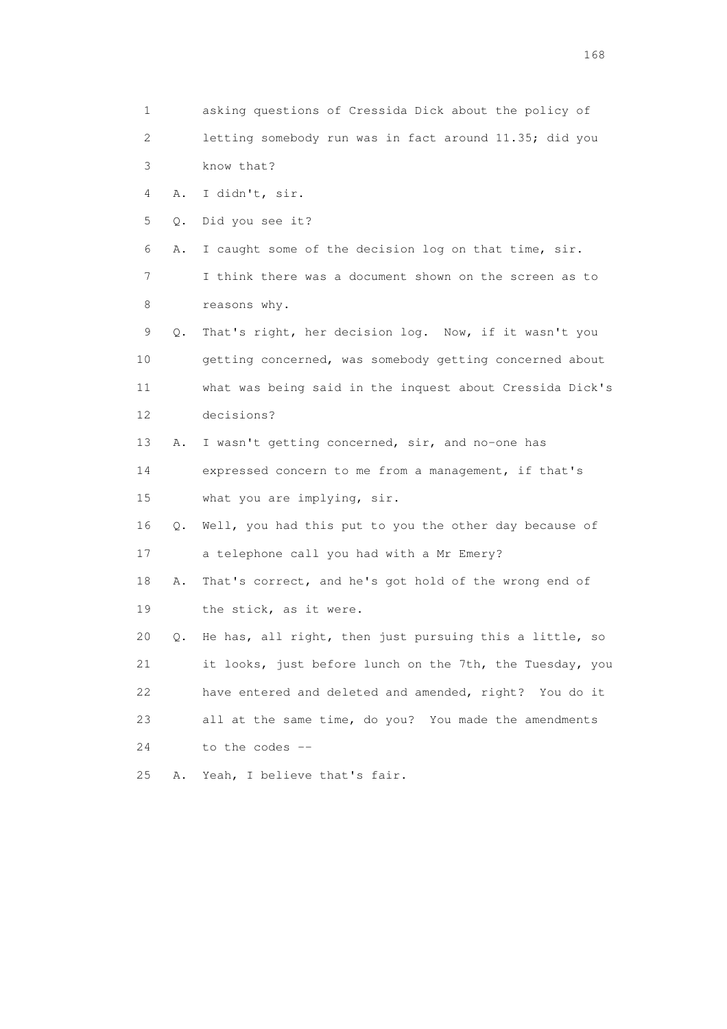1 asking questions of Cressida Dick about the policy of 2 letting somebody run was in fact around 11.35; did you 3 know that? 4 A. I didn't, sir. 5 Q. Did you see it? 6 A. I caught some of the decision log on that time, sir. 7 I think there was a document shown on the screen as to 8 reasons why. 9 Q. That's right, her decision log. Now, if it wasn't you 10 getting concerned, was somebody getting concerned about 11 what was being said in the inquest about Cressida Dick's 12 decisions? 13 A. I wasn't getting concerned, sir, and no-one has 14 expressed concern to me from a management, if that's 15 what you are implying, sir. 16 Q. Well, you had this put to you the other day because of 17 a telephone call you had with a Mr Emery? 18 A. That's correct, and he's got hold of the wrong end of 19 the stick, as it were. 20 Q. He has, all right, then just pursuing this a little, so 21 it looks, just before lunch on the 7th, the Tuesday, you 22 have entered and deleted and amended, right? You do it 23 all at the same time, do you? You made the amendments 24 to the codes -- 25 A. Yeah, I believe that's fair.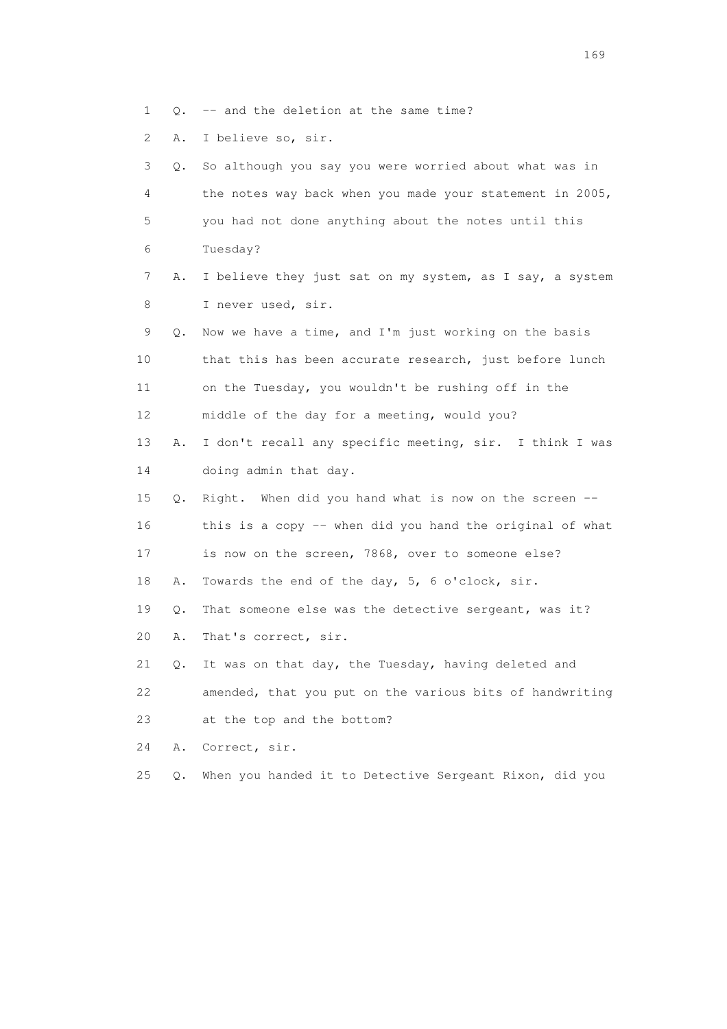- 1 Q. -- and the deletion at the same time?
- 2 A. I believe so, sir.

| 3  | О. | So although you say you were worried about what was in   |
|----|----|----------------------------------------------------------|
| 4  |    | the notes way back when you made your statement in 2005, |
| 5  |    | you had not done anything about the notes until this     |
| 6  |    | Tuesday?                                                 |
| 7  | Α. | I believe they just sat on my system, as I say, a system |
| 8  |    | I never used, sir.                                       |
| 9  | Q. | Now we have a time, and I'm just working on the basis    |
| 10 |    | that this has been accurate research, just before lunch  |
| 11 |    | on the Tuesday, you wouldn't be rushing off in the       |
| 12 |    | middle of the day for a meeting, would you?              |
| 13 | Α. | I don't recall any specific meeting, sir. I think I was  |
| 14 |    | doing admin that day.                                    |
| 15 | Q. | Right. When did you hand what is now on the screen --    |
| 16 |    | this is a copy -- when did you hand the original of what |
| 17 |    | is now on the screen, 7868, over to someone else?        |
| 18 | Α. | Towards the end of the day, 5, 6 o'clock, sir.           |
| 19 | Q. | That someone else was the detective sergeant, was it?    |
| 20 | Α. | That's correct, sir.                                     |
| 21 | Q. | It was on that day, the Tuesday, having deleted and      |
| 22 |    | amended, that you put on the various bits of handwriting |
| 23 |    | at the top and the bottom?                               |
| 24 | Α. | Correct, sir.                                            |
| 25 | Q. | When you handed it to Detective Sergeant Rixon, did you  |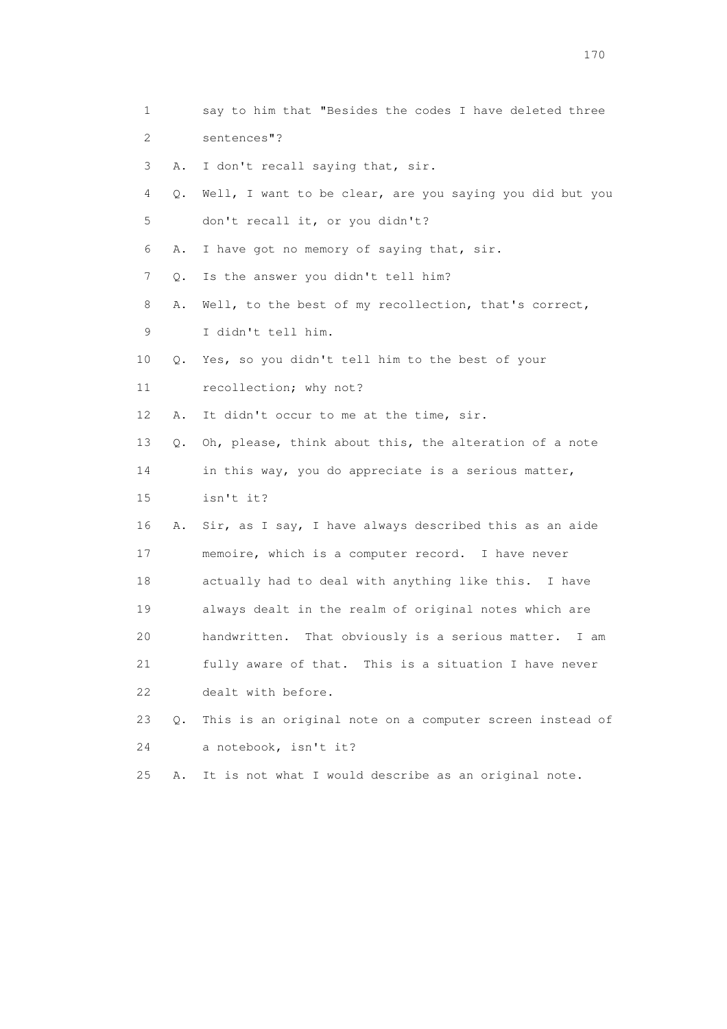| 1                         |    | say to him that "Besides the codes I have deleted three     |
|---------------------------|----|-------------------------------------------------------------|
| $\mathbf{2}^{\mathsf{I}}$ |    | sentences"?                                                 |
| 3                         | Α. | I don't recall saying that, sir.                            |
| 4                         | Q. | Well, I want to be clear, are you saying you did but you    |
| 5                         |    | don't recall it, or you didn't?                             |
| 6                         | Α. | I have got no memory of saying that, sir.                   |
| 7                         | Q. | Is the answer you didn't tell him?                          |
| 8                         | Α. | Well, to the best of my recollection, that's correct,       |
| 9                         |    | I didn't tell him.                                          |
| 10                        | Q. | Yes, so you didn't tell him to the best of your             |
| 11                        |    | recollection; why not?                                      |
| 12                        | Α. | It didn't occur to me at the time, sir.                     |
| 13                        | Q. | Oh, please, think about this, the alteration of a note      |
| 14                        |    | in this way, you do appreciate is a serious matter,         |
| 15                        |    | isn't it?                                                   |
| 16                        | Α. | Sir, as I say, I have always described this as an aide      |
| 17                        |    | memoire, which is a computer record. I have never           |
| 18                        |    | actually had to deal with anything like this. I have        |
| 19                        |    | always dealt in the realm of original notes which are       |
| 20                        |    | That obviously is a serious matter.<br>handwritten.<br>I am |
| 21                        |    | fully aware of that. This is a situation I have never       |
| 22                        |    | dealt with before.                                          |
| 23                        | 0. | This is an original note on a computer screen instead of    |
| 24                        |    | a notebook, isn't it?                                       |
| 25                        | Α. | It is not what I would describe as an original note.        |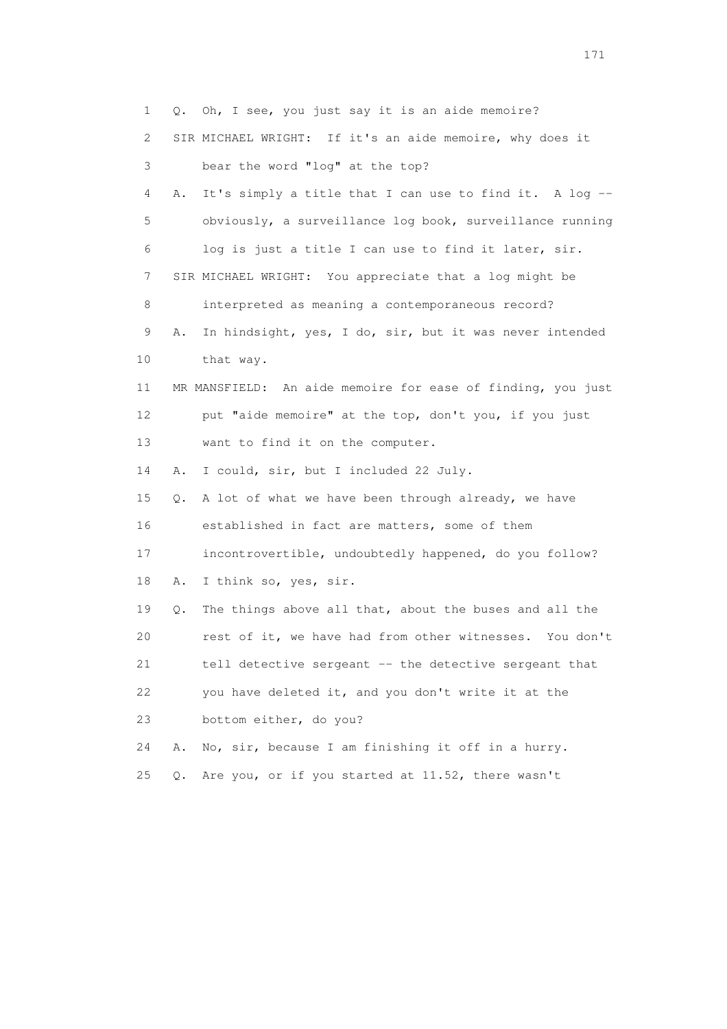1 Q. Oh, I see, you just say it is an aide memoire? 2 SIR MICHAEL WRIGHT: If it's an aide memoire, why does it 3 bear the word "log" at the top? 4 A. It's simply a title that I can use to find it. A log -- 5 obviously, a surveillance log book, surveillance running 6 log is just a title I can use to find it later, sir. 7 SIR MICHAEL WRIGHT: You appreciate that a log might be 8 interpreted as meaning a contemporaneous record? 9 A. In hindsight, yes, I do, sir, but it was never intended 10 that way. 11 MR MANSFIELD: An aide memoire for ease of finding, you just 12 put "aide memoire" at the top, don't you, if you just 13 want to find it on the computer. 14 A. I could, sir, but I included 22 July. 15 Q. A lot of what we have been through already, we have 16 established in fact are matters, some of them 17 incontrovertible, undoubtedly happened, do you follow? 18 A. I think so, yes, sir. 19 Q. The things above all that, about the buses and all the 20 rest of it, we have had from other witnesses. You don't 21 tell detective sergeant -- the detective sergeant that 22 you have deleted it, and you don't write it at the 23 bottom either, do you? 24 A. No, sir, because I am finishing it off in a hurry. 25 Q. Are you, or if you started at 11.52, there wasn't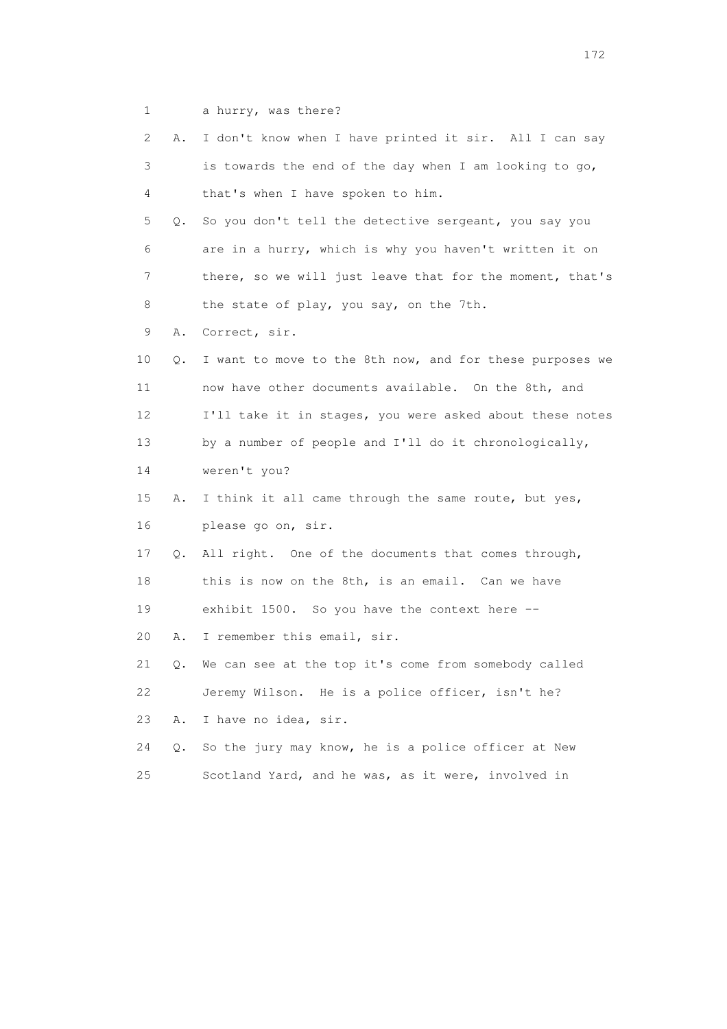1 a hurry, was there?

| 2               | Α. | I don't know when I have printed it sir. All I can say   |
|-----------------|----|----------------------------------------------------------|
| 3               |    | is towards the end of the day when I am looking to go,   |
| 4               |    | that's when I have spoken to him.                        |
| 5               | Q. | So you don't tell the detective sergeant, you say you    |
| 6               |    | are in a hurry, which is why you haven't written it on   |
| 7               |    | there, so we will just leave that for the moment, that's |
| 8               |    | the state of play, you say, on the 7th.                  |
| 9               | Α. | Correct, sir.                                            |
| 10              | Q. | I want to move to the 8th now, and for these purposes we |
| 11              |    | now have other documents available. On the 8th, and      |
| 12 <sup>°</sup> |    | I'll take it in stages, you were asked about these notes |
| 13              |    | by a number of people and I'll do it chronologically,    |
| 14              |    | weren't you?                                             |
| 15              | Α. | I think it all came through the same route, but yes,     |
| 16              |    | please go on, sir.                                       |
| 17              | Q. | All right. One of the documents that comes through,      |
| 18              |    | this is now on the 8th, is an email. Can we have         |
| 19              |    | exhibit 1500. So you have the context here --            |
| 20              | Α. | I remember this email, sir.                              |
| 21              | Q. | We can see at the top it's come from somebody called     |
| 22              |    | Jeremy Wilson. He is a police officer, isn't he?         |
| 23              | Α. | I have no idea, sir.                                     |
| 24              | Q. | So the jury may know, he is a police officer at New      |
| 25              |    | Scotland Yard, and he was, as it were, involved in       |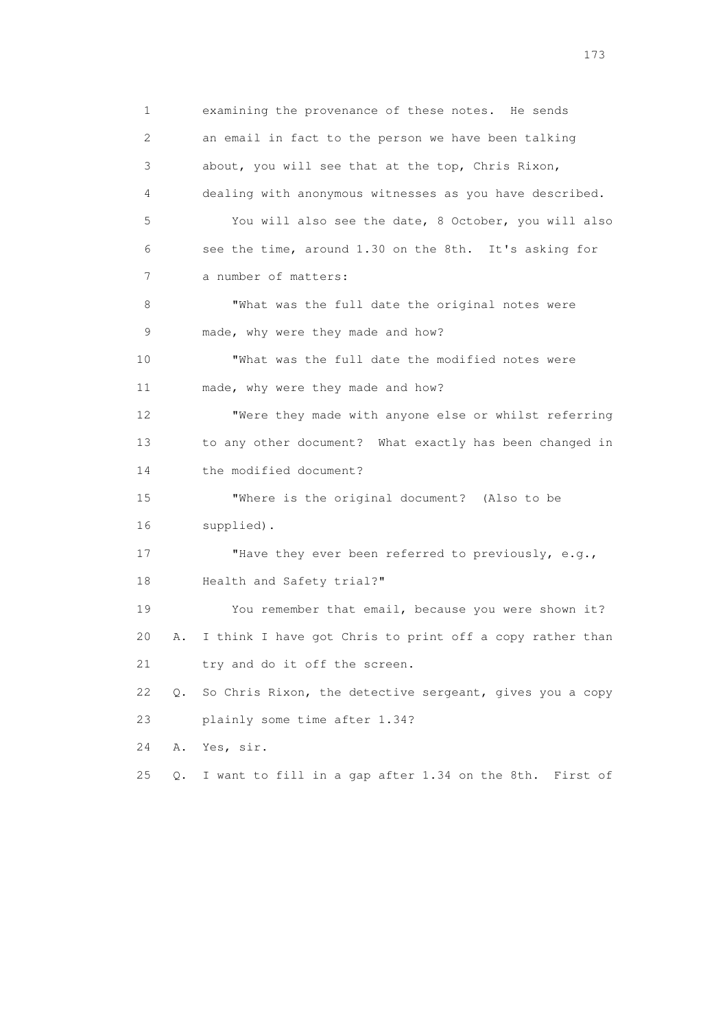1 examining the provenance of these notes. He sends 2 an email in fact to the person we have been talking 3 about, you will see that at the top, Chris Rixon, 4 dealing with anonymous witnesses as you have described. 5 You will also see the date, 8 October, you will also 6 see the time, around 1.30 on the 8th. It's asking for 7 a number of matters: 8 "What was the full date the original notes were 9 made, why were they made and how? 10 "What was the full date the modified notes were 11 made, why were they made and how? 12 "Were they made with anyone else or whilst referring 13 to any other document? What exactly has been changed in 14 the modified document? 15 "Where is the original document? (Also to be 16 supplied). 17 "Have they ever been referred to previously, e.g., 18 Health and Safety trial?" 19 You remember that email, because you were shown it? 20 A. I think I have got Chris to print off a copy rather than 21 try and do it off the screen. 22 Q. So Chris Rixon, the detective sergeant, gives you a copy 23 plainly some time after 1.34? 24 A. Yes, sir. 25 Q. I want to fill in a gap after 1.34 on the 8th. First of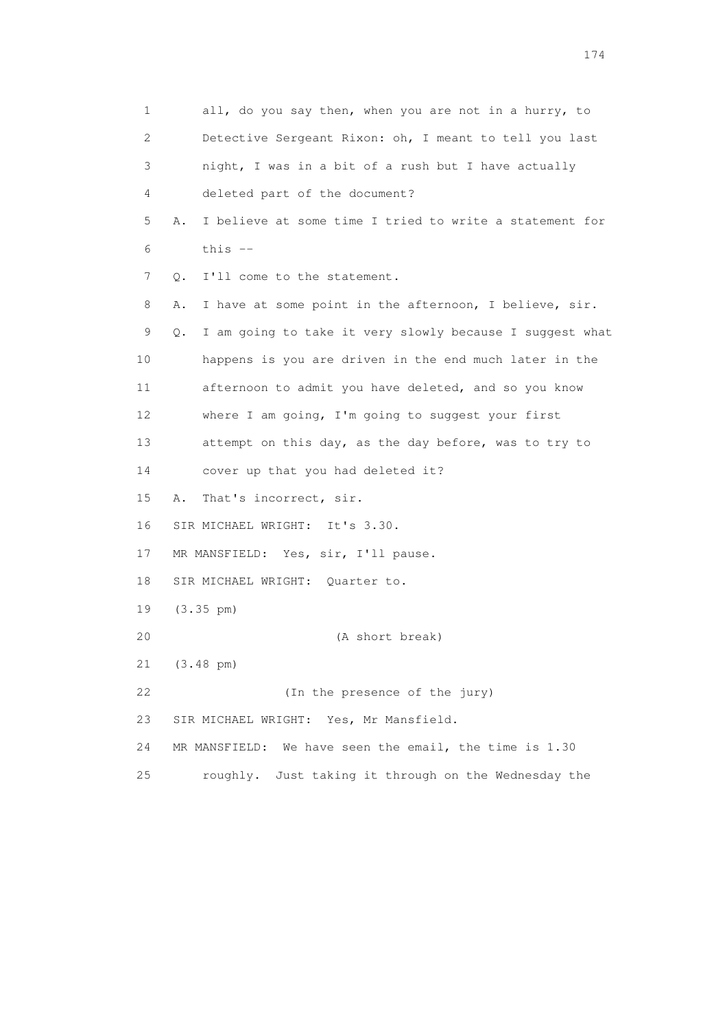1 all, do you say then, when you are not in a hurry, to 2 Detective Sergeant Rixon: oh, I meant to tell you last 3 night, I was in a bit of a rush but I have actually 4 deleted part of the document? 5 A. I believe at some time I tried to write a statement for  $6$  this  $-$  7 Q. I'll come to the statement. 8 A. I have at some point in the afternoon, I believe, sir. 9 Q. I am going to take it very slowly because I suggest what 10 happens is you are driven in the end much later in the 11 afternoon to admit you have deleted, and so you know 12 where I am going, I'm going to suggest your first 13 attempt on this day, as the day before, was to try to 14 cover up that you had deleted it? 15 A. That's incorrect, sir. 16 SIR MICHAEL WRIGHT: It's 3.30. 17 MR MANSFIELD: Yes, sir, I'll pause. 18 SIR MICHAEL WRIGHT: Quarter to. 19 (3.35 pm) 20 (A short break) 21 (3.48 pm) 22 (In the presence of the jury) 23 SIR MICHAEL WRIGHT: Yes, Mr Mansfield. 24 MR MANSFIELD: We have seen the email, the time is 1.30 25 roughly. Just taking it through on the Wednesday the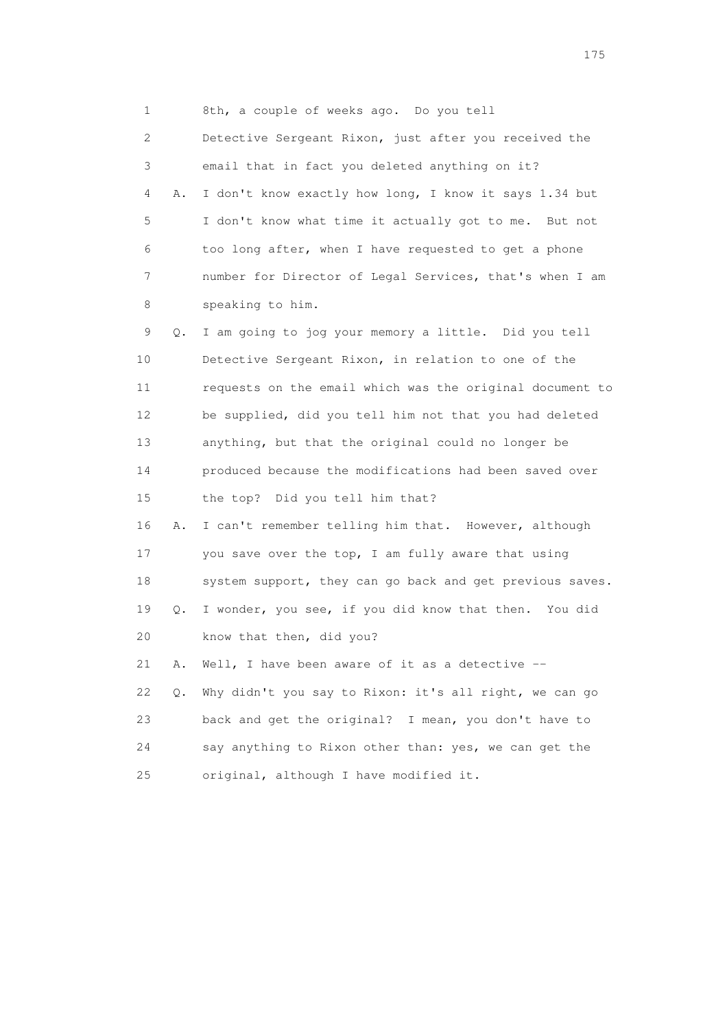1 8th, a couple of weeks ago. Do you tell

 2 Detective Sergeant Rixon, just after you received the 3 email that in fact you deleted anything on it? 4 A. I don't know exactly how long, I know it says 1.34 but 5 I don't know what time it actually got to me. But not 6 too long after, when I have requested to get a phone 7 number for Director of Legal Services, that's when I am 8 speaking to him. 9 Q. I am going to jog your memory a little. Did you tell 10 Detective Sergeant Rixon, in relation to one of the 11 requests on the email which was the original document to 12 be supplied, did you tell him not that you had deleted 13 anything, but that the original could no longer be 14 produced because the modifications had been saved over 15 the top? Did you tell him that? 16 A. I can't remember telling him that. However, although 17 you save over the top, I am fully aware that using 18 system support, they can go back and get previous saves. 19 Q. I wonder, you see, if you did know that then. You did 20 know that then, did you? 21 A. Well, I have been aware of it as a detective -- 22 Q. Why didn't you say to Rixon: it's all right, we can go 23 back and get the original? I mean, you don't have to 24 say anything to Rixon other than: yes, we can get the 25 original, although I have modified it.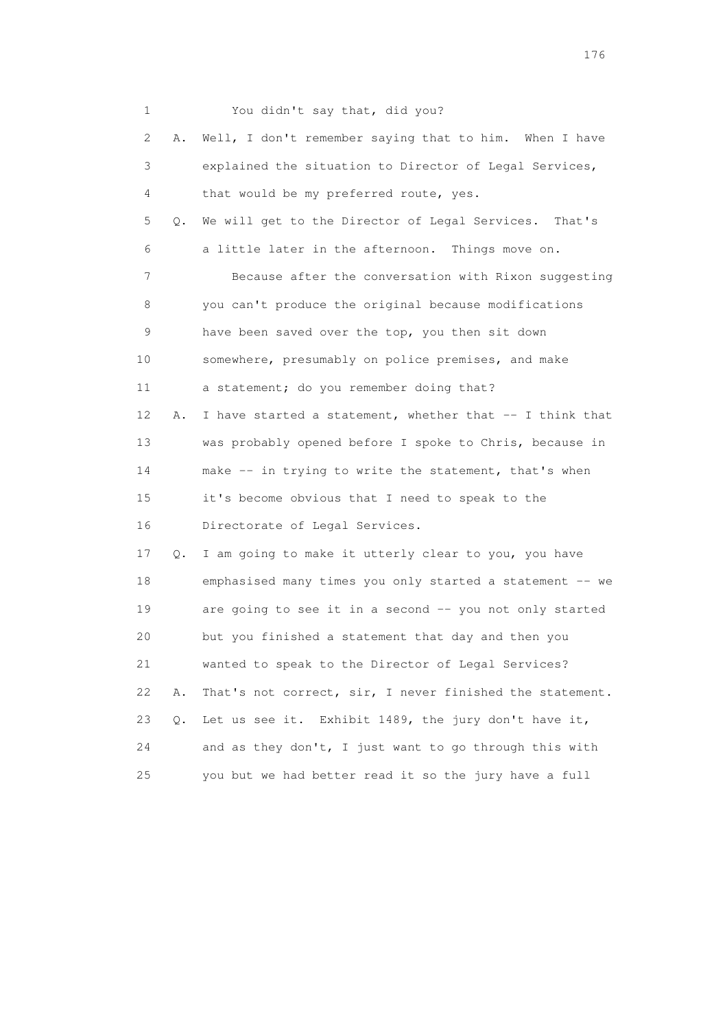| 1  |    | You didn't say that, did you?                            |
|----|----|----------------------------------------------------------|
| 2  | Α. | Well, I don't remember saying that to him. When I have   |
| 3  |    | explained the situation to Director of Legal Services,   |
| 4  |    | that would be my preferred route, yes.                   |
| 5  | Q. | We will get to the Director of Legal Services. That's    |
| 6  |    | a little later in the afternoon. Things move on.         |
| 7  |    | Because after the conversation with Rixon suggesting     |
| 8  |    | you can't produce the original because modifications     |
| 9  |    | have been saved over the top, you then sit down          |
| 10 |    | somewhere, presumably on police premises, and make       |
| 11 |    | a statement; do you remember doing that?                 |
| 12 | Α. | I have started a statement, whether that -- I think that |
| 13 |    | was probably opened before I spoke to Chris, because in  |
| 14 |    | make -- in trying to write the statement, that's when    |
| 15 |    | it's become obvious that I need to speak to the          |
| 16 |    | Directorate of Legal Services.                           |
| 17 | Q. | I am going to make it utterly clear to you, you have     |
| 18 |    | emphasised many times you only started a statement -- we |
| 19 |    | are going to see it in a second -- you not only started  |
| 20 |    | but you finished a statement that day and then you       |
| 21 |    | wanted to speak to the Director of Legal Services?       |
| 22 | Α. | That's not correct, sir, I never finished the statement. |
| 23 | Q. | Let us see it. Exhibit 1489, the jury don't have it,     |
| 24 |    | and as they don't, I just want to go through this with   |
| 25 |    | you but we had better read it so the jury have a full    |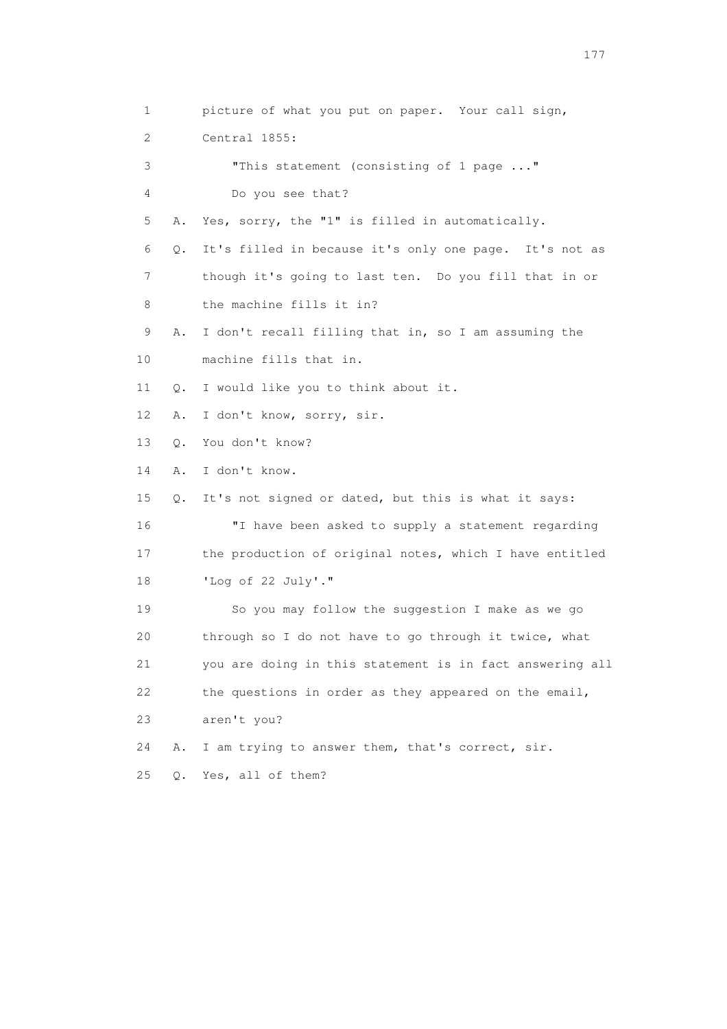1 picture of what you put on paper. Your call sign, 2 Central 1855: 3 "This statement (consisting of 1 page ..." 4 Do you see that? 5 A. Yes, sorry, the "1" is filled in automatically. 6 Q. It's filled in because it's only one page. It's not as 7 though it's going to last ten. Do you fill that in or 8 the machine fills it in? 9 A. I don't recall filling that in, so I am assuming the 10 machine fills that in. 11 Q. I would like you to think about it. 12 A. I don't know, sorry, sir. 13 Q. You don't know? 14 A. I don't know. 15 Q. It's not signed or dated, but this is what it says: 16 "I have been asked to supply a statement regarding 17 the production of original notes, which I have entitled 18 'Log of 22 July'." 19 So you may follow the suggestion I make as we go 20 through so I do not have to go through it twice, what 21 you are doing in this statement is in fact answering all 22 the questions in order as they appeared on the email, 23 aren't you? 24 A. I am trying to answer them, that's correct, sir. 25 Q. Yes, all of them?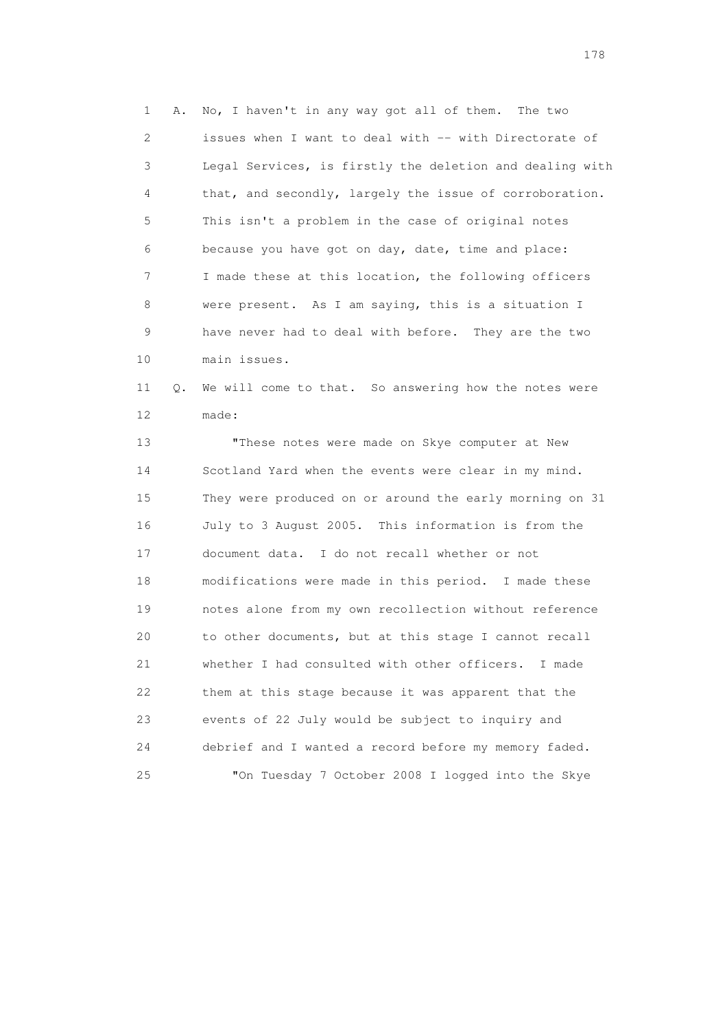1 A. No, I haven't in any way got all of them. The two 2 issues when I want to deal with -- with Directorate of 3 Legal Services, is firstly the deletion and dealing with 4 that, and secondly, largely the issue of corroboration. 5 This isn't a problem in the case of original notes 6 because you have got on day, date, time and place: 7 I made these at this location, the following officers 8 were present. As I am saying, this is a situation I 9 have never had to deal with before. They are the two 10 main issues.

 11 Q. We will come to that. So answering how the notes were 12 made:

 13 "These notes were made on Skye computer at New 14 Scotland Yard when the events were clear in my mind. 15 They were produced on or around the early morning on 31 16 July to 3 August 2005. This information is from the 17 document data. I do not recall whether or not 18 modifications were made in this period. I made these 19 notes alone from my own recollection without reference 20 to other documents, but at this stage I cannot recall 21 whether I had consulted with other officers. I made 22 them at this stage because it was apparent that the 23 events of 22 July would be subject to inquiry and 24 debrief and I wanted a record before my memory faded. 25 "On Tuesday 7 October 2008 I logged into the Skye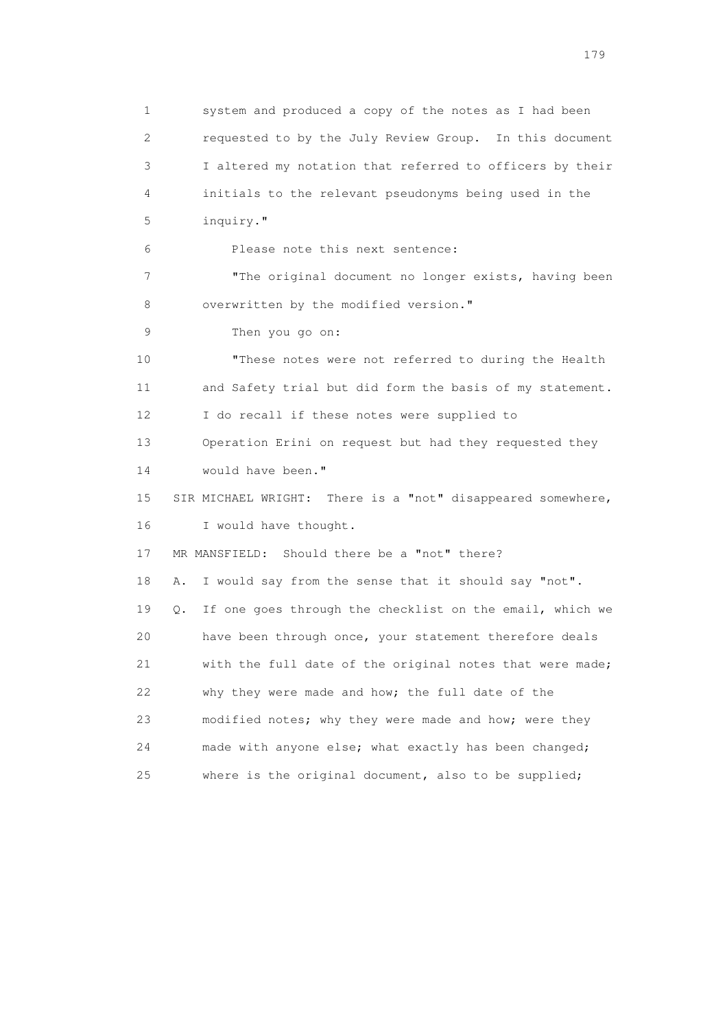1 system and produced a copy of the notes as I had been 2 requested to by the July Review Group. In this document 3 I altered my notation that referred to officers by their 4 initials to the relevant pseudonyms being used in the 5 inquiry." 6 Please note this next sentence: 7 "The original document no longer exists, having been 8 overwritten by the modified version." 9 Then you go on: 10 "These notes were not referred to during the Health 11 and Safety trial but did form the basis of my statement. 12 I do recall if these notes were supplied to 13 Operation Erini on request but had they requested they 14 would have been." 15 SIR MICHAEL WRIGHT: There is a "not" disappeared somewhere, 16 I would have thought. 17 MR MANSFIELD: Should there be a "not" there? 18 A. I would say from the sense that it should say "not". 19 Q. If one goes through the checklist on the email, which we 20 have been through once, your statement therefore deals 21 with the full date of the original notes that were made; 22 why they were made and how; the full date of the 23 modified notes; why they were made and how; were they 24 made with anyone else; what exactly has been changed; 25 where is the original document, also to be supplied;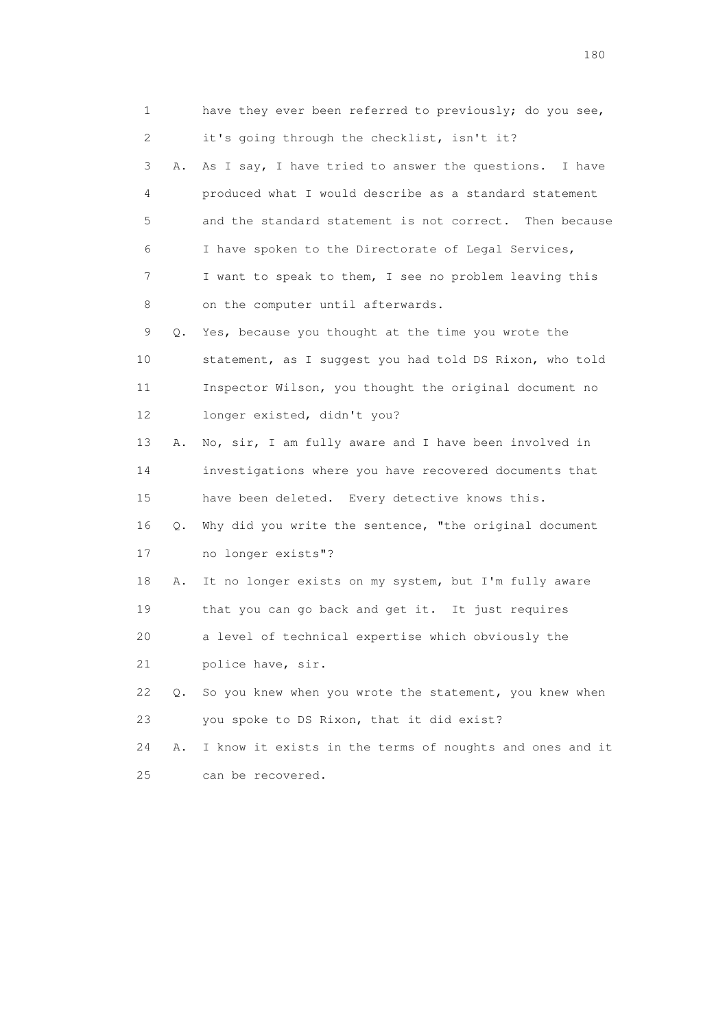1 have they ever been referred to previously; do you see, 2 it's going through the checklist, isn't it? 3 A. As I say, I have tried to answer the questions. I have 4 produced what I would describe as a standard statement 5 and the standard statement is not correct. Then because 6 I have spoken to the Directorate of Legal Services, 7 I want to speak to them, I see no problem leaving this 8 on the computer until afterwards. 9 Q. Yes, because you thought at the time you wrote the 10 statement, as I suggest you had told DS Rixon, who told 11 Inspector Wilson, you thought the original document no 12 longer existed, didn't you? 13 A. No, sir, I am fully aware and I have been involved in 14 investigations where you have recovered documents that 15 have been deleted. Every detective knows this. 16 Q. Why did you write the sentence, "the original document 17 no longer exists"? 18 A. It no longer exists on my system, but I'm fully aware 19 that you can go back and get it. It just requires 20 a level of technical expertise which obviously the 21 police have, sir. 22 Q. So you knew when you wrote the statement, you knew when 23 you spoke to DS Rixon, that it did exist? 24 A. I know it exists in the terms of noughts and ones and it 25 can be recovered.

180 and 180 and 180 and 180 and 180 and 180 and 180 and 180 and 180 and 180 and 180 and 180 and 180 and 180 and 180 and 180 and 180 and 180 and 180 and 180 and 180 and 180 and 180 and 180 and 180 and 180 and 180 and 180 an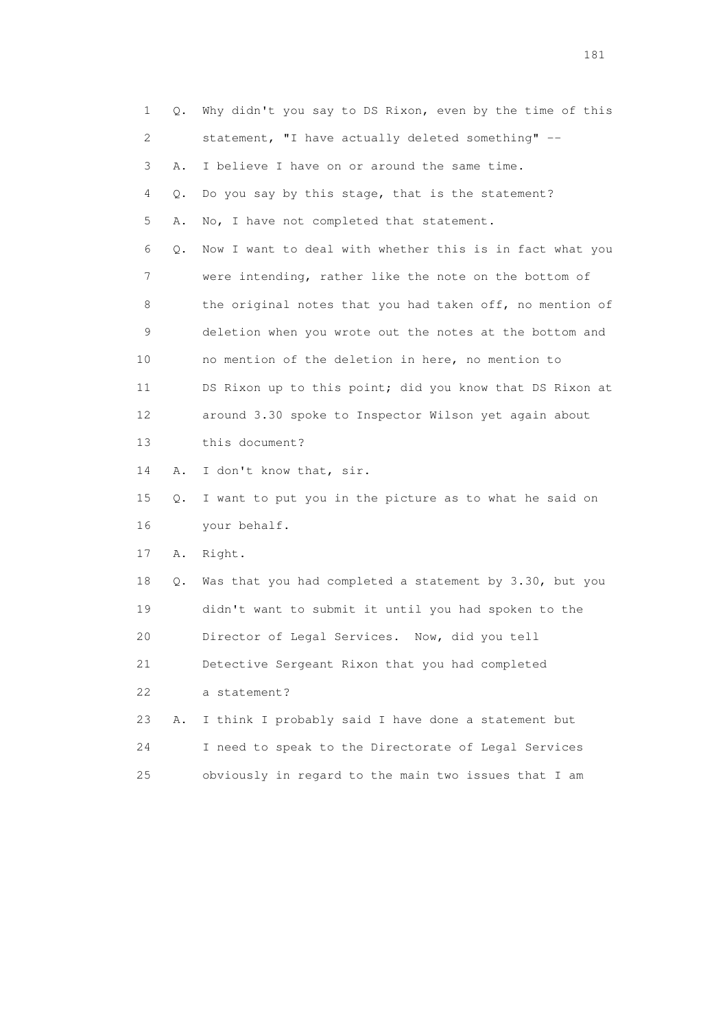1 Q. Why didn't you say to DS Rixon, even by the time of this 2 statement, "I have actually deleted something" -- 3 A. I believe I have on or around the same time. 4 Q. Do you say by this stage, that is the statement? 5 A. No, I have not completed that statement. 6 Q. Now I want to deal with whether this is in fact what you 7 were intending, rather like the note on the bottom of 8 the original notes that you had taken off, no mention of 9 deletion when you wrote out the notes at the bottom and 10 no mention of the deletion in here, no mention to 11 DS Rixon up to this point; did you know that DS Rixon at 12 around 3.30 spoke to Inspector Wilson yet again about 13 this document? 14 A. I don't know that, sir. 15 Q. I want to put you in the picture as to what he said on 16 your behalf. 17 A. Right. 18 Q. Was that you had completed a statement by 3.30, but you 19 didn't want to submit it until you had spoken to the 20 Director of Legal Services. Now, did you tell 21 Detective Sergeant Rixon that you had completed 22 a statement? 23 A. I think I probably said I have done a statement but 24 I need to speak to the Directorate of Legal Services 25 obviously in regard to the main two issues that I am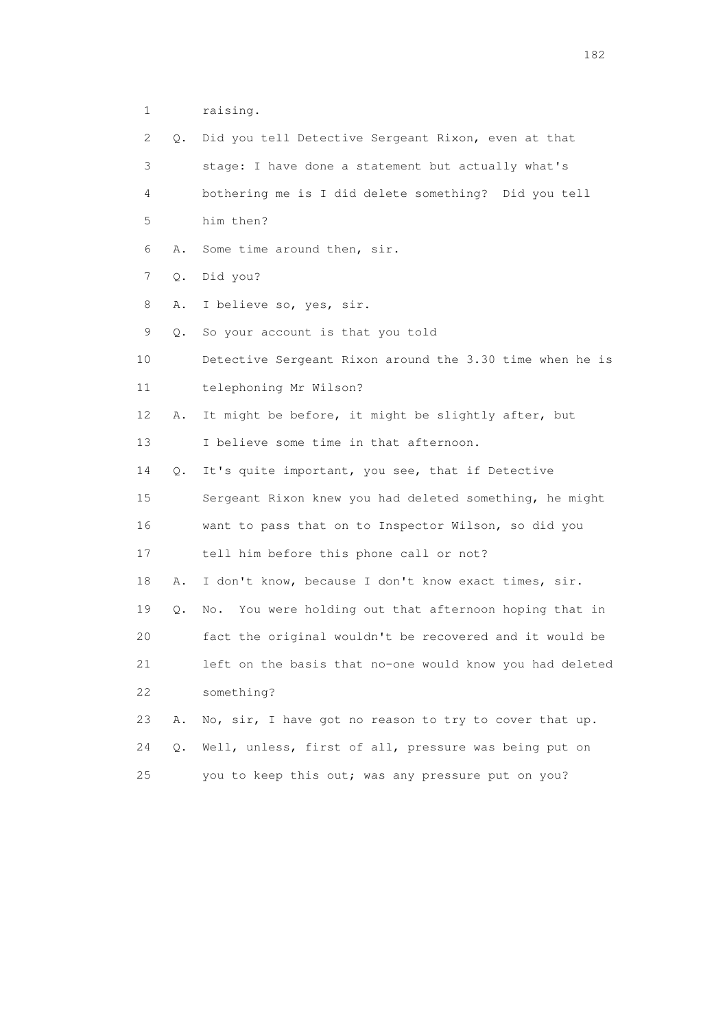1 raising.

| 2  | Q. | Did you tell Detective Sergeant Rixon, even at that       |
|----|----|-----------------------------------------------------------|
| 3  |    | stage: I have done a statement but actually what's        |
| 4  |    | bothering me is I did delete something? Did you tell      |
| 5  |    | him then?                                                 |
| 6  | Α. | Some time around then, sir.                               |
| 7  | Q. | Did you?                                                  |
| 8  | Α. | I believe so, yes, sir.                                   |
| 9  | Q. | So your account is that you told                          |
| 10 |    | Detective Sergeant Rixon around the 3.30 time when he is  |
| 11 |    | telephoning Mr Wilson?                                    |
| 12 | Α. | It might be before, it might be slightly after, but       |
| 13 |    | I believe some time in that afternoon.                    |
| 14 | Q. | It's quite important, you see, that if Detective          |
| 15 |    | Sergeant Rixon knew you had deleted something, he might   |
| 16 |    | want to pass that on to Inspector Wilson, so did you      |
| 17 |    | tell him before this phone call or not?                   |
| 18 | Α. | I don't know, because I don't know exact times, sir.      |
| 19 | Q. | You were holding out that afternoon hoping that in<br>No. |
| 20 |    | fact the original wouldn't be recovered and it would be   |
| 21 |    | left on the basis that no-one would know you had deleted  |
| 22 |    | something?                                                |
| 23 | Α. | No, sir, I have got no reason to try to cover that up.    |
| 24 | О. | Well, unless, first of all, pressure was being put on     |
| 25 |    | you to keep this out; was any pressure put on you?        |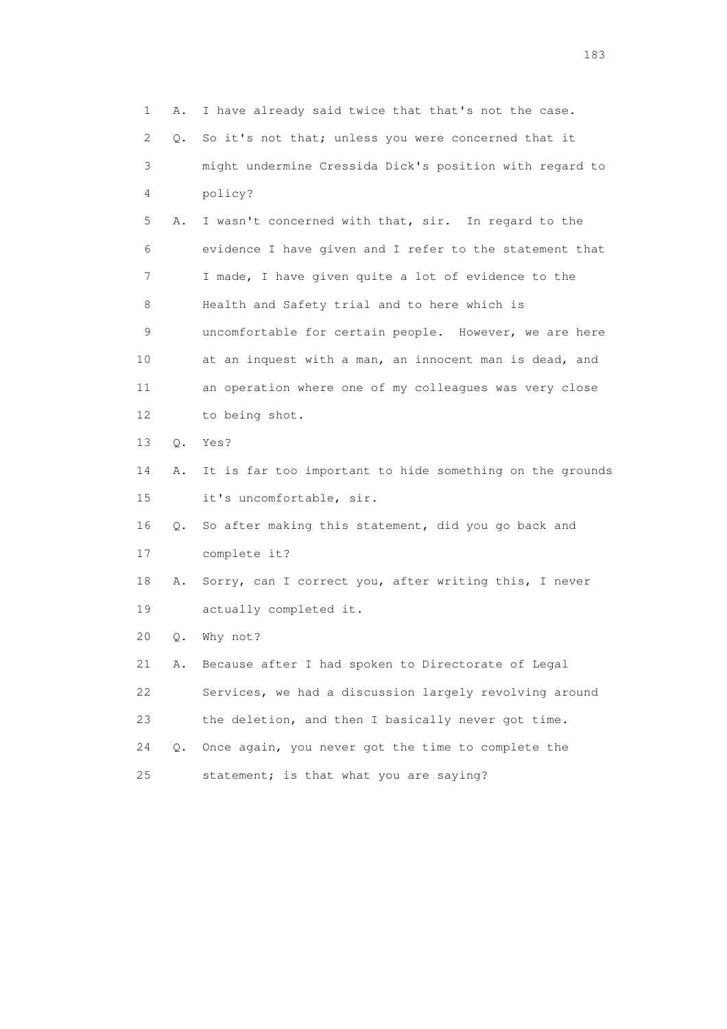1 A. I have already said twice that that's not the case. 2 Q. So it's not that; unless you were concerned that it 3 might undermine Cressida Dick's position with regard to 4 policy? 5 A. I wasn't concerned with that, sir. In regard to the 6 evidence I have given and I refer to the statement that 7 I made, I have given quite a lot of evidence to the 8 Health and Safety trial and to here which is 9 uncomfortable for certain people. However, we are here 10 at an inquest with a man, an innocent man is dead, and 11 an operation where one of my colleagues was very close 12 to being shot. 13 Q. Yes? 14 A. It is far too important to hide something on the grounds 15 it's uncomfortable, sir. 16 Q. So after making this statement, did you go back and 17 complete it? 18 A. Sorry, can I correct you, after writing this, I never 19 actually completed it. 20 Q. Why not? 21 A. Because after I had spoken to Directorate of Legal 22 Services, we had a discussion largely revolving around 23 the deletion, and then I basically never got time. 24 Q. Once again, you never got the time to complete the 25 statement; is that what you are saying?

183 and the contract of the contract of the contract of the contract of the contract of the contract of the contract of the contract of the contract of the contract of the contract of the contract of the contract of the co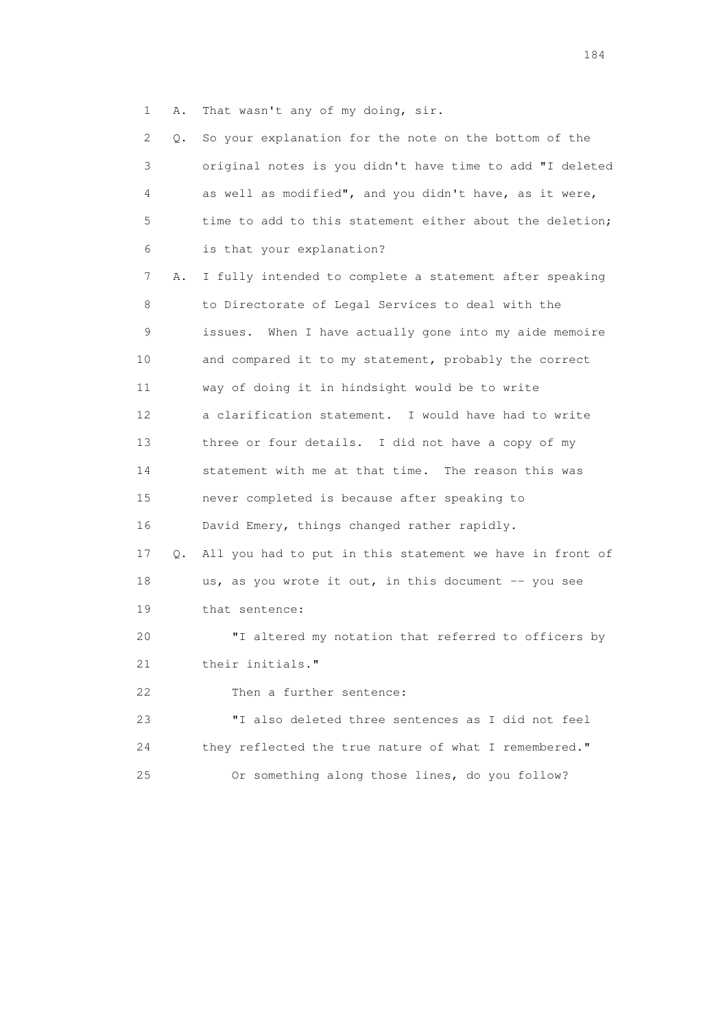1 A. That wasn't any of my doing, sir.

| 2  | Q. | So your explanation for the note on the bottom of the     |
|----|----|-----------------------------------------------------------|
| 3  |    | original notes is you didn't have time to add "I deleted  |
| 4  |    | as well as modified", and you didn't have, as it were,    |
| 5  |    | time to add to this statement either about the deletion;  |
| 6  |    | is that your explanation?                                 |
| 7  | Α. | I fully intended to complete a statement after speaking   |
| 8  |    | to Directorate of Legal Services to deal with the         |
| 9  |    | When I have actually gone into my aide memoire<br>issues. |
| 10 |    | and compared it to my statement, probably the correct     |
| 11 |    | way of doing it in hindsight would be to write            |
| 12 |    | a clarification statement. I would have had to write      |
| 13 |    | three or four details. I did not have a copy of my        |
| 14 |    | statement with me at that time. The reason this was       |
| 15 |    | never completed is because after speaking to              |
| 16 |    | David Emery, things changed rather rapidly.               |
| 17 | Q. | All you had to put in this statement we have in front of  |
| 18 |    | us, as you wrote it out, in this document -- you see      |
| 19 |    | that sentence:                                            |
| 20 |    | "I altered my notation that referred to officers by       |
| 21 |    | their initials."                                          |
| 22 |    | Then a further sentence:                                  |
| 23 |    | "I also deleted three sentences as I did not feel         |
| 24 |    | they reflected the true nature of what I remembered."     |
| 25 |    | Or something along those lines, do you follow?            |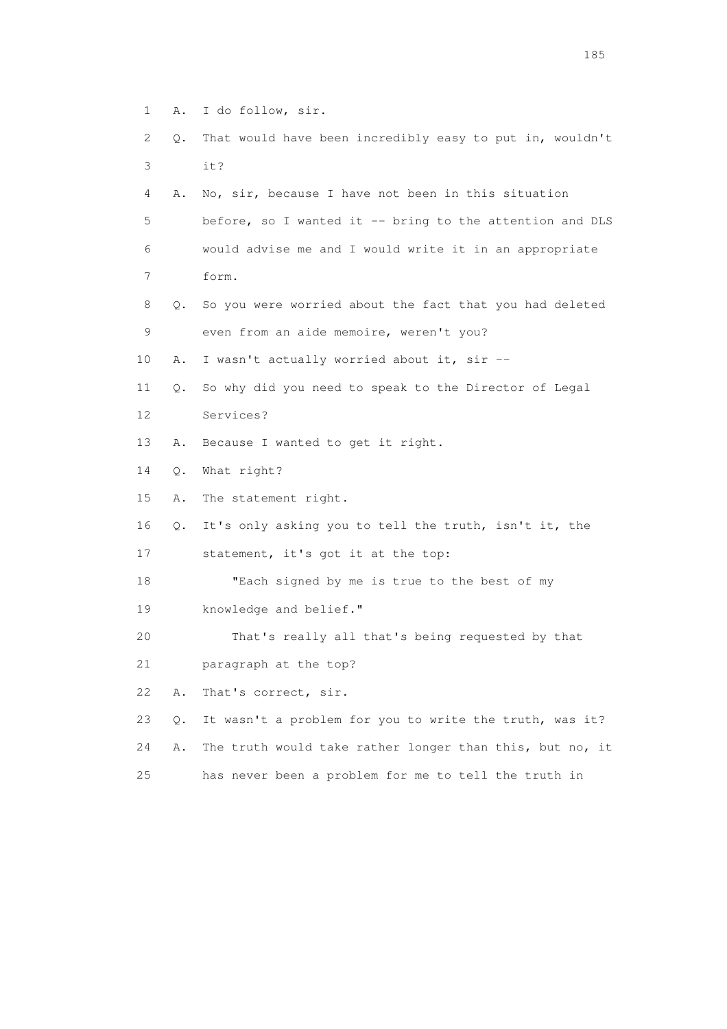- 1 A. I do follow, sir.
- 2 Q. That would have been incredibly easy to put in, wouldn't 3 it?
- 4 A. No, sir, because I have not been in this situation 5 before, so I wanted it -- bring to the attention and DLS 6 would advise me and I would write it in an appropriate 7 form.
- 8 Q. So you were worried about the fact that you had deleted 9 even from an aide memoire, weren't you?
- 10 A. I wasn't actually worried about it, sir --
- 11 Q. So why did you need to speak to the Director of Legal 12 Services?
- 13 A. Because I wanted to get it right.
- 14 Q. What right?
- 15 A. The statement right.
- 16 Q. It's only asking you to tell the truth, isn't it, the
- 17 statement, it's got it at the top:
- 18 "Each signed by me is true to the best of my
- 19 knowledge and belief."
- 20 That's really all that's being requested by that
- 21 paragraph at the top?
- 22 A. That's correct, sir.
- 23 Q. It wasn't a problem for you to write the truth, was it? 24 A. The truth would take rather longer than this, but no, it 25 has never been a problem for me to tell the truth in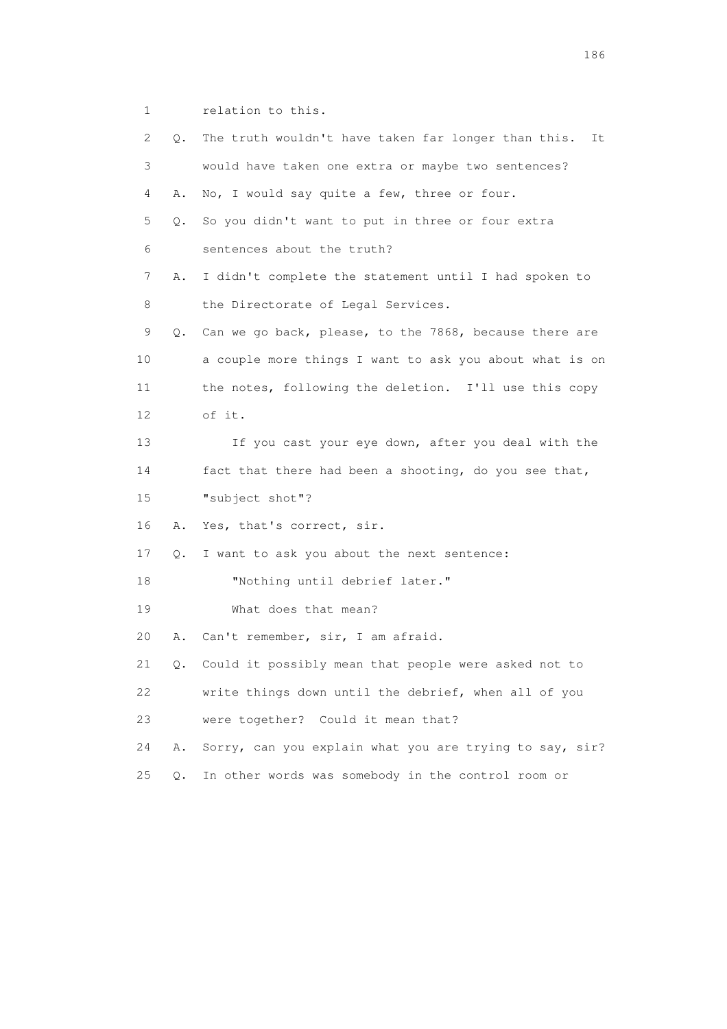1 relation to this.

| 2  | Q. | The truth wouldn't have taken far longer than this.<br>It |
|----|----|-----------------------------------------------------------|
| 3  |    | would have taken one extra or maybe two sentences?        |
| 4  | Α. | No, I would say quite a few, three or four.               |
| 5  | Q. | So you didn't want to put in three or four extra          |
| 6  |    | sentences about the truth?                                |
| 7  | Α. | I didn't complete the statement until I had spoken to     |
| 8  |    | the Directorate of Legal Services.                        |
| 9  | Q. | Can we go back, please, to the 7868, because there are    |
| 10 |    | a couple more things I want to ask you about what is on   |
| 11 |    | the notes, following the deletion. I'll use this copy     |
| 12 |    | of it.                                                    |
| 13 |    | If you cast your eye down, after you deal with the        |
| 14 |    | fact that there had been a shooting, do you see that,     |
| 15 |    | "subject shot"?                                           |
| 16 | Α. | Yes, that's correct, sir.                                 |
| 17 | Q. | I want to ask you about the next sentence:                |
| 18 |    | "Nothing until debrief later."                            |
| 19 |    | What does that mean?                                      |
| 20 | Α. | Can't remember, sir, I am afraid.                         |
| 21 | Q. | Could it possibly mean that people were asked not to      |
| 22 |    | write things down until the debrief, when all of you      |
| 23 |    | were together? Could it mean that?                        |
| 24 | Α. | Sorry, can you explain what you are trying to say, sir?   |
| 25 | Q. | In other words was somebody in the control room or        |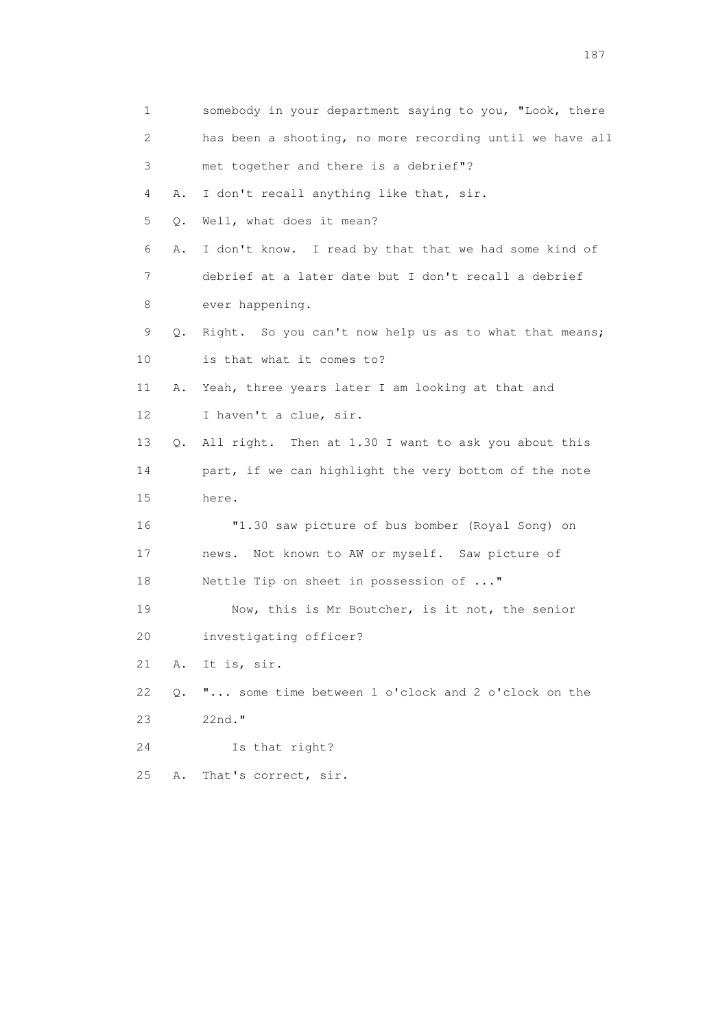| 1                         |    | somebody in your department saying to you, "Look, there  |
|---------------------------|----|----------------------------------------------------------|
| $\mathbf{2}^{\mathsf{I}}$ |    | has been a shooting, no more recording until we have all |
| 3                         |    | met together and there is a debrief"?                    |
| 4                         | Α. | I don't recall anything like that, sir.                  |
| 5                         | Q. | Well, what does it mean?                                 |
| 6                         | Α. | I don't know. I read by that that we had some kind of    |
| 7                         |    | debrief at a later date but I don't recall a debrief     |
| 8                         |    | ever happening.                                          |
| 9                         | Q. | Right. So you can't now help us as to what that means;   |
| 10                        |    | is that what it comes to?                                |
| 11                        | Α. | Yeah, three years later I am looking at that and         |
| 12                        |    | I haven't a clue, sir.                                   |
| 13                        | Q. | All right. Then at 1.30 I want to ask you about this     |
| 14                        |    | part, if we can highlight the very bottom of the note    |
| 15                        |    | here.                                                    |
| 16                        |    | "1.30 saw picture of bus bomber (Royal Song) on          |
| 17                        |    | news. Not known to AW or myself. Saw picture of          |
| 18                        |    | Nettle Tip on sheet in possession of "                   |
| 19                        |    | Now, this is Mr Boutcher, is it not, the senior          |
| 20                        |    | investigating officer?                                   |
| 21                        | Α. | It is, sir.                                              |
| 22                        | Q. | " some time between 1 o'clock and 2 o'clock on the       |
| 23                        |    | 22nd."                                                   |
| 24                        |    | Is that right?                                           |
| 25                        | Α. | That's correct, sir.                                     |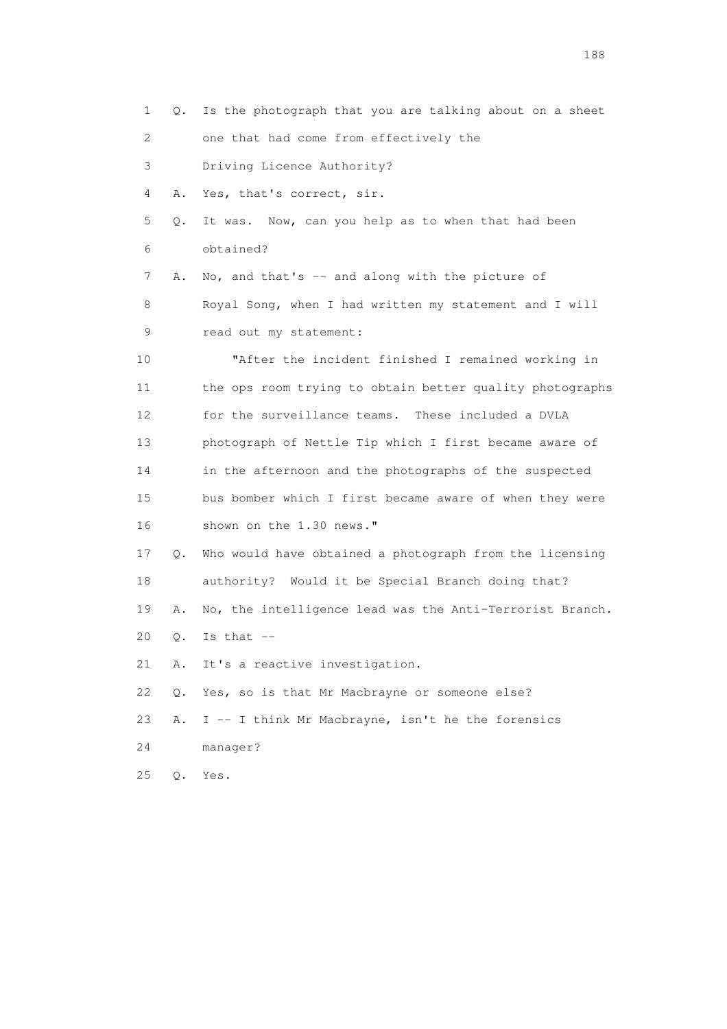1 Q. Is the photograph that you are talking about on a sheet 2 one that had come from effectively the 3 Driving Licence Authority? 4 A. Yes, that's correct, sir. 5 Q. It was. Now, can you help as to when that had been 6 obtained? 7 A. No, and that's -- and along with the picture of 8 Royal Song, when I had written my statement and I will 9 read out my statement: 10 "After the incident finished I remained working in 11 the ops room trying to obtain better quality photographs 12 for the surveillance teams. These included a DVLA 13 photograph of Nettle Tip which I first became aware of 14 in the afternoon and the photographs of the suspected 15 bus bomber which I first became aware of when they were 16 shown on the 1.30 news." 17 Q. Who would have obtained a photograph from the licensing 18 authority? Would it be Special Branch doing that? 19 A. No, the intelligence lead was the Anti-Terrorist Branch. 20 Q. Is that -- 21 A. It's a reactive investigation. 22 Q. Yes, so is that Mr Macbrayne or someone else? 23 A. I -- I think Mr Macbrayne, isn't he the forensics 24 manager? 25 Q. Yes.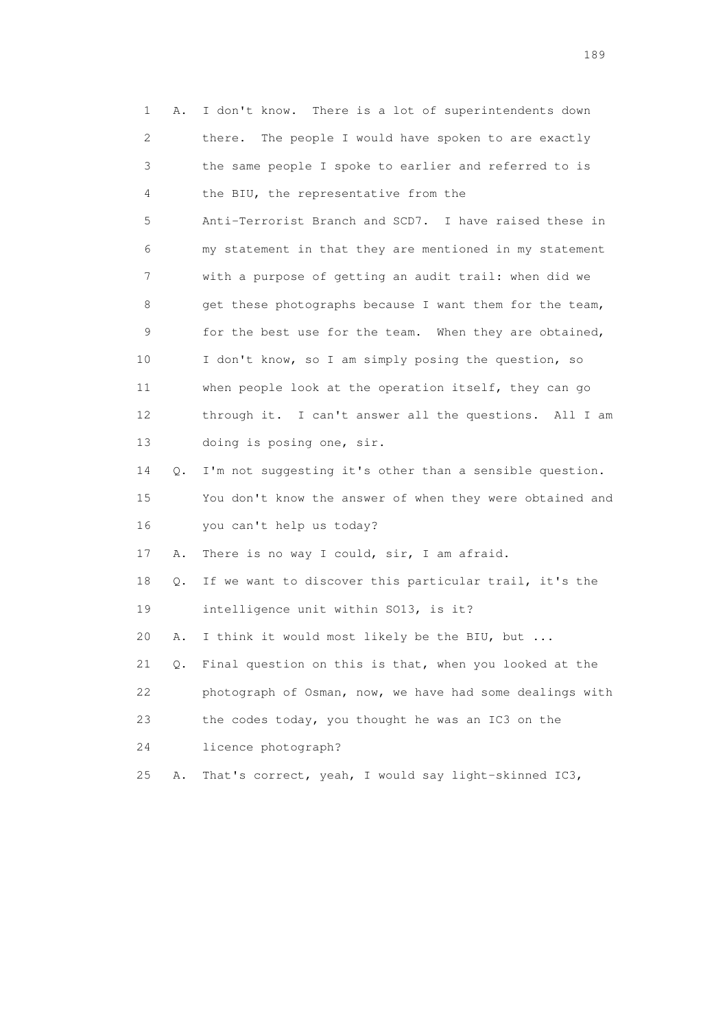| 1  | Α. | I don't know. There is a lot of superintendents down     |
|----|----|----------------------------------------------------------|
| 2  |    | The people I would have spoken to are exactly<br>there.  |
| 3  |    | the same people I spoke to earlier and referred to is    |
| 4  |    | the BIU, the representative from the                     |
| 5  |    | Anti-Terrorist Branch and SCD7. I have raised these in   |
| 6  |    | my statement in that they are mentioned in my statement  |
| 7  |    | with a purpose of getting an audit trail: when did we    |
| 8  |    | get these photographs because I want them for the team,  |
| 9  |    | for the best use for the team. When they are obtained,   |
| 10 |    | I don't know, so I am simply posing the question, so     |
| 11 |    | when people look at the operation itself, they can go    |
| 12 |    | through it. I can't answer all the questions. All I am   |
| 13 |    | doing is posing one, sir.                                |
| 14 | Q. | I'm not suggesting it's other than a sensible question.  |
| 15 |    | You don't know the answer of when they were obtained and |
| 16 |    | you can't help us today?                                 |
| 17 | Α. | There is no way I could, sir, I am afraid.               |
| 18 | Q. | If we want to discover this particular trail, it's the   |
| 19 |    | intelligence unit within SO13, is it?                    |
| 20 | Α. | I think it would most likely be the BIU, but             |
| 21 | Q. | Final question on this is that, when you looked at the   |
| 22 |    | photograph of Osman, now, we have had some dealings with |
| 23 |    | the codes today, you thought he was an IC3 on the        |
| 24 |    | licence photograph?                                      |
| 25 | Α. | That's correct, yeah, I would say light-skinned IC3,     |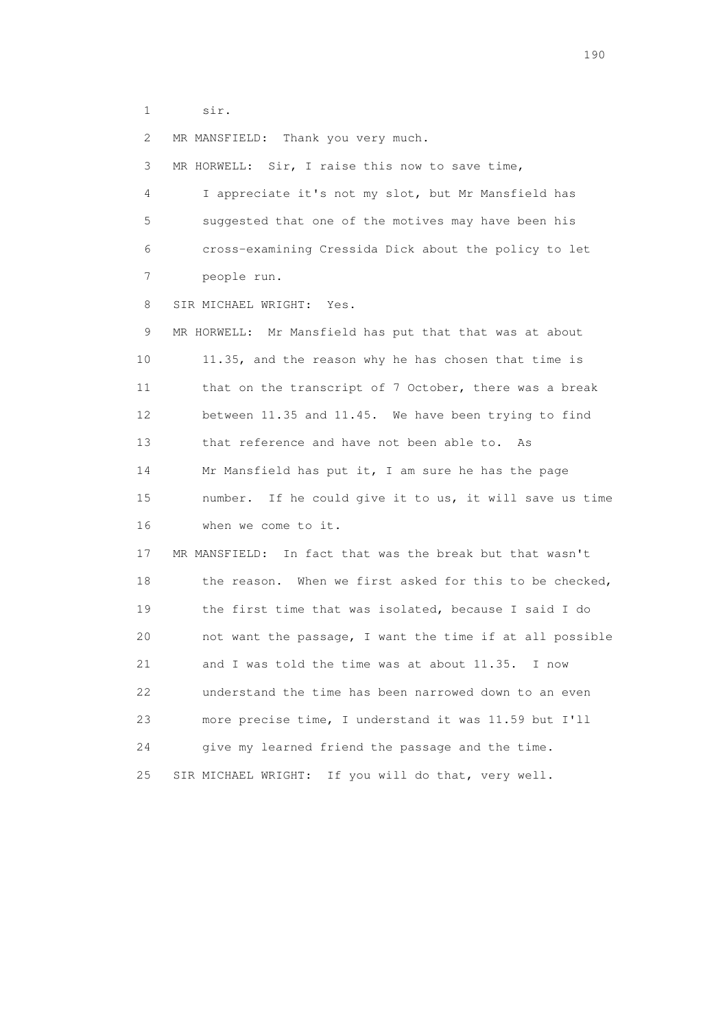1 sir.

2 MR MANSFIELD: Thank you very much.

3 MR HORWELL: Sir, I raise this now to save time,

 4 I appreciate it's not my slot, but Mr Mansfield has 5 suggested that one of the motives may have been his 6 cross-examining Cressida Dick about the policy to let 7 people run.

8 SIR MICHAEL WRIGHT: Yes.

9 MR HORWELL: Mr Mansfield has put that that was at about 10 11.35, and the reason why he has chosen that time is 11 that on the transcript of 7 October, there was a break 12 between 11.35 and 11.45. We have been trying to find 13 that reference and have not been able to. As 14 Mr Mansfield has put it, I am sure he has the page 15 number. If he could give it to us, it will save us time 16 when we come to it.

 17 MR MANSFIELD: In fact that was the break but that wasn't 18 the reason. When we first asked for this to be checked, 19 the first time that was isolated, because I said I do 20 not want the passage, I want the time if at all possible 21 and I was told the time was at about 11.35. I now 22 understand the time has been narrowed down to an even 23 more precise time, I understand it was 11.59 but I'll 24 give my learned friend the passage and the time. 25 SIR MICHAEL WRIGHT: If you will do that, very well.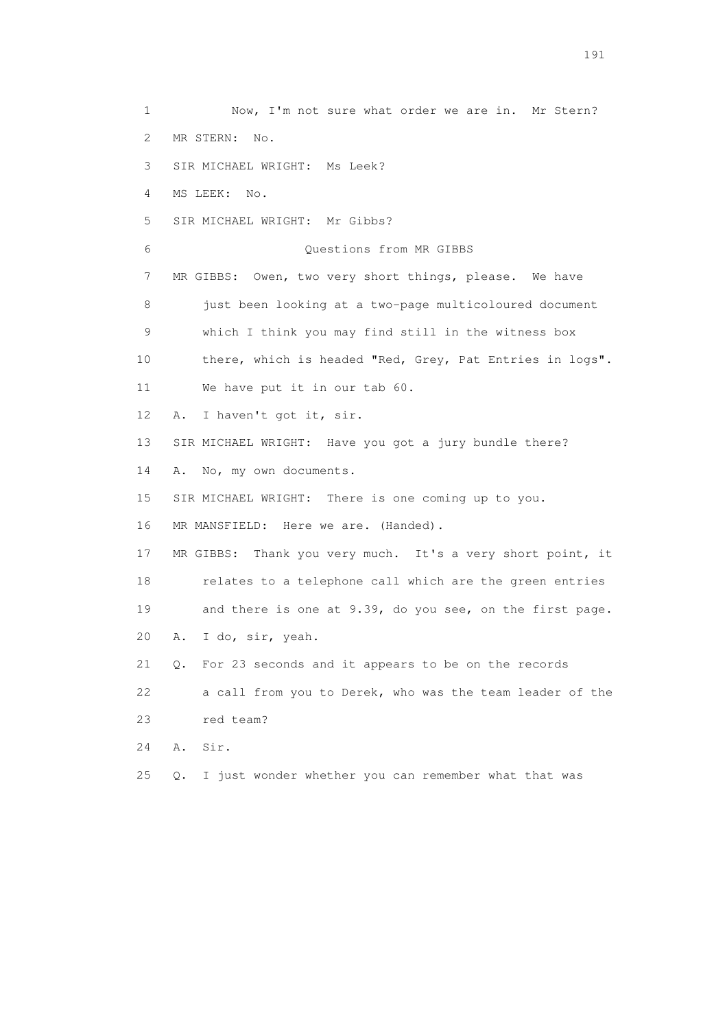1 Now, I'm not sure what order we are in. Mr Stern? 2 MR STERN: No. 3 SIR MICHAEL WRIGHT: Ms Leek? 4 MS LEEK: No. 5 SIR MICHAEL WRIGHT: Mr Gibbs? 6 Questions from MR GIBBS 7 MR GIBBS: Owen, two very short things, please. We have 8 just been looking at a two-page multicoloured document 9 which I think you may find still in the witness box 10 there, which is headed "Red, Grey, Pat Entries in logs". 11 We have put it in our tab 60. 12 A. I haven't got it, sir. 13 SIR MICHAEL WRIGHT: Have you got a jury bundle there? 14 A. No, my own documents. 15 SIR MICHAEL WRIGHT: There is one coming up to you. 16 MR MANSFIELD: Here we are. (Handed). 17 MR GIBBS: Thank you very much. It's a very short point, it 18 relates to a telephone call which are the green entries 19 and there is one at 9.39, do you see, on the first page. 20 A. I do, sir, yeah. 21 Q. For 23 seconds and it appears to be on the records 22 a call from you to Derek, who was the team leader of the 23 red team? 24 A. Sir. 25 Q. I just wonder whether you can remember what that was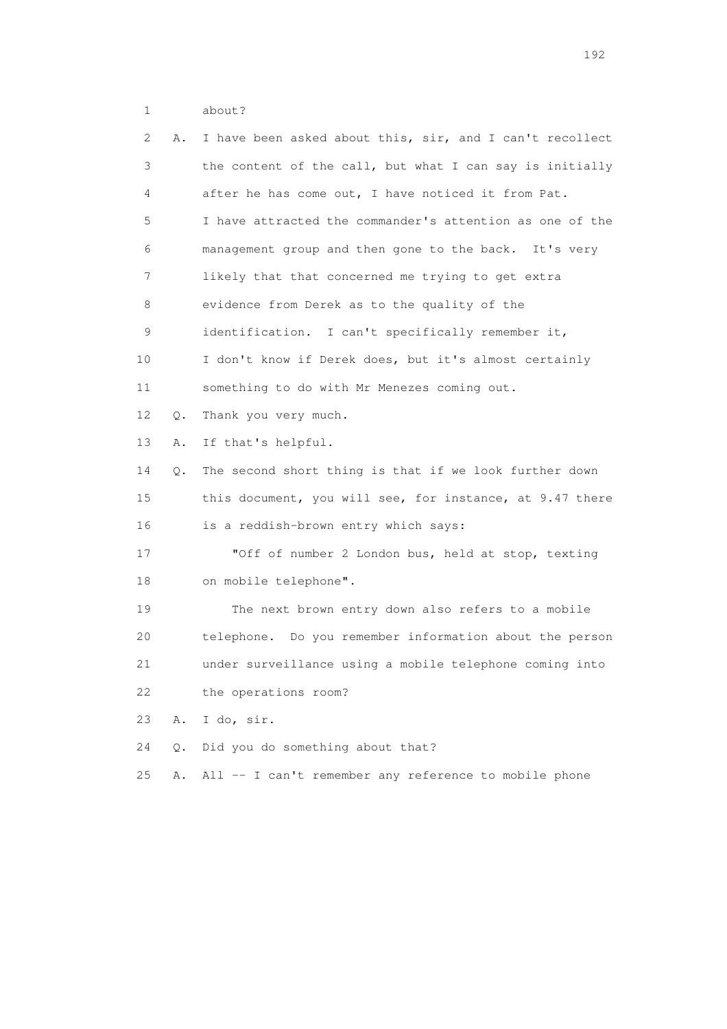1 about?

| $\mathbf{2}^{\mathsf{I}}$ | Α. | I have been asked about this, sir, and I can't recollect |
|---------------------------|----|----------------------------------------------------------|
| 3                         |    | the content of the call, but what I can say is initially |
| 4                         |    | after he has come out, I have noticed it from Pat.       |
| 5                         |    | I have attracted the commander's attention as one of the |
| 6                         |    | management group and then gone to the back. It's very    |
| 7                         |    | likely that that concerned me trying to get extra        |
| 8                         |    | evidence from Derek as to the quality of the             |
| 9                         |    | identification. I can't specifically remember it,        |
| 10                        |    | I don't know if Derek does, but it's almost certainly    |
| 11                        |    | something to do with Mr Menezes coming out.              |
| 12                        | Q. | Thank you very much.                                     |
| 13                        | Α. | If that's helpful.                                       |
| 14                        | Q. | The second short thing is that if we look further down   |
| 15                        |    | this document, you will see, for instance, at 9.47 there |
| 16                        |    | is a reddish-brown entry which says:                     |
| 17                        |    | "Off of number 2 London bus, held at stop, texting       |
| 18                        |    | on mobile telephone".                                    |
| 19                        |    | The next brown entry down also refers to a mobile        |
| 20                        |    | telephone. Do you remember information about the person  |
| 21                        |    | under surveillance using a mobile telephone coming into  |
| 22                        |    | the operations room?                                     |
| 23                        | Α. | I do, sir.                                               |
| 24                        | Q. | Did you do something about that?                         |
| 25                        | Α. | All -- I can't remember any reference to mobile phone    |
|                           |    |                                                          |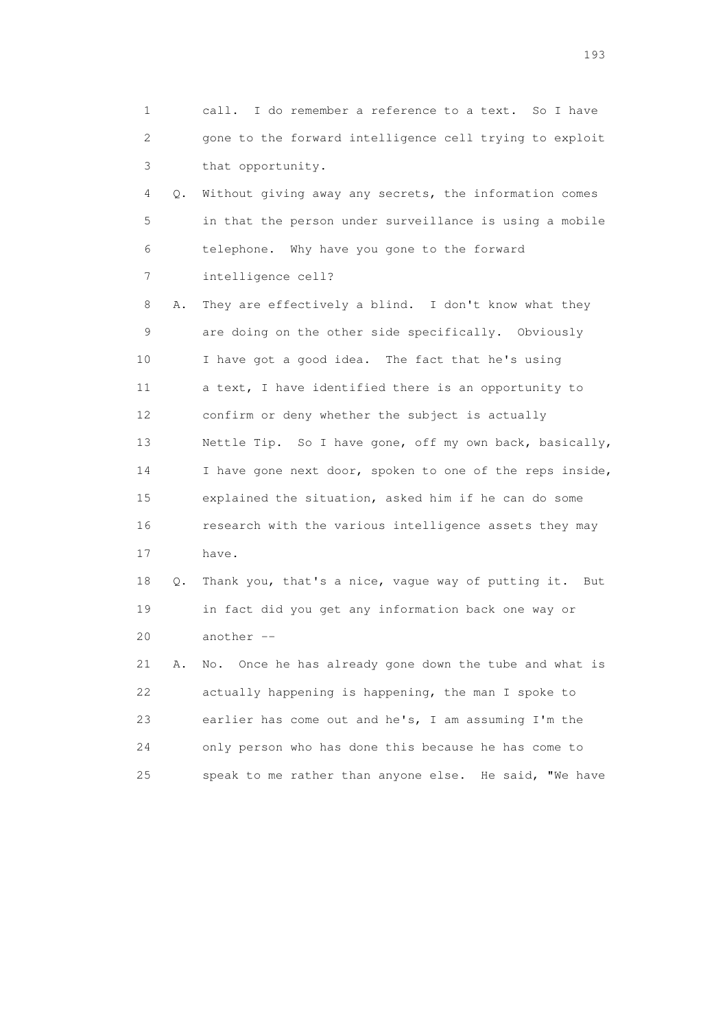1 call. I do remember a reference to a text. So I have 2 gone to the forward intelligence cell trying to exploit 3 that opportunity.

 4 Q. Without giving away any secrets, the information comes 5 in that the person under surveillance is using a mobile 6 telephone. Why have you gone to the forward 7 intelligence cell?

 8 A. They are effectively a blind. I don't know what they 9 are doing on the other side specifically. Obviously 10 I have got a good idea. The fact that he's using 11 a text, I have identified there is an opportunity to 12 confirm or deny whether the subject is actually 13 Nettle Tip. So I have gone, off my own back, basically, 14 I have gone next door, spoken to one of the reps inside, 15 explained the situation, asked him if he can do some 16 research with the various intelligence assets they may 17 have.

 18 Q. Thank you, that's a nice, vague way of putting it. But 19 in fact did you get any information back one way or 20 another --

 21 A. No. Once he has already gone down the tube and what is 22 actually happening is happening, the man I spoke to 23 earlier has come out and he's, I am assuming I'm the 24 only person who has done this because he has come to 25 speak to me rather than anyone else. He said, "We have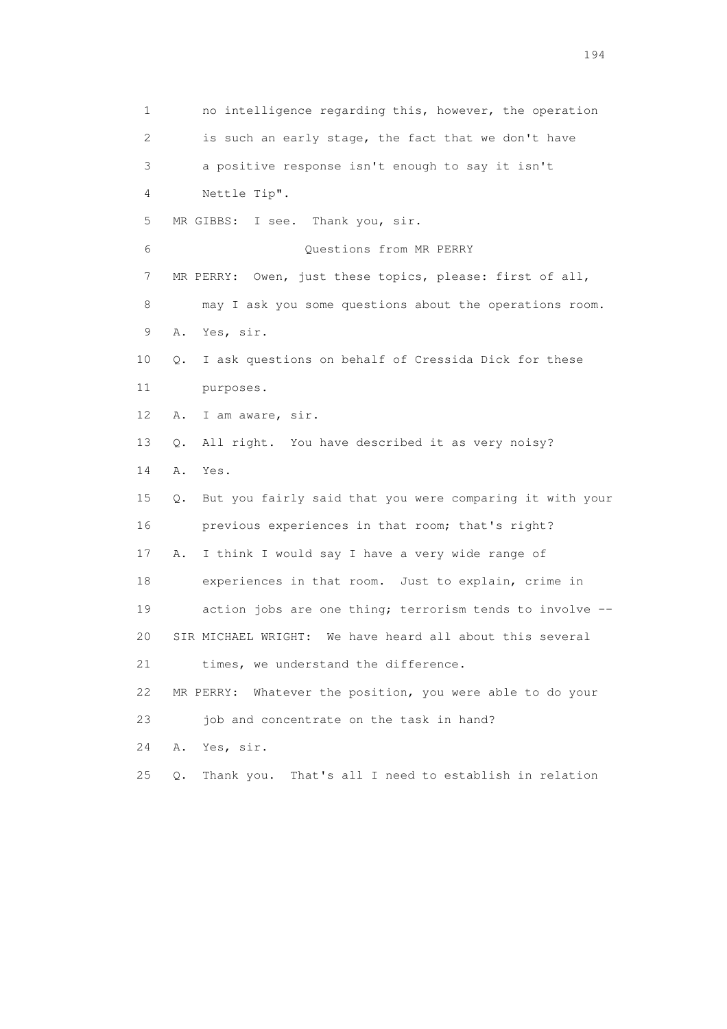1 no intelligence regarding this, however, the operation 2 is such an early stage, the fact that we don't have 3 a positive response isn't enough to say it isn't 4 Nettle Tip". 5 MR GIBBS: I see. Thank you, sir. 6 Questions from MR PERRY 7 MR PERRY: Owen, just these topics, please: first of all, 8 may I ask you some questions about the operations room. 9 A. Yes, sir. 10 Q. I ask questions on behalf of Cressida Dick for these 11 purposes. 12 A. I am aware, sir. 13 Q. All right. You have described it as very noisy? 14 A. Yes. 15 Q. But you fairly said that you were comparing it with your 16 previous experiences in that room; that's right? 17 A. I think I would say I have a very wide range of 18 experiences in that room. Just to explain, crime in 19 action jobs are one thing; terrorism tends to involve -- 20 SIR MICHAEL WRIGHT: We have heard all about this several 21 times, we understand the difference. 22 MR PERRY: Whatever the position, you were able to do your 23 job and concentrate on the task in hand? 24 A. Yes, sir. 25 Q. Thank you. That's all I need to establish in relation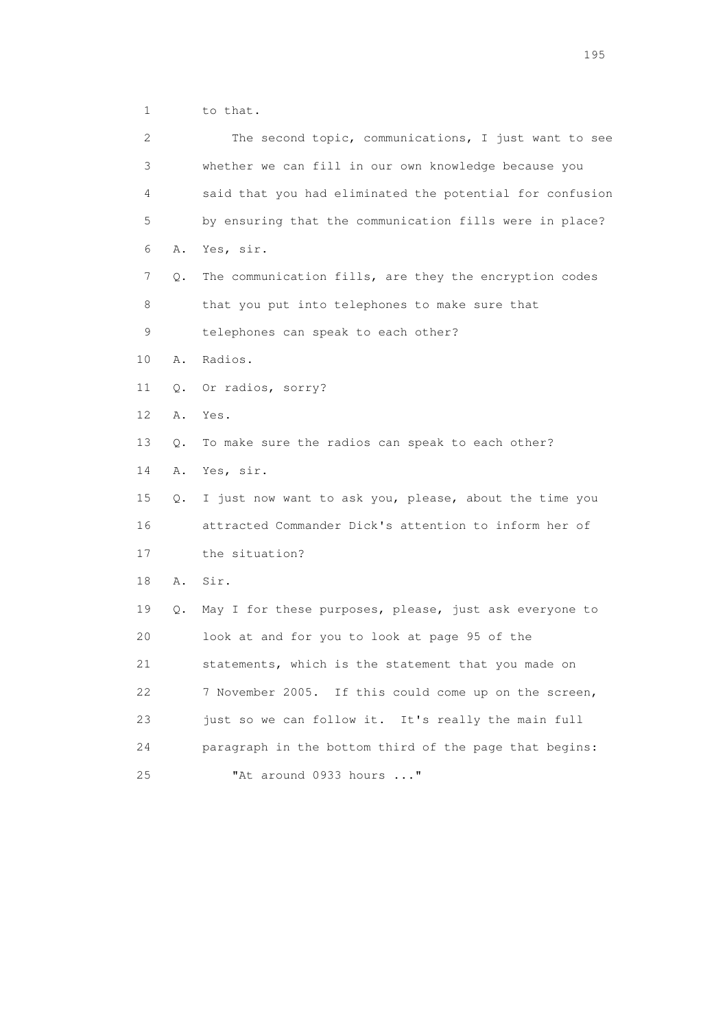1 to that.

| $\mathbf{2}^{\mathsf{I}}$ |    | The second topic, communications, I just want to see     |
|---------------------------|----|----------------------------------------------------------|
| 3                         |    | whether we can fill in our own knowledge because you     |
| 4                         |    | said that you had eliminated the potential for confusion |
| 5                         |    | by ensuring that the communication fills were in place?  |
| 6                         | Α. | Yes, sir.                                                |
| 7                         | Q. | The communication fills, are they the encryption codes   |
| 8                         |    | that you put into telephones to make sure that           |
| $\mathsf 9$               |    | telephones can speak to each other?                      |
| 10                        | Α. | Radios.                                                  |
| 11                        | Q. | Or radios, sorry?                                        |
| 12                        | Α. | Yes.                                                     |
| 13                        | О. | To make sure the radios can speak to each other?         |
| 14                        | Α. | Yes, sir.                                                |
| 15                        | Q. | I just now want to ask you, please, about the time you   |
| 16                        |    | attracted Commander Dick's attention to inform her of    |
| 17                        |    | the situation?                                           |
| 18                        | Α. | Sir.                                                     |
| 19                        | Q. | May I for these purposes, please, just ask everyone to   |
| 20                        |    | look at and for you to look at page 95 of the            |
| 21                        |    | statements, which is the statement that you made on      |
| 22                        |    | 7 November 2005. If this could come up on the screen,    |
| 23                        |    | just so we can follow it. It's really the main full      |
| 24                        |    | paragraph in the bottom third of the page that begins:   |
| 25                        |    | "At around 0933 hours "                                  |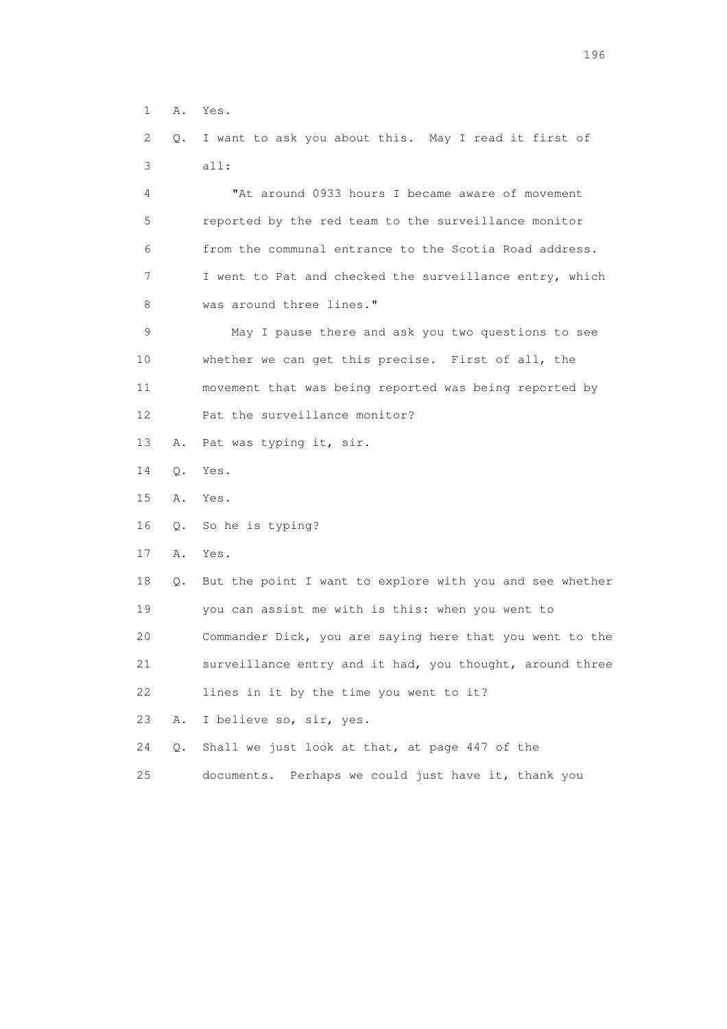1 A. Yes.

 2 Q. I want to ask you about this. May I read it first of 3 all:

 4 "At around 0933 hours I became aware of movement 5 reported by the red team to the surveillance monitor 6 from the communal entrance to the Scotia Road address. 7 I went to Pat and checked the surveillance entry, which 8 was around three lines."

 9 May I pause there and ask you two questions to see 10 whether we can get this precise. First of all, the 11 movement that was being reported was being reported by 12 Pat the surveillance monitor?

- 13 A. Pat was typing it, sir.
- 14 Q. Yes.
- 15 A. Yes.
- 16 Q. So he is typing?
- 17 A. Yes.

 18 Q. But the point I want to explore with you and see whether 19 you can assist me with is this: when you went to 20 Commander Dick, you are saying here that you went to the 21 surveillance entry and it had, you thought, around three

22 lines in it by the time you went to it?

23 A. I believe so, sir, yes.

24 Q. Shall we just look at that, at page 447 of the

25 documents. Perhaps we could just have it, thank you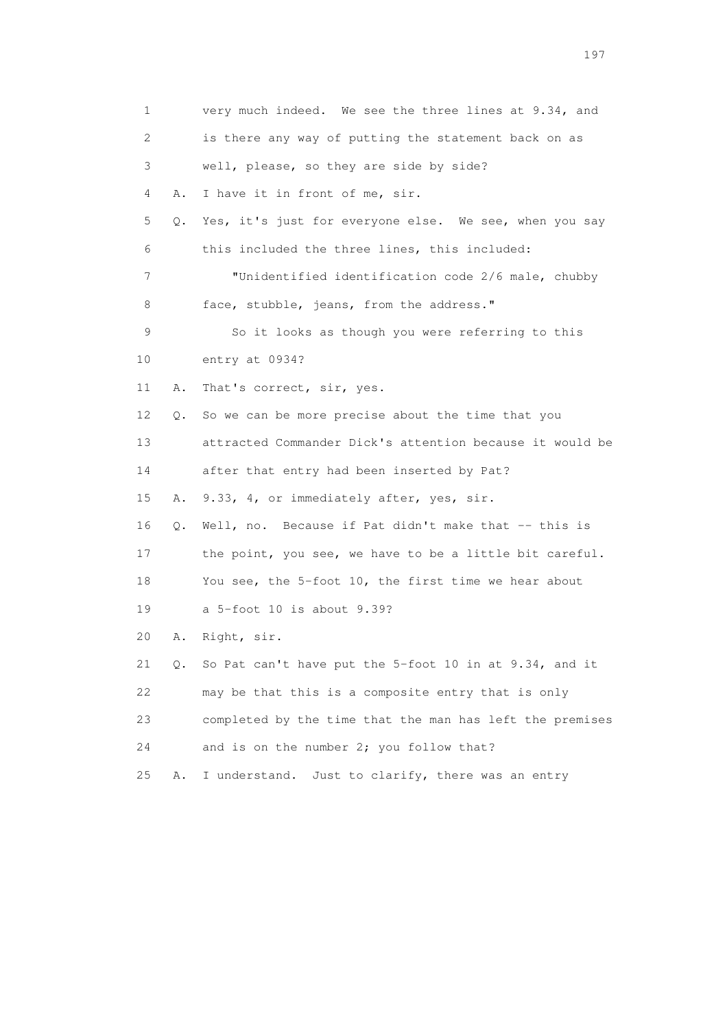| $\mathbf 1$ |    | very much indeed. We see the three lines at 9.34, and    |
|-------------|----|----------------------------------------------------------|
| 2           |    | is there any way of putting the statement back on as     |
| 3           |    | well, please, so they are side by side?                  |
| 4           | Α. | I have it in front of me, sir.                           |
| 5           | Q. | Yes, it's just for everyone else. We see, when you say   |
| 6           |    | this included the three lines, this included:            |
| 7           |    | "Unidentified identification code 2/6 male, chubby       |
| 8           |    | face, stubble, jeans, from the address."                 |
| 9           |    | So it looks as though you were referring to this         |
| 10          |    | entry at 0934?                                           |
| 11          | Α. | That's correct, sir, yes.                                |
| 12          | Q. | So we can be more precise about the time that you        |
| 13          |    | attracted Commander Dick's attention because it would be |
| 14          |    | after that entry had been inserted by Pat?               |
| 15          | Α. | 9.33, 4, or immediately after, yes, sir.                 |
| 16          | Q. | Well, no. Because if Pat didn't make that -- this is     |
| 17          |    | the point, you see, we have to be a little bit careful.  |
| 18          |    | You see, the 5-foot 10, the first time we hear about     |
| 19          |    | a 5-foot 10 is about 9.39?                               |
| 20          | Α. | Right, sir.                                              |
| 21          | Q. | So Pat can't have put the 5-foot 10 in at 9.34, and it   |
| 22          |    | may be that this is a composite entry that is only       |
| 23          |    | completed by the time that the man has left the premises |
| 24          |    | and is on the number 2; you follow that?                 |
| 25          | Α. | I understand.<br>Just to clarify, there was an entry     |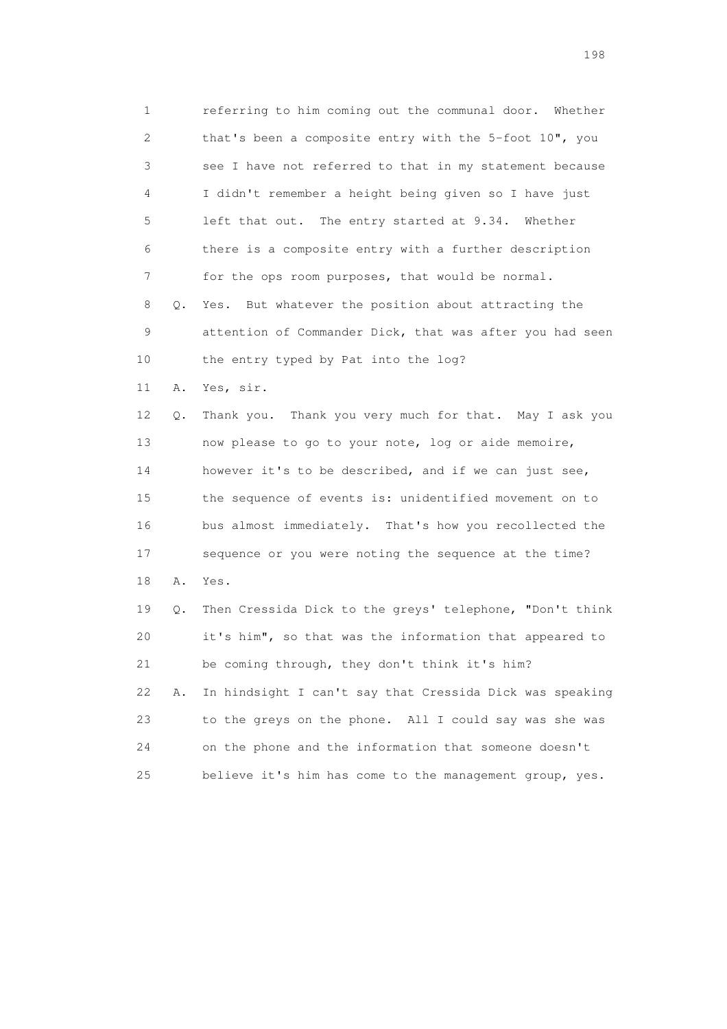1 referring to him coming out the communal door. Whether 2 that's been a composite entry with the 5-foot 10", you 3 see I have not referred to that in my statement because 4 I didn't remember a height being given so I have just 5 left that out. The entry started at 9.34. Whether 6 there is a composite entry with a further description 7 for the ops room purposes, that would be normal. 8 Q. Yes. But whatever the position about attracting the 9 attention of Commander Dick, that was after you had seen 10 the entry typed by Pat into the log? 11 A. Yes, sir. 12 Q. Thank you. Thank you very much for that. May I ask you 13 now please to go to your note, log or aide memoire, 14 however it's to be described, and if we can just see, 15 the sequence of events is: unidentified movement on to 16 bus almost immediately. That's how you recollected the 17 sequence or you were noting the sequence at the time? 18 A. Yes.

 19 Q. Then Cressida Dick to the greys' telephone, "Don't think 20 it's him", so that was the information that appeared to 21 be coming through, they don't think it's him? 22 A. In hindsight I can't say that Cressida Dick was speaking 23 to the greys on the phone. All I could say was she was 24 on the phone and the information that someone doesn't 25 believe it's him has come to the management group, yes.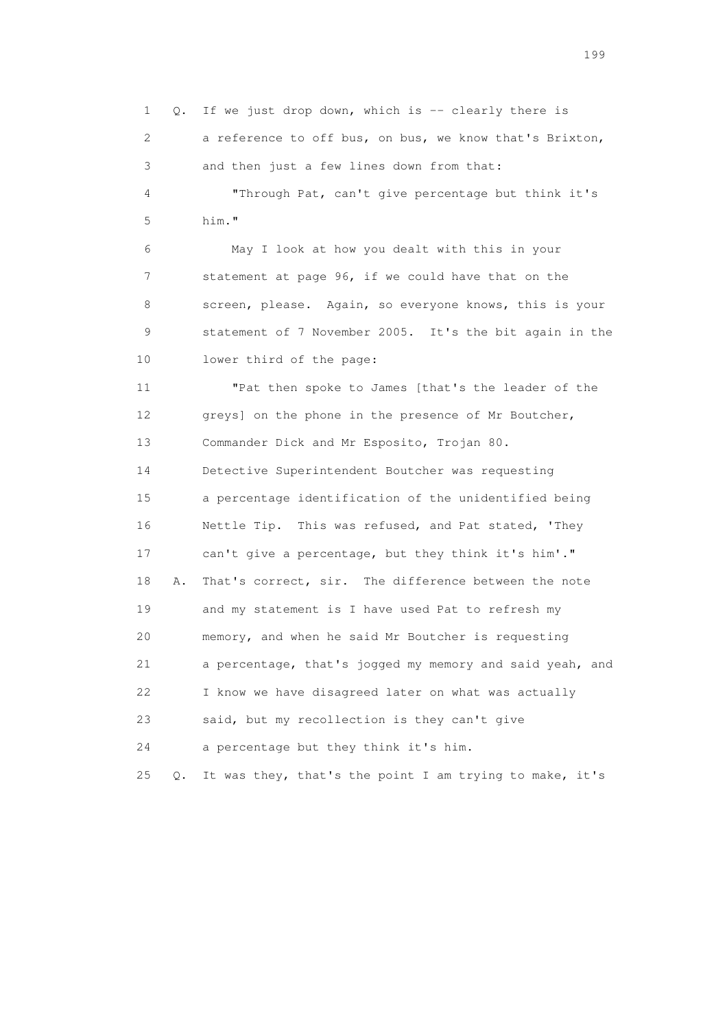1 Q. If we just drop down, which is -- clearly there is 2 a reference to off bus, on bus, we know that's Brixton, 3 and then just a few lines down from that: 4 "Through Pat, can't give percentage but think it's 5 him." 6 May I look at how you dealt with this in your 7 statement at page 96, if we could have that on the 8 screen, please. Again, so everyone knows, this is your 9 statement of 7 November 2005. It's the bit again in the 10 lower third of the page: 11 "Pat then spoke to James [that's the leader of the 12 greys] on the phone in the presence of Mr Boutcher, 13 Commander Dick and Mr Esposito, Trojan 80. 14 Detective Superintendent Boutcher was requesting 15 a percentage identification of the unidentified being 16 Nettle Tip. This was refused, and Pat stated, 'They 17 can't give a percentage, but they think it's him'." 18 A. That's correct, sir. The difference between the note 19 and my statement is I have used Pat to refresh my 20 memory, and when he said Mr Boutcher is requesting 21 a percentage, that's jogged my memory and said yeah, and 22 I know we have disagreed later on what was actually 23 said, but my recollection is they can't give 24 a percentage but they think it's him. 25 Q. It was they, that's the point I am trying to make, it's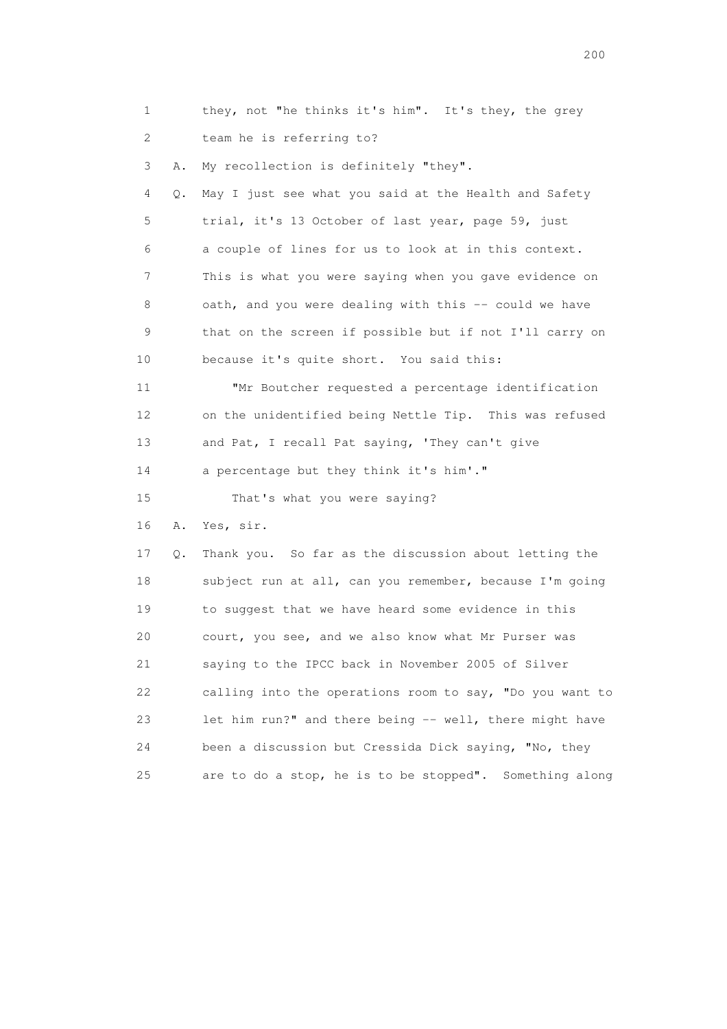| 1  |    | they, not "he thinks it's him". It's they, the grey      |
|----|----|----------------------------------------------------------|
| 2  |    | team he is referring to?                                 |
| 3  | Α. | My recollection is definitely "they".                    |
| 4  | Q. | May I just see what you said at the Health and Safety    |
| 5  |    | trial, it's 13 October of last year, page 59, just       |
| 6  |    | a couple of lines for us to look at in this context.     |
| 7  |    | This is what you were saying when you gave evidence on   |
| 8  |    | oath, and you were dealing with this -- could we have    |
| 9  |    | that on the screen if possible but if not I'll carry on  |
| 10 |    | because it's quite short. You said this:                 |
| 11 |    | "Mr Boutcher requested a percentage identification       |
| 12 |    | on the unidentified being Nettle Tip. This was refused   |
| 13 |    | and Pat, I recall Pat saying, 'They can't give           |
| 14 |    | a percentage but they think it's him'."                  |
| 15 |    | That's what you were saying?                             |
| 16 | Α. | Yes, sir.                                                |
| 17 | Q. | Thank you. So far as the discussion about letting the    |
| 18 |    | subject run at all, can you remember, because I'm going  |
| 19 |    | to suggest that we have heard some evidence in this      |
| 20 |    | court, you see, and we also know what Mr Purser was      |
| 21 |    | saying to the IPCC back in November 2005 of Silver       |
| 22 |    | calling into the operations room to say, "Do you want to |
| 23 |    | let him run?" and there being -- well, there might have  |
| 24 |    | been a discussion but Cressida Dick saying, "No, they    |
| 25 |    | are to do a stop, he is to be stopped". Something along  |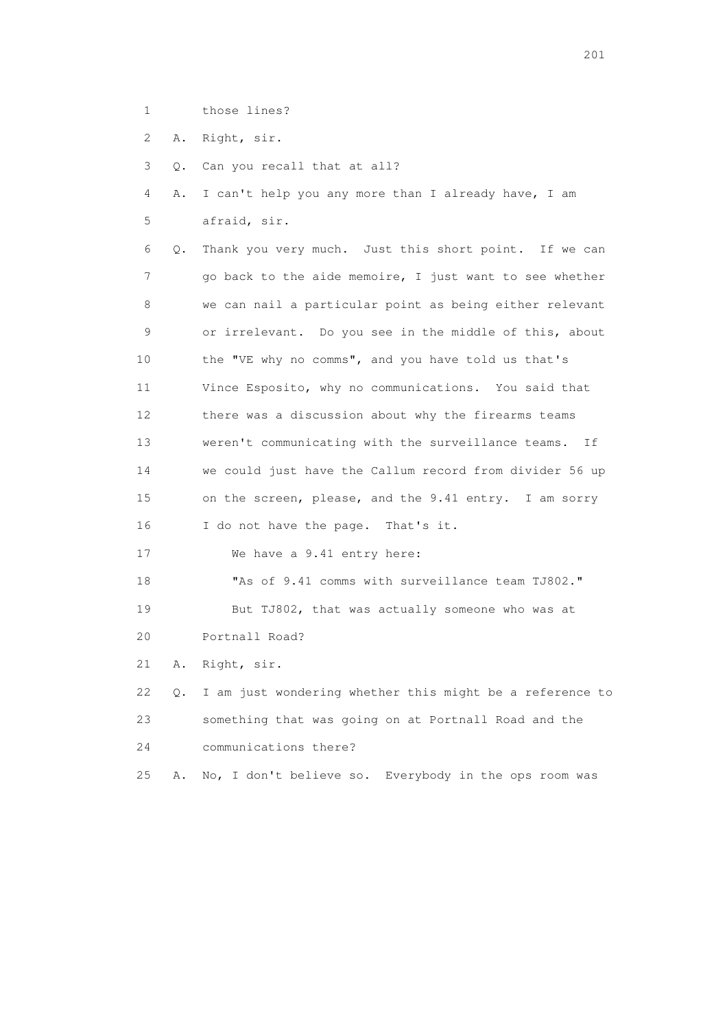- 1 those lines?
- 2 A. Right, sir.
- 3 Q. Can you recall that at all?
- 4 A. I can't help you any more than I already have, I am 5 afraid, sir.
- 6 Q. Thank you very much. Just this short point. If we can 7 go back to the aide memoire, I just want to see whether 8 we can nail a particular point as being either relevant 9 or irrelevant. Do you see in the middle of this, about 10 the "VE why no comms", and you have told us that's 11 Vince Esposito, why no communications. You said that 12 there was a discussion about why the firearms teams 13 weren't communicating with the surveillance teams. If 14 we could just have the Callum record from divider 56 up 15 on the screen, please, and the 9.41 entry. I am sorry 16 I do not have the page. That's it.
- 17 We have a 9.41 entry here:

 18 "As of 9.41 comms with surveillance team TJ802." 19 But TJ802, that was actually someone who was at

20 Portnall Road?

21 A. Right, sir.

 22 Q. I am just wondering whether this might be a reference to 23 something that was going on at Portnall Road and the 24 communications there?

25 A. No, I don't believe so. Everybody in the ops room was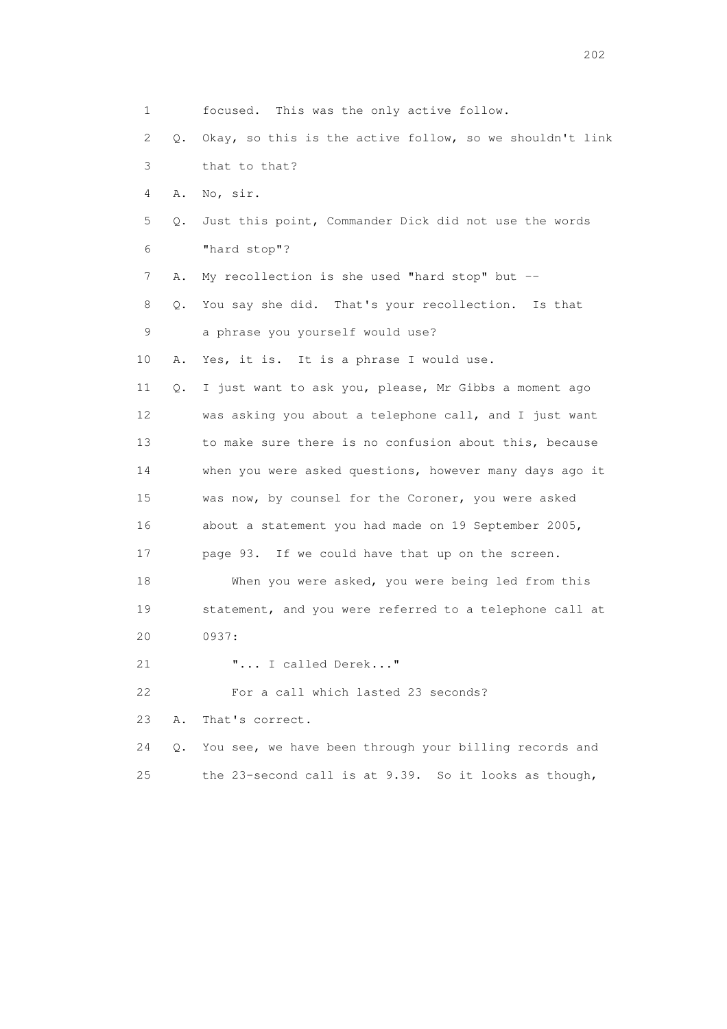|    | 1       | focused. This was the only active follow.                |
|----|---------|----------------------------------------------------------|
|    | 2<br>Q. | Okay, so this is the active follow, so we shouldn't link |
|    | 3       | that to that?                                            |
|    | 4<br>Α. | No, sir.                                                 |
|    | 5<br>Q. | Just this point, Commander Dick did not use the words    |
|    | 6       | "hard stop"?                                             |
|    | 7<br>Α. | My recollection is she used "hard stop" but --           |
|    | 8<br>Q. | You say she did. That's your recollection. Is that       |
|    | 9       | a phrase you yourself would use?                         |
| 10 | Α.      | Yes, it is. It is a phrase I would use.                  |
| 11 | Q.      | I just want to ask you, please, Mr Gibbs a moment ago    |
| 12 |         | was asking you about a telephone call, and I just want   |
| 13 |         | to make sure there is no confusion about this, because   |
| 14 |         | when you were asked questions, however many days ago it  |
| 15 |         | was now, by counsel for the Coroner, you were asked      |
| 16 |         | about a statement you had made on 19 September 2005,     |
| 17 |         | page 93. If we could have that up on the screen.         |
| 18 |         | When you were asked, you were being led from this        |
| 19 |         | statement, and you were referred to a telephone call at  |
| 20 |         | 0937:                                                    |
| 21 |         | " I called Derek"                                        |
| 22 |         | For a call which lasted 23 seconds?                      |
| 23 | Α.      | That's correct.                                          |
| 24 | О.      | You see, we have been through your billing records and   |
| 25 |         | the 23-second call is at 9.39. So it looks as though,    |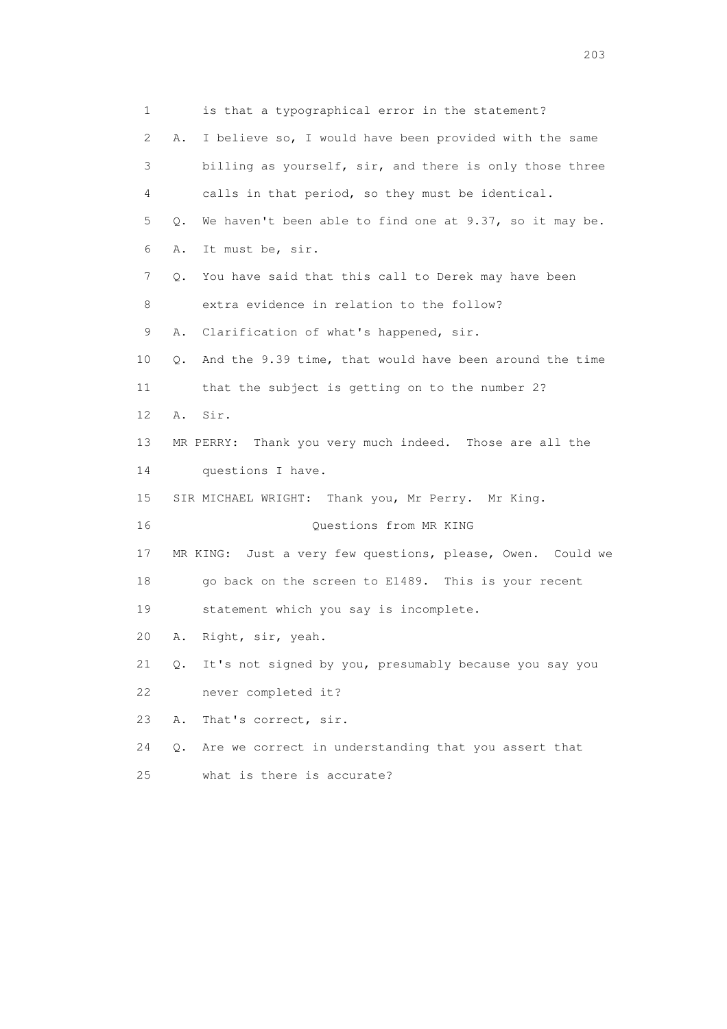1 is that a typographical error in the statement? 2 A. I believe so, I would have been provided with the same 3 billing as yourself, sir, and there is only those three 4 calls in that period, so they must be identical. 5 Q. We haven't been able to find one at 9.37, so it may be. 6 A. It must be, sir. 7 Q. You have said that this call to Derek may have been 8 extra evidence in relation to the follow? 9 A. Clarification of what's happened, sir. 10 Q. And the 9.39 time, that would have been around the time 11 that the subject is getting on to the number 2? 12 A. Sir. 13 MR PERRY: Thank you very much indeed. Those are all the 14 questions I have. 15 SIR MICHAEL WRIGHT: Thank you, Mr Perry. Mr King. 16 Questions from MR KING 17 MR KING: Just a very few questions, please, Owen. Could we 18 go back on the screen to E1489. This is your recent 19 statement which you say is incomplete. 20 A. Right, sir, yeah. 21 Q. It's not signed by you, presumably because you say you 22 never completed it? 23 A. That's correct, sir. 24 Q. Are we correct in understanding that you assert that 25 what is there is accurate?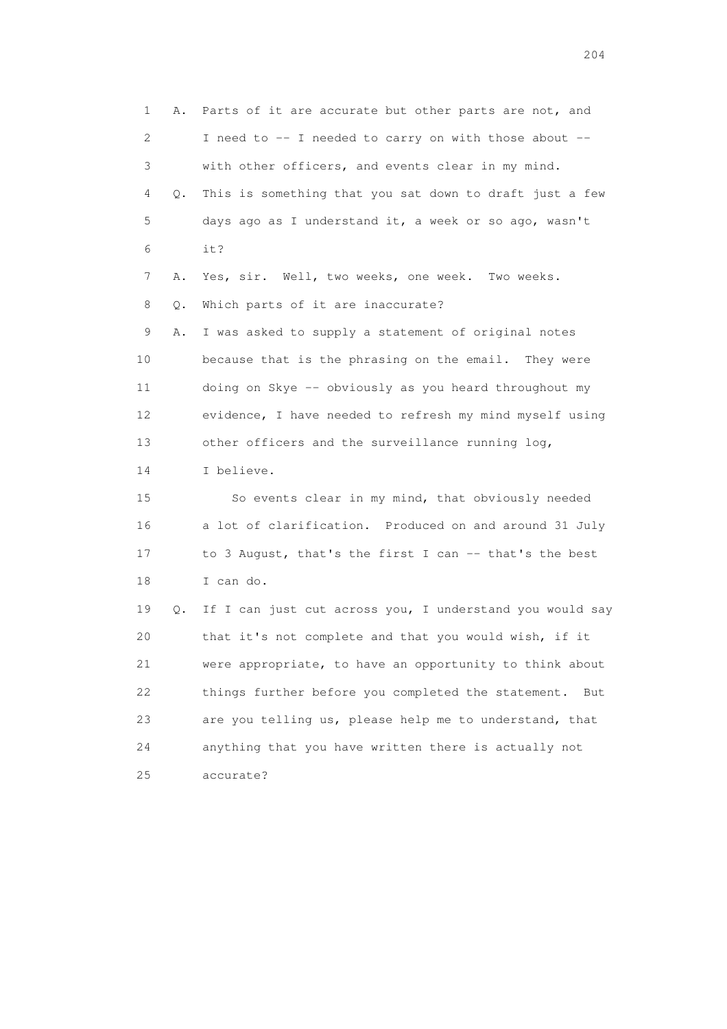1 A. Parts of it are accurate but other parts are not, and 2 I need to -- I needed to carry on with those about -- 3 with other officers, and events clear in my mind. 4 Q. This is something that you sat down to draft just a few 5 days ago as I understand it, a week or so ago, wasn't 6 it? 7 A. Yes, sir. Well, two weeks, one week. Two weeks. 8 Q. Which parts of it are inaccurate? 9 A. I was asked to supply a statement of original notes 10 because that is the phrasing on the email. They were 11 doing on Skye -- obviously as you heard throughout my 12 evidence, I have needed to refresh my mind myself using 13 other officers and the surveillance running log, 14 I believe. 15 So events clear in my mind, that obviously needed 16 a lot of clarification. Produced on and around 31 July 17 to 3 August, that's the first I can -- that's the best 18 I can do. 19 Q. If I can just cut across you, I understand you would say 20 that it's not complete and that you would wish, if it 21 were appropriate, to have an opportunity to think about 22 things further before you completed the statement. But 23 are you telling us, please help me to understand, that 24 anything that you have written there is actually not 25 accurate?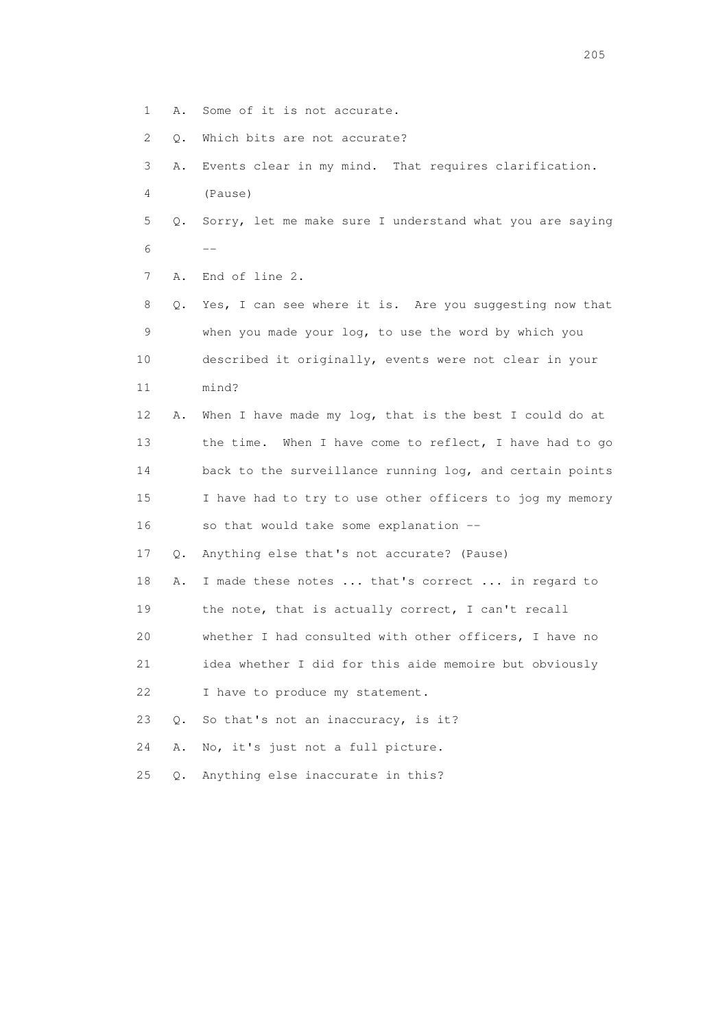- 1 A. Some of it is not accurate.
- 2 Q. Which bits are not accurate?
- 3 A. Events clear in my mind. That requires clarification. 4 (Pause)
- 5 Q. Sorry, let me make sure I understand what you are saying  $6$  --
	- 7 A. End of line 2.

 8 Q. Yes, I can see where it is. Are you suggesting now that 9 when you made your log, to use the word by which you 10 described it originally, events were not clear in your 11 mind?

 12 A. When I have made my log, that is the best I could do at 13 the time. When I have come to reflect, I have had to go 14 back to the surveillance running log, and certain points 15 I have had to try to use other officers to jog my memory 16 so that would take some explanation --

17 Q. Anything else that's not accurate? (Pause)

- 18 A. I made these notes ... that's correct ... in regard to 19 the note, that is actually correct, I can't recall
- 20 whether I had consulted with other officers, I have no

21 idea whether I did for this aide memoire but obviously

22 I have to produce my statement.

23 Q. So that's not an inaccuracy, is it?

24 A. No, it's just not a full picture.

25 Q. Anything else inaccurate in this?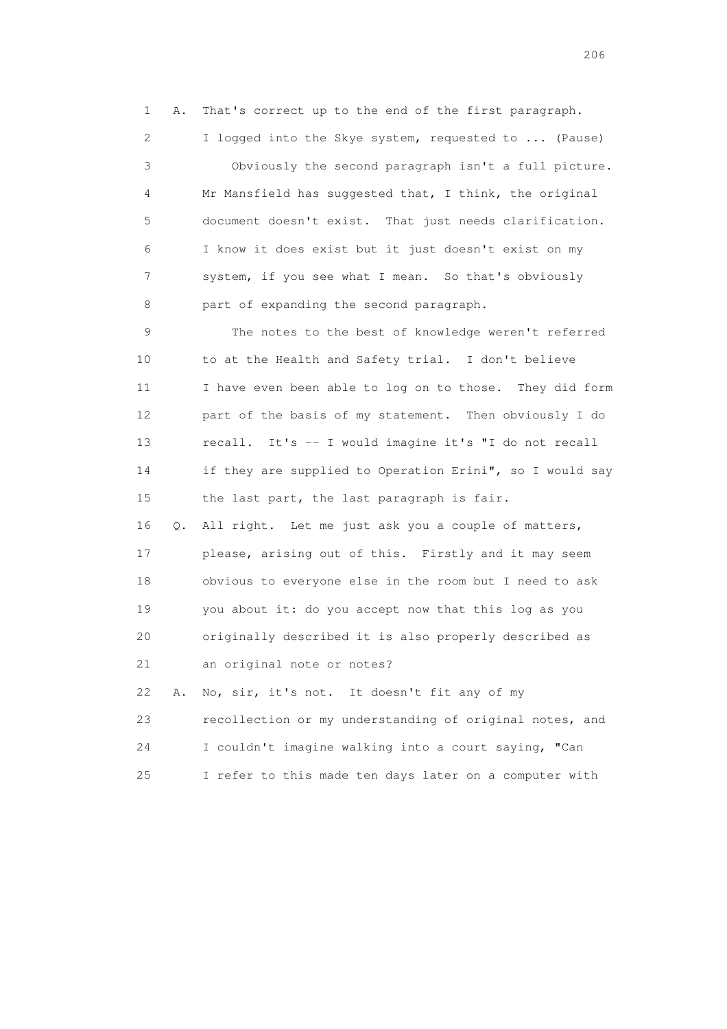1 A. That's correct up to the end of the first paragraph.

 2 I logged into the Skye system, requested to ... (Pause) 3 Obviously the second paragraph isn't a full picture. 4 Mr Mansfield has suggested that, I think, the original 5 document doesn't exist. That just needs clarification. 6 I know it does exist but it just doesn't exist on my 7 system, if you see what I mean. So that's obviously 8 part of expanding the second paragraph.

 9 The notes to the best of knowledge weren't referred 10 to at the Health and Safety trial. I don't believe 11 I have even been able to log on to those. They did form 12 part of the basis of my statement. Then obviously I do 13 recall. It's -- I would imagine it's "I do not recall 14 if they are supplied to Operation Erini", so I would say 15 the last part, the last paragraph is fair.

 16 Q. All right. Let me just ask you a couple of matters, 17 please, arising out of this. Firstly and it may seem 18 obvious to everyone else in the room but I need to ask 19 you about it: do you accept now that this log as you 20 originally described it is also properly described as 21 an original note or notes?

 22 A. No, sir, it's not. It doesn't fit any of my 23 recollection or my understanding of original notes, and 24 I couldn't imagine walking into a court saying, "Can 25 I refer to this made ten days later on a computer with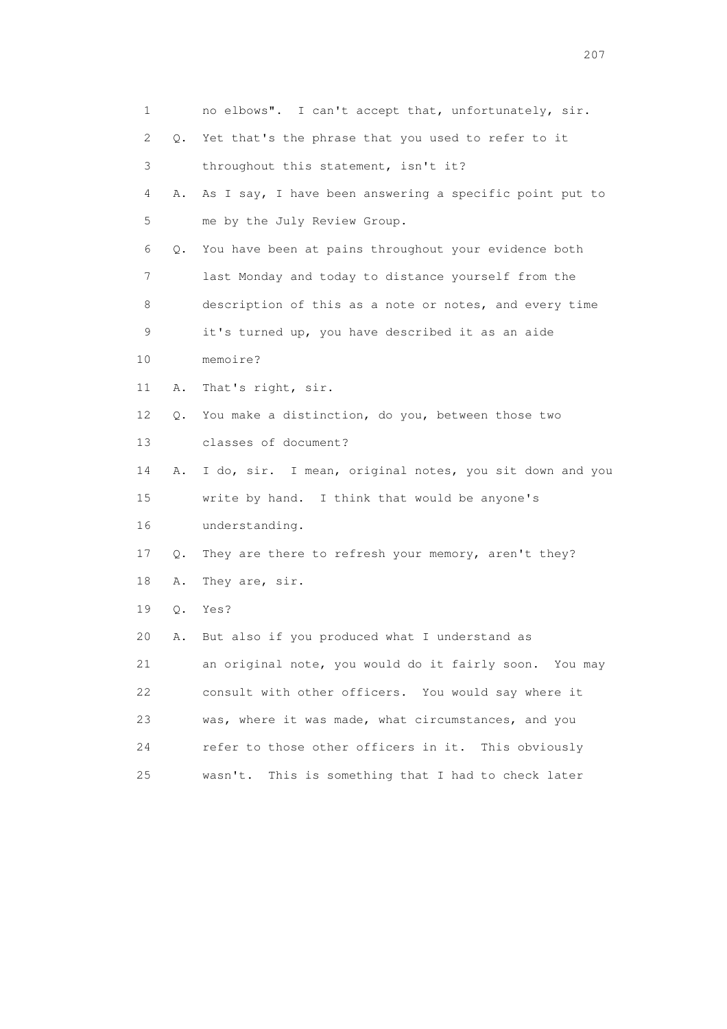| 1  |       | no elbows". I can't accept that, unfortunately, sir.    |
|----|-------|---------------------------------------------------------|
| 2  | 0.    | Yet that's the phrase that you used to refer to it      |
| 3  |       | throughout this statement, isn't it?                    |
| 4  | Α.    | As I say, I have been answering a specific point put to |
| 5  |       | me by the July Review Group.                            |
| 6  | Q.    | You have been at pains throughout your evidence both    |
| 7  |       | last Monday and today to distance yourself from the     |
| 8  |       | description of this as a note or notes, and every time  |
| 9  |       | it's turned up, you have described it as an aide        |
| 10 |       | memoire?                                                |
| 11 | Α.    | That's right, sir.                                      |
| 12 | Q.    | You make a distinction, do you, between those two       |
| 13 |       | classes of document?                                    |
| 14 | Α.    | I do, sir. I mean, original notes, you sit down and you |
| 15 |       | write by hand. I think that would be anyone's           |
| 16 |       | understanding.                                          |
| 17 | Q.    | They are there to refresh your memory, aren't they?     |
| 18 | Α.    | They are, sir.                                          |
| 19 | $Q$ . | Yes?                                                    |
| 20 | Α.    | But also if you produced what I understand as           |
| 21 |       | an original note, you would do it fairly soon. You may  |
| 22 |       | consult with other officers. You would say where it     |
| 23 |       | was, where it was made, what circumstances, and you     |
| 24 |       | refer to those other officers in it. This obviously     |
| 25 |       | This is something that I had to check later<br>wasn't.  |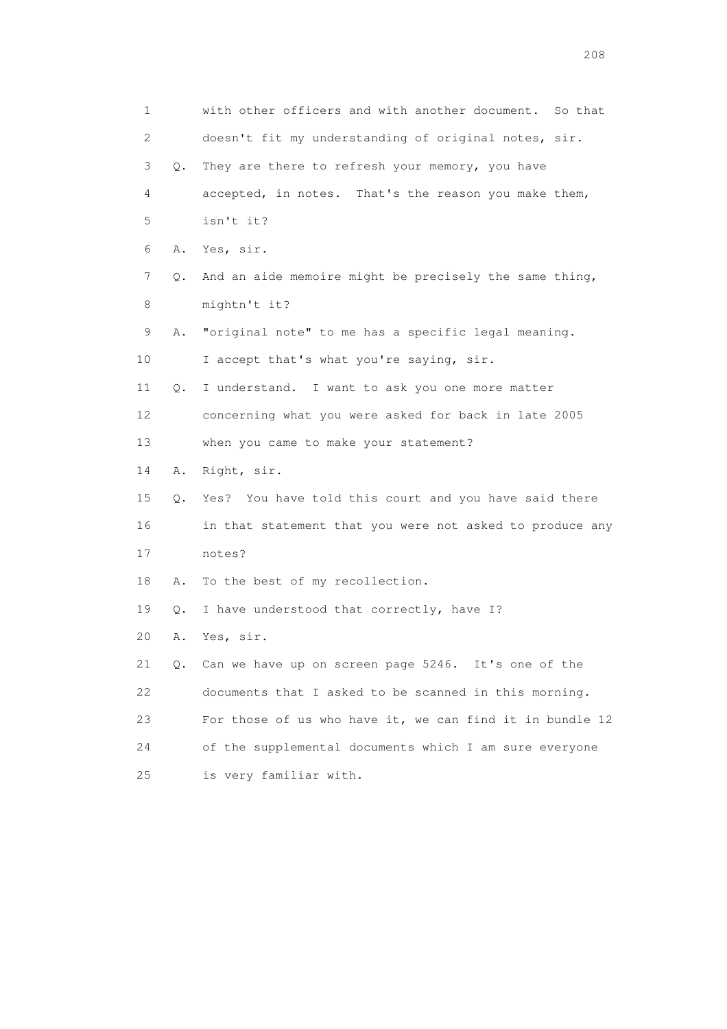| 1  |       | with other officers and with another document.<br>So that |
|----|-------|-----------------------------------------------------------|
| 2  |       | doesn't fit my understanding of original notes, sir.      |
| 3  | 0.    | They are there to refresh your memory, you have           |
| 4  |       | accepted, in notes. That's the reason you make them,      |
| 5  |       | isn't it?                                                 |
| 6  |       | A. Yes, sir.                                              |
| 7  | Q.    | And an aide memoire might be precisely the same thing,    |
| 8  |       | mightn't it?                                              |
| 9  | Α.    | "original note" to me has a specific legal meaning.       |
| 10 |       | I accept that's what you're saying, sir.                  |
| 11 | Q.    | I understand. I want to ask you one more matter           |
| 12 |       | concerning what you were asked for back in late 2005      |
| 13 |       | when you came to make your statement?                     |
| 14 | Α.    | Right, sir.                                               |
| 15 | $Q$ . | Yes? You have told this court and you have said there     |
| 16 |       | in that statement that you were not asked to produce any  |
| 17 |       | notes?                                                    |
| 18 | Α.    | To the best of my recollection.                           |
| 19 | Q.    | I have understood that correctly, have I?                 |
| 20 | Α.    | Yes, sir.                                                 |
| 21 |       | Q. Can we have up on screen page 5246. It's one of the    |
| 22 |       | documents that I asked to be scanned in this morning.     |
| 23 |       | For those of us who have it, we can find it in bundle 12  |
| 24 |       | of the supplemental documents which I am sure everyone    |
| 25 |       | is very familiar with.                                    |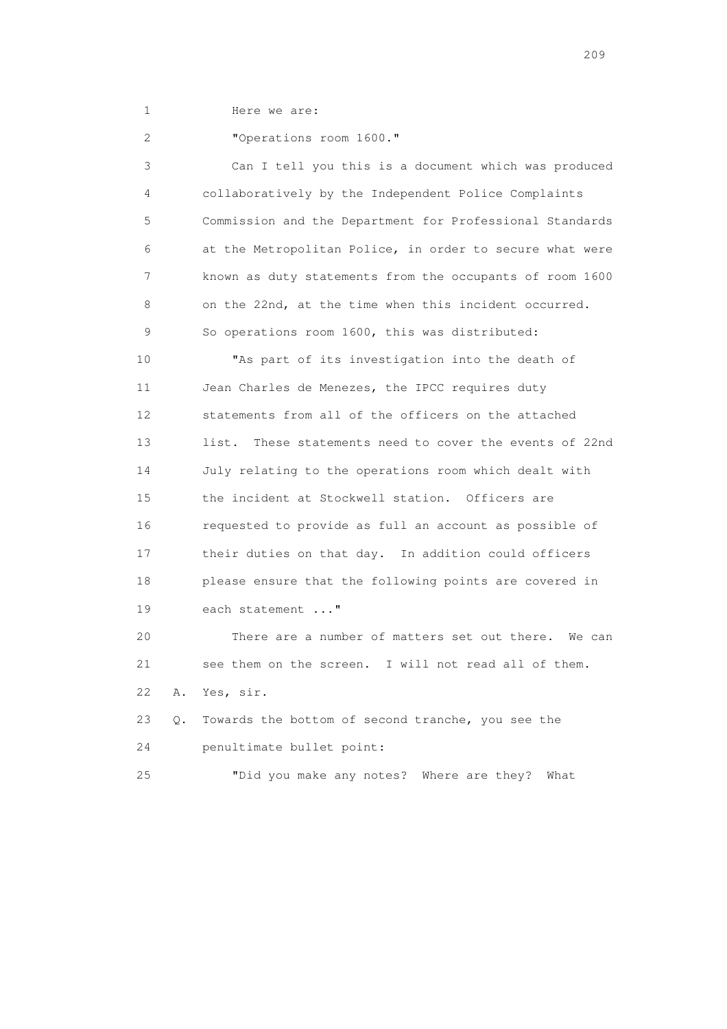1 Here we are:

2 "Operations room 1600."

 3 Can I tell you this is a document which was produced 4 collaboratively by the Independent Police Complaints 5 Commission and the Department for Professional Standards 6 at the Metropolitan Police, in order to secure what were 7 known as duty statements from the occupants of room 1600 8 on the 22nd, at the time when this incident occurred. 9 So operations room 1600, this was distributed: 10 "As part of its investigation into the death of 11 Jean Charles de Menezes, the IPCC requires duty 12 statements from all of the officers on the attached 13 list. These statements need to cover the events of 22nd 14 July relating to the operations room which dealt with 15 the incident at Stockwell station. Officers are 16 requested to provide as full an account as possible of 17 their duties on that day. In addition could officers 18 please ensure that the following points are covered in 19 each statement ..."

 20 There are a number of matters set out there. We can 21 see them on the screen. I will not read all of them. 22 A. Yes, sir.

 23 Q. Towards the bottom of second tranche, you see the 24 penultimate bullet point:

25 "Did you make any notes? Where are they? What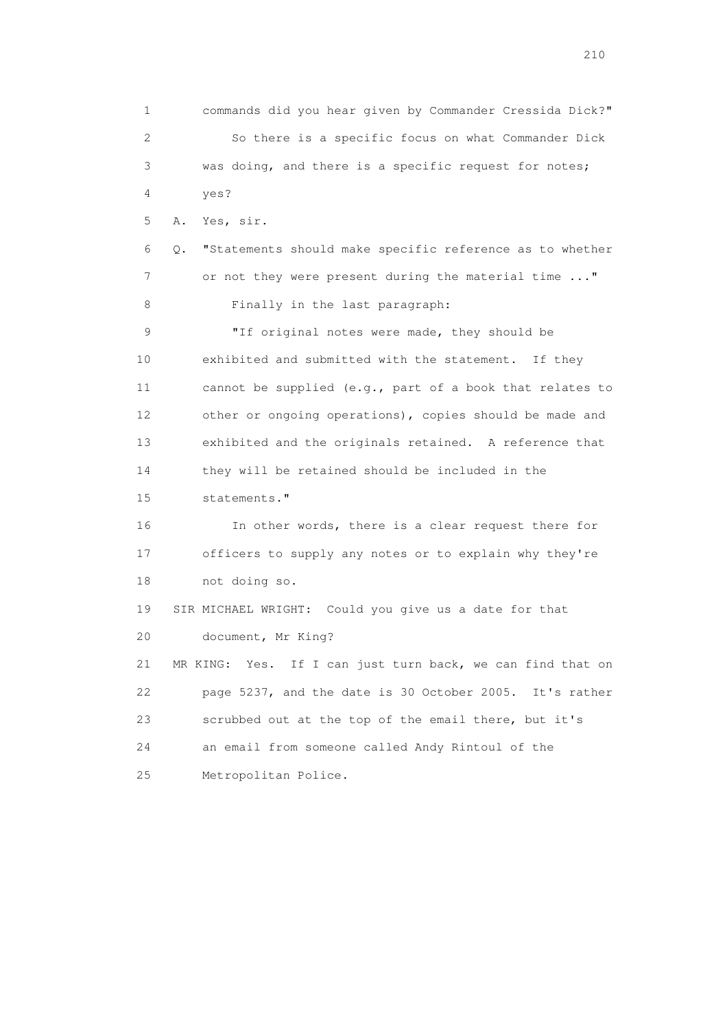1 commands did you hear given by Commander Cressida Dick?" 2 So there is a specific focus on what Commander Dick 3 was doing, and there is a specific request for notes; 4 yes? 5 A. Yes, sir. 6 Q. "Statements should make specific reference as to whether 7 or not they were present during the material time ..." 8 Finally in the last paragraph: 9 "If original notes were made, they should be 10 exhibited and submitted with the statement. If they 11 cannot be supplied (e.g., part of a book that relates to 12 other or ongoing operations), copies should be made and 13 exhibited and the originals retained. A reference that 14 they will be retained should be included in the 15 statements." 16 In other words, there is a clear request there for 17 officers to supply any notes or to explain why they're 18 not doing so. 19 SIR MICHAEL WRIGHT: Could you give us a date for that 20 document, Mr King? 21 MR KING: Yes. If I can just turn back, we can find that on 22 page 5237, and the date is 30 October 2005. It's rather 23 scrubbed out at the top of the email there, but it's 24 an email from someone called Andy Rintoul of the 25 Metropolitan Police.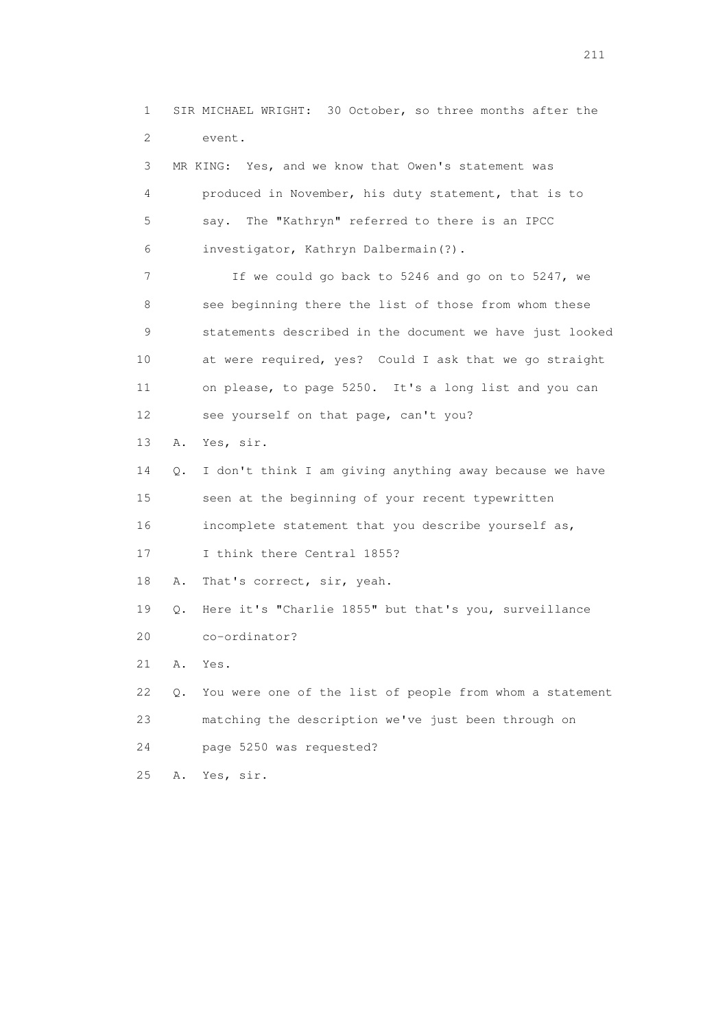1 SIR MICHAEL WRIGHT: 30 October, so three months after the 2 event. 3 MR KING: Yes, and we know that Owen's statement was 4 produced in November, his duty statement, that is to 5 say. The "Kathryn" referred to there is an IPCC 6 investigator, Kathryn Dalbermain(?). 7 If we could go back to 5246 and go on to 5247, we 8 see beginning there the list of those from whom these 9 statements described in the document we have just looked 10 at were required, yes? Could I ask that we go straight 11 on please, to page 5250. It's a long list and you can 12 see yourself on that page, can't you? 13 A. Yes, sir. 14 Q. I don't think I am giving anything away because we have 15 seen at the beginning of your recent typewritten 16 incomplete statement that you describe yourself as, 17 I think there Central 1855? 18 A. That's correct, sir, yeah. 19 Q. Here it's "Charlie 1855" but that's you, surveillance 20 co-ordinator? 21 A. Yes. 22 Q. You were one of the list of people from whom a statement 23 matching the description we've just been through on 24 page 5250 was requested? 25 A. Yes, sir.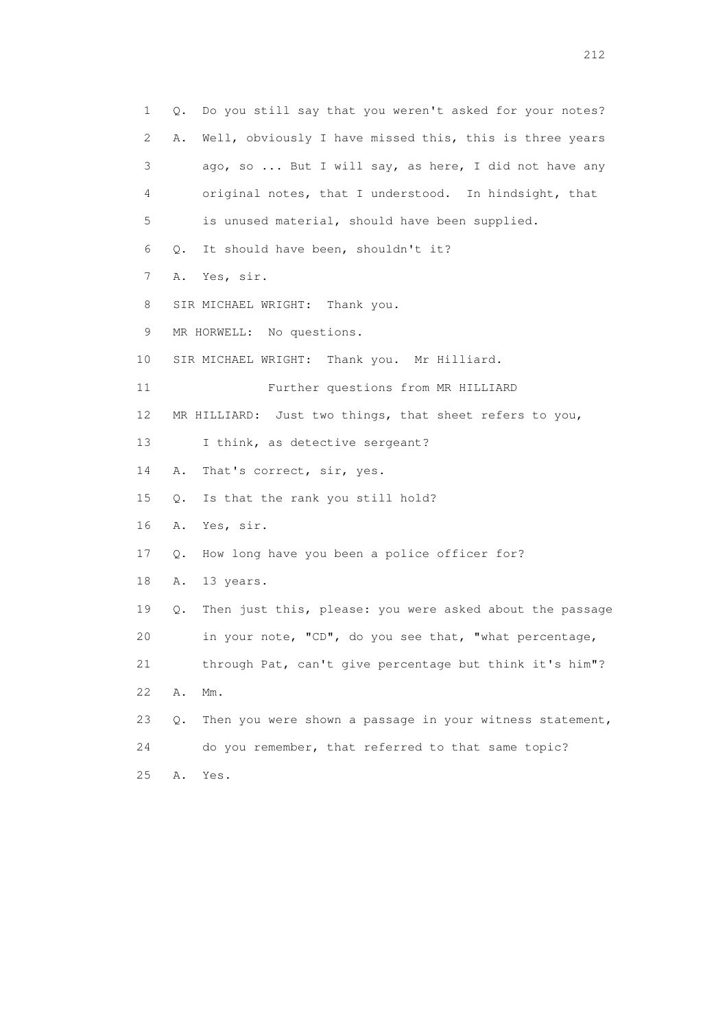1 Q. Do you still say that you weren't asked for your notes? 2 A. Well, obviously I have missed this, this is three years 3 ago, so ... But I will say, as here, I did not have any 4 original notes, that I understood. In hindsight, that 5 is unused material, should have been supplied. 6 Q. It should have been, shouldn't it? 7 A. Yes, sir. 8 SIR MICHAEL WRIGHT: Thank you. 9 MR HORWELL: No questions. 10 SIR MICHAEL WRIGHT: Thank you. Mr Hilliard. 11 Further questions from MR HILLIARD 12 MR HILLIARD: Just two things, that sheet refers to you, 13 I think, as detective sergeant? 14 A. That's correct, sir, yes. 15 Q. Is that the rank you still hold? 16 A. Yes, sir. 17 Q. How long have you been a police officer for? 18 A. 13 years. 19 Q. Then just this, please: you were asked about the passage 20 in your note, "CD", do you see that, "what percentage, 21 through Pat, can't give percentage but think it's him"? 22 A. Mm. 23 Q. Then you were shown a passage in your witness statement, 24 do you remember, that referred to that same topic? 25 A. Yes.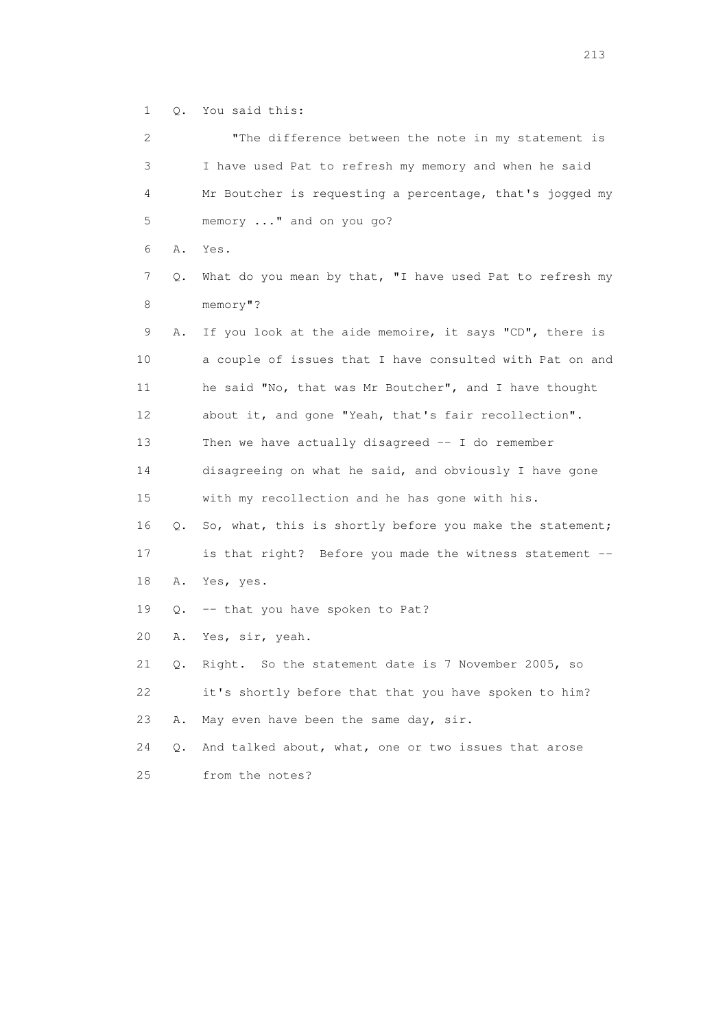1 Q. You said this:

| 2  |    | "The difference between the note in my statement is      |
|----|----|----------------------------------------------------------|
| 3  |    | I have used Pat to refresh my memory and when he said    |
| 4  |    | Mr Boutcher is requesting a percentage, that's jogged my |
| 5  |    | memory " and on you go?                                  |
| 6  | Α. | Yes.                                                     |
| 7  | Q. | What do you mean by that, "I have used Pat to refresh my |
| 8  |    | $memory$ "?                                              |
| 9  | Α. | If you look at the aide memoire, it says "CD", there is  |
| 10 |    | a couple of issues that I have consulted with Pat on and |
| 11 |    | he said "No, that was Mr Boutcher", and I have thought   |
| 12 |    | about it, and gone "Yeah, that's fair recollection".     |
| 13 |    | Then we have actually disagreed $-$ I do remember        |
| 14 |    | disagreeing on what he said, and obviously I have gone   |
| 15 |    | with my recollection and he has gone with his.           |
| 16 | Q. | So, what, this is shortly before you make the statement; |
| 17 |    | is that right? Before you made the witness statement --  |
| 18 | Α. | Yes, yes.                                                |
| 19 | Q. | -- that you have spoken to Pat?                          |
| 20 | Α. | Yes, sir, yeah.                                          |
| 21 | Q. | Right. So the statement date is 7 November 2005, so      |
| 22 |    | it's shortly before that that you have spoken to him?    |
| 23 | Α. | May even have been the same day, sir.                    |
| 24 | Q. | And talked about, what, one or two issues that arose     |
| 25 |    | from the notes?                                          |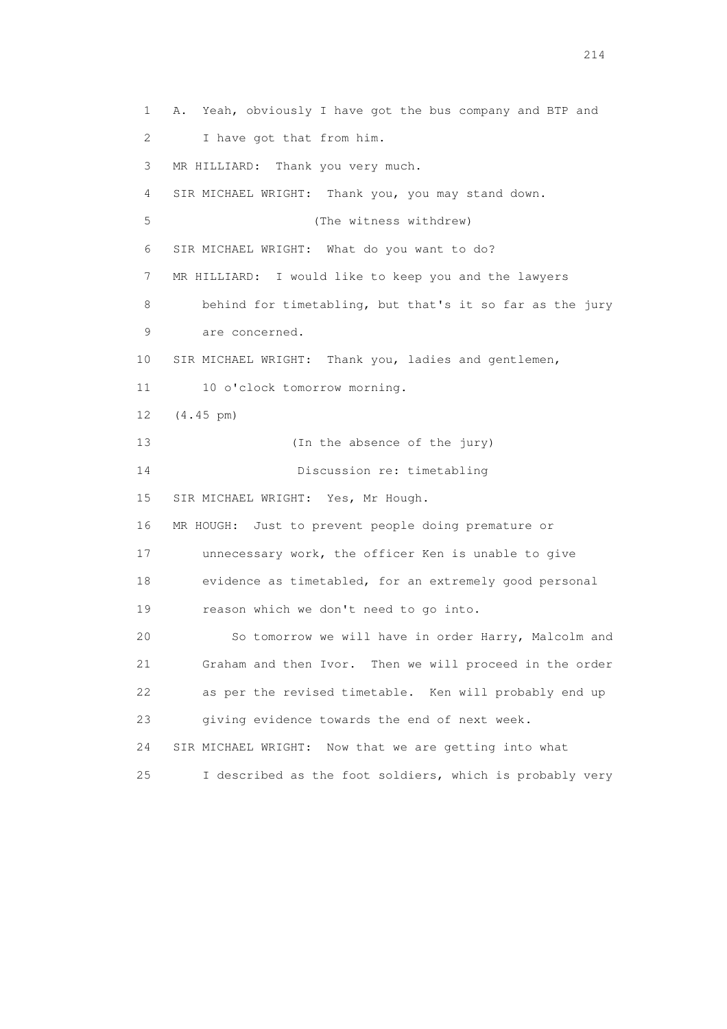1 A. Yeah, obviously I have got the bus company and BTP and 2 I have got that from him. 3 MR HILLIARD: Thank you very much. 4 SIR MICHAEL WRIGHT: Thank you, you may stand down. 5 (The witness withdrew) 6 SIR MICHAEL WRIGHT: What do you want to do? 7 MR HILLIARD: I would like to keep you and the lawyers 8 behind for timetabling, but that's it so far as the jury 9 are concerned. 10 SIR MICHAEL WRIGHT: Thank you, ladies and gentlemen, 11 10 o'clock tomorrow morning. 12 (4.45 pm) 13 (In the absence of the jury) 14 Discussion re: timetabling 15 SIR MICHAEL WRIGHT: Yes, Mr Hough. 16 MR HOUGH: Just to prevent people doing premature or 17 unnecessary work, the officer Ken is unable to give 18 evidence as timetabled, for an extremely good personal 19 reason which we don't need to go into. 20 So tomorrow we will have in order Harry, Malcolm and 21 Graham and then Ivor. Then we will proceed in the order 22 as per the revised timetable. Ken will probably end up 23 giving evidence towards the end of next week. 24 SIR MICHAEL WRIGHT: Now that we are getting into what 25 I described as the foot soldiers, which is probably very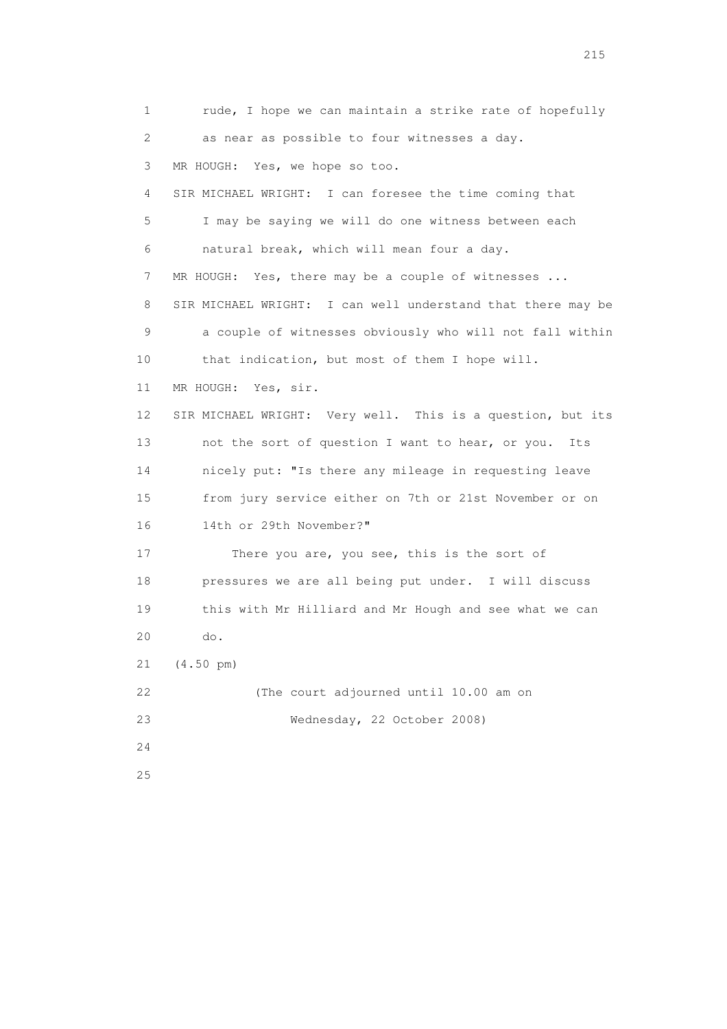1 rude, I hope we can maintain a strike rate of hopefully 2 as near as possible to four witnesses a day. 3 MR HOUGH: Yes, we hope so too. 4 SIR MICHAEL WRIGHT: I can foresee the time coming that 5 I may be saying we will do one witness between each 6 natural break, which will mean four a day. 7 MR HOUGH: Yes, there may be a couple of witnesses ... 8 SIR MICHAEL WRIGHT: I can well understand that there may be 9 a couple of witnesses obviously who will not fall within 10 that indication, but most of them I hope will. 11 MR HOUGH: Yes, sir. 12 SIR MICHAEL WRIGHT: Very well. This is a question, but its 13 not the sort of question I want to hear, or you. Its 14 nicely put: "Is there any mileage in requesting leave 15 from jury service either on 7th or 21st November or on 16 14th or 29th November?" 17 There you are, you see, this is the sort of 18 pressures we are all being put under. I will discuss 19 this with Mr Hilliard and Mr Hough and see what we can 20 do. 21 (4.50 pm) 22 (The court adjourned until 10.00 am on 23 Wednesday, 22 October 2008) 24 25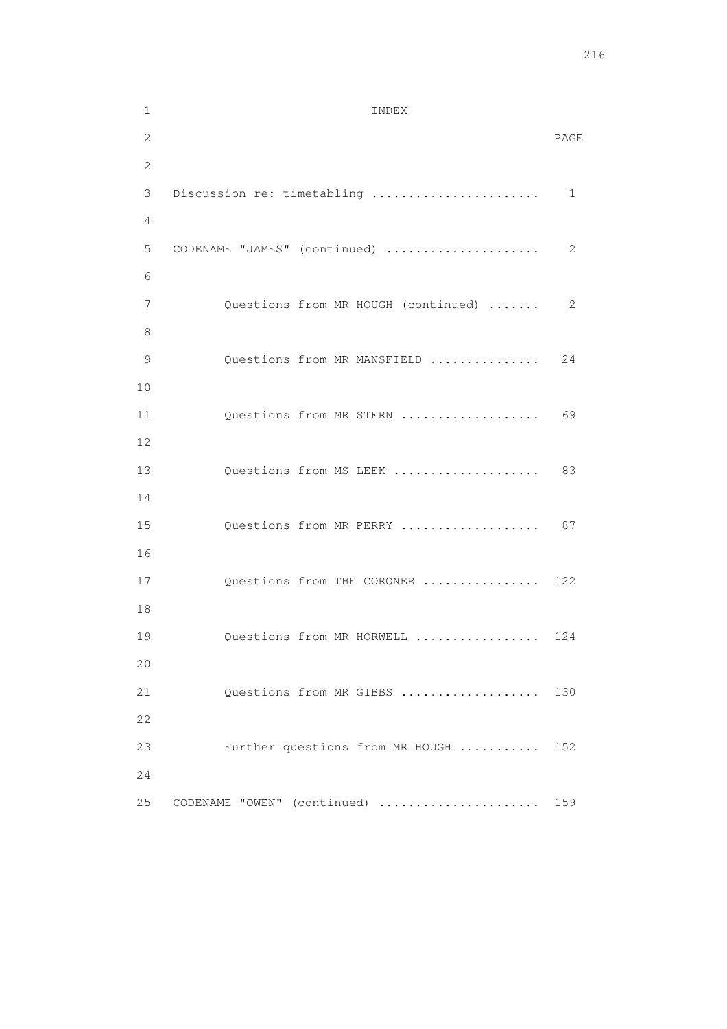```
 1 INDEX 
2 PAGE 
       2 
       3 Discussion re: timetabling ....................... 1 
       4 
       5 CODENAME "JAMES" (continued) ..................... 2 
6 
       7 Questions from MR HOUGH (continued) ....... 2 
       8 
      9 Questions from MR MANSFIELD ............... 24
       10 
      11 Questions from MR STERN ..................... 69
       12 
     13 Questions from MS LEEK ...................... 83
       14 
      15 Questions from MR PERRY .................... 87
       16 
      17 Questions from THE CORONER ................ 122
       18 
      19 Questions from MR HORWELL ................. 124
       20 
      21 Questions from MR GIBBS .................... 130
       22 
       23 Further questions from MR HOUGH ........... 152 
       24 
      25 CODENAME "OWEN" (continued) ....................... 159
```